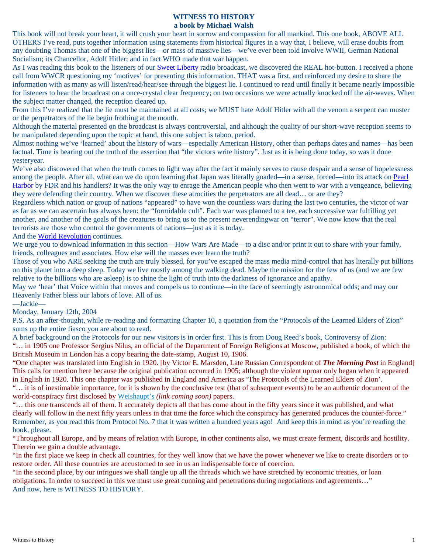### **WITNESS TO HISTORY a book by Michael Walsh**

This book will not break your heart, it will crush your heart in sorrow and compassion for all mankind. This one book, ABOVE ALL OTHERS I've read, puts together information using statements from historical figures in a way that, I believe, will erase doubts from any doubting Thomas that one of the biggest lies—or mass of massive lies—we've ever been told involve WWII, German National Socialism; its Chancellor, Adolf Hitler; and in fact WHO made that war happen.

As I was reading this book to the listeners of our [Sweet Liberty](http://www.sweetliberty.org/audio/) radio broadcast, we discovered the REAL hot-button. I received a phone call from WWCR questioning my 'motives' for presenting this information. THAT was a first, and reinforced my desire to share the information with as many as will listen/read/hear/see through the biggest lie. I continued to read until finally it became nearly impossible for listeners to hear the broadcast on a once-crystal clear frequency; on two occasions we were actually knocked off the air-waves. When the subject matter changed, the reception cleared up.

From this I've realized that the lie must be maintained at all costs; we MUST hate Adolf Hitler with all the venom a serpent can muster or the perpetrators of the lie begin frothing at the mouth.

Although the material presented on the broadcast is always controversial, and although the quality of our short-wave reception seems to be manipulated depending upon the topic at hand, this one subject is taboo, period.

Almost nothing we've 'learned' about the history of wars—especially American History, other than perhaps dates and names—has been factual. Time is bearing out the truth of the assertion that "the victors write history". Just as it is being done today, so was it done yesteryear.

We've also discovered that when the truth comes to light way after the fact it mainly serves to cause despair and a sense of hopelessness among the people. After all, what can we do upon learning that Japan was literally goaded—in a sense, forced—into its attack on [Pearl](http://www.sweetliberty.org/issues/wars/pearlharbor.htm)  [Harbor](http://www.sweetliberty.org/issues/wars/pearlharbor.htm) by FDR and his handlers? It was the only way to enrage the American people who then went to war with a vengeance, believing they were defending their country. When we discover these atrocities the perpetrators are all dead… or are they?

Regardless which nation or group of nations "appeared" to have won the countless wars during the last two centuries, the victor of war as far as we can ascertain has always been: the "formidable cult". Each war was planned to a tee, each successive war fulfilling yet another, and another of the goals of the creatures to bring us to the present neverendingwar on "terror". We now know that the real terrorists are those who control the governments of nations—just as it is today.

And the [World Revolution](http://www.sweetliberty.org/issues/wars/worldrev.htm) continues.

We urge you to download information in this section—How Wars Are Made—to a disc and/or print it out to share with your family, friends, colleagues and associates. How else will the masses ever learn the truth?

Those of you who ARE seeking the truth are truly blessed, for you've escaped the mass media mind-control that has literally put billions on this planet into a deep sleep. Today we live mostly among the walking dead. Maybe the mission for the few of us (and we are few relative to the billions who are asleep) is to shine the light of truth into the darkness of ignorance and apathy.

May we 'hear' that Voice within that moves and compels us to continue—in the face of seemingly astronomical odds; and may our Heavenly Father bless our labors of love. All of us.

—Jackie—

Monday, January 12th, 2004

P.S. As an after-thought, while re-reading and formatting Chapter 10, a quotation from the "Protocols of the Learned Elders of Zion" sums up the entire fiasco you are about to read.

A brief background on the Protocols for our new visitors is in order first. This is from Doug Reed's book, Controversy of Zion: "… in 1905 one Professor Sergius Nilus, an official of the Department of Foreign Religions at Moscow, published a book, of which the British Museum in London has a copy bearing the date-stamp, August 10, 1906.

"One chapter was translated into English in 1920. [by Victor E. Marsden, Late Russian Correspondent of *The Morning Post* in England] This calls for mention here because the original publication occurred in 1905; although the violent uproar only began when it appeared in English in 1920. This one chapter was published in England and America as 'The Protocols of the Learned Elders of Zion'. "… it is of inestimable importance, for it is shown by the conclusive test (that of subsequent events) to be an authentic document of the world-conspiracy first disclosed by Weishaupt's *(link coming soon)* papers.

"… this one transcends all of them. It accurately depicts all that has come about in the fifty years since it was published, and what clearly will follow in the next fifty years unless in that time the force which the conspiracy has generated produces the counter-force." Remember, as you read this from Protocol No. 7 that it was written a hundred years ago! And keep this in mind as you're reading the book, please.

"Throughout all Europe, and by means of relation with Europe, in other continents also, we must create ferment, discords and hostility. Therein we gain a double advantage.

"In the first place we keep in check all countries, for they well know that we have the power whenever we like to create disorders or to restore order. All these countries are accustomed to see in us an indispensable force of coercion.

"In the second place, by our intrigues we shall tangle up all the threads which we have stretched by economic treaties, or loan obligations. In order to succeed in this we must use great cunning and penetrations during negotiations and agreements…" And now, here is WITNESS TO HISTORY.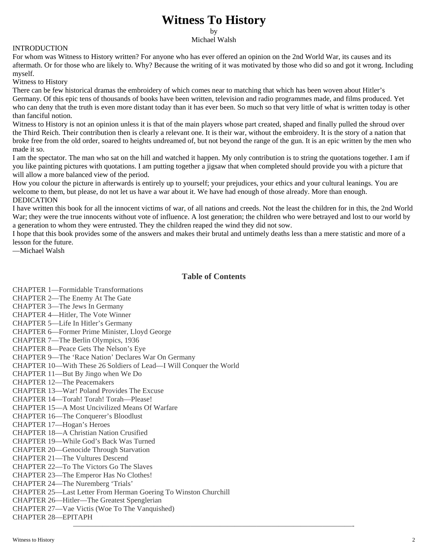# **Witness To History**

by

Michael Walsh

### INTRODUCTION

For whom was Witness to History written? For anyone who has ever offered an opinion on the 2nd World War, its causes and its aftermath. Or for those who are likely to. Why? Because the writing of it was motivated by those who did so and got it wrong. Including myself.

### Witness to History

There can be few historical dramas the embroidery of which comes near to matching that which has been woven about Hitler's Germany. Of this epic tens of thousands of books have been written, television and radio programmes made, and films produced. Yet who can deny that the truth is even more distant today than it has ever been. So much so that very little of what is written today is other than fanciful notion.

Witness to History is not an opinion unless it is that of the main players whose part created, shaped and finally pulled the shroud over the Third Reich. Their contribution then is clearly a relevant one. It is their war, without the embroidery. It is the story of a nation that broke free from the old order, soared to heights undreamed of, but not beyond the range of the gun. It is an epic written by the men who made it so.

I am the spectator. The man who sat on the hill and watched it happen. My only contribution is to string the quotations together. I am if you like painting pictures with quotations. I am putting together a jigsaw that when completed should provide you with a picture that will allow a more balanced view of the period.

How you colour the picture in afterwards is entirely up to yourself; your prejudices, your ethics and your cultural leanings. You are welcome to them, but please, do not let us have a war about it. We have had enough of those already. More than enough. DEDICATION

I have written this book for all the innocent victims of war, of all nations and creeds. Not the least the children for in this, the 2nd World War; they were the true innocents without vote of influence. A lost generation; the children who were betrayed and lost to our world by a generation to whom they were entrusted. They the children reaped the wind they did not sow.

I hope that this book provides some of the answers and makes their brutal and untimely deaths less than a mere statistic and more of a lesson for the future.

—Michael Walsh

# **Table of Contents**

——————————————————————————————————————-

CHAPTER 1—Formidable Transformations CHAPTER 2—The Enemy At The Gate CHAPTER 3—The Jews In Germany CHAPTER 4—Hitler, The Vote Winner CHAPTER 5—Life In Hitler's Germany CHAPTER 6—Former Prime Minister, Lloyd George CHAPTER 7—The Berlin Olympics, 1936 CHAPTER 8—Peace Gets The Nelson's Eye CHAPTER 9—The 'Race Nation' Declares War On Germany CHAPTER 10—With These 26 Soldiers of Lead—I Will Conquer the World CHAPTER 11—But By Jingo when We Do CHAPTER 12—The Peacemakers CHAPTER 13—War! Poland Provides The Excuse CHAPTER 14-Torah! Torah! Torah-Please! CHAPTER 15—A Most Uncivilized Means Of Warfare CHAPTER 16—The Conquerer's Bloodlust CHAPTER 17—Hogan's Heroes CHAPTER 18—A Christian Nation Crusified CHAPTER 19—While God's Back Was Turned CHAPTER 20—Genocide Through Starvation CHAPTER 21—The Vultures Descend CHAPTER 22—To The Victors Go The Slaves CHAPTER 23—The Emperor Has No Clothes! CHAPTER 24—The Nuremberg 'Trials' CHAPTER 25—Last Letter From Herman Goering To Winston Churchill CHAPTER 26—Hitler—The Greatest Spenglerian CHAPTER 27—Vae Victis (Woe To The Vanquished) CHAPTER 28—EPITAPH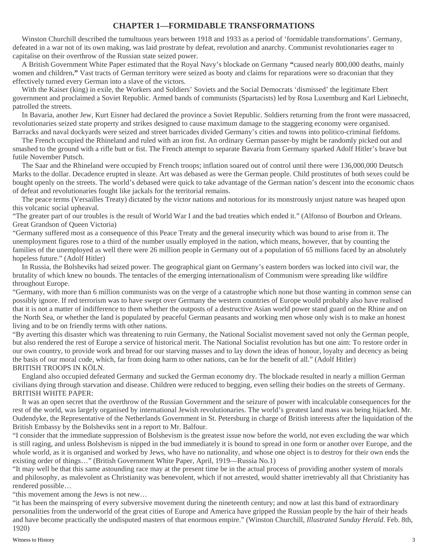# **CHAPTER 1—FORMIDABLE TRANSFORMATIONS**

 Winston Churchill described the tumultuous years between 1918 and 1933 as a period of 'formidable transformations'. Germany, defeated in a war not of its own making, was laid prostrate by defeat, revolution and anarchy. Communist revolutionaries eager to capitalise on their overthrow of the Russian state seized power.

 A British Government White Paper estimated that the Royal Navy's blockade on Germany **"**caused nearly 800,000 deaths, mainly women and children**."** Vast tracts of German territory were seized as booty and claims for reparations were so draconian that they effectively turned every German into a slave of the victors.

 With the Kaiser (king) in exile, the Workers and Soldiers' Soviets and the Social Democrats 'dismissed' the legitimate Ebert government and proclaimed a Soviet Republic. Armed bands of communists (Spartacists) led by Rosa Luxemburg and Karl Liebnecht, patrolled the streets.

 In Bavaria, another Jew, Kurt Eisner had declared the province a Soviet Republic. Soldiers returning from the front were massacred, revolutionaries seized state property and strikes designed to cause maximum damage to the staggering economy were organised. Barracks and naval dockyards were seized and street barricades divided Germany's cities and towns into politico-criminal fiefdoms.

 The French occupied the Rhineland and ruled with an iron fist. An ordinary German passer-by might be randomly picked out and smashed to the ground with a rifle butt or fist. The French attempt to separate Bavaria from Germany sparked Adolf Hitler's brave but futile November Putsch.

 The Saar and the Rhineland were occupied by French troops; inflation soared out of control until there were 136,000,000 Deutsch Marks to the dollar. Decadence erupted in sleaze. Art was debased as were the German people. Child prostitutes of both sexes could be bought openly on the streets. The world's debased were quick to take advantage of the German nation's descent into the economic chaos of defeat and revolutionaries fought like jackals for the territorial remains.

 The peace terms (Versailles Treaty) dictated by the victor nations and notorious for its monstrously unjust nature was heaped upon this volcanic social upheaval.

"The greater part of our troubles is the result of World War I and the bad treaties which ended it." (Alfonso of Bourbon and Orleans. Great Grandson of Queen Victoria)

"Germany suffered most as a consequence of this Peace Treaty and the general insecurity which was bound to arise from it. The unemployment figures rose to a third of the number usually employed in the nation, which means, however, that by counting the families of the unemployed as well there were 26 million people in Germany out of a population of 65 millions faced by an absolutely hopeless future." (Adolf Hitler)

 In Russia, the Bolsheviks had seized power. The geographical giant on Germany's eastern borders was locked into civil war, the brutality of which knew no bounds. The tentacles of the emerging internationalism of Communism were spreading like wildfire throughout Europe.

"Germany, with more than 6 million communists was on the verge of a catastrophe which none but those wanting in common sense can possibly ignore. If red terrorism was to have swept over Germany the western countries of Europe would probably also have realised that it is not a matter of indifference to them whether the outposts of a destructive Asian world power stand guard on the Rhine and on the North Sea, or whether the land is populated by peaceful German peasants and working men whose only wish is to make an honest living and to be on friendly terms with other nations.

"By averting this disaster which was threatening to ruin Germany, the National Socialist movement saved not only the German people, but also rendered the rest of Europe a service of historical merit. The National Socialist revolution has but one aim: To restore order in our own country, to provide work and bread for our starving masses and to lay down the ideas of honour, loyalty and decency as being the basis of our moral code, which, far from doing harm to other nations, can be for the benefit of all." (Adolf Hitler) BRITISH TROOPS IN KÖLN.

 England also occupied defeated Germany and sucked the German economy dry. The blockade resulted in nearly a million German civilians dying through starvation and disease. Children were reduced to begging, even selling their bodies on the streets of Germany. BRITISH WHITE PAPER:

 It was an open secret that the overthrow of the Russian Government and the seizure of power with incalculable consequences for the rest of the world, was largely organised by international Jewish revolutionaries. The world's greatest land mass was being hijacked. Mr. Oudendyke, the Representative of the Netherlands Government in St. Petersburg in charge of British interests after the liquidation of the British Embassy by the Bolsheviks sent in a report to Mr. Balfour.

"I consider that the immediate suppression of Bolshevism is the greatest issue now before the world, not even excluding the war which is still raging, and unless Bolshevism is nipped in the bud immediately it is bound to spread in one form or another over Europe, and the whole world, as it is organised and worked by Jews, who have no nationality, and whose one object is to destroy for their own ends the existing order of things…" (British Government White Paper, April, 1919—Russia No.1)

"It may well be that this same astounding race may at the present time be in the actual process of providing another system of morals and philosophy, as malevolent as Christianity was benevolent, which if not arrested, would shatter irretrievably all that Christianity has rendered possible…

"this movement among the Jews is not new…

"it has been the mainspring of every subversive movement during the nineteenth century; and now at last this band of extraordinary personalities from the underworld of the great cities of Europe and America have gripped the Russian people by the hair of their heads and have become practically the undisputed masters of that enormous empire." (Winston Churchill, *Illustrated Sunday Herald*. Feb. 8th, 1920)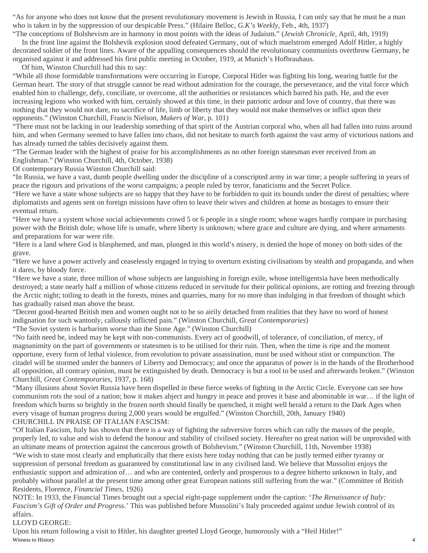"As for anyone who does not know that the present revolutionary movement is Jewish in Russia, I can only say that he must be a man who is taken in by the suppression of our despicable Press." (Hilaire Belloc, *G.K's Weekly*, Feb., 4th, 1937)

"The conceptions of Bolshevism are in harmony in most points with the ideas of Judaism." (*Jewish Chronicle*, April, 4th, 1919) In the front line against the Bolshevik explosion stood defeated Germany, out of which maelstrom emerged Adolf Hitler, a highly decorated soldier of the front lines. Aware of the appalling consequences should the revolutionary communists overthrow Germany, he organised against it and addressed his first public meeting in October, 1919, at Munich's Hofbrauhaus.

Of him, Winston Churchill had this to say:

"While all those formidable transformations were occurring in Europe, Corporal Hitler was fighting his long, wearing battle for the German heart. The story of that struggle cannot be read without admiration for the courage, the perseverance, and the vital force which enabled him to challenge, defy, conciliate, or overcome, all the authorities or resistances which barred his path. He, and the ever increasing legions who worked with him, certainly showed at this time, in their patriotic ardour and love of country, that there was nothing that they would not dare, no sacrifice of life, limb or liberty that they would not make themselves or inflict upon their opponents." (Winston Churchill, Francis Nielson, *Makers of War*, p. 101)

"There must not be lacking in our leadership something of that spirit of the Austrian corporal who, when all had fallen into ruins around him, and when Germany seemed to have fallen into chaos, did not hesitate to march forth against the vast army of victorious nations and has already turned the tables decisively against them.

"The German leader with the highest of praise for his accomplishments as no other foreign statesman ever received from an Englishman." (Winston Churchill, 4th, October, 1938)

Of contemporary Russia Winston Churchill said:

"In Russia, we have a vast, dumb people dwelling under the discipline of a conscripted army in war time; a people suffering in years of peace the rigours and privations of the worst campaigns; a people ruled by terror, fanaticisms and the Secret Police.

"Here we have a state whose subjects are so happy that they have to be forbidden to quit its bounds under the direst of penalties; where diplomatists and agents sent on foreign missions have often to leave their wives and children at home as hostages to ensure their eventual return.

"Here we have a system whose social achievements crowd 5 or 6 people in a single room; whose wages hardly compare in purchasing power with the British dole; whose life is unsafe, where liberty is unknown; where grace and culture are dying, and where armaments and preparations for war were rife.

"Here is a land where God is blasphemed, and man, plunged in this world's misery, is denied the hope of money on both sides of the grave.

"Here we have a power actively and ceaselessly engaged in trying to overturn existing civilisations by stealth and propaganda, and when it dares, by bloody force.

"Here we have a state, three million of whose subjects are languishing in foreign exile, whose intelligentsia have been methodically destroyed; a state nearly half a million of whose citizens reduced in servitude for their political opinions, are rotting and freezing through the Arctic night; toiling to death in the forests, mines and quarries, many for no more than indulging in that freedom of thought which has gradually raised man above the beast.

"Decent good-hearted British men and women ought not to be so airily detached from realities that they have no word of honest indignation for such wantonly, callously inflicted pain." (Winston Churchill, *Great Contemporaries*)

"The Soviet system is barbarism worse than the Stone Age." (Winston Churchill)

"No faith need be, indeed may be kept with non-communists. Every act of goodwill, of tolerance, of conciliation, of mercy, of magnanimity on the part of governments or statesmen is to be utilised for their ruin. Then, when the time is ripe and the moment opportune, every form of lethal violence, from revolution to private assassination, must be used without stint or compunction. The citadel will be stormed under the banners of Liberty and Democracy; and once the apparatus of power is in the hands of the Brotherhood all opposition, all contrary opinion, must be extinguished by death. Democracy is but a tool to be used and afterwards broken." (Winston Churchill, *Great Contemporaries*, 1937, p. 168)

"Many illusions about Soviet Russia have been dispelled in these fierce weeks of fighting in the Arctic Circle. Everyone can see how communism rots the soul of a nation; how it makes abject and hungry in peace and proves it base and abominable in war… if the light of freedom which burns so brightly in the frozen north should finally be quenched, it might well herald a return to the Dark Ages when every visage of human progress during 2,000 years would be engulfed." (Winston Churchill, 20th, January 1940) CHURCHILL IN PRAISE OF ITALIAN FASCISM:

"Of Italian Fascism, Italy has shown that there is a way of fighting the subversive forces which can rally the masses of the people, properly led, to value and wish to defend the honour and stability of civilised society. Hereafter no great nation will be unprovided with an ultimate means of protection against the cancerous growth of Bolshevism." (Winston Churchill, 11th, November 1938) "We wish to state most clearly and emphatically that there exists here today nothing that can be justly termed either tyranny or suppression of personal freedom as guaranteed by constitutional law in any civilised land. We believe that Mussolini enjoys the enthusiastic support and admiration of… and who are contented, orderly and prosperous to a degree hitherto unknown in Italy, and probably without parallel at the present time among other great European nations still suffering from the war." (Committee of British Residents, Florence, *Financial Times*, 1926)

NOTE: In 1933, the Financial Times brought out a special eight-page supplement under the caption: '*The Renaissance of Italy: Fascism's Gift of Order and Progre*ss.' This was published before Mussolini's Italy proceeded against undue Jewish control of its affairs.

LLOYD GEORGE:

Witness to History 4 Upon his return following a visit to Hitler, his daughter greeted Lloyd George, humorously with a "Heil Hitler!"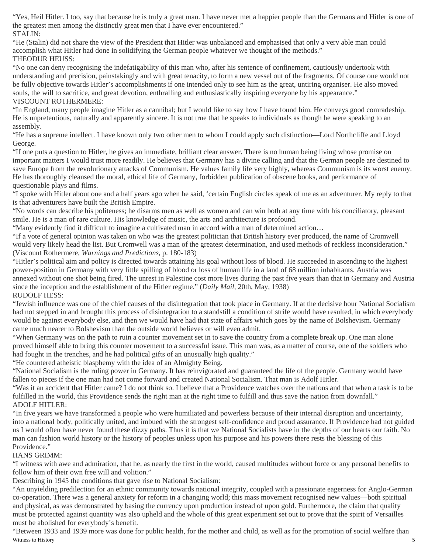"Yes, Heil Hitler. I too, say that because he is truly a great man. I have never met a happier people than the Germans and Hitler is one of the greatest men among the distinctly great men that I have ever encountered." STALIN:

"He (Stalin) did not share the view of the President that Hitler was unbalanced and emphasised that only a very able man could accomplish what Hitler had done in solidifying the German people whatever we thought of the methods." THEODUR HEUSS:

"No one can deny recognising the indefatigability of this man who, after his sentence of confinement, cautiously undertook with understanding and precision, painstakingly and with great tenacity, to form a new vessel out of the fragments. Of course one would not be fully objective towards Hitler's accomplishments if one intended only to see him as the great, untiring organiser. He also moved souls, the will to sacrifice, and great devotion, enthralling and enthusiastically inspiring everyone by his appearance." VISCOUNT ROTHERMERE:

"In England, many people imagine Hitler as a cannibal; but I would like to say how I have found him. He conveys good comradeship. He is unpretentious, naturally and apparently sincere. It is not true that he speaks to individuals as though he were speaking to an assembly.

"He has a supreme intellect. I have known only two other men to whom I could apply such distinction—Lord Northcliffe and Lloyd George.

"If one puts a question to Hitler, he gives an immediate, brilliant clear answer. There is no human being living whose promise on important matters I would trust more readily. He believes that Germany has a divine calling and that the German people are destined to save Europe from the revolutionary attacks of Communism. He values family life very highly, whereas Communism is its worst enemy. He has thoroughly cleansed the moral, ethical life of Germany, forbidden publication of obscene books, and performance of questionable plays and films.

"I spoke with Hitler about one and a half years ago when he said, 'certain English circles speak of me as an adventurer. My reply to that is that adventurers have built the British Empire.

"No words can describe his politeness; he disarms men as well as women and can win both at any time with his conciliatory, pleasant smile. He is a man of rare culture. His knowledge of music, the arts and architecture is profound.

"Many evidently find it difficult to imagine a cultivated man in accord with a man of determined action…

"If a vote of general opinion was taken on who was the greatest politician that British history ever produced, the name of Cromwell would very likely head the list. But Cromwell was a man of the greatest determination, and used methods of reckless inconsideration." (Viscount Rothermere, *Warnings and Predictions*, p. 180-183)

"Hitler's political aim and policy is directed towards attaining his goal without loss of blood. He succeeded in ascending to the highest power-position in Germany with very little spilling of blood or loss of human life in a land of 68 million inhabitants. Austria was annexed without one shot being fired. The unrest in Palestine cost more lives during the past five years than that in Germany and Austria since the inception and the establishment of the Hitler regime." (*Daily Mail*, 20th, May, 1938) RUDOLF HESS:

"Jewish influence was one of the chief causes of the disintegration that took place in Germany. If at the decisive hour National Socialism had not stepped in and brought this process of disintegration to a standstill a condition of strife would have resulted, in which everybody would be against everybody else, and then we would have had that state of affairs which goes by the name of Bolshevism. Germany came much nearer to Bolshevism than the outside world believes or will even admit.

"When Germany was on the path to ruin a counter movement set in to save the country from a complete break up. One man alone proved himself able to bring this counter movement to a successful issue. This man was, as a matter of course, one of the soldiers who had fought in the trenches, and he had political gifts of an unusually high quality."

"He countered atheistic blasphemy with the idea of an Almighty Being.

"National Socialism is the ruling power in Germany. It has reinvigorated and guaranteed the life of the people. Germany would have fallen to pieces if the one man had not come forward and created National Socialism. That man is Adolf Hitler.

"Was it an accident that Hitler came? I do not think so. I believe that a Providence watches over the nations and that when a task is to be fulfilled in the world, this Providence sends the right man at the right time to fulfill and thus save the nation from downfall." ADOLF HITLER:

"In five years we have transformed a people who were humiliated and powerless because of their internal disruption and uncertainty, into a national body, politically united, and imbued with the strongest self-confidence and proud assurance. If Providence had not guided us I would often have never found these dizzy paths. Thus it is that we National Socialists have in the depths of our hearts our faith. No man can fashion world history or the history of peoples unless upon his purpose and his powers there rests the blessing of this Providence."

# HANS GRIMM:

"I witness with awe and admiration, that he, as nearly the first in the world, caused multitudes without force or any personal benefits to follow him of their own free will and volition."

Describing in 1945 the conditions that gave rise to National Socialism:

"An unyielding predilection for an ethnic community towards national integrity, coupled with a passionate eagerness for Anglo-German co-operation. There was a general anxiety for reform in a changing world; this mass movement recognised new values—both spiritual and physical, as was demonstrated by basing the currency upon production instead of upon gold. Furthermore, the claim that quality must be protected against quantity was also upheld and the whole of this great experiment set out to prove that the spirit of Versailles must be abolished for everybody's benefit.

Witness to History 5.5 and the set of the set of the set of the set of the set of the set of the set of the set of the set of the set of the set of the set of the set of the set of the set of the set of the set of the set "Between 1933 and 1939 more was done for public health, for the mother and child, as well as for the promotion of social welfare than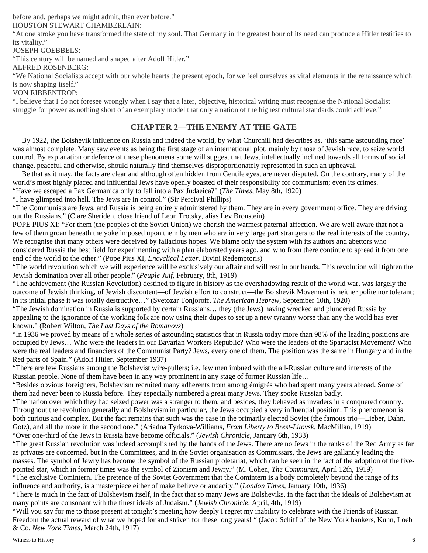before and, perhaps we might admit, than ever before."

HOUSTON STEWART CHAMBERLAIN:

"At one stroke you have transformed the state of my soul. That Germany in the greatest hour of its need can produce a Hitler testifies to its vitality."

JOSEPH GOEBBELS:

"This century will be named and shaped after Adolf Hitler."

ALFRED ROSENBERG:

"We National Socialists accept with our whole hearts the present epoch, for we feel ourselves as vital elements in the renaissance which is now shaping itself."

VON RIBBENTROP:

"I believe that I do not foresee wrongly when I say that a later, objective, historical writing must recognise the National Socialist struggle for power as nothing short of an exemplary model that only a nation of the highest cultural standards could achieve."

# **CHAPTER 2—THE ENEMY AT THE GATE**

 By 1922, the Bolshevik influence on Russia and indeed the world, by what Churchill had describes as, 'this same astounding race' was almost complete. Many saw events as being the first stage of an international plot, mainly by those of Jewish race, to seize world control. By explanation or defence of these phenomena some will suggest that Jews, intellectually inclined towards all forms of social change, peaceful and otherwise, should naturally find themselves disproportionately represented in such an upheaval.

 Be that as it may, the facts are clear and although often hidden from Gentile eyes, are never disputed. On the contrary, many of the world's most highly placed and influential Jews have openly boasted of their responsibility for communism; even its crimes.

"Have we escaped a Pax Germanica only to fall into a Pax Judaeica?" (*The Times*, May 8th, 1920)

"I have glimpsed into hell. The Jews are in control." (Sir Percival Phillips)

"The Communists are Jews, and Russia is being entirely administered by them. They are in every government office. They are driving out the Russians." (Clare Sheriden, close friend of Leon Trotsky, alias Lev Bronstein)

POPE PIUS XI: "For them (the peoples of the Soviet Union) we cherish the warmest paternal affection. We are well aware that not a few of them groan beneath the yoke imposed upon them by men who are in very large part strangers to the real interests of the country. We recognise that many others were deceived by fallacious hopes. We blame only the system with its authors and abettors who considered Russia the best field for experimenting with a plan elaborated years ago, and who from there continue to spread it from one end of the world to the other." (Pope Pius XI, *Encyclical Letter*, Divini Redemptoris)

"The world revolution which we will experience will be exclusively our affair and will rest in our hands. This revolution will tighten the Jewish domination over all other people." (*Peuple Juif*, February, 8th, 1919)

"The achievement (the Russian Revolution) destined to figure in history as the overshadowing result of the world war, was largely the outcome of Jewish thinking, of Jewish discontent—of Jewish effort to construct—the Bolshevik Movement is neither polite nor tolerant; in its initial phase it was totally destructive…" (Svetozar Tonjoroff, *The American Hebrew*, September 10th, 1920)

"The Jewish domination in Russia is supported by certain Russians… they (the Jews) having wrecked and plundered Russia by appealing to the ignorance of the working folk are now using their dupes to set up a new tyranny worse than any the world has ever known." (Robert Wilton, *The Last Days of the Romanovs*)

"In 1936 we proved by means of a whole series of astounding statistics that in Russia today more than 98% of the leading positions are occupied by Jews… Who were the leaders in our Bavarian Workers Republic? Who were the leaders of the Spartacist Movement? Who were the real leaders and financiers of the Communist Party? Jews, every one of them. The position was the same in Hungary and in the Red parts of Spain." (Adolf Hitler, September 1937)

"There are few Russians among the Bolshevist wire-pullers; i.e. few men imbued with the all-Russian culture and interests of the Russian people. None of them have been in any way prominent in any stage of former Russian life…

"Besides obvious foreigners, Bolshevism recruited many adherents from among émigrés who had spent many years abroad. Some of them had never been to Russia before. They especially numbered a great many Jews. They spoke Russian badly.

"The nation over which they had seized power was a stranger to them, and besides, they behaved as invaders in a conquered country. Throughout the revolution generally and Bolshevism in particular, the Jews occupied a very influential position. This phenomenon is both curious and complex. But the fact remains that such was the case in the primarily elected Soviet (the famous trio—Lieber, Dahn, Gotz), and all the more in the second one." (Ariadna Tyrkova-Williams, *From Liberty to Brest-Litovsk*, MacMillan, 1919) "Over one-third of the Jews in Russia have become officials." (*Jewish Chronicle*, January 6th, 1933)

"The great Russian revolution was indeed accomplished by the hands of the Jews. There are no Jews in the ranks of the Red Army as far as privates are concerned, but in the Committees, and in the Soviet organisation as Commissars, the Jews are gallantly leading the masses. The symbol of Jewry has become the symbol of the Russian proletariat, which can be seen in the fact of the adoption of the fivepointed star, which in former times was the symbol of Zionism and Jewry." (M. Cohen, *The Communist*, April 12th, 1919)

"The exclusive Comintern. The pretence of the Soviet Government that the Comintern is a body completely beyond the range of its influence and authority, is a masterpiece either of make believe or audacity." (*London Times*, January 10th, 1936)

"There is much in the fact of Bolshevism itself, in the fact that so many Jews are Bolsheviks, in the fact that the ideals of Bolshevism at many points are consonant with the finest ideals of Judaism." (*Jewish Chronicle*, April, 4th, 1919)

"Will you say for me to those present at tonight's meeting how deeply I regret my inability to celebrate with the Friends of Russian Freedom the actual reward of what we hoped for and striven for these long years! " (Jacob Schiff of the New York bankers, Kuhn, Loeb & Co, *New York Times*, March 24th, 1917)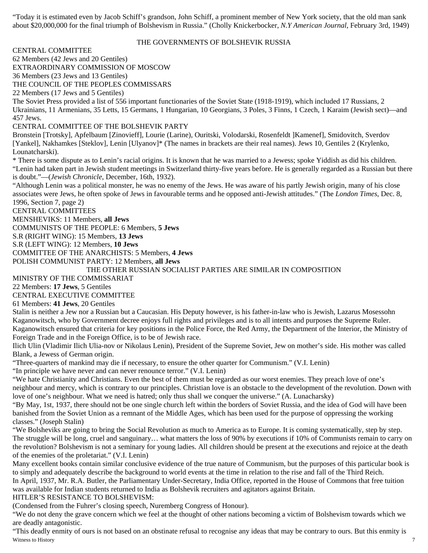"Today it is estimated even by Jacob Schiff's grandson, John Schiff, a prominent member of New York society, that the old man sank about \$20,000,000 for the final triumph of Bolshevism in Russia." (Cholly Knickerbocker, *N.Y American Journal*, February 3rd, 1949)

### THE GOVERNMENTS OF BOLSHEVIK RUSSIA

CENTRAL COMMITTEE

62 Members (42 Jews and 20 Gentiles)

EXTRAORDINARY COMMISSION OF MOSCOW

36 Members (23 Jews and 13 Gentiles)

THE COUNCIL OF THE PEOPLES COMMISSARS

22 Members (17 Jews and 5 Gentiles)

The Soviet Press provided a list of 556 important functionaries of the Soviet State (1918-1919), which included 17 Russians, 2 Ukrainians, 11 Armenians, 35 Letts, 15 Germans, 1 Hungarian, 10 Georgians, 3 Poles, 3 Finns, 1 Czech, 1 Karaim (Jewish sect)—and 457 Jews.

CENTRAL COMMITTEE OF THE BOLSHEVIK PARTY

Bronstein [Trotsky], Apfelbaum [Zinovieff], Lourie (Larine), Ouritski, Volodarski, Rosenfeldt ]Kamenef], Smidovitch, Sverdov [Yankel], Nakhamkes [Steklov], Lenin [Ulyanov]\* (The names in brackets are their real names). Jews 10, Gentiles 2 (Krylenko, Lounatcharski).

\* There is some dispute as to Lenin's racial origins. It is known that he was married to a Jewess; spoke Yiddish as did his children. "Lenin had taken part in Jewish student meetings in Switzerland thirty-five years before. He is generally regarded as a Russian but there is doubt."—(*Jewish Chronicle*, December, 16th, 1932).

"Although Lenin was a political monster, he was no enemy of the Jews. He was aware of his partly Jewish origin, many of his close associates were Jews, he often spoke of Jews in favourable terms and he opposed anti-Jewish attitudes." (The *London Times*, Dec. 8, 1996, Section 7, page 2)

CENTRAL COMMITTEES

MENSHEVIKS: 11 Members, **all Jews**

COMMUNISTS OF THE PEOPLE: 6 Members, **5 Jews**

S.R (RIGHT WING): 15 Members, **13 Jews**

S.R (LEFT WING): 12 Members, **10 Jews**

COMMITTEE OF THE ANARCHISTS: 5 Members, **4 Jews**

POLISH COMMUNIST PARTY: 12 Members, **all Jews**

# THE OTHER RUSSIAN SOCIALIST PARTIES ARE SIMILAR IN COMPOSITION

MINISTRY OF THE COMMISSARIAT

22 Members: **17 Jews**, 5 Gentiles

CENTRAL EXECUTIVE COMMITTEE

61 Members: **41 Jews**, 20 Gentiles

Stalin is neither a Jew nor a Russian but a Caucasian. His Deputy however, is his father-in-law who is Jewish, Lazarus Mosessohn Kaganowitsch, who by Government decree enjoys full rights and privileges and is to all intents and purposes the Supreme Ruler. Kaganowitsch ensured that criteria for key positions in the Police Force, the Red Army, the Department of the Interior, the Ministry of Foreign Trade and in the Foreign Office, is to be of Jewish race.

Ilich Ulin (Vladimir Ilich Ulia-nov or Nikolaus Lenin), President of the Supreme Soviet, Jew on mother's side. His mother was called Blank, a Jewess of German origin.

"Three-quarters of mankind may die if necessary, to ensure the other quarter for Communism." (V.I. Lenin)

"In principle we have never and can never renounce terror." (V.I. Lenin)

"We hate Christianity and Christians. Even the best of them must be regarded as our worst enemies. They preach love of one's neighbour and mercy, which is contrary to our principles. Christian love is an obstacle to the development of the revolution. Down with love of one's neighbour. What we need is hatred; only thus shall we conquer the universe." (A. Lunacharsky)

"By May, 1st, 1937, there should not be one single church left within the borders of Soviet Russia, and the idea of God will have been banished from the Soviet Union as a remnant of the Middle Ages, which has been used for the purpose of oppressing the working classes." (Joseph Stalin)

"We Bolsheviks are going to bring the Social Revolution as much to America as to Europe. It is coming systematically, step by step. The struggle will be long, cruel and sanguinary… what matters the loss of 90% by executions if 10% of Communists remain to carry on the revolution? Bolshevism is not a seminary for young ladies. All children should be present at the executions and rejoice at the death of the enemies of the proletariat." (V.I. Lenin)

Many excellent books contain similar conclusive evidence of the true nature of Communism, but the purposes of this particular book is to simply and adequately describe the background to world events at the time in relation to the rise and fall of the Third Reich. In April, 1937, Mr. R.A. Butler, the Parliamentary Under-Secretary, India Office, reported in the House of Commons that free tuition was available for Indian students returned to India as Bolshevik recruiters and agitators against Britain.

### HITLER'S RESISTANCE TO BOLSHEVISM:

(Condensed from the Fuhrer's closing speech, Nuremberg Congress of Honour).

"We do not deny the grave concern which we feel at the thought of other nations becoming a victim of Bolshevism towards which we are deadly antagonistic.

Witness to History 7 and 2008 and 2008 and 2008 and 2008 and 2008 and 2008 and 2008 and 2008 and 2008 and 2008  $\sigma$ "This deadly enmity of ours is not based on an obstinate refusal to recognise any ideas that may be contrary to ours. But this enmity is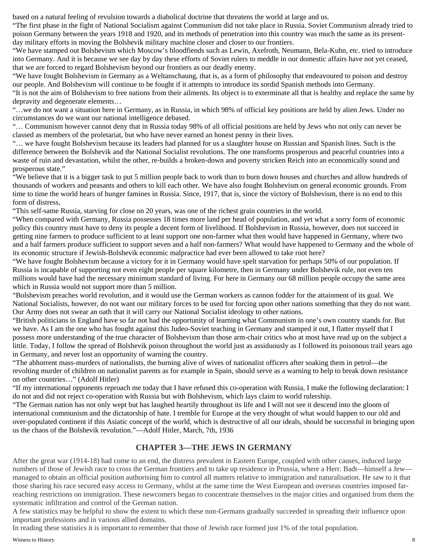based on a natural feeling of revulsion towards a diabolical doctrine that threatens the world at large and us.

"The first phase in the fight of National Socialism against Communism did not take place in Russia. Soviet Communism already tried to poison Germany between the years 1918 and 1920, and its methods of penetration into this country was much the same as its presentday military efforts in moving the Bolshevik military machine closer and closer to our frontiers.

"We have stamped out Bolshevism which Moscow's bloodfiends such as Lewin, Axelroth, Neumann, Bela-Kuhn, etc. tried to introduce into Germany. And it is because we see day by day these efforts of Soviet rulers to meddle in our domestic affairs have not yet ceased, that we are forced to regard Bolshevism beyond our frontiers as our deadly enemy.

"We have fought Bolshevism in Germany as a Weltanschaung, that is, as a form of philosophy that endeavoured to poison and destroy our people. And Bolshevism will continue to be fought if it attempts to introduce its sordid Spanish methods into Germany.

"It is not the aim of Bolshevism to free nations from their ailments. Its object is to exterminate all that is healthy and replace the same by depravity and degenerate elements…

"…we do not want a situation here in Germany, as in Russia, in which 98% of official key positions are held by alien Jews. Under no circumstances do we want our national intelligence debased.

"… Communism however cannot deny that in Russia today 98% of all official positions are held by Jews who not only can never be classed as members of the proletariat, but who have never earned an honest penny in their lives.

"… we have fought Bolshevism because its leaders had planned for us a slaughter house on Russian and Spanish lines. Such is the difference between the Bolshevik and the National Socialist revolutions. The one transforms prosperous and peaceful countries into a waste of ruin and devastation, whilst the other, re-builds a broken-down and poverty stricken Reich into an economically sound and prosperous state."

"We believe that it is a bigger task to put 5 million people back to work than to burn down houses and churches and allow hundreds of thousands of workers and peasants and others to kill each other. We have also fought Bolshevism on general economic grounds. From time to time the world hears of hunger famines in Russia. Since, 1917, that is, since the victory of Bolshevism, there is no end to this form of distress,

"This self-same Russia, starving for close on 20 years, was one of the richest grain countries in the world.

"When compared with Germany, Russia possesses 18 times more land per head of population, and yet what a sorry form of economic policy this country must have to deny its people a decent form of livelihood. If Bolshevism in Russia, however, does not succeed in getting nine farmers to produce sufficient to at least support one non-farmer what then would have happened in Germany, where two and a half farmers produce sufficient to support seven and a half non-farmers? What would have happened to Germany and the whole of its economic structure if Jewish-Bolshevik economic malpractice had ever been allowed to take root here?

"We have fought Bolshevism because a victory for it in Germany would have spelt starvation for perhaps 50% of our population. If Russia is incapable of supporting not even eight people per square kilometre, then in Germany under Bolshevik rule, not even ten millions would have had the necessary minimum standard of living. For here in Germany our 68 million people occupy the same area which in Russia would not support more than 5 million.

"Bolshevism preaches world revolution, and it would use the German workers as cannon fodder for the attainment of its goal. We National Socialists, however, do not want our military forces to be used for forcing upon other nations something that they do not want. Our Army does not swear an oath that it will carry our National Socialist ideology to other nations.

"British politicians in England have so far not had the opportunity of learning what Communism in one's own country stands for. But we have. As I am the one who has fought against this Judeo-Soviet teaching in Germany and stamped it out, I flatter myself that I possess more understanding of the true character of Bolshevism than those arm-chair critics who at most have read up on the subject a little. Today, I follow the spread of Bolshevik poison throughout the world just as assiduously as I followed its poisonous trail years ago in Germany, and never lost an opportunity of warning the country.

"The abhorrent mass-murders of nationalists, the burning alive of wives of nationalist officers after soaking them in petrol—the revolting murder of children on nationalist parents as for example in Spain, should serve as a warning to help to break down resistance on other countries…" (Adolf Hitler)

"If my international opponents reproach me today that I have refused this co-operation with Russia, I make the following declaration: I do not and did not reject co-operation with Russia but with Bolshevism, which lays claim to world rulership.

"The German nation has not only wept but has laughed heartily throughout its life and I will not see it descend into the gloom of international communism and the dictatorship of hate. I tremble for Europe at the very thought of what would happen to our old and over-populated continent if this Asiatic concept of the world, which is destructive of all our ideals, should be successful in bringing upon us the chaos of the Bolshevik revolution."—Adolf Hitler, March, 7th, 1936

# **CHAPTER 3—THE JEWS IN GERMANY**

After the great war (1914-18) had come to an end, the distress prevalent in Eastern Europe, coupled with other causes, induced large numbers of those of Jewish race to cross the German frontiers and to take up residence in Prussia, where a Herr. Badt—himself a Jew managed to obtain an official position authorising him to control all matters relative to immigration and naturalisation. He saw to it that those sharing his race secured easy access to Germany, whilst at the same time the West European and overseas countries imposed farreaching restrictions on immigration. These newcomers began to concentrate themselves in the major cities and organised from them the systematic infiltration and control of the German nation.

A few statistics may be helpful to show the extent to which these non-Germans gradually succeeded in spreading their influence upon important professions and in various allied domains.

In reading these statistics it is important to remember that those of Jewish race formed just 1% of the total population.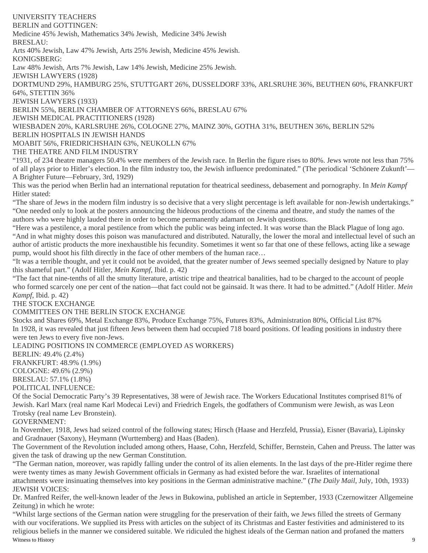# UNIVERSITY TEACHERS

BERLIN and GOTTINGEN:

Medicine 45% Jewish, Mathematics 34% Jewish, Medicine 34% Jewish

BRESLAU:

Arts 40% Jewish, Law 47% Jewish, Arts 25% Jewish, Medicine 45% Jewish.

KONIGSBERG:

Law 48% Jewish, Arts 7% Jewish, Law 14% Jewish, Medicine 25% Jewish.

JEWISH LAWYERS (1928)

DORTMUND 29%, HAMBURG 25%, STUTTGART 26%, DUSSELDORF 33%, ARLSRUHE 36%, BEUTHEN 60%, FRANKFURT 64%, STETTIN 36%

JEWISH LAWYERS (1933)

BERLIN 55%, BERLIN CHAMBER OF ATTORNEYS 66%, BRESLAU 67%

JEWISH MEDICAL PRACTITIONERS (1928)

WIESBADEN 20%, KARLSRUHE 26%, COLOGNE 27%, MAINZ 30%, GOTHA 31%, BEUTHEN 36%, BERLIN 52%

BERLIN HOSPITALS IN JEWISH HANDS

MOABIT 56%, FRIEDRICHSHAIN 63%, NEUKOLLN 67%

### THE THEATRE AND FILM INDUSTRY

"1931, of 234 theatre managers 50.4% were members of the Jewish race. In Berlin the figure rises to 80%. Jews wrote not less than 75% of all plays prior to Hitler's election. In the film industry too, the Jewish influence predominated." (The periodical 'Schönere Zukunft'— A Brighter Future—February, 3rd, 1929)

This was the period when Berlin had an international reputation for theatrical seediness, debasement and pornography. In *Mein Kampf* Hitler stated:

"The share of Jews in the modern film industry is so decisive that a very slight percentage is left available for non-Jewish undertakings." "One needed only to look at the posters announcing the hideous productions of the cinema and theatre, and study the names of the authors who were highly lauded there in order to become permanently adamant on Jewish questions.

"Here was a pestilence, a moral pestilence from which the public was being infected. It was worse than the Black Plague of long ago. "And in what mighty doses this poison was manufactured and distributed. Naturally, the lower the moral and intellectual level of such an author of artistic products the more inexhaustible his fecundity. Sometimes it went so far that one of these fellows, acting like a sewage pump, would shoot his filth directly in the face of other members of the human race…

"It was a terrible thought, and yet it could not be avoided, that the greater number of Jews seemed specially designed by Nature to play this shameful part." (Adolf Hitler, *Mein Kampf*, Ibid. p. 42)

"The fact that nine-tenths of all the smutty literature, artistic tripe and theatrical banalities, had to be charged to the account of people who formed scarcely one per cent of the nation—that fact could not be gainsaid. It was there. It had to be admitted." (Adolf Hitler. *Mein Kampf*, Ibid. p. 42)

### THE STOCK EXCHANGE

COMMITTEES ON THE BERLIN STOCK EXCHANGE

Stocks and Shares 69%, Metal Exchange 83%, Produce Exchange 75%, Futures 83%, Administration 80%, Official List 87% In 1928, it was revealed that just fifteen Jews between them had occupied 718 board positions. Of leading positions in industry there were ten Jews to every five non-Jews.

LEADING POSITIONS IN COMMERCE (EMPLOYED AS WORKERS)

BERLIN: 49.4% (2.4%)

FRANKFURT: 48.9% (1.9%)

COLOGNE: 49.6% (2.9%)

BRESLAU: 57.1% (1.8%)

POLITICAL INFLUENCE:

Of the Social Democratic Party's 39 Representatives, 38 were of Jewish race. The Workers Educational Institutes comprised 81% of Jewish. Karl Marx (real name Karl Modecai Levi) and Friedrich Engels, the godfathers of Communism were Jewish, as was Leon Trotsky (real name Lev Bronstein).

### GOVERNMENT:

In November, 1918, Jews had seized control of the following states; Hirsch (Haase and Herzfeld, Prussia), Eisner (Bavaria), Lipinsky and Gradnauer (Saxony), Heymann (Wurttemberg) and Haas (Baden).

The Government of the Revolution included among others, Haase, Cohn, Herzfeld, Schiffer, Bernstein, Cahen and Preuss. The latter was given the task of drawing up the new German Constitution.

"The German nation, moreover, was rapidly falling under the control of its alien elements. In the last days of the pre-Hitler regime there were twenty times as many Jewish Government officials in Germany as had existed before the war. Israelites of international attachments were insinuating themselves into key positions in the German administrative machine." (*The Daily Mail*, July, 10th, 1933) JEWISH VOICES:

Dr. Manfred Reifer, the well-known leader of the Jews in Bukowina, published an article in September, 1933 (Czernowitzer Allgemeine Zeitung) in which he wrote:

Witness to History 9 "Whilst large sections of the German nation were struggling for the preservation of their faith, we Jews filled the streets of Germany with our vociferations. We supplied its Press with articles on the subject of its Christmas and Easter festivities and administered to its religious beliefs in the manner we considered suitable. We ridiculed the highest ideals of the German nation and profaned the matters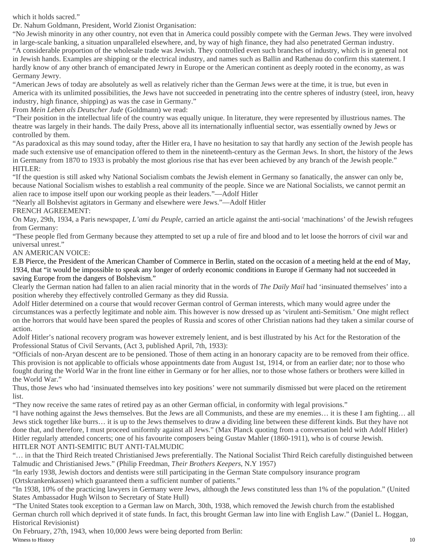which it holds sacred."

Dr. Nahum Goldmann, President, World Zionist Organisation:

"No Jewish minority in any other country, not even that in America could possibly compete with the German Jews. They were involved in large-scale banking, a situation unparalleled elsewhere, and, by way of high finance, they had also penetrated German industry. "A considerable proportion of the wholesale trade was Jewish. They controlled even such branches of industry, which is in general not in Jewish hands. Examples are shipping or the electrical industry, and names such as Ballin and Rathenau do confirm this statement. I hardly know of any other branch of emancipated Jewry in Europe or the American continent as deeply rooted in the economy, as was Germany Jewry.

"American Jews of today are absolutely as well as relatively richer than the German Jews were at the time, it is true, but even in America with its unlimited possibilities, the Jews have not succeeded in penetrating into the centre spheres of industry (steel, iron, heavy industry, high finance, shipping) as was the case in Germany."

From *Mein Leben als Deutscher Jude* (Goldmann) we read:

"Their position in the intellectual life of the country was equally unique. In literature, they were represented by illustrious names. The theatre was largely in their hands. The daily Press, above all its internationally influential sector, was essentially owned by Jews or controlled by them.

"As paradoxical as this may sound today, after the Hitler era, I have no hesitation to say that hardly any section of the Jewish people has made such extensive use of emancipation offered to them in the nineteenth-century as the German Jews. In short, the history of the Jews in Germany from 1870 to 1933 is probably the most glorious rise that has ever been achieved by any branch of the Jewish people." HITLER:

"If the question is still asked why National Socialism combats the Jewish element in Germany so fanatically, the answer can only be, because National Socialism wishes to establish a real community of the people. Since we are National Socialists, we cannot permit an alien race to impose itself upon our working people as their leaders."—Adolf Hitler

"Nearly all Bolshevist agitators in Germany and elsewhere were Jews."—Adolf Hitler

### FRENCH AGREEMENT:

On May, 29th, 1934, a Paris newspaper, *L'ami du Peuple*, carried an article against the anti-social 'machinations' of the Jewish refugees from Germany:

"These people fled from Germany because they attempted to set up a rule of fire and blood and to let loose the horrors of civil war and universal unrest."

AN AMERICAN VOICE:

E.B Pierce, the President of the American Chamber of Commerce in Berlin, stated on the occasion of a meeting held at the end of May, 1934, that "it would be impossible to speak any longer of orderly economic conditions in Europe if Germany had not succeeded in saving Europe from the dangers of Bolshevism."

Clearly the German nation had fallen to an alien racial minority that in the words of *The Daily Mail* had 'insinuated themselves' into a position whereby they effectively controlled Germany as they did Russia.

Adolf Hitler determined on a course that would recover German control of German interests, which many would agree under the circumstances was a perfectly legitimate and noble aim. This however is now dressed up as 'virulent anti-Semitism.' One might reflect on the horrors that would have been spared the peoples of Russia and scores of other Christian nations had they taken a similar course of action.

Adolf Hitler's national recovery program was however extremely lenient, and is best illustrated by his Act for the Restoration of the Professional Status of Civil Servants, (Act 3, published April, 7th, 1933):

"Officials of non-Aryan descent are to be pensioned. Those of them acting in an honorary capacity are to be removed from their office. This provision is not applicable to officials whose appointments date from August 1st, 1914, or from an earlier date; nor to those who fought during the World War in the front line either in Germany or for her allies, nor to those whose fathers or brothers were killed in the World War."

Thus, those Jews who had 'insinuated themselves into key positions' were not summarily dismissed but were placed on the retirement list.

"They now receive the same rates of retired pay as an other German official, in conformity with legal provisions."

"I have nothing against the Jews themselves. But the Jews are all Communists, and these are my enemies… it is these I am fighting… all Jews stick together like burrs… it is up to the Jews themselves to draw a dividing line between these different kinds. But they have not done that, and therefore, I must proceed uniformly against all Jews." (Max Planck quoting from a conversation held with Adolf Hitler) Hitler regularly attended concerts; one of his favourite composers being Gustav Mahler (1860-1911), who is of course Jewish. HITLER NOT ANTI-SEMITIC BUT ANTI-TALMUDIC

"… in that the Third Reich treated Christianised Jews preferentially. The National Socialist Third Reich carefully distinguished between Talmudic and Christianised Jews." (Philip Freedman, *Their Brothers Keepers*, N.Y 1957)

"In early 1938, Jewish doctors and dentists were still participating in the German State compulsory insurance program (Ortskrankenkassen) which guaranteed them a sufficient number of patients."

"In 1938, 10% of the practicing lawyers in Germany were Jews, although the Jews constituted less than 1% of the population." (United States Ambassador Hugh Wilson to Secretary of State Hull)

"The United States took exception to a German law on March, 30th, 1938, which removed the Jewish church from the established German church roll which deprived it of state funds. In fact, this brought German law into line with English Law." (Daniel L. Hoggan, Historical Revisionist)

Witness to History **10** On February, 27th, 1943, when 10,000 Jews were being deported from Berlin: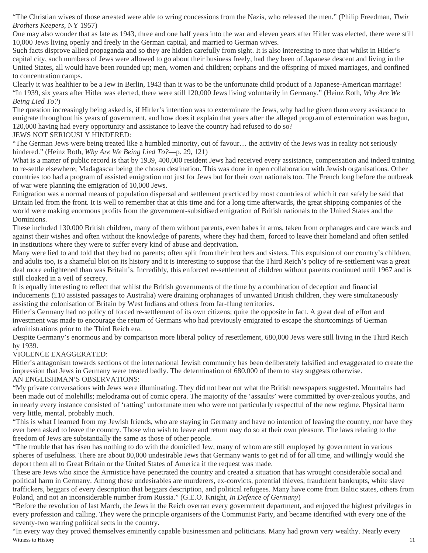"The Christian wives of those arrested were able to wring concessions from the Nazis, who released the men." (Philip Freedman, *Their Brothers Keepers*, NY 1957)

One may also wonder that as late as 1943, three and one half years into the war and eleven years after Hitler was elected, there were still 10,000 Jews living openly and freely in the German capital, and married to German wives.

Such facts disprove allied propaganda and so they are hidden carefully from sight. It is also interesting to note that whilst in Hitler's capital city, such numbers of Jews were allowed to go about their business freely, had they been of Japanese descent and living in the United States, all would have been rounded up; men, women and children; orphans and the offspring of mixed marriages, and confined to concentration camps.

Clearly it was healthier to be a Jew in Berlin, 1943 than it was to be the unfortunate child product of a Japanese-American marriage! "In 1939, six years after Hitler was elected, there were still 120,000 Jews living voluntarily in Germany." (Heinz Roth, *Why Are We Being Lied To?*)

The question increasingly being asked is, if Hitler's intention was to exterminate the Jews, why had he given them every assistance to emigrate throughout his years of government, and how does it explain that years after the alleged program of extermination was begun, 120,000 having had every opportunity and assistance to leave the country had refused to do so?

### JEWS NOT SERIOUSLY HINDERED:

"The German Jews were being treated like a humbled minority, out of favour… the activity of the Jews was in reality not seriously hindered." (Heinz Roth, *Why Are We Being Lied To?*—p. 29, 121)

What is a matter of public record is that by 1939, 400,000 resident Jews had received every assistance, compensation and indeed training to re-settle elsewhere; Madagascar being the chosen destination. This was done in open collaboration with Jewish organisations. Other countries too had a program of assisted emigration not just for Jews but for their own nationals too. The French long before the outbreak of war were planning the emigration of 10,000 Jews.

Emigration was a normal means of population dispersal and settlement practiced by most countries of which it can safely be said that Britain led from the front. It is well to remember that at this time and for a long time afterwards, the great shipping companies of the world were making enormous profits from the government-subsidised emigration of British nationals to the United States and the Dominions.

These included 130,000 British children, many of them without parents, even babes in arms, taken from orphanages and care wards and against their wishes and often without the knowledge of parents, where they had them, forced to leave their homeland and often settled in institutions where they were to suffer every kind of abuse and deprivation.

Many were lied to and told that they had no parents; often split from their brothers and sisters. This expulsion of our country's children, and adults too, is a shameful blot on its history and it is interesting to suppose that the Third Reich's policy of re-settlement was a great deal more enlightened than was Britain's. Incredibly, this enforced re-settlement of children without parents continued until 1967 and is still cloaked in a veil of secrecy.

It is equally interesting to reflect that whilst the British governments of the time by a combination of deception and financial inducements (£10 assisted passages to Australia) were draining orphanages of unwanted British children, they were simultaneously assisting the colonisation of Britain by West Indians and others from far-flung territories.

Hitler's Germany had no policy of forced re-settlement of its own citizens; quite the opposite in fact. A great deal of effort and investment was made to encourage the return of Germans who had previously emigrated to escape the shortcomings of German administrations prior to the Third Reich era.

Despite Germany's enormous and by comparison more liberal policy of resettlement, 680,000 Jews were still living in the Third Reich by 1939.

### VIOLENCE EXAGGERATED:

Hitler's antagonism towards sections of the international Jewish community has been deliberately falsified and exaggerated to create the impression that Jews in Germany were treated badly. The determination of 680,000 of them to stay suggests otherwise. AN ENGLISHMAN'S OBSERVATIONS:

"My private conversations with Jews were illuminating. They did not bear out what the British newspapers suggested. Mountains had been made out of molehills; melodrama out of comic opera. The majority of the 'assaults' were committed by over-zealous youths, and in nearly every instance consisted of 'ratting' unfortunate men who were not particularly respectful of the new regime. Physical harm very little, mental, probably much.

"This is what I learned from my Jewish friends, who are staying in Germany and have no intention of leaving the country, nor have they ever been asked to leave the country. Those who wish to leave and return may do so at their own pleasure. The laws relating to the freedom of Jews are substantially the same as those of other people.

"The trouble that has risen has nothing to do with the domiciled Jew, many of whom are still employed by government in various spheres of usefulness. There are about 80,000 undesirable Jews that Germany wants to get rid of for all time, and willingly would she deport them all to Great Britain or the United States of America if the request was made.

These are Jews who since the Armistice have penetrated the country and created a situation that has wrought considerable social and political harm in Germany. Among these undesirables are murderers, ex-convicts, potential thieves, fraudulent bankrupts, white slave traffickers, beggars of every description that beggars description, and political refugees. Many have come from Baltic states, others from Poland, and not an inconsiderable number from Russia." (G.E.O. Knight, *In Defence of Germany*)

"Before the revolution of last March, the Jews in the Reich overran every government department, and enjoyed the highest privileges in every profession and calling. They were the principle organisers of the Communist Party, and became identified with every one of the seventy-two warring political sects in the country.

Witness to History **11** "In every way they proved themselves eminently capable businessmen and politicians. Many had grown very wealthy. Nearly every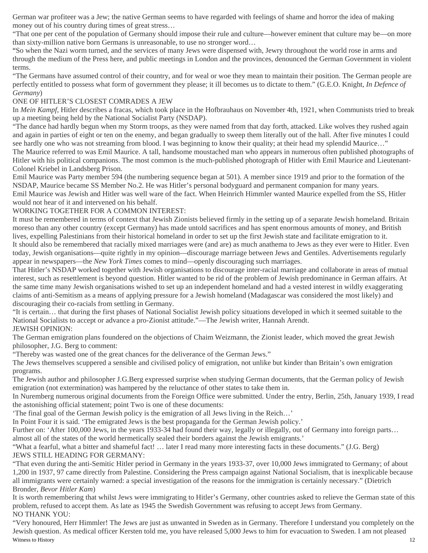German war profiteer was a Jew; the native German seems to have regarded with feelings of shame and horror the idea of making money out of his country during times of great stress…

"That one per cent of the population of Germany should impose their rule and culture—however eminent that culture may be—on more than sixty-million native born Germans is unreasonable, to use no stronger word…

"So when the Nazi worm turned, and the services of many Jews were dispensed with, Jewry throughout the world rose in arms and through the medium of the Press here, and public meetings in London and the provinces, denounced the German Government in violent terms.

"The Germans have assumed control of their country, and for weal or woe they mean to maintain their position. The German people are perfectly entitled to possess what form of government they please; it ill becomes us to dictate to them." (G.E.O. Knight, *In Defence of Germany*)

### ONE OF HITLER'S CLOSEST COMRADES A JEW

In *Mein Kampf*, Hitler describes a fracas, which took place in the Hofbrauhaus on November 4th, 1921, when Communists tried to break up a meeting being held by the National Socialist Party (NSDAP).

"The dance had hardly begun when my Storm troops, as they were named from that day forth, attacked. Like wolves they rushed again and again in parties of eight or ten on the enemy, and began gradually to sweep them literally out of the hall. After five minutes I could see hardly one who was not streaming from blood. I was beginning to know their quality; at their head my splendid Maurice…"

The Maurice referred to was Emil Maurice. A tall, handsome moustached man who appears in numerous often published photographs of Hitler with his political companions. The most common is the much-published photograph of Hitler with Emil Maurice and Lieutenant-Colonel Kriebel in Landsberg Prison.

Emil Maurice was Party member 594 (the numbering sequence began at 501). A member since 1919 and prior to the formation of the NSDAP, Maurice became SS Member No.2. He was Hitler's personal bodyguard and permanent companion for many years.

Emil Maurice was Jewish and Hitler was well ware of the fact. When Heinrich Himmler wanted Maurice expelled from the SS, Hitler would not hear of it and intervened on his behalf.

### WORKING TOGETHER FOR A COMMON INTEREST:

It must be remembered in terms of context that Jewish Zionists believed firmly in the setting up of a separate Jewish homeland. Britain moreso than any other country (except Germany) has made untold sacrifices and has spent enormous amounts of money, and British lives, expelling Palestinians from their historical homeland in order to set up the first Jewish state and facilitate emigration to it. It should also be remembered that racially mixed marriages were (and are) as much anathema to Jews as they ever were to Hitler. Even today, Jewish organisations—quite rightly in my opinion—discourage marriage between Jews and Gentiles. Advertisements regularly appear in newspapers—the *New York Times* comes to mind—openly discouraging such marriages.

That Hitler's NSDAP worked together with Jewish organisations to discourage inter-racial marriage and collaborate in areas of mutual interest, such as resettlement is beyond question. Hitler wanted to be rid of the problem of Jewish predominance in German affairs. At the same time many Jewish organisations wished to set up an independent homeland and had a vested interest in wildly exaggerating claims of anti-Semitism as a means of applying pressure for a Jewish homeland (Madagascar was considered the most likely) and discouraging their co-racials from settling in Germany.

"It is certain… that during the first phases of National Socialist Jewish policy situations developed in which it seemed suitable to the National Socialists to accept or advance a pro-Zionist attitude."—The Jewish writer, Hannah Arendt.

### JEWISH OPINION:

The German emigration plans foundered on the objections of Chaim Weizmann, the Zionist leader, which moved the great Jewish philosopher, J.G. Berg to comment:

"Thereby was wasted one of the great chances for the deliverance of the German Jews."

The Jews themselves scuppered a sensible and civilised policy of emigration, not unlike but kinder than Britain's own emigration programs.

The Jewish author and philosopher J.G.Berg expressed surprise when studying German documents, that the German policy of Jewish emigration (not extermination) was hampered by the reluctance of other states to take them in.

In Nuremberg numerous original documents from the Foreign Office were submitted. Under the entry, Berlin, 25th, January 1939, I read the astonishing official statement; point Two is one of these documents:

'The final goal of the German Jewish policy is the emigration of all Jews living in the Reich…'

In Point Four it is said. 'The emigrated Jews is the best propaganda for the German Jewish policy.'

Further on: 'After 100,000 Jews, in the years 1933-34 had found their way, legally or illegally, out of Germany into foreign parts...

almost all of the states of the world hermetically sealed their borders against the Jewish emigrants.'

"What a fearful, what a bitter and shameful fact! … later I read many more interesting facts in these documents." (J.G. Berg) JEWS STILL HEADING FOR GERMANY:

"That even during the anti-Semitic Hitler period in Germany in the years 1933-37, over 10,000 Jews immigrated to Germany; of about 1,200 in 1937, 97 came directly from Palestine. Considering the Press campaign against National Socialism, that is inexplicable because all immigrants were certainly warned: a special investigation of the reasons for the immigration is certainly necessary." (Dietrich Bronder, *Bevor Hitler Kam*)

It is worth remembering that whilst Jews were immigrating to Hitler's Germany, other countries asked to relieve the German state of this problem, refused to accept them. As late as 1945 the Swedish Government was refusing to accept Jews from Germany. NO THANK YOU:

Witness to History **12** "Very honoured, Herr Himmler! The Jews are just as unwanted in Sweden as in Germany. Therefore I understand you completely on the Jewish question. As medical officer Kersten told me, you have released 5,000 Jews to him for evacuation to Sweden. I am not pleased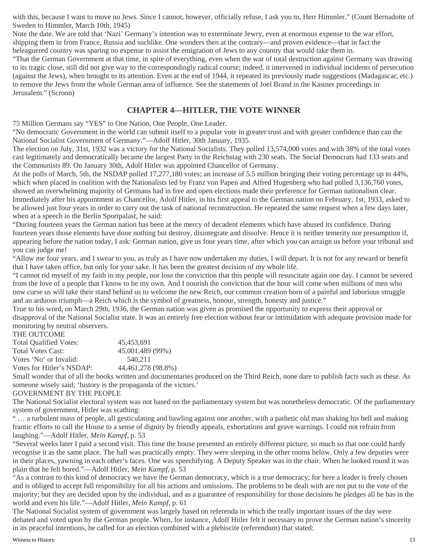with this, because I want to move no Jews. Since I cannot, however, officially refuse, I ask you to, Herr Himmler." (Count Bernadotte of Sweden to Himmler, March 10th, 1945)

Note the date. We are told that 'Nazi' Germany's intention was to exterminate Jewry, even at enormous expense to the war effort, shipping them in from France, Russia and suchlike. One wonders then at the contrary—and proven evidence—that in fact the beleaguered country was sparing no expense to assist the emigration of Jews to any country that would take them in.

"That the German Government at that time, in spite of everything, even when the war of total destruction against Germany was drawing to its tragic close, still did not give way to the correspondingly radical course; indeed, it intervened in individual incidents of persecution (against the Jews), when brought to its attention. Even at the end of 1944, it repeated its previously made suggestions (Madagascar, etc.) to remove the Jews from the whole German area of influence. See the statements of Joel Brand in the Kastner proceedings in Jerusalem." (Scronn)

# **CHAPTER 4—HITLER, THE VOTE WINNER**

75 Million Germans say "YES" to One Nation, One People, One Leader.

"No democratic Government in the world can submit itself to a popular vote in greater trust and with greater confidence than can the National Socialist Government of Germany."—Adolf Hitler, 30th January, 1935.

The election on July, 31st, 1932 was a victory for the National Socialists. They polled 13,574,000 votes and with 38% of the total votes cast legitimately and democratically became the largest Party in the Reichstag with 230 seats. The Social Democrats had 133 seats and the Communists 89. On January 30th, Adolf Hitler was appointed Chancellor of Germany.

At the polls of March, 5th, the NSDAP polled 17,277,180 votes; an increase of 5.5 million bringing their voting percentage up to 44%, which when placed in coalition with the Nationalists led by Franz von Papen and Alfred Hugenberg who had polled 3,136,760 votes, showed an overwhelming majority of Germans had in free and open elections made their preference for German nationalism clear. Immediately after his appointment as Chancellor, Adolf Hitler, in his first appeal to the German nation on February, 1st, 1933, asked to be allowed just four years in order to carry out the task of national reconstruction. He repeated the same request when a few days later, when at a speech in the Berlin Sportpalast, he said:

"During fourteen years the German nation has been at the mercy of decadent elements which have abused its confidence. During fourteen years those elements have done nothing but destroy, disintegrate and dissolve. Hence it is neither temerity nor presumption if, appearing before the nation today, I ask: German nation, give us four years time, after which you can arraign us before your tribunal and you can judge me!

"Allow me four years, and I swear to you, as truly as I have now undertaken my duties, I will depart. It is not for any reward or benefit that I have taken office, but only for your sake. It has been the greatest decision of my whole life.

"I cannot rid myself of my faith in my people, nor lose the conviction that this people will resuscitate again one day. I cannot be severed from the love of a people that I know to be my own. And I nourish the conviction that the hour will come when millions of men who now curse us will take their stand behind us to welcome the new Reich, our common creation born of a painful and laborious struggle and an arduous triumph—a Reich which is the symbol of greatness, honour, strength, honesty and justice."

True to his word, on March 29th, 1936, the German nation was given as promised the opportunity to express their approval or disapproval of the National Socialist state. It was an entirely free election without fear or intimidation with adequate provision made for monitoring by neutral observers.

| THE OUTCOME            |                  |
|------------------------|------------------|
| Total Oualified Votes: | 45.453.691       |
| Total Votes Cast:      | 45,001,489 (99%) |
| Votes 'No' or Invalid: | 540.211          |

Votes for Hitler's NSDAP: 44,461,278 (98.8%)

Small wonder that of all the books written and documentaries produced on the Third Reich, none dare to publish facts such as these. As someone wisely said; 'history is the propaganda of the victors.'

# GOVERNMENT BY THE PEOPLE

The National Socialist electoral system was not based on the parliamentary system but was nonetheless democratic. Of the parliamentary system of government, Hitler was scathing:

" … a turbulent mass of people, all gesticulating and bawling against one another, with a pathetic old man shaking his bell and making frantic efforts to call the House to a sense of dignity by friendly appeals, exhortations and grave warnings. I could not refrain from laughing."—Adolf Hitler, *Mein Kampf*, p. 53

"Several weeks later I paid a second visit. This time the house presented an entirely different picture, so much so that one could hardy recognise it as the same place. The hall was practically empty. They were sleeping in the other rooms below. Only a few deputies were in their places, yawning in each other's faces. One was speechifying. A Deputy Speaker was in the chair. When he looked round it was plain that he felt bored."—Adolf Hitler, *Mein Kampf*, p. 53

"As a contrast to this kind of democracy we have the German democracy, which is a true democracy; for here a leader is freely chosen and is obliged to accept full responsibility for all his actions and omissions. The problems to be dealt with are not put to the vote of the majority; but they are decided upon by the individual, and as a guarantee of responsibility for those decisions he pledges all he has in the world and even his life."—Adolf Hitler, *Mein Kampf*, p. 61

The National Socialist system of government was largely based on referenda in which the really important issues of the day were debated and voted upon by the German people. When, for instance, Adolf Hitler felt it necessary to prove the German nation's sincerity in its peaceful intentions, he called for an election combined with a plebiscite (referendum) that stated: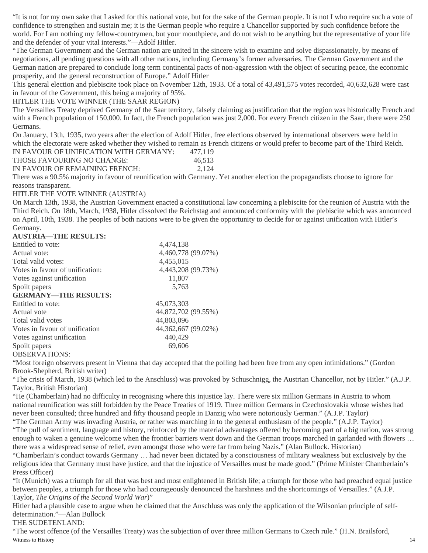"It is not for my own sake that I asked for this national vote, but for the sake of the German people. It is not I who require such a vote of confidence to strengthen and sustain me; it is the German people who require a Chancellor supported by such confidence before the world. For I am nothing my fellow-countrymen, but your mouthpiece, and do not wish to be anything but the representative of your life and the defender of your vital interests."—Adolf Hitler.

"The German Government and the German nation are united in the sincere wish to examine and solve dispassionately, by means of negotiations, all pending questions with all other nations, including Germany's former adversaries. The German Government and the German nation are prepared to conclude long term continental pacts of non-aggression with the object of securing peace, the economic prosperity, and the general reconstruction of Europe." Adolf Hitler

This general election and plebiscite took place on November 12th, 1933. Of a total of 43,491,575 votes recorded, 40,632,628 were cast in favour of the Government, this being a majority of 95%.

HITLER THE VOTE WINNER (THE SAAR REGION)

The Versailles Treaty deprived Germany of the Saar territory, falsely claiming as justification that the region was historically French and with a French population of 150,000. In fact, the French population was just 2,000. For every French citizen in the Saar, there were 250 Germans.

On January, 13th, 1935, two years after the election of Adolf Hitler, free elections observed by international observers were held in which the electorate were asked whether they wished to remain as French citizens or would prefer to become part of the Third Reich. IN FAVOUR OF UNIFICATION WITH GERMANY: 477,119

| 119 1719 OUN OF UNIFICATION WITH OLIMMANT. | <b>TII.LI</b> |
|--------------------------------------------|---------------|
| THOSE FAVOURING NO CHANGE:                 | 46,513        |
| IN FAVOUR OF REMAINING FRENCH:             | 2.124         |

There was a 90.5% majority in favour of reunification with Germany. Yet another election the propagandists choose to ignore for reasons transparent.

### HITLER THE VOTE WINNER (AUSTRIA)

On March 13th, 1938, the Austrian Government enacted a constitutional law concerning a plebiscite for the reunion of Austria with the Third Reich. On 18th, March, 1938, Hitler dissolved the Reichstag and announced conformity with the plebiscite which was announced on April, 10th, 1938. The peoples of both nations were to be given the opportunity to decide for or against unification with Hitler's Germany.

### **AUSTRIA—THE RESULTS:**

| Entitled to vote:               | 4,474,138           |
|---------------------------------|---------------------|
| Actual vote:                    | 4,460,778 (99.07%)  |
| Total valid votes:              | 4,455,015           |
| Votes in favour of unification: | 4,443,208 (99.73%)  |
| Votes against unification       | 11,807              |
| Spoilt papers                   | 5,763               |
| <b>GERMANY-THE RESULTS:</b>     |                     |
| Entitled to vote:               | 45,073,303          |
| Actual vote                     | 44,872,702 (99.55%) |
| Total valid votes               | 44,803,096          |
| Votes in favour of unification  | 44,362,667 (99.02%) |
| Votes against unification       | 440,429             |
| Spoilt papers                   | 69,606              |
| <b>OBSERVATIONS:</b>            |                     |

"Most foreign observers present in Vienna that day accepted that the polling had been free from any open intimidations." (Gordon Brook-Shepherd, British writer)

"The crisis of March, 1938 (which led to the Anschluss) was provoked by Schuschnigg, the Austrian Chancellor, not by Hitler." (A.J.P. Taylor, British Historian)

"He (Chamberlain) had no difficulty in recognising where this injustice lay. There were six million Germans in Austria to whom national reunification was still forbidden by the Peace Treaties of 1919. Three million Germans in Czechoslovakia whose wishes had never been consulted; three hundred and fifty thousand people in Danzig who were notoriously German." (A.J.P. Taylor) "The German Army was invading Austria, or rather was marching in to the general enthusiasm of the people." (A.J.P. Taylor)

"The pull of sentiment, language and history, reinforced by the material advantages offered by becoming part of a big nation, was strong enough to waken a genuine welcome when the frontier barriers went down and the German troops marched in garlanded with flowers ... there was a widespread sense of relief, even amongst those who were far from being Nazis." (Alan Bullock. Historian)

"Chamberlain's conduct towards Germany … had never been dictated by a consciousness of military weakness but exclusively by the religious idea that Germany must have justice, and that the injustice of Versailles must be made good." (Prime Minister Chamberlain's Press Officer)

"It (Munich) was a triumph for all that was best and most enlightened in British life; a triumph for those who had preached equal justice between peoples, a triumph for those who had courageously denounced the harshness and the shortcomings of Versailles." (A.J.P. Taylor, *The Origins of the Second World War*)"

Hitler had a plausible case to argue when he claimed that the Anschluss was only the application of the Wilsonian principle of selfdetermination."—Alan Bullock

### THE SUDETENLAND:

Witness to History **14** "The worst offence (of the Versailles Treaty) was the subjection of over three million Germans to Czech rule." (H.N. Brailsford,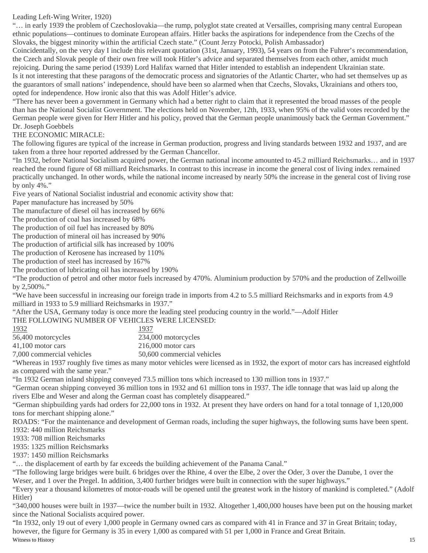Leading Left-Wing Writer, 1920)

"… in early 1939 the problem of Czechoslovakia—the rump, polyglot state created at Versailles, comprising many central European ethnic populations—continues to dominate European affairs. Hitler backs the aspirations for independence from the Czechs of the Slovaks, the biggest minority within the artificial Czech state." (Count Jerzy Potocki, Polish Ambassador)

Coincidentally, on the very day I include this relevant quotation (31st, January, 1993), 54 years on from the Fuhrer's recommendation, the Czech and Slovak people of their own free will took Hitler's advice and separated themselves from each other, amidst much rejoicing. During the same period (1939) Lord Halifax warned that Hitler intended to establish an independent Ukrainian state. Is it not interesting that these paragons of the democratic process and signatories of the Atlantic Charter, who had set themselves up as the guarantors of small nations' independence, should have been so alarmed when that Czechs, Slovaks, Ukrainians and others too, opted for independence. How ironic also that this was Adolf Hitler's advice.

"There has never been a government in Germany which had a better right to claim that it represented the broad masses of the people than has the National Socialist Government. The elections held on November, 12th, 1933, when 95% of the valid votes recorded by the German people were given for Herr Hitler and his policy, proved that the German people unanimously back the German Government." Dr. Joseph Goebbels

### THE ECONOMIC MIRACLE:

The following figures are typical of the increase in German production, progress and living standards between 1932 and 1937, and are taken from a three hour reported addressed by the German Chancellor.

"In 1932, before National Socialism acquired power, the German national income amounted to 45.2 milliard Reichsmarks… and in 1937 reached the round figure of 68 milliard Reichsmarks. In contrast to this increase in income the general cost of living index remained practically unchanged. In other words, while the national income increased by nearly 50% the increase in the general cost of living rose by only 4%."

Five years of National Socialist industrial and economic activity show that:

Paper manufacture has increased by 50%

The manufacture of diesel oil has increased by 66%

- The production of coal has increased by 68%
- The production of oil fuel has increased by 80%

The production of mineral oil has increased by 90%

The production of artificial silk has increased by 100%

The production of Kerosene has increased by 110%

The production of steel has increased by 167%

The production of lubricating oil has increased by 190%

"The production of petrol and other motor fuels increased by 470%. Aluminium production by 570% and the production of Zellwoille by 2,500%."

"We have been successful in increasing our foreign trade in imports from 4.2 to 5.5 milliard Reichsmarks and in exports from 4.9 milliard in 1933 to 5.9 milliard Reichsmarks in 1937."

"After the USA, Germany today is once more the leading steel producing country in the world."—Adolf Hitler THE FOLLOWING NUMBER OF VEHICLES WERE LICENSED:

| THE FULLOWING NUMBER OF VEHICLES WERE LICENSED. |
|-------------------------------------------------|
| 1937                                            |
| 234,000 motorcycles                             |
| $216,000$ motor cars                            |
| 50,600 commercial vehicles                      |
|                                                 |

"Whereas in 1937 roughly five times as many motor vehicles were licensed as in 1932, the export of motor cars has increased eightfold as compared with the same year."

"In 1932 German inland shipping conveyed 73.5 million tons which increased to 130 million tons in 1937."

"German ocean shipping conveyed 36 million tons in 1932 and 61 million tons in 1937. The idle tonnage that was laid up along the rivers Elbe and Weser and along the German coast has completely disappeared."

"German shipbuilding yards had orders for 22,000 tons in 1932. At present they have orders on hand for a total tonnage of 1,120,000 tons for merchant shipping alone."

ROADS: "For the maintenance and development of German roads, including the super highways, the following sums have been spent. 1932: 440 million Reichsmarks

1933: 708 million Reichsmarks

1935: 1325 million Reichsmarks

1937: 1450 million Reichsmarks

"… the displacement of earth by far exceeds the building achievement of the Panama Canal."

"The following large bridges were built. 6 bridges over the Rhine, 4 over the Elbe, 2 over the Oder, 3 over the Danube, 1 over the Weser, and 1 over the Pregel. In addition, 3,400 further bridges were built in connection with the super highways."

"Every year a thousand kilometres of motor-roads will be opened until the greatest work in the history of mankind is completed." (Adolf Hitler)

"340,000 houses were built in 1937—twice the number built in 1932. Altogether 1,400,000 houses have been put on the housing market since the National Socialists acquired power.

"In 1932, only 19 out of every 1,000 people in Germany owned cars as compared with 41 in France and 37 in Great Britain; today,

however, the figure for Germany is 35 in every 1,000 as compared with 51 per 1,000 in France and Great Britain.

Witness to History **15**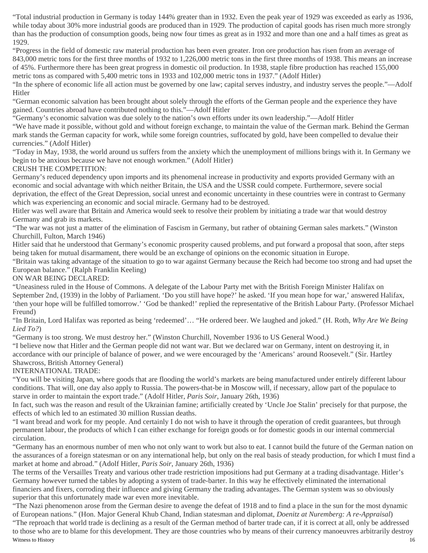"Total industrial production in Germany is today 144% greater than in 1932. Even the peak year of 1929 was exceeded as early as 1936, while today about 30% more industrial goods are produced than in 1929. The production of capital goods has risen much more strongly than has the production of consumption goods, being now four times as great as in 1932 and more than one and a half times as great as 1929.

"Progress in the field of domestic raw material production has been even greater. Iron ore production has risen from an average of 843,000 metric tons for the first three months of 1932 to 1,226,000 metric tons in the first three months of 1938. This means an increase of 45%. Furthermore there has been great progress in domestic oil production. In 1938, staple fibre production has reached 155,000 metric tons as compared with 5,400 metric tons in 1933 and 102,000 metric tons in 1937." (Adolf Hitler)

"In the sphere of economic life all action must be governed by one law; capital serves industry, and industry serves the people."—Adolf **Hitler** 

"German economic salvation has been brought about solely through the efforts of the German people and the experience they have gained. Countries abroad have contributed nothing to this."—Adolf Hitler

"Germany's economic salvation was due solely to the nation's own efforts under its own leadership."—Adolf Hitler

"We have made it possible, without gold and without foreign exchange, to maintain the value of the German mark. Behind the German mark stands the German capacity for work, while some foreign countries, suffocated by gold, have been compelled to devalue their currencies." (Adolf Hitler)

"Today in May, 1938, the world around us suffers from the anxiety which the unemployment of millions brings with it. In Germany we begin to be anxious because we have not enough workmen." (Adolf Hitler)

### CRUSH THE COMPETITION:

Germany's reduced dependency upon imports and its phenomenal increase in productivity and exports provided Germany with an economic and social advantage with which neither Britain, the USA and the USSR could compete. Furthermore, severe social deprivation, the effect of the Great Depression, social unrest and economic uncertainty in these countries were in contrast to Germany which was experiencing an economic and social miracle. Germany had to be destroyed.

Hitler was well aware that Britain and America would seek to resolve their problem by initiating a trade war that would destroy Germany and grab its markets.

"The war was not just a matter of the elimination of Fascism in Germany, but rather of obtaining German sales markets." (Winston Churchill, Fulton, March 1946)

Hitler said that he understood that Germany's economic prosperity caused problems, and put forward a proposal that soon, after steps being taken for mutual disarmament, there would be an exchange of opinions on the economic situation in Europe.

"Britain was taking advantage of the situation to go to war against Germany because the Reich had become too strong and had upset the European balance." (Ralph Franklin Keeling)

ON WAR BEING DECLARED:

"Uneasiness ruled in the House of Commons. A delegate of the Labour Party met with the British Foreign Minister Halifax on September 2nd, (1939) in the lobby of Parliament. 'Do you still have hope?' he asked. 'If you mean hope for war,' answered Halifax, 'then your hope will be fulfilled tomorrow.' 'God be thanked!' replied the representative of the British Labour Party. (Professor Michael Freund)

"In Britain, Lord Halifax was reported as being 'redeemed'… "He ordered beer. We laughed and joked." (H. Roth, *Why Are We Being Lied To?*)

"Germany is too strong. We must destroy her." (Winston Churchill, November 1936 to US General Wood.)

"I believe now that Hitler and the German people did not want war. But we declared war on Germany, intent on destroying it, in accordance with our principle of balance of power, and we were encouraged by the 'Americans' around Roosevelt." (Sir. Hartley Shawcross, British Attorney General)

# INTERNATIONAL TRADE:

"You will be visiting Japan, where goods that are flooding the world's markets are being manufactured under entirely different labour conditions. That will, one day also apply to Russia. The powers-that-be in Moscow will, if necessary, allow part of the populace to starve in order to maintain the export trade." (Adolf Hitler, *Paris Soir*, January 26th, 1936)

In fact, such was the reason and result of the Ukrainian famine; artificially created by 'Uncle Joe Stalin' precisely for that purpose, the effects of which led to an estimated 30 million Russian deaths.

"I want bread and work for my people. And certainly I do not wish to have it through the operation of credit guarantees, but through permanent labour, the products of which I can either exchange for foreign goods or for domestic goods in our internal commercial circulation.

"Germany has an enormous number of men who not only want to work but also to eat. I cannot build the future of the German nation on the assurances of a foreign statesman or on any international help, but only on the real basis of steady production, for which I must find a market at home and abroad." (Adolf Hitler, *Paris Soir*, January 26th, 1936)

The terms of the Versailles Treaty and various other trade restriction impositions had put Germany at a trading disadvantage. Hitler's Germany however turned the tables by adopting a system of trade-barter. In this way he effectively eliminated the international financiers and fixers, corroding their influence and giving Germany the trading advantages. The German system was so obviously superior that this unfortunately made war even more inevitable.

Witness to History **16** "The Nazi phenomenon arose from the German desire to avenge the defeat of 1918 and to find a place in the sun for the most dynamic of European nations." (Hon. Major General Khub Chand, Indian statesman and diplomat, *Doenitz at Nuremberg: A re-Appraisal*) "The reproach that world trade is declining as a result of the German method of barter trade can, if it is correct at all, only be addressed to those who are to blame for this development. They are those countries who by means of their currency manoeuvres arbitrarily destroy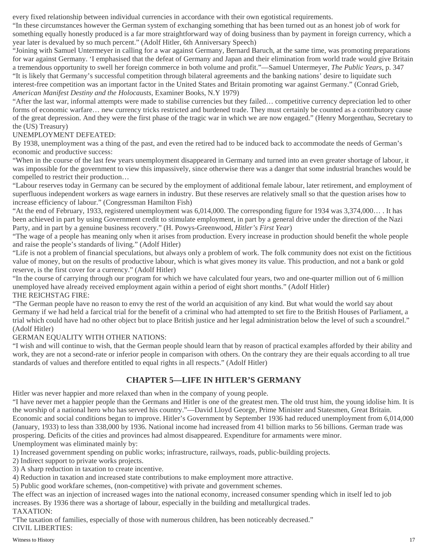every fixed relationship between individual currencies in accordance with their own egotistical requirements.

"In these circumstances however the German system of exchanging something that has been turned out as an honest job of work for something equally honestly produced is a far more straightforward way of doing business than by payment in foreign currency, which a year later is devalued by so much percent." (Adolf Hitler, 6th Anniversary Speech)

"Joining with Samuel Untermeyer in calling for a war against Germany, Bernard Baruch, at the same time, was promoting preparations for war against Germany. 'I emphasised that the defeat of Germany and Japan and their elimination from world trade would give Britain a tremendous opportunity to swell her foreign commerce in both volume and profit."—Samuel Untermeyer, *The Public Years*, p. 347 "It is likely that Germany's successful competition through bilateral agreements and the banking nations' desire to liquidate such interest-free competition was an important factor in the United States and Britain promoting war against Germany." (Conrad Grieb, *American Manifest Destiny and the Holocausts*, Examiner Books, N.Y 1979)

"After the last war, informal attempts were made to stabilise currencies but they failed… competitive currency depreciation led to other forms of economic warfare… new currency tricks restricted and burdened trade. They must certainly be counted as a contributory cause of the great depression. And they were the first phase of the tragic war in which we are now engaged." (Henry Morgenthau, Secretary to the (US) Treasury)

### UNEMPLOYMENT DEFEATED:

By 1938, unemployment was a thing of the past, and even the retired had to be induced back to accommodate the needs of German's economic and productive success:

"When in the course of the last few years unemployment disappeared in Germany and turned into an even greater shortage of labour, it was impossible for the government to view this impassively, since otherwise there was a danger that some industrial branches would be compelled to restrict their production…

"Labour reserves today in Germany can be secured by the employment of additional female labour, later retirement, and employment of superfluous independent workers as wage earners in industry. But these reserves are relatively small so that the question arises how to increase efficiency of labour." (Congressman Hamilton Fish)

"At the end of February, 1933, registered unemployment was 6,014,000. The corresponding figure for 1934 was 3,374,000… . It has been achieved in part by using Government credit to stimulate employment, in part by a general drive under the direction of the Nazi Party, and in part by a genuine business recovery." (H. Powys-Greenwood, *Hitler's First Year*)

"The wage of a people has meaning only when it arises from production. Every increase in production should benefit the whole people and raise the people's standards of living." (Adolf Hitler)

"Life is not a problem of financial speculations, but always only a problem of work. The folk community does not exist on the fictitious value of money, but on the results of productive labour, which is what gives money its value. This production, and not a bank or gold reserve, is the first cover for a currency." (Adolf Hitler)

"In the course of carrying through our program for which we have calculated four years, two and one-quarter million out of 6 million unemployed have already received employment again within a period of eight short months." (Adolf Hitler) THE REICHSTAG FIRE:

"The German people have no reason to envy the rest of the world an acquisition of any kind. But what would the world say about Germany if we had held a farcical trial for the benefit of a criminal who had attempted to set fire to the British Houses of Parliament, a trial which could have had no other object but to place British justice and her legal administration below the level of such a scoundrel." (Adolf Hitler)

### GERMAN EQUALITY WITH OTHER NATIONS:

"I wish and will continue to wish, that the German people should learn that by reason of practical examples afforded by their ability and work, they are not a second-rate or inferior people in comparison with others. On the contrary they are their equals according to all true standards of values and therefore entitled to equal rights in all respects." (Adolf Hitler)

# **CHAPTER 5—LIFE IN HITLER'S GERMANY**

Hitler was never happier and more relaxed than when in the company of young people.

"I have never met a happier people than the Germans and Hitler is one of the greatest men. The old trust him, the young idolise him. It is the worship of a national hero who has served his country."—David Lloyd George, Prime Minister and Statesmen, Great Britain. Economic and social conditions began to improve. Hitler's Government by September 1936 had reduced unemployment from 6,014,000 (January, 1933) to less than 338,000 by 1936. National income had increased from 41 billion marks to 56 billions. German trade was prospering. Deficits of the cities and provinces had almost disappeared. Expenditure for armaments were minor. Unemployment was eliminated mainly by:

1) Increased government spending on public works; infrastructure, railways, roads, public-building projects.

2) Indirect support to private works projects.

3) A sharp reduction in taxation to create incentive.

4) Reduction in taxation and increased state contributions to make employment more attractive.

5) Public good workfare schemes, (non-competitive) with private and government schemes.

The effect was an injection of increased wages into the national economy, increased consumer spending which in itself led to job increases. By 1936 there was a shortage of labour, especially in the building and metallurgical trades. TAXATION:

"The taxation of families, especially of those with numerous children, has been noticeably decreased."

Witness to History **17** 

CIVIL LIBERTIES: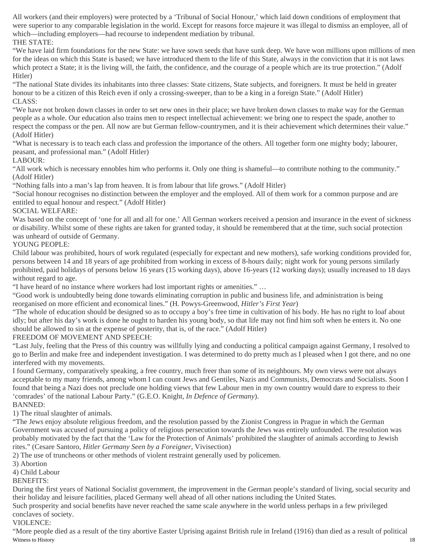All workers (and their employers) were protected by a 'Tribunal of Social Honour,' which laid down conditions of employment that were superior to any comparable legislation in the world. Except for reasons force majeure it was illegal to dismiss an employee, all of which—including employers—had recourse to independent mediation by tribunal.

### THE STATE:

"We have laid firm foundations for the new State: we have sown seeds that have sunk deep. We have won millions upon millions of men for the ideas on which this State is based; we have introduced them to the life of this State, always in the conviction that it is not laws which protect a State; it is the living will, the faith, the confidence, and the courage of a people which are its true protection." (Adolf Hitler)

"The national State divides its inhabitants into three classes: State citizens, State subjects, and foreigners. It must be held in greater honour to be a citizen of this Reich even if only a crossing-sweeper, than to be a king in a foreign State." (Adolf Hitler) CLASS:

"We have not broken down classes in order to set new ones in their place; we have broken down classes to make way for the German people as a whole. Our education also trains men to respect intellectual achievement: we bring one to respect the spade, another to respect the compass or the pen. All now are but German fellow-countrymen, and it is their achievement which determines their value." (Adolf Hitler)

"What is necessary is to teach each class and profession the importance of the others. All together form one mighty body; labourer, peasant, and professional man." (Adolf Hitler)

### LABOUR:

"All work which is necessary ennobles him who performs it. Only one thing is shameful—to contribute nothing to the community." (Adolf Hitler)

"Nothing falls into a man's lap from heaven. It is from labour that life grows." (Adolf Hitler)

"Social honour recognises no distinction between the employer and the employed. All of them work for a common purpose and are entitled to equal honour and respect." (Adolf Hitler)

### SOCIAL WELFARE:

Was based on the concept of 'one for all and all for one.' All German workers received a pension and insurance in the event of sickness or disability. Whilst some of these rights are taken for granted today, it should be remembered that at the time, such social protection was unheard of outside of Germany.

### YOUNG PEOPLE:

Child labour was prohibited, hours of work regulated (especially for expectant and new mothers), safe working conditions provided for, persons between 14 and 18 years of age prohibited from working in excess of 8-hours daily; night work for young persons similarly prohibited, paid holidays of persons below 16 years (15 working days), above 16-years (12 working days); usually increased to 18 days without regard to age.

"I have heard of no instance where workers had lost important rights or amenities." …

"Good work is undoubtedly being done towards eliminating corruption in public and business life, and administration is being reorganised on more efficient and economical lines." (H. Powys-Greenwood, *Hitler's First Year*)

"The whole of education should be designed so as to occupy a boy's free time in cultivation of his body. He has no right to loaf about idly; but after his day's work is done he ought to harden his young body, so that life may not find him soft when he enters it. No one should be allowed to sin at the expense of posterity, that is, of the race." (Adolf Hitler)

### FREEDOM OF MOVEMENT AND SPEECH:

"Last July, feeling that the Press of this country was willfully lying and conducting a political campaign against Germany, I resolved to go to Berlin and make free and independent investigation. I was determined to do pretty much as I pleased when I got there, and no one interfered with my movements.

I found Germany, comparatively speaking, a free country, much freer than some of its neighbours. My own views were not always acceptable to my many friends, among whom I can count Jews and Gentiles, Nazis and Communists, Democrats and Socialists. Soon I found that being a Nazi does not preclude one holding views that few Labour men in my own country would dare to express to their 'comrades' of the national Labour Party." (G.E.O. Knight, *In Defence of Germany*).

### BANNED:

1) The ritual slaughter of animals.

"The Jews enjoy absolute religious freedom, and the resolution passed by the Zionist Congress in Prague in which the German Government was accused of pursuing a policy of religious persecution towards the Jews was entirely unfounded. The resolution was probably motivated by the fact that the 'Law for the Protection of Animals' prohibited the slaughter of animals according to Jewish rites." (Cesare Santoro, *Hitler Germany Seen by a Foreigner*, Vivisection)

2) The use of truncheons or other methods of violent restraint generally used by policemen.

3) Abortion

4) Child Labour

### BENEFITS:

During the first years of National Socialist government, the improvement in the German people's standard of living, social security and their holiday and leisure facilities, placed Germany well ahead of all other nations including the United States.

Such prosperity and social benefits have never reached the same scale anywhere in the world unless perhaps in a few privileged conclaves of society.

### VIOLENCE:

Witness to History **18** "More people died as a result of the tiny abortive Easter Uprising against British rule in Ireland (1916) than died as a result of political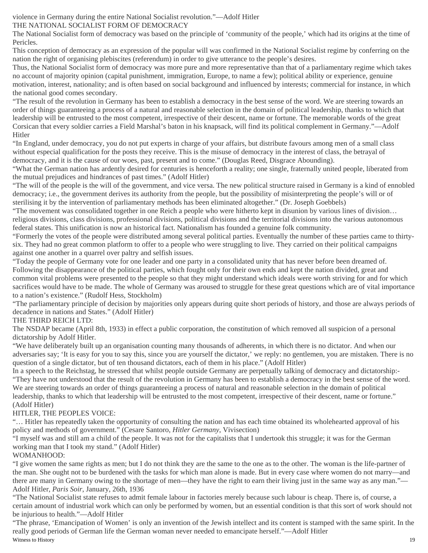violence in Germany during the entire National Socialist revolution."—Adolf Hitler THE NATIONAL SOCIALIST FORM OF DEMOCRACY

The National Socialist form of democracy was based on the principle of 'community of the people,' which had its origins at the time of Pericles.

This conception of democracy as an expression of the popular will was confirmed in the National Socialist regime by conferring on the nation the right of organising plebiscites (referendum) in order to give utterance to the people's desires.

Thus, the National Socialist form of democracy was more pure and more representative than that of a parliamentary regime which takes no account of majority opinion (capital punishment, immigration, Europe, to name a few); political ability or experience, genuine motivation, interest, nationality; and is often based on social background and influenced by interests; commercial for instance, in which the national good comes secondary.

"The result of the revolution in Germany has been to establish a democracy in the best sense of the word. We are steering towards an order of things guaranteeing a process of a natural and reasonable selection in the domain of political leadership, thanks to which that leadership will be entrusted to the most competent, irrespective of their descent, name or fortune. The memorable words of the great Corsican that every soldier carries a Field Marshal's baton in his knapsack, will find its political complement in Germany."—Adolf Hitler

"In England, under democracy, you do not put experts in charge of your affairs, but distribute favours among men of a small class without especial qualification for the posts they receive. This is the misuse of democracy in the interest of class, the betrayal of democracy, and it is the cause of our woes, past, present and to come." (Douglas Reed, Disgrace Abounding).

"What the German nation has ardently desired for centuries is henceforth a reality; one single, fraternally united people, liberated from the mutual prejudices and hindrances of past times." (Adolf Hitler)

"The will of the people is the will of the government, and vice versa. The new political structure raised in Germany is a kind of ennobled democracy; i.e., the government derives its authority from the people, but the possibility of misinterpreting the people's will or of sterilising it by the intervention of parliamentary methods has been eliminated altogether." (Dr. Joseph Goebbels)

"The movement was consolidated together in one Reich a people who were hitherto kept in disunion by various lines of division… religious divisions, class divisions, professional divisions, political divisions and the territorial divisions into the various autonomous federal states. This unification is now an historical fact. Nationalism has founded a genuine folk community.

"Formerly the votes of the people were distributed among several political parties. Eventually the number of these parties came to thirtysix. They had no great common platform to offer to a people who were struggling to live. They carried on their political campaigns against one another in a quarrel over paltry and selfish issues.

"Today the people of Germany vote for one leader and one party in a consolidated unity that has never before been dreamed of. Following the disappearance of the political parties, which fought only for their own ends and kept the nation divided, great and common vital problems were presented to the people so that they might understand which ideals were worth striving for and for which sacrifices would have to be made. The whole of Germany was aroused to struggle for these great questions which are of vital importance to a nation's existence." (Rudolf Hess, Stockholm)

"The parliamentary principle of decision by majorities only appears during quite short periods of history, and those are always periods of decadence in nations and States." (Adolf Hitler)

# THE THIRD REICH LTD:

The NSDAP became (April 8th, 1933) in effect a public corporation, the constitution of which removed all suspicion of a personal dictatorship by Adolf Hitler.

"We have deliberately built up an organisation counting many thousands of adherents, in which there is no dictator. And when our adversaries say; 'It is easy for you to say this, since you are yourself the dictator,' we reply: no gentlemen, you are mistaken. There is no question of a single dictator, but of ten thousand dictators, each of them in his place." (Adolf Hitler)

In a speech to the Reichstag, he stressed that whilst people outside Germany are perpetually talking of democracy and dictatorship:- "They have not understood that the result of the revolution in Germany has been to establish a democracy in the best sense of the word. We are steering towards an order of things guaranteeing a process of natural and reasonable selection in the domain of political leadership, thanks to which that leadership will be entrusted to the most competent, irrespective of their descent, name or fortune." (Adolf Hitler)

# HITLER, THE PEOPLES VOICE:

"… Hitler has repeatedly taken the opportunity of consulting the nation and has each time obtained its wholehearted approval of his policy and methods of government." (Cesare Santoro, *Hitler Germany*, Vivisection)

"I myself was and still am a child of the people. It was not for the capitalists that I undertook this struggle; it was for the German working man that I took my stand." (Adolf Hitler)

# WOMANHOOD:

"I give women the same rights as men; but I do not think they are the same to the one as to the other. The woman is the life-partner of the man. She ought not to be burdened with the tasks for which man alone is made. But in every case where women do not marry—and there are many in Germany owing to the shortage of men—they have the right to earn their living just in the same way as any man."— Adolf Hitler, *Paris Soir*, January, 26th, 1936

"The National Socialist state refuses to admit female labour in factories merely because such labour is cheap. There is, of course, a certain amount of industrial work which can only be performed by women, but an essential condition is that this sort of work should not be injurious to health."—Adolf Hitler

Witness to History **19** "The phrase, 'Emancipation of Women' is only an invention of the Jewish intellect and its content is stamped with the same spirit. In the really good periods of German life the German woman never needed to emancipate herself."—Adolf Hitler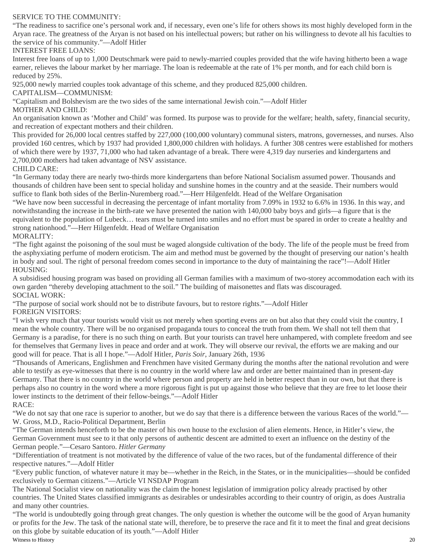### SERVICE TO THE COMMUNITY:

"The readiness to sacrifice one's personal work and, if necessary, even one's life for others shows its most highly developed form in the Aryan race. The greatness of the Aryan is not based on his intellectual powers; but rather on his willingness to devote all his faculties to the service of his community."—Adolf Hitler

### INTEREST FREE LOANS:

Interest free loans of up to 1,000 Deutschmark were paid to newly-married couples provided that the wife having hitherto been a wage earner, relieves the labour market by her marriage. The loan is redeemable at the rate of 1% per month, and for each child born is reduced by 25%.

925,000 newly married couples took advantage of this scheme, and they produced 825,000 children.

CAPITALISM—COMMUNISM:

"Capitalism and Bolshevism are the two sides of the same international Jewish coin."—Adolf Hitler MOTHER AND CHILD:

An organisation known as 'Mother and Child' was formed. Its purpose was to provide for the welfare; health, safety, financial security, and recreation of expectant mothers and their children.

This provided for 26,000 local centres staffed by 227,000 (100,000 voluntary) communal sisters, matrons, governesses, and nurses. Also provided 160 centres, which by 1937 had provided 1,800,000 children with holidays. A further 308 centres were established for mothers of which there were by 1937, 71,000 who had taken advantage of a break. There were 4,319 day nurseries and kindergartens and 2,700,000 mothers had taken advantage of NSV assistance.

### CHILD CARE:

"In Germany today there are nearly two-thirds more kindergartens than before National Socialism assumed power. Thousands and thousands of children have been sent to special holiday and sunshine homes in the country and at the seaside. Their numbers would suffice to flank both sides of the Berlin-Nuremberg road."—Herr Hilgenfeldt. Head of the Welfare Organisation

"We have now been successful in decreasing the percentage of infant mortality from 7.09% in 1932 to 6.6% in 1936. In this way, and notwithstanding the increase in the birth-rate we have presented the nation with 140,000 baby boys and girls—a figure that is the equivalent to the population of Lubeck… tears must be turned into smiles and no effort must be spared in order to create a healthy and strong nationhood."—Herr Hilgenfeldt. Head of Welfare Organisation

### MORALITY:

"The fight against the poisoning of the soul must be waged alongside cultivation of the body. The life of the people must be freed from the asphyxiating perfume of modern eroticism. The aim and method must be governed by the thought of preserving our nation's health in body and soul. The right of personal freedom comes second in importance to the duty of maintaining the race"!—Adolf Hitler HOUSING:

A subsidised housing program was based on providing all German families with a maximum of two-storey accommodation each with its own garden "thereby developing attachment to the soil." The building of maisonettes and flats was discouraged. SOCIAL WORK:

"The purpose of social work should not be to distribute favours, but to restore rights."—Adolf Hitler

FOREIGN VISITORS:

"I wish very much that your tourists would visit us not merely when sporting evens are on but also that they could visit the country, I mean the whole country. There will be no organised propaganda tours to conceal the truth from them. We shall not tell them that Germany is a paradise, for there is no such thing on earth. But your tourists can travel here unhampered, with complete freedom and see for themselves that Germany lives in peace and order and at work. They will observe our revival, the efforts we are making and our good will for peace. That is all I hope."—Adolf Hitler, *Paris Soir*, January 26th, 1936

"Thousands of Americans, Englishmen and Frenchmen have visited Germany during the months after the national revolution and were able to testify as eye-witnesses that there is no country in the world where law and order are better maintained than in present-day Germany. That there is no country in the world where person and property are held in better respect than in our own, but that there is perhaps also no country in the word where a more rigorous fight is put up against those who believe that they are free to let loose their lower instincts to the detriment of their fellow-beings."—Adolf Hitler

### RACE:

"We do not say that one race is superior to another, but we do say that there is a difference between the various Races of the world."— W. Gross, M.D., Racio-Political Department, Berlin

"The German intends henceforth to be the master of his own house to the exclusion of alien elements. Hence, in Hitler's view, the German Government must see to it that only persons of authentic descent are admitted to exert an influence on the destiny of the German people."—Cesaro Santoro. *Hitler Germany*

"Differentiation of treatment is not motivated by the difference of value of the two races, but of the fundamental difference of their respective natures."—Adolf Hitler

"Every public function, of whatever nature it may be—whether in the Reich, in the States, or in the municipalities—should be confided exclusively to German citizens."—Article VI NSDAP Program

The National Socialist view on nationality was the claim the honest legislation of immigration policy already practised by other countries. The United States classified immigrants as desirables or undesirables according to their country of origin, as does Australia and many other countries.

Witness to History 20 "The world is undoubtedly going through great changes. The only question is whether the outcome will be the good of Aryan humanity or profits for the Jew. The task of the national state will, therefore, be to preserve the race and fit it to meet the final and great decisions on this globe by suitable education of its youth."—Adolf Hitler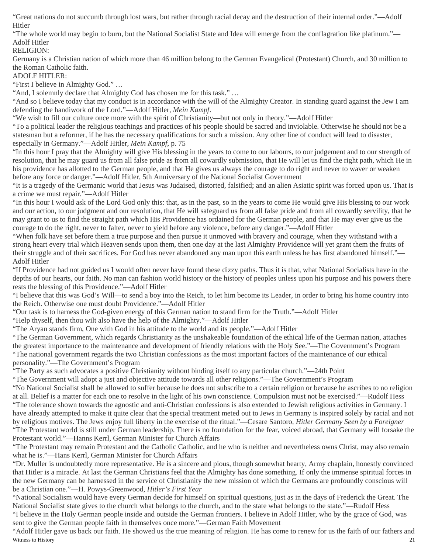"Great nations do not succumb through lost wars, but rather through racial decay and the destruction of their internal order."—Adolf Hitler

"The whole world may begin to burn, but the National Socialist State and Idea will emerge from the conflagration like platinum."— Adolf Hitler

RELIGION:

Germany is a Christian nation of which more than 46 million belong to the German Evangelical (Protestant) Church, and 30 million to the Roman Catholic faith.

ADOLF HITLER:

"First I believe in Almighty God." …

"And, I solemnly declare that Almighty God has chosen me for this task." …

"And so I believe today that my conduct is in accordance with the will of the Almighty Creator. In standing guard against the Jew I am defending the handiwork of the Lord."—Adolf Hitler, *Mein Kampf*.

"We wish to fill our culture once more with the spirit of Christianity—but not only in theory."—Adolf Hitler

"To a political leader the religious teachings and practices of his people should be sacred and inviolable. Otherwise he should not be a statesman but a reformer, if he has the necessary qualifications for such a mission. Any other line of conduct will lead to disaster, especially in Germany."—Adolf Hitler, *Mein Kampf*, p. 75

"In this hour I pray that the Almighty will give His blessing in the years to come to our labours, to our judgement and to our strength of resolution, that he may guard us from all false pride as from all cowardly submission, that He will let us find the right path, which He in his providence has allotted to the German people, and that He gives us always the courage to do right and never to waver or weaken before any force or danger."—Adolf Hitler, 5th Anniversary of the National Socialist Government

"It is a tragedy of the Germanic world that Jesus was Judaised, distorted, falsified; and an alien Asiatic spirit was forced upon us. That is a crime we must repair."—Adolf Hitler

"In this hour I would ask of the Lord God only this: that, as in the past, so in the years to come He would give His blessing to our work and our action, to our judgment and our resolution, that He will safeguard us from all false pride and from all cowardly servility, that he may grant to us to find the straight path which His Providence has ordained for the German people, and that He may ever give us the courage to do the right, never to falter, never to yield before any violence, before any danger."—Adolf Hitler

"When folk have set before them a true purpose and then pursue it unmoved with bravery and courage, when they withstand with a strong heart every trial which Heaven sends upon them, then one day at the last Almighty Providence will yet grant them the fruits of their struggle and of their sacrifices. For God has never abandoned any man upon this earth unless he has first abandoned himself."— Adolf Hitler

"If Providence had not guided us I would often never have found these dizzy paths. Thus it is that, what National Socialists have in the depths of our hearts, our faith. No man can fashion world history or the history of peoples unless upon his purpose and his powers there rests the blessing of this Providence."—Adolf Hitler

"I believe that this was God's Will—to send a boy into the Reich, to let him become its Leader, in order to bring his home country into the Reich. Otherwise one must doubt Providence."—Adolf Hitler

"Our task is to harness the God-given energy of this German nation to stand firm for the Truth."—Adolf Hitler

"Help thyself, then thou wilt also have the help of the Almighty."—Adolf Hitler

"The Aryan stands firm, One with God in his attitude to the world and its people."—Adolf Hitler

"The German Government, which regards Christianity as the unshakeable foundation of the ethical life of the German nation, attaches the greatest importance to the maintenance and development of friendly relations with the Holy See."—The Government's Program "The national government regards the two Christian confessions as the most important factors of the maintenance of our ethical personality."—The Government's Program

"The Party as such advocates a positive Christianity without binding itself to any particular church."—24th Point

"The Government will adopt a just and objective attitude towards all other religions."—The Government's Program "No National Socialist shall be allowed to suffer because he does not subscribe to a certain religion or because he ascribes to no religion at all. Belief is a matter for each one to resolve in the light of his own conscience. Compulsion must not be exercised."—Rudolf Hess "The tolerance shown towards the agnostic and anti-Christian confessions is also extended to Jewish religious activities in Germany. I have already attempted to make it quite clear that the special treatment meted out to Jews in Germany is inspired solely by racial and not by religious motives. The Jews enjoy full liberty in the exercise of the ritual."—Cesare Santoro, *Hitler Germany Seen by a Foreigner* "The Protestant world is still under German leadership. There is no foundation for the fear, voiced abroad, that Germany will forsake the Protestant world."—Hanns Kerrl, German Minister for Church Affairs

"The Protestant may remain Protestant and the Catholic Catholic, and he who is neither and nevertheless owns Christ, may also remain what he is."—Hans Kerrl, German Minister for Church Affairs

"Dr. Muller is undoubtedly more representative. He is a sincere and pious, though somewhat hearty, Army chaplain, honestly convinced that Hitler is a miracle. At last the German Christians feel that the Almighty has done something. If only the immense spiritual forces in the new Germany can be harnessed in the service of Christianity the new mission of which the Germans are profoundly conscious will be a Christian one."—H. Powys-Greenwood, *Hitler's First Year*

"National Socialism would have every German decide for himself on spiritual questions, just as in the days of Frederick the Great. The National Socialist state gives to the church what belongs to the church, and to the state what belongs to the state."—Rudolf Hess "I believe in the Holy German people inside and outside the German frontiers. I believe in Adolf Hitler, who by the grace of God, was sent to give the German people faith in themselves once more."—German Faith Movement

Witness to History 21 "Adolf Hitler gave us back our faith. He showed us the true meaning of religion. He has come to renew for us the faith of our fathers and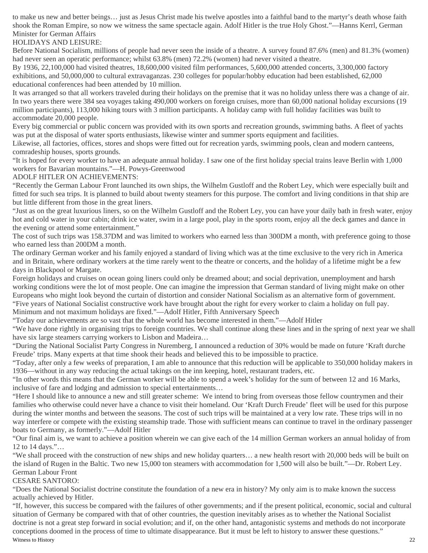to make us new and better beings… just as Jesus Christ made his twelve apostles into a faithful band to the martyr's death whose faith shook the Roman Empire, so now we witness the same spectacle again. Adolf Hitler is the true Holy Ghost."—Hanns Kerrl, German Minister for German Affairs

### HOLIDAYS AND LEISURE:

Before National Socialism, millions of people had never seen the inside of a theatre. A survey found 87.6% (men) and 81.3% (women) had never seen an operatic performance; whilst 63.8% (men) 72.2% (women) had never visited a theatre.

By 1936, 22,100,000 had visited theatres, 18,600,000 visited film performances, 5,600,000 attended concerts, 3,300,000 factory exhibitions, and 50,000,000 to cultural extravaganzas. 230 colleges for popular/hobby education had been established, 62,000 educational conferences had been attended by 10 million.

It was arranged so that all workers traveled during their holidays on the premise that it was no holiday unless there was a change of air. In two years there were 384 sea voyages taking 490,000 workers on foreign cruises, more than 60,000 national holiday excursions (19 million participants), 113,000 hiking tours with 3 million participants. A holiday camp with full holiday facilities was built to accommodate 20,000 people.

Every big commercial or public concern was provided with its own sports and recreation grounds, swimming baths. A fleet of yachts was put at the disposal of water sports enthusiasts, likewise winter and summer sports equipment and facilities.

Likewise, all factories, offices, stores and shops were fitted out for recreation yards, swimming pools, clean and modern canteens, comradeship houses, sports grounds.

"It is hoped for every worker to have an adequate annual holiday. I saw one of the first holiday special trains leave Berlin with 1,000 workers for Bavarian mountains."—H. Powys-Greenwood

#### ADOLF HITLER ON ACHIEVEMENTS:

"Recently the German Labour Front launched its own ships, the Wilhelm Gustloff and the Robert Ley, which were especially built and fitted for such sea trips. It is planned to build about twenty steamers for this purpose. The comfort and living conditions in that ship are but little different from those in the great liners.

"Just as on the great luxurious liners, so on the Wilhelm Gustloff and the Robert Ley, you can have your daily bath in fresh water, enjoy hot and cold water in your cabin; drink ice water, swim in a large pool, play in the sports room, enjoy all the deck games and dance in the evening or attend some entertainment."

The cost of such trips was 158.37DM and was limited to workers who earned less than 300DM a month, with preference going to those who earned less than 200DM a month.

The ordinary German worker and his family enjoyed a standard of living which was at the time exclusive to the very rich in America and in Britain, where ordinary workers at the time rarely went to the theatre or concerts, and the holiday of a lifetime might be a few days in Blackpool or Margate.

Foreign holidays and cruises on ocean going liners could only be dreamed about; and social deprivation, unemployment and harsh working conditions were the lot of most people. One can imagine the impression that German standard of living might make on other Europeans who might look beyond the curtain of distortion and consider National Socialism as an alternative form of government. "Five years of National Socialist constructive work have brought about the right for every worker to claim a holiday on full pay. Minimum and not maximum holidays are fixed."—Adolf Hitler, Fifth Anniversary Speech

"Today our achievements are so vast that the whole world has become interested in them."—Adolf Hitler

"We have done rightly in organising trips to foreign countries. We shall continue along these lines and in the spring of next year we shall have six large steamers carrying workers to Lisbon and Madeira...

"During the National Socialist Party Congress in Nuremberg, I announced a reduction of 30% would be made on future 'Kraft durche Freude' trips. Many experts at that time shook their heads and believed this to be impossible to practice.

"Today, after only a few weeks of preparation, I am able to announce that this reduction will be applicable to 350,000 holiday makers in 1936—without in any way reducing the actual takings on the inn keeping, hotel, restaurant traders, etc.

"In other words this means that the German worker will be able to spend a week's holiday for the sum of between 12 and 16 Marks, inclusive of fare and lodging and admission to special entertainments…

"Here I should like to announce a new and still greater scheme: We intend to bring from overseas those fellow countrymen and their families who otherwise could never have a chance to visit their homeland. Our 'Kraft Durch Freude' fleet will be used for this purpose during the winter months and between the seasons. The cost of such trips will be maintained at a very low rate. These trips will in no way interfere or compete with the existing steamship trade. Those with sufficient means can continue to travel in the ordinary passenger boats to Germany, as formerly."—Adolf Hitler

"Our final aim is, we want to achieve a position wherein we can give each of the 14 million German workers an annual holiday of from 12 to 14 days."…

"We shall proceed with the construction of new ships and new holiday quarters… a new health resort with 20,000 beds will be built on the island of Rugen in the Baltic. Two new 15,000 ton steamers with accommodation for 1,500 will also be built."—Dr. Robert Ley. German Labour Front

### CESARE SANTORO:

"Does the National Socialist doctrine constitute the foundation of a new era in history? My only aim is to make known the success actually achieved by Hitler.

Witness to History 22 "If, however, this success be compared with the failures of other governments; and if the present political, economic, social and cultural situation of Germany be compared with that of other countries, the question inevitably arises as to whether the National Socialist doctrine is not a great step forward in social evolution; and if, on the other hand, antagonistic systems and methods do not incorporate conceptions doomed in the process of time to ultimate disappearance. But it must be left to history to answer these questions."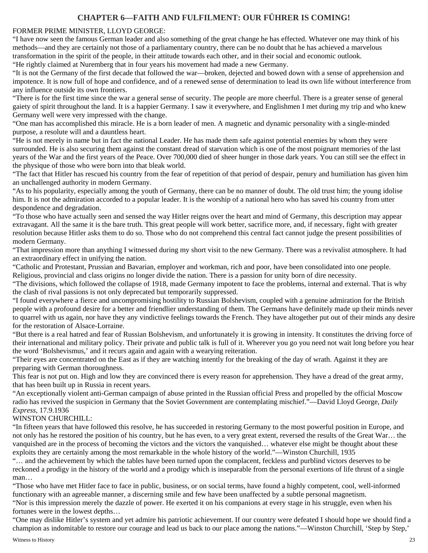# **CHAPTER 6—FAITH AND FULFILMENT: OUR FÜHRER IS COMING!**

### FORMER PRIME MINISTER, LLOYD GEORGE:

"I have now seen the famous German leader and also something of the great change he has effected. Whatever one may think of his methods—and they are certainly not those of a parliamentary country, there can be no doubt that he has achieved a marvelous transformation in the spirit of the people, in their attitude towards each other, and in their social and economic outlook. "He rightly claimed at Nuremberg that in four years his movement had made a new Germany.

"It is not the Germany of the first decade that followed the war—broken, dejected and bowed down with a sense of apprehension and impotence. It is now full of hope and confidence, and of a renewed sense of determination to lead its own life without interference from any influence outside its own frontiers.

"There is for the first time since the war a general sense of security. The people are more cheerful. There is a greater sense of general gaiety of spirit throughout the land. It is a happier Germany. I saw it everywhere, and Englishmen I met during my trip and who knew Germany well were very impressed with the change.

"One man has accomplished this miracle. He is a born leader of men. A magnetic and dynamic personality with a single-minded purpose, a resolute will and a dauntless heart.

"He is not merely in name but in fact the national Leader. He has made them safe against potential enemies by whom they were surrounded. He is also securing them against the constant dread of starvation which is one of the most poignant memories of the last years of the War and the first years of the Peace. Over 700,000 died of sheer hunger in those dark years. You can still see the effect in the physique of those who were born into that bleak world.

"The fact that Hitler has rescued his country from the fear of repetition of that period of despair, penury and humiliation has given him an unchallenged authority in modern Germany.

"As to his popularity, especially among the youth of Germany, there can be no manner of doubt. The old trust him; the young idolise him. It is not the admiration accorded to a popular leader. It is the worship of a national hero who has saved his country from utter despondence and degradation.

"To those who have actually seen and sensed the way Hitler reigns over the heart and mind of Germany, this description may appear extravagant. All the same it is the bare truth. This great people will work better, sacrifice more, and, if necessary, fight with greater resolution because Hitler asks them to do so. Those who do not comprehend this central fact cannot judge the present possibilities of modern Germany.

"That impression more than anything I witnessed during my short visit to the new Germany. There was a revivalist atmosphere. It had an extraordinary effect in unifying the nation.

"Catholic and Protestant, Prussian and Bavarian, employer and workman, rich and poor, have been consolidated into one people. Religious, provincial and class origins no longer divide the nation. There is a passion for unity born of dire necessity.

"The divisions, which followed the collapse of 1918, made Germany impotent to face the problems, internal and external. That is why the clash of rival passions is not only deprecated but temporarily suppressed.

"I found everywhere a fierce and uncompromising hostility to Russian Bolshevism, coupled with a genuine admiration for the British people with a profound desire for a better and friendlier understanding of them. The Germans have definitely made up their minds never to quarrel with us again, nor have they any vindictive feelings towards the French. They have altogether put out of their minds any desire for the restoration of Alsace-Lorraine.

"But there is a real hatred and fear of Russian Bolshevism, and unfortunately it is growing in intensity. It constitutes the driving force of their international and military policy. Their private and public talk is full of it. Wherever you go you need not wait long before you hear the word 'Bolshevismus,' and it recurs again and again with a wearying reiteration.

"Their eyes are concentrated on the East as if they are watching intently for the breaking of the day of wrath. Against it they are preparing with German thoroughness.

This fear is not put on. High and low they are convinced there is every reason for apprehension. They have a dread of the great army, that has been built up in Russia in recent years.

"An exceptionally violent anti-German campaign of abuse printed in the Russian official Press and propelled by the official Moscow radio has revived the suspicion in Germany that the Soviet Government are contemplating mischief."—David Lloyd George, *Daily Express*, 17.9.1936

### WINSTON CHURCHILL:

"In fifteen years that have followed this resolve, he has succeeded in restoring Germany to the most powerful position in Europe, and not only has he restored the position of his country, but he has even, to a very great extent, reversed the results of the Great War… the vanquished are in the process of becoming the victors and the victors the vanquished… whatever else might be thought about these exploits they are certainly among the most remarkable in the whole history of the world."—Winston Churchill, 1935

"… and the achievement by which the tables have been turned upon the complacent, feckless and purblind victors deserves to be reckoned a prodigy in the history of the world and a prodigy which is inseparable from the personal exertions of life thrust of a single man…

"Those who have met Hitler face to face in public, business, or on social terms, have found a highly competent, cool, well-informed functionary with an agreeable manner, a discerning smile and few have been unaffected by a subtle personal magnetism. "Nor is this impression merely the dazzle of power. He exerted it on his companions at every stage in his struggle, even when his fortunes were in the lowest depths…

"One may dislike Hitler's system and yet admire his patriotic achievement. If our country were defeated I should hope we should find a champion as indomitable to restore our courage and lead us back to our place among the nations."—Winston Churchill, 'Step by Step,'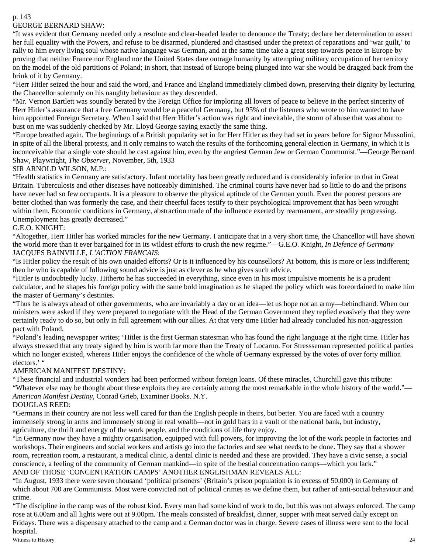#### p. 143 GEORGE BERNARD SHAW:

"It was evident that Germany needed only a resolute and clear-headed leader to denounce the Treaty; declare her determination to assert her full equality with the Powers, and refuse to be disarmed, plundered and chastised under the pretext of reparations and 'war guilt,' to rally to him every living soul whose native language was German, and at the same time take a great step towards peace in Europe by proving that neither France nor England nor the United States dare outrage humanity by attempting military occupation of her territory on the model of the old partitions of Poland; in short, that instead of Europe being plunged into war she would be dragged back from the brink of it by Germany.

"Herr Hitler seized the hour and said the word, and France and England immediately climbed down, preserving their dignity by lecturing the Chancellor solemnly on his naughty behaviour as they descended.

"Mr. Vernon Bartlett was soundly berated by the Foreign Office for imploring all lovers of peace to believe in the perfect sincerity of Herr Hitler's assurance that a free Germany would be a peaceful Germany, but 95% of the listeners who wrote to him wanted to have him appointed Foreign Secretary. When I said that Herr Hitler's action was right and inevitable, the storm of abuse that was about to bust on me was suddenly checked by Mr. Lloyd George saying exactly the same thing.

"Europe breathed again. The beginnings of a British popularity set in for Herr Hitler as they had set in years before for Signor Mussolini, in spite of all the liberal protests, and it only remains to watch the results of the forthcoming general election in Germany, in which it is inconceivable that a single vote should be cast against him, even by the angriest German Jew or German Communist."—George Bernard Shaw, Playwright, *The Observer*, November, 5th, 1933

# SIR ARNOLD WILSON, M.P.:

"Health statistics in Germany are satisfactory. Infant mortality has been greatly reduced and is considerably inferior to that in Great Britain. Tuberculosis and other diseases have noticeably diminished. The criminal courts have never had so little to do and the prisons have never had so few occupants. It is a pleasure to observe the physical aptitude of the German youth. Even the poorest persons are better clothed than was formerly the case, and their cheerful faces testify to their psychological improvement that has been wrought within them. Economic conditions in Germany, abstraction made of the influence exerted by rearmament, are steadily progressing. Unemployment has greatly decreased."

# G.E.O. KNIGHT:

"Altogether, Herr Hitler has worked miracles for the new Germany. I anticipate that in a very short time, the Chancellor will have shown the world more than it ever bargained for in its wildest efforts to crush the new regime."—G.E.O. Knight, *In Defence of Germany* JACQUES BAINVILLE, *L'ACTION FRANCAIS*:

"Is Hitler policy the result of his own unaided efforts? Or is it influenced by his counsellors? At bottom, this is more or less indifferent; then he who is capable of following sound advice is just as clever as he who gives such advice.

"Hitler is undoubtedly lucky. Hitherto he has succeeded in everything, since even in his most impulsive moments he is a prudent calculator, and he shapes his foreign policy with the same bold imagination as he shaped the policy which was foreordained to make him the master of Germany's destinies.

"Thus he is always ahead of other governments, who are invariably a day or an idea—let us hope not an army—behindhand. When our ministers were asked if they were prepared to negotiate with the Head of the German Government they replied evasively that they were certainly ready to do so, but only in full agreement with our allies. At that very time Hitler had already concluded his non-aggression pact with Poland.

"Poland's leading newspaper writes; 'Hitler is the first German statesman who has found the right language at the right time. Hitler has always stressed that any treaty signed by him is worth far more than the Treaty of Locarno. For Stressseman represented political parties which no longer existed, whereas Hitler enjoys the confidence of the whole of Germany expressed by the votes of over forty million electors.' "

# AMERICAN MANIFEST DESTINY:

"These financial and industrial wonders had been performed without foreign loans. Of these miracles, Churchill gave this tribute: "Whatever else may be thought about these exploits they are certainly among the most remarkable in the whole history of the world."— *American Manifest Destiny*, Conrad Grieb, Examiner Books. N.Y.

# DOUGLAS REED:

"Germans in their country are not less well cared for than the English people in theirs, but better. You are faced with a country immensely strong in arms and immensely strong in real wealth—not in gold bars in a vault of the national bank, but industry, agriculture, the thrift and energy of the work people, and the conditions of life they enjoy.

"In Germany now they have a mighty organisation, equipped with full powers, for improving the lot of the work people in factories and workshops. Their engineers and social workers and artists go into the factories and see what needs to be done. They say that a shower room, recreation room, a restaurant, a medical clinic, a dental clinic is needed and these are provided. They have a civic sense, a social conscience, a feeling of the community of German mankind—in spite of the bestial concentration camps—which you lack." AND OF THOSE 'CONCENTRATION CAMPS' ANOTHER ENGLISHMAN REVEALS ALL:

"In August, 1933 there were seven thousand 'political prisoners' (Britain's prison population is in excess of 50,000) in Germany of which about 700 are Communists. Most were convicted not of political crimes as we define them, but rather of anti-social behaviour and crime.

Witness to History 24 "The discipline in the camp was of the robust kind. Every man had some kind of work to do, but this was not always enforced. The camp rose at 6.00am and all lights were out at 9.00pm. The meals consisted of breakfast, dinner, supper with meat served daily except on Fridays. There was a dispensary attached to the camp and a German doctor was in charge. Severe cases of illness were sent to the local hospital.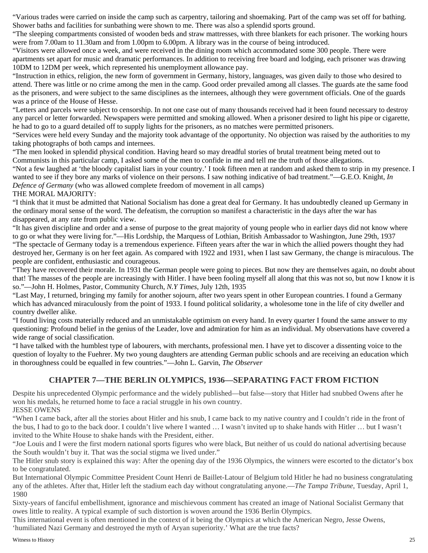"Various trades were carried on inside the camp such as carpentry, tailoring and shoemaking. Part of the camp was set off for bathing. Shower baths and facilities for sunbathing were shown to me. There was also a splendid sports ground.

"The sleeping compartments consisted of wooden beds and straw mattresses, with three blankets for each prisoner. The working hours were from 7.00am to 11.30am and from 1.00pm to 6.00pm. A library was in the course of being introduced.

"Visitors were allowed once a week, and were received in the dining room which accommodated some 300 people. There were apartments set apart for music and dramatic performances. In addition to receiving free board and lodging, each prisoner was drawing 10DM to 12DM per week, which represented his unemployment allowance pay.

"Instruction in ethics, religion, the new form of government in Germany, history, languages, was given daily to those who desired to attend. There was little or no crime among the men in the camp. Good order prevailed among all classes. The guards ate the same food as the prisoners, and were subject to the same disciplines as the internees, although they were government officials. One of the guards was a prince of the House of Hesse.

"Letters and parcels were subject to censorship. In not one case out of many thousands received had it been found necessary to destroy any parcel or letter forwarded. Newspapers were permitted and smoking allowed. When a prisoner desired to light his pipe or cigarette, he had to go to a guard detailed off to supply lights for the prisoners, as no matches were permitted prisoners.

"Services were held every Sunday and the majority took advantage of the opportunity. No objection was raised by the authorities to my taking photographs of both camps and internees.

"The men looked in splendid physical condition. Having heard so may dreadful stories of brutal treatment being meted out to Communists in this particular camp, I asked some of the men to confide in me and tell me the truth of those allegations.

"Not a few laughed at 'the bloody capitalist liars in your country.' I took fifteen men at random and asked them to strip in my presence. I wanted to see if they bore any marks of violence on their persons. I saw nothing indicative of bad treatment."—G.E.O. Knight, *In Defence of Germany* (who was allowed complete freedom of movement in all camps)

### THE MORAL MAJORITY:

"I think that it must be admitted that National Socialism has done a great deal for Germany. It has undoubtedly cleaned up Germany in the ordinary moral sense of the word. The defeatism, the corruption so manifest a characteristic in the days after the war has disappeared, at any rate from public view.

"It has given discipline and order and a sense of purpose to the great majority of young people who in earlier days did not know where to go or what they were living for."—His Lordship, the Marquess of Lothian, British Ambassador to Washington, June 29th, 1937 "The spectacle of Germany today is a tremendous experience. Fifteen years after the war in which the allied powers thought they had destroyed her, Germany is on her feet again. As compared with 1922 and 1931, when I last saw Germany, the change is miraculous. The people are confident, enthusiastic and courageous.

"They have recovered their morale. In 1931 the German people were going to pieces. But now they are themselves again, no doubt about that! The masses of the people are increasingly with Hitler. I have been fooling myself all along that this was not so, but now I know it is so."—John H. Holmes, Pastor, Community Church, *N.Y Times*, July 12th, 1935

"Last May, I returned, bringing my family for another sojourn, after two years spent in other European countries. I found a Germany which has advanced miraculously from the point of 1933. I found political solidarity, a wholesome tone in the life of city dweller and country dweller alike.

"I found living costs materially reduced and an unmistakable optimism on every hand. In every quarter I found the same answer to my questioning: Profound belief in the genius of the Leader, love and admiration for him as an individual. My observations have covered a wide range of social classification.

"I have talked with the humblest type of labourers, with merchants, professional men. I have yet to discover a dissenting voice to the question of loyalty to the Fuehrer. My two young daughters are attending German public schools and are receiving an education which in thoroughness could be equalled in few countries."—John L. Garvin, *The Observer*

# **CHAPTER 7—THE BERLIN OLYMPICS, 1936—SEPARATING FACT FROM FICTION**

Despite his unprecedented Olympic performance and the widely published—but false—story that Hitler had snubbed Owens after he won his medals, he returned home to face a racial struggle in his own country. JESSE OWENS

"When I came back, after all the stories about Hitler and his snub, I came back to my native country and I couldn't ride in the front of the bus, I had to go to the back door. I couldn't live where I wanted … I wasn't invited up to shake hands with Hitler … but I wasn't invited to the White House to shake hands with the President, either.

"Joe Louis and I were the first modern national sports figures who were black, But neither of us could do national advertising because the South wouldn't buy it. That was the social stigma we lived under."

The Hitler snub story is explained this way: After the opening day of the 1936 Olympics, the winners were escorted to the dictator's box to be congratulated.

But International Olympic Committee President Count Henri de Baillet-Latour of Belgium told Hitler he had no business congratulating any of the athletes. After that, Hitler left the stadium each day without congratulating anyone.—*The Tampa Tribune*, Tuesday, April 1, 1980

Sixty-years of fanciful embellishment, ignorance and mischievous comment has created an image of National Socialist Germany that owes little to reality. A typical example of such distortion is woven around the 1936 Berlin Olympics.

This international event is often mentioned in the context of it being the Olympics at which the American Negro, Jesse Owens, 'humiliated Nazi Germany and destroyed the myth of Aryan superiority.' What are the true facts?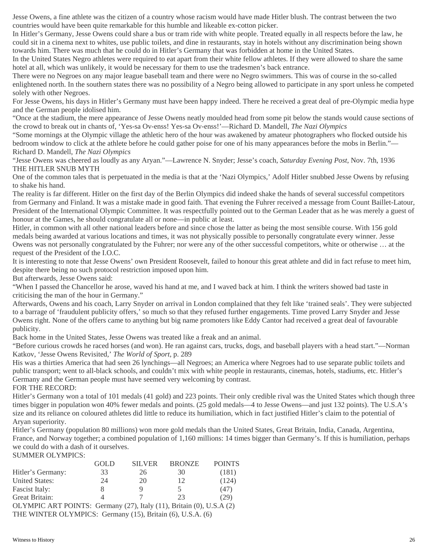Jesse Owens, a fine athlete was the citizen of a country whose racism would have made Hitler blush. The contrast between the two countries would have been quite remarkable for this humble and likeable ex-cotton picker.

In Hitler's Germany, Jesse Owens could share a bus or tram ride with white people. Treated equally in all respects before the law, he could sit in a cinema next to whites, use public toilets, and dine in restaurants, stay in hotels without any discrimination being shown towards him. There was much that he could do in Hitler's Germany that was forbidden at home in the United States.

In the United States Negro athletes were required to eat apart from their white fellow athletes. If they were allowed to share the same hotel at all, which was unlikely, it would be necessary for them to use the tradesmen's back entrance.

There were no Negroes on any major league baseball team and there were no Negro swimmers. This was of course in the so-called enlightened north. In the southern states there was no possibility of a Negro being allowed to participate in any sport unless he competed solely with other Negroes.

For Jesse Owens, his days in Hitler's Germany must have been happy indeed. There he received a great deal of pre-Olympic media hype and the German people idolised him.

"Once at the stadium, the mere appearance of Jesse Owens neatly moulded head from some pit below the stands would cause sections of the crowd to break out in chants of, 'Yes-sa Ov-enss! Yes-sa Ov-enss!'—Richard D. Mandell, *The Nazi Olympics*

"Some mornings at the Olympic village the athletic hero of the hour was awakened by amateur photographers who flocked outside his bedroom window to click at the athlete before he could gather poise for one of his many appearances before the mobs in Berlin."— Richard D. Mandell, *The Nazi Olympics*

"Jesse Owens was cheered as loudly as any Aryan."—Lawrence N. Snyder; Jesse's coach, *Saturday Evening Post*, Nov. 7th, 1936 THE HITLER SNUB MYTH

One of the common tales that is perpetuated in the media is that at the 'Nazi Olympics,' Adolf Hitler snubbed Jesse Owens by refusing to shake his hand.

The reality is far different. Hitler on the first day of the Berlin Olympics did indeed shake the hands of several successful competitors from Germany and Finland. It was a mistake made in good faith. That evening the Fuhrer received a message from Count Baillet-Latour, President of the International Olympic Committee. It was respectfully pointed out to the German Leader that as he was merely a guest of honour at the Games, he should congratulate all or none—in public at least.

Hitler, in common with all other national leaders before and since chose the latter as being the most sensible course. With 156 gold medals being awarded at various locations and times, it was not physically possible to personally congratulate every winner. Jesse Owens was not personally congratulated by the Fuhrer; nor were any of the other successful competitors, white or otherwise … at the request of the President of the I.O.C.

It is interesting to note that Jesse Owens' own President Roosevelt, failed to honour this great athlete and did in fact refuse to meet him, despite there being no such protocol restriction imposed upon him.

But afterwards, Jesse Owens said:

"When I passed the Chancellor he arose, waved his hand at me, and I waved back at him. I think the writers showed bad taste in criticising the man of the hour in Germany."

Afterwards, Owens and his coach, Larry Snyder on arrival in London complained that they felt like 'trained seals'. They were subjected to a barrage of 'fraudulent publicity offers,' so much so that they refused further engagements. Time proved Larry Snyder and Jesse Owens right. None of the offers came to anything but big name promoters like Eddy Cantor had received a great deal of favourable publicity.

Back home in the United States, Jesse Owens was treated like a freak and an animal.

"Before curious crowds he raced horses (and won). He ran against cars, trucks, dogs, and baseball players with a head start."—Norman Katkov, 'Jesse Owens Revisited*,*' *The World of Sport*, p. 289

His was a thirties America that had seen 26 lynchings—all Negroes; an America where Negroes had to use separate public toilets and public transport; went to all-black schools, and couldn't mix with white people in restaurants, cinemas, hotels, stadiums, etc. Hitler's Germany and the German people must have seemed very welcoming by contrast.

FOR THE RECORD:

Hitler's Germany won a total of 101 medals (41 gold) and 223 points. Their only credible rival was the United States which though three times bigger in population won 40% fewer medals and points. (25 gold medals—4 to Jesse Owens—and just 132 points). The U.S.A's size and its reliance on coloured athletes did little to reduce its humiliation, which in fact justified Hitler's claim to the potential of Aryan superiority.

Hitler's Germany (population 80 millions) won more gold medals than the United States, Great Britain, India, Canada, Argentina, France, and Norway together; a combined population of 1,160 millions: 14 times bigger than Germany's. If this is humiliation, perhaps we could do with a dash of it ourselves.

SUMMER OLYMPICS:

|                                                                      | GOLD | <b>SILVER</b> | <b>BRONZE</b> | <b>POINTS</b> |  |  |
|----------------------------------------------------------------------|------|---------------|---------------|---------------|--|--|
| Hitler's Germany:                                                    | 33   | 26            | 30            | (181)         |  |  |
| <b>United States:</b>                                                | 24   | 20            | 12            | (124)         |  |  |
| <b>Fascist Italy:</b>                                                | 8    | Q             |               | (47)          |  |  |
| Great Britain:                                                       |      |               | 23            | (29)          |  |  |
| OLYMPIC ART POINTS: Germany (27), Italy (11), Britain (0), U.S.A (2) |      |               |               |               |  |  |
| THE WINTER OLYMPICS: Germany (15), Britain (6), U.S.A. (6)           |      |               |               |               |  |  |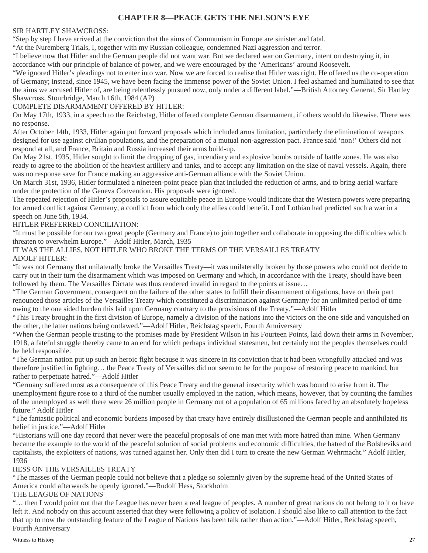# **CHAPTER 8—PEACE GETS THE NELSON'S EYE**

### SIR HARTLEY SHAWCROSS:

"Step by step I have arrived at the conviction that the aims of Communism in Europe are sinister and fatal.

"At the Nuremberg Trials, I, together with my Russian colleague, condemned Nazi aggression and terror.

"I believe now that Hitler and the German people did not want war. But we declared war on Germany, intent on destroying it, in accordance with our principle of balance of power, and we were encouraged by the 'Americans' around Roosevelt.

"We ignored Hitler's pleadings not to enter into war. Now we are forced to realise that Hitler was right. He offered us the co-operation of Germany; instead, since 1945, we have been facing the immense power of the Soviet Union. I feel ashamed and humiliated to see that the aims we accused Hitler of, are being relentlessly pursued now, only under a different label."—British Attorney General, Sir Hartley Shawcross, Stourbridge, March 16th, 1984 (AP)

COMPLETE DISARMAMENT OFFERED BY HITLER:

On May 17th, 1933, in a speech to the Reichstag, Hitler offered complete German disarmament, if others would do likewise. There was no response.

After October 14th, 1933, Hitler again put forward proposals which included arms limitation, particularly the elimination of weapons designed for use against civilian populations, and the preparation of a mutual non-aggression pact. France said 'non!' Others did not respond at all, and France, Britain and Russia increased their arms build-up.

On May 21st, 1935, Hitler sought to limit the dropping of gas, incendiary and explosive bombs outside of battle zones. He was also ready to agree to the abolition of the heaviest artillery and tanks, and to accept any limitation on the size of naval vessels. Again, there was no response save for France making an aggressive anti-German alliance with the Soviet Union.

On March 31st, 1936, Hitler formulated a nineteen-point peace plan that included the reduction of arms, and to bring aerial warfare under the protection of the Geneva Convention. His proposals were ignored.

The repeated rejection of Hitler's proposals to assure equitable peace in Europe would indicate that the Western powers were preparing for armed conflict against Germany, a conflict from which only the allies could benefit. Lord Lothian had predicted such a war in a speech on June 5th, 1934.

### HITLER PREFERRED CONCILIATION:

"It must be possible for our two great people (Germany and France) to join together and collaborate in opposing the difficulties which threaten to overwhelm Europe."—Adolf Hitler, March, 1935

# IT WAS THE ALLIES, NOT HITLER WHO BROKE THE TERMS OF THE VERSAILLES TREATY

ADOLF HITLER:

"It was not Germany that unilaterally broke the Versailles Treaty—it was unilaterally broken by those powers who could not decide to carry out in their turn the disarmament which was imposed on Germany and which, in accordance with the Treaty, should have been followed by them. The Versailles Dictate was thus rendered invalid in regard to the points at issue…

"The German Government, consequent on the failure of the other states to fulfill their disarmament obligations, have on their part renounced those articles of the Versailles Treaty which constituted a discrimination against Germany for an unlimited period of time owing to the one sided burden this laid upon Germany contrary to the provisions of the Treaty."—Adolf Hitler

"This Treaty brought in the first division of Europe, namely a division of the nations into the victors on the one side and vanquished on the other, the latter nations being outlawed."—Adolf Hitler, Reichstag speech, Fourth Anniversary

"When the German people trusting to the promises made by President Wilson in his Fourteen Points, laid down their arms in November, 1918, a fateful struggle thereby came to an end for which perhaps individual statesmen, but certainly not the peoples themselves could be held responsible.

"The German nation put up such an heroic fight because it was sincere in its conviction that it had been wrongfully attacked and was therefore justified in fighting… the Peace Treaty of Versailles did not seem to be for the purpose of restoring peace to mankind, but rather to perpetuate hatred."—Adolf Hitler

"Germany suffered most as a consequence of this Peace Treaty and the general insecurity which was bound to arise from it. The unemployment figure rose to a third of the number usually employed in the nation, which means, however, that by counting the families of the unemployed as well there were 26 million people in Germany out of a population of 65 millions faced by an absolutely hopeless future." Adolf Hitler

"The fantastic political and economic burdens imposed by that treaty have entirely disillusioned the German people and annihilated its belief in justice."—Adolf Hitler

"Historians will one day record that never were the peaceful proposals of one man met with more hatred than mine. When Germany became the example to the world of the peaceful solution of social problems and economic difficulties, the hatred of the Bolsheviks and capitalists, the exploiters of nations, was turned against her. Only then did I turn to create the new German Wehrmacht." Adolf Hitler, 1936

# HESS ON THE VERSAILLES TREATY

"The masses of the German people could not believe that a pledge so solemnly given by the supreme head of the United States of America could afterwards be openly ignored."—Rudolf Hess, Stockholm

### THE LEAGUE OF NATIONS

"… then I would point out that the League has never been a real league of peoples. A number of great nations do not belong to it or have left it. And nobody on this account asserted that they were following a policy of isolation. I should also like to call attention to the fact that up to now the outstanding feature of the League of Nations has been talk rather than action."—Adolf Hitler, Reichstag speech, Fourth Anniversary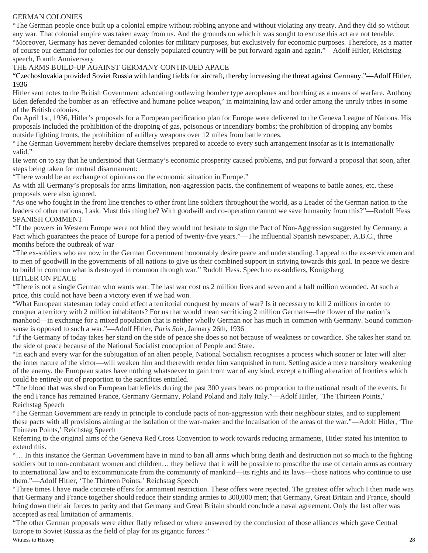### GERMAN COLONIES

"The German people once built up a colonial empire without robbing anyone and without violating any treaty. And they did so without any war. That colonial empire was taken away from us. And the grounds on which it was sought to excuse this act are not tenable. "Moreover, Germany has never demanded colonies for military purposes, but exclusively for economic purposes. Therefore, as a matter of course our demand for colonies for our densely populated country will be put forward again and again."—Adolf Hitler, Reichstag speech, Fourth Anniversary

THE ARMS BUILD-UP AGAINST GERMANY CONTINUED APACE

"Czechoslovakia provided Soviet Russia with landing fields for aircraft, thereby increasing the threat against Germany."—Adolf Hitler, 1936

Hitler sent notes to the British Government advocating outlawing bomber type aeroplanes and bombing as a means of warfare. Anthony Eden defended the bomber as an 'effective and humane police weapon,' in maintaining law and order among the unruly tribes in some of the British colonies.

On April 1st, 1936, Hitler's proposals for a European pacification plan for Europe were delivered to the Geneva League of Nations. His proposals included the prohibition of the dropping of gas, poisonous or incendiary bombs; the prohibition of dropping any bombs outside fighting fronts, the prohibition of artillery weapons over 12 miles from battle zones.

"The German Government hereby declare themselves prepared to accede to every such arrangement insofar as it is internationally valid."

He went on to say that he understood that Germany's economic prosperity caused problems, and put forward a proposal that soon, after steps being taken for mutual disarmament:

"There would be an exchange of opinions on the economic situation in Europe."

As with all Germany's proposals for arms limitation, non-aggression pacts, the confinement of weapons to battle zones, etc. these proposals were also ignored.

"As one who fought in the front line trenches to other front line soldiers throughout the world, as a Leader of the German nation to the leaders of other nations, I ask: Must this thing be? With goodwill and co-operation cannot we save humanity from this?"—Rudolf Hess SPANISH COMMENT

"If the powers in Western Europe were not blind they would not hesitate to sign the Pact of Non-Aggression suggested by Germany; a Pact which guarantees the peace of Europe for a period of twenty-five years."—The influential Spanish newspaper, A.B.C., three months before the outbreak of war

"The ex-soldiers who are now in the German Government honourably desire peace and understanding. I appeal to the ex-servicemen and to men of goodwill in the governments of all nations to give us their combined support in striving towards this goal. In peace we desire to build in common what is destroyed in common through war." Rudolf Hess. Speech to ex-soldiers, Konigsberg HITLER ON PEACE

"There is not a single German who wants war. The last war cost us 2 million lives and seven and a half million wounded. At such a price, this could not have been a victory even if we had won.

"What European statesman today could effect a territorial conquest by means of war? Is it necessary to kill 2 millions in order to conquer a territory with 2 million inhabitants? For us that would mean sacrificing 2 million Germans—the flower of the nation's manhood—in exchange for a mixed population that is neither wholly German nor has much in common with Germany. Sound commonsense is opposed to such a war."—Adolf Hitler, *Paris Soir*, January 26th, 1936

"If the Germany of today takes her stand on the side of peace she does so not because of weakness or cowardice. She takes her stand on the side of peace because of the National Socialist conception of People and State.

"In each and every war for the subjugation of an alien people, National Socialism recognises a process which sooner or later will alter the inner nature of the victor—will weaken him and therewith render him vanquished in turn. Setting aside a mere transitory weakening of the enemy, the European states have nothing whatsoever to gain from war of any kind, except a trifling alteration of frontiers which could be entirely out of proportion to the sacrifices entailed.

"The blood that was shed on European battlefields during the past 300 years bears no proportion to the national result of the events. In the end France has remained France, Germany Germany, Poland Poland and Italy Italy."—Adolf Hitler, 'The Thirteen Points,' Reichstag Speech

"The German Government are ready in principle to conclude pacts of non-aggression with their neighbour states, and to supplement these pacts with all provisions aiming at the isolation of the war-maker and the localisation of the areas of the war."—Adolf Hitler, 'The Thirteen Points,' Reichstag Speech

Referring to the original aims of the Geneva Red Cross Convention to work towards reducing armaments, Hitler stated his intention to extend this.

"… In this instance the German Government have in mind to ban all arms which bring death and destruction not so much to the fighting soldiers but to non-combatant women and children… they believe that it will be possible to proscribe the use of certain arms as contrary to international law and to excommunicate from the community of mankind—its rights and its laws—those nations who continue to use them."—Adolf Hitler, 'The Thirteen Points,' Reichstag Speech

"Three times I have made concrete offers for armament restriction. These offers were rejected. The greatest offer which I then made was that Germany and France together should reduce their standing armies to 300,000 men; that Germany, Great Britain and France, should bring down their air forces to parity and that Germany and Great Britain should conclude a naval agreement. Only the last offer was accepted as real limitation of armaments.

Witness to History 28 "The other German proposals were either flatly refused or where answered by the conclusion of those alliances which gave Central Europe to Soviet Russia as the field of play for its gigantic forces."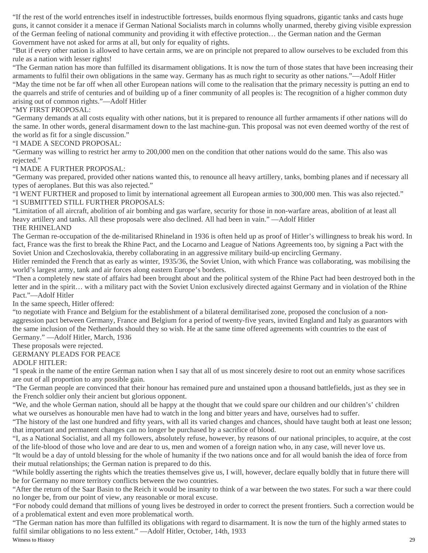"If the rest of the world entrenches itself in indestructible fortresses, builds enormous flying squadrons, gigantic tanks and casts huge guns, it cannot consider it a menace if German National Socialists march in columns wholly unarmed, thereby giving visible expression of the German feeling of national community and providing it with effective protection… the German nation and the German Government have not asked for arms at all, but only for equality of rights.

"But if every other nation is allowed to have certain arms, we are on principle not prepared to allow ourselves to be excluded from this rule as a nation with lesser rights!

"The German nation has more than fulfilled its disarmament obligations. It is now the turn of those states that have been increasing their armaments to fulfil their own obligations in the same way. Germany has as much right to security as other nations."—Adolf Hitler "May the time not be far off when all other European nations will come to the realisation that the primary necessity is putting an end to the quarrels and strife of centuries and of building up of a finer community of all peoples is: The recognition of a higher common duty arising out of common rights."—Adolf Hitler

### "MY FIRST PROPOSAL:

"Germany demands at all costs equality with other nations, but it is prepared to renounce all further armaments if other nations will do the same. In other words, general disarmament down to the last machine-gun. This proposal was not even deemed worthy of the rest of the world as fit for a single discussion."

### "I MADE A SECOND PROPOSAL:

"Germany was willing to restrict her army to 200,000 men on the condition that other nations would do the same. This also was rejected."

### "I MADE A FURTHER PROPOSAL:

"Germany was prepared, provided other nations wanted this, to renounce all heavy artillery, tanks, bombing planes and if necessary all types of aeroplanes. But this was also rejected."

"I WENT FURTHER and proposed to limit by international agreement all European armies to 300,000 men. This was also rejected." "I SUBMITTED STILL FURTHER PROPOSALS:

"Limitation of all aircraft, abolition of air bombing and gas warfare, security for those in non-warfare areas, abolition of at least all heavy artillery and tanks. All these proposals were also declined. All had been in vain." —Adolf Hitler THE RHINELAND

The German re-occupation of the de-militarised Rhineland in 1936 is often held up as proof of Hitler's willingness to break his word. In fact, France was the first to break the Rhine Pact, and the Locarno and League of Nations Agreements too, by signing a Pact with the Soviet Union and Czechoslovakia, thereby collaborating in an aggressive military build-up encircling Germany.

Hitler reminded the French that as early as winter, 1935/36, the Soviet Union, with which France was collaborating, was mobilising the world's largest army, tank and air forces along eastern Europe's borders.

"Then a completely new state of affairs had been brought about and the political system of the Rhine Pact had been destroyed both in the letter and in the spirit… with a military pact with the Soviet Union exclusively directed against Germany and in violation of the Rhine Pact."—Adolf Hitler

In the same speech, Hitler offered:

"to negotiate with France and Belgium for the establishment of a bilateral demilitarised zone, proposed the conclusion of a nonaggression pact between Germany, France and Belgium for a period of twenty-five years, invited England and Italy as guarantors with the same inclusion of the Netherlands should they so wish. He at the same time offered agreements with countries to the east of Germany." —Adolf Hitler, March, 1936

These proposals were rejected.

### GERMANY PLEADS FOR PEACE

ADOLF HITLER:

"I speak in the name of the entire German nation when I say that all of us most sincerely desire to root out an enmity whose sacrifices are out of all proportion to any possible gain.

"The German people are convinced that their honour has remained pure and unstained upon a thousand battlefields, just as they see in the French soldier only their ancient but glorious opponent.

"We, and the whole German nation, should all be happy at the thought that we could spare our children and our children's' children what we ourselves as honourable men have had to watch in the long and bitter years and have, ourselves had to suffer.

"The history of the last one hundred and fifty years, with all its varied changes and chances, should have taught both at least one lesson; that important and permanent changes can no longer be purchased by a sacrifice of blood.

"I, as a National Socialist, and all my followers, absolutely refuse, however, by reasons of our national principles, to acquire, at the cost of the life-blood of those who love and are dear to us, men and women of a foreign nation who, in any case, will never love us.

"It would be a day of untold blessing for the whole of humanity if the two nations once and for all would banish the idea of force from their mutual relationships; the German nation is prepared to do this.

"While boldly asserting the rights which the treaties themselves give us, I will, however, declare equally boldly that in future there will be for Germany no more territory conflicts between the two countries.

"After the return of the Saar Basin to the Reich it would be insanity to think of a war between the two states. For such a war there could no longer be, from our point of view, any reasonable or moral excuse.

"For nobody could demand that millions of young lives be destroyed in order to correct the present frontiers. Such a correction would be of a problematical extent and even more problematical worth.

Witness to History 29 "The German nation has more than fulfilled its obligations with regard to disarmament. It is now the turn of the highly armed states to fulfil similar obligations to no less extent." —Adolf Hitler, October, 14th, 1933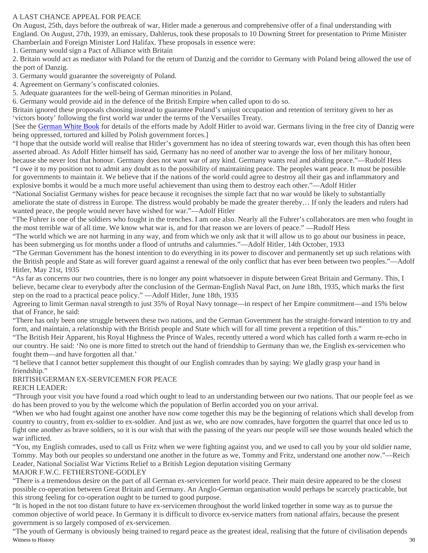### A LAST CHANCE APPEAL FOR PEACE

On August, 25th, days before the outbreak of war, Hitler made a generous and comprehensive offer of a final understanding with England. On August, 27th, 1939, an emissary, Dahlerus, took these proposals to 10 Downing Street for presentation to Prime Minister Chamberlain and Foreign Minister Lord Halifax. These proposals in essence were:

1. Germany would sign a Pact of Alliance with Britain

2. Britain would act as mediator with Poland for the return of Danzig and the corridor to Germany with Poland being allowed the use of the port of Danzig.

3. Germany would guarantee the sovereignty of Poland.

4. Agreement on Germany's confiscated colonies.

5. Adequate guarantees for the well-being of German minorities in Poland.

6. Germany would provide aid in the defence of the British Empire when called upon to do so.

Britain ignored these proposals choosing instead to guarantee Poland's unjust occupation and retention of territory given to her as 'victors booty' following the first world war under the terms of the Versailles Treaty.

[See the [German White Book](http://www.sweetliberty.org/issues/wars/whitebook/1.shtml) for details of the efforts made by Adolf Hitler to avoid war. Germans living in the free city of Danzig were being oppressed, tortured and killed by Polish government forces.]

"I hope that the outside world will realise that Hitler's government has no idea of steering towards war, even though this has often been asserted abroad. As Adolf Hitler himself has said, Germany has no need of another war to avenge the loss of her military honour,

because she never lost that honour. Germany does not want war of any kind. Germany wants real and abiding peace."—Rudolf Hess "I owe it to my position not to admit any doubt as to the possibility of maintaining peace. The peoples want peace. It must be possible for governments to maintain it. We believe that if the nations of the world could agree to destroy all their gas and inflammatory and explosive bombs it would be a much more useful achievement than using them to destroy each other."—Adolf Hitler

"National Socialist Germany wishes for peace because it recognises the simple fact that no war would be likely to substantially ameliorate the state of distress in Europe. The distress would probably be made the greater thereby… If only the leaders and rulers had wanted peace, the people would never have wished for war."—Adolf Hitler

"The Fuhrer is one of the soldiers who fought in the trenches. I am one also. Nearly all the Fuhrer's collaborators are men who fought in the most terrible war of all time. We know what war is, and for that reason we are lovers of peace." —Rudolf Hess

"The world which we are not harming in any way, and from which we only ask that it will allow us to go about our business in peace, has been submerging us for months under a flood of untruths and calumnies."—Adolf Hitler, 14th October, 1933

"The German Government has the honest intention to do everything in its power to discover and permanently set up such relations with the British people and State as will forever guard against a renewal of the only conflict that has ever been between two peoples."—Adolf Hitler, May 21st, 1935

"As far as concerns our two countries, there is no longer any point whatsoever in dispute between Great Britain and Germany. This, I believe, became clear to everybody after the conclusion of the German-English Naval Pact, on June 18th, 1935, which marks the first step on the road to a practical peace policy." —Adolf Hitler, June 18th, 1935

Agreeing to limit German naval strength to just 35% of Royal Navy tonnage—in respect of her Empire commitment—and 15% below that of France, he said:

"There has only been one struggle between these two nations, and the German Government has the straight-forward intention to try and form, and maintain, a relationship with the British people and State which will for all time prevent a repetition of this."

"The British Heir Apparent, his Royal Highness the Prince of Wales, recently uttered a word which has called forth a warm re-echo in our country. He said: 'No one is more fitted to stretch out the hand of friendship to Germany than we, the English ex-servicemen who fought them—and have forgotten all that.'

"I believe that I cannot better supplement this thought of our English comrades than by saying: We gladly grasp your hand in friendship."

#### BRITISH/GERMAN EX-SERVICEMEN FOR PEACE REICH LEADER:

"Through your visit you have found a road which ought to lead to an understanding between our two nations. That our people feel as we do has been proved to you by the welcome which the population of Berlin accorded you on your arrival.

"When we who had fought against one another have now come together this may be the beginning of relations which shall develop from country to country, from ex-soldier to ex-soldier. And just as we, who are now comrades, have forgotten the quarrel that once led us to fight one another as brave soldiers, so it is our wish that with the passing of the years our people will see those wounds healed which the war inflicted.

"You, my English comrades, used to call us Fritz when we were fighting against you, and we used to call you by your old soldier name, Tommy. May both our peoples so understand one another in the future as we, Tommy and Fritz, understand one another now."—Reich Leader, National Socialist War Victims Relief to a British Legion deputation visiting Germany

### MAJOR F.W.C. FETHERSTONE-GODLEY

"There is a tremendous desire on the part of all German ex-servicemen for world peace. Their main desire appeared to be the closest possible co-operation between Great Britain and Germany. An Anglo-German organisation would perhaps be scarcely practicable, but this strong feeling for co-operation ought to be turned to good purpose.

"It is hoped in the not too distant future to have ex-servicemen throughout the world linked together in some way as to pursue the common objective of world peace. In Germany it is difficult to divorce ex-service matters from national affairs, because the present government is so largely composed of ex-servicemen.

Witness to History 30 "The youth of Germany is obviously being trained to regard peace as the greatest ideal, realising that the future of civilisation depends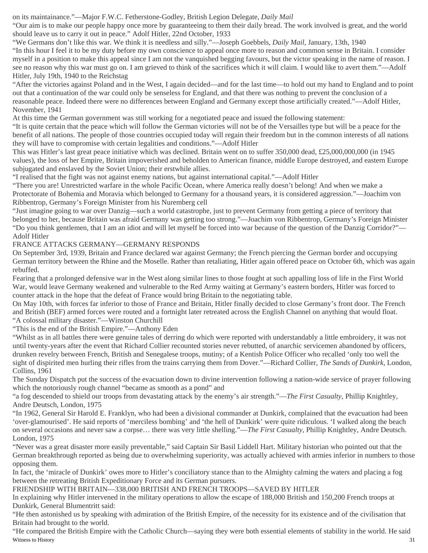on its maintainance."—Major F.W.C. Fetherstone-Godley, British Legion Delegate, *Daily Mail*

"Our aim is to make our people happy once more by guaranteeing to them their daily bread. The work involved is great, and the world should leave us to carry it out in peace." Adolf Hitler, 22nd October, 1933

"We Germans don't like this war. We think it is needless and silly."—Joseph Goebbels, *Daily Mail*, January, 13th, 1940

"In this hour I feel it to be my duty before my own conscience to appeal once more to reason and common sense in Britain. I consider myself in a position to make this appeal since I am not the vanquished begging favours, but the victor speaking in the name of reason. I see no reason why this war must go on. I am grieved to think of the sacrifices which it will claim. I would like to avert them."—Adolf Hitler, July 19th, 1940 to the Reichstag

"After the victories against Poland and in the West, I again decided—and for the last time—to hold out my hand to England and to point out that a continuation of the war could only be senseless for England, and that there was nothing to prevent the conclusion of a reasonable peace. Indeed there were no differences between England and Germany except those artificially created."—Adolf Hitler, November, 1941

At this time the German government was still working for a negotiated peace and issued the following statement:

"It is quite certain that the peace which will follow the German victories will not be of the Versailles type but will be a peace for the benefit of all nations. The people of those countries occupied today will regain their freedom but in the common interests of all nations they will have to compromise with certain legalities and conditions."—Adolf Hitler

This was Hitler's last great peace initiative which was declined. Britain went on to suffer 350,000 dead, £25,000,000,000 (in 1945 values), the loss of her Empire, Britain impoverished and beholden to American finance, middle Europe destroyed, and eastern Europe subjugated and enslaved by the Soviet Union; their erstwhile allies.

"I realised that the fight was not against enemy nations, but against international capital."—Adolf Hitler

"There you are! Unrestricted warfare in the whole Pacific Ocean, where America really doesn't belong! And when we make a Protectorate of Bohemia and Moravia which belonged to Germany for a thousand years, it is considered aggression."—Joachim von Ribbentrop, Germany's Foreign Minister from his Nuremberg cell

"Just imagine going to war over Danzig—such a world catastrophe, just to prevent Germany from getting a piece of territory that belonged to her, because Britain was afraid Germany was getting too strong."—Joachim von Ribbentrop, Germany's Foreign Minister "Do you think gentlemen, that I am an idiot and will let myself be forced into war because of the question of the Danzig Corridor?"— Adolf Hitler

FRANCE ATTACKS GERMANY—GERMANY RESPONDS

On September 3rd, 1939, Britain and France declared war against Germany; the French piercing the German border and occupying German territory between the Rhine and the Moselle. Rather than retaliating, Hitler again offered peace on October 6th, which was again rebuffed.

Fearing that a prolonged defensive war in the West along similar lines to those fought at such appalling loss of life in the First World War, would leave Germany weakened and vulnerable to the Red Army waiting at Germany's eastern borders, Hitler was forced to counter attack in the hope that the defeat of France would bring Britain to the negotiating table.

On May 10th, with forces far inferior to those of France and Britain, Hitler finally decided to close Germany's front door. The French and British (BEF) armed forces were routed and a fortnight later retreated across the English Channel on anything that would float. "A colossal military disaster."—Winston Churchill

"This is the end of the British Empire."—Anthony Eden

"Whilst as in all battles there were genuine tales of derring do which were reported with understandably a little embroidery, it was not until twenty-years after the event that Richard Collier recounted stories never rebutted, of anarchic servicemen abandoned by officers, drunken revelry between French, British and Senegalese troops, mutiny; of a Kentish Police Officer who recalled 'only too well the sight of dispirited men hurling their rifles from the trains carrying them from Dover."—Richard Collier, *The Sands of Dunkirk*, London, Collins, 1961

The Sunday Dispatch put the success of the evacuation down to divine intervention following a nation-wide service of prayer following which the notoriously rough channel "became as smooth as a pond" and

"a fog descended to shield our troops from devastating attack by the enemy's air strength."—*The First Casualty*, Phillip Knightley, Andre Deutsch, London, 1975

"In 1962, General Sir Harold E. Franklyn, who had been a divisional commander at Dunkirk, complained that the evacuation had been 'over-glamourised'. He said reports of 'merciless bombing' and 'the hell of Dunkirk' were quite ridiculous. 'I walked along the beach on several occasions and never saw a corpse… there was very little shelling."—*The First Casualty*, Phillip Knightley, Andre Deutsch. London, 1975

"Never was a great disaster more easily preventable," said Captain Sir Basil Liddell Hart. Military historian who pointed out that the German breakthrough reported as being due to overwhelming superiority, was actually achieved with armies inferior in numbers to those opposing them.

In fact, the 'miracle of Dunkirk' owes more to Hitler's conciliatory stance than to the Almighty calming the waters and placing a fog between the retreating British Expeditionary Force and its German pursuers.

### FRIENDSHIP WITH BRITAIN—338,000 BRITISH AND FRENCH TROOPS—SAVED BY HITLER

In explaining why Hitler intervened in the military operations to allow the escape of 188,000 British and 150,200 French troops at Dunkirk, General Blumentritt said:

"He then astonished us by speaking with admiration of the British Empire, of the necessity for its existence and of the civilisation that Britain had brought to the world.

Witness to History 31 "He compared the British Empire with the Catholic Church—saying they were both essential elements of stability in the world. He said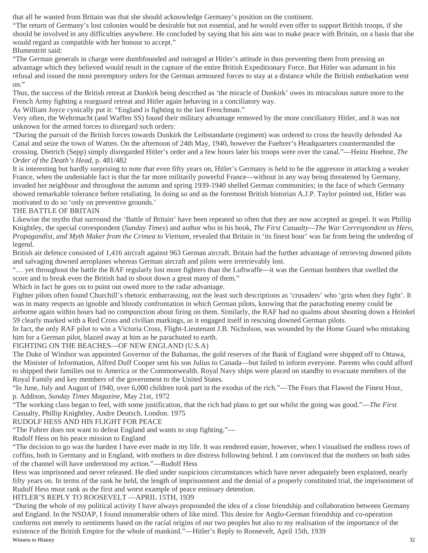that all he wanted from Britain was that she should acknowledge Germany's position on the continent.

"The return of Germany's lost colonies would be desirable but not essential, and he would even offer to support British troops, if she should be involved in any difficulties anywhere. He concluded by saying that his aim was to make peace with Britain, on a basis that she would regard as compatible with her honour to accept."

### Blumentritt said:

"The German generals in charge were dumbfounded and outraged at Hitler's attitude in thus preventing them from pressing an advantage which they believed would result in the capture of the entire British Expeditionary Force. But Hitler was adamant in his refusal and issued the most peremptory orders for the German armoured forces to stay at a distance while the British embarkation went on."

Thus, the success of the British retreat at Dunkirk being described as 'the miracle of Dunkirk' owes its miraculous nature more to the French Army fighting a rearguard retreat and Hitler again behaving in a conciliatory way.

As William Joyce cynically put it: "England is fighting to the last Frenchman."

Very often, the Wehrmacht (and Waffen SS) found their military advantage removed by the more conciliatory Hitler, and it was not unknown for the armed forces to disregard such orders:

"During the pursuit of the British forces towards Dunkirk the Leibstandarte (regiment) was ordered to cross the heavily defended Aa Canal and seize the town of Watten. On the afternoon of 24th May, 1940, however the Fuehrer's Headquarters countermanded the crossing. Dietrich (Sepp) simply disregarded Hitler's order and a few hours later his troops were over the canal."—Heinz Hoehne, *The Order of the Death's Head*, p. 481/482

It is interesting but hardly surprising to note that even fifty years on, Hitler's Germany is held to be the aggressor in attacking a weaker France, when the undeniable fact is that the far more militarily powerful France—without in any way being threatened by Germany, invaded her neighbour and throughout the autumn and spring 1939-1940 shelled German communities; in the face of which Germany showed remarkable tolerance before retaliating. In doing so and as the foremost British historian A.J.P. Taylor pointed out, Hitler was motivated to do so 'only on preventive grounds.'

### THE BATTLE OF BRITAIN

Likewise the myths that surround the 'Battle of Britain' have been repeated so often that they are now accepted as gospel. It was Phillip Knightley, the special correspondent (*Sunday Times*) and author who in his book, *The First Casualty—The War Correspondent as Hero, Propagandist, and Myth Maker from the Crimea to Vietnam*, revealed that Britain in 'its finest hour' was far from being the underdog of legend.

British air defence consisted of 1,416 aircraft against 963 German aircraft. Britain had the further advantage of retrieving downed pilots and salvaging downed aeroplanes whereas German aircraft and pilots were irretrievably lost.

"… yet throughout the battle the RAF regularly lost more fighters than the Luftwaffe—it was the German bombers that swelled the score and to break even the British had to shoot down a great many of them."

Which in fact he goes on to point out owed more to the radar advantage.

Fighter pilots often found Churchill's rhetoric embarrassing, not the least such descriptions as 'crusaders' who 'grin when they fight'. It was in many respects an ignoble and bloody confrontation in which German pilots, knowing that the parachuting enemy could be airborne again within hours had no compunction about firing on them. Similarly, the RAF had no qualms about shooting down a Heinkel 59 clearly marked with a Red Cross and civilian markings, as it engaged itself in rescuing downed German pilots.

In fact, the only RAF pilot to win a Victoria Cross, Flight-Lieutenant J.B. Nicholson, was wounded by the Home Guard who mistaking him for a German pilot, blazed away at him as he parachuted to earth.

### FIGHTING ON THE BEACHES—OF NEW ENGLAND (U.S.A)

The Duke of Windsor was appointed Governor of the Bahamas, the gold reserves of the Bank of England were shipped off to Ottawa, the Minister of Information, Alfred Duff Cooper sent his son Julius to Canada—but failed to inform everyone. Parents who could afford to shipped their families out to America or the Commonwealth. Royal Navy ships were placed on standby to evacuate members of the Royal Family and key members of the government to the United States.

"In June, July and August of 1940, over 6,000 children took part in the exodus of the rich."—The Fears that Flawed the Finest Hour, p. Addison, *Sunday Times Magazine*, May 21st, 1972

"The working class began to feel, with some justification, that the rich had plans to get out whilst the going was good."—*The First C*asualty, Phillip Knightley, Andre Deutsch. London. 1975

### RUDOLF HESS AND HIS FLIGHT FOR PEACE

"The Fuhrer does not want to defeat England and wants to stop fighting."—

Rudolf Hess on his peace mission to England

"The decision to go was the hardest I have ever made in my life. It was rendered easier, however, when I visualised the endless rows of coffins, both in Germany and in England, with mothers in dire distress following behind. I am convinced that the mothers on both sides of the channel will have understood my action."—Rudolf Hess

Hess was imprisoned and never released. He died under suspicious circumstances which have never adequately been explained, nearly fifty years on. In terms of the rank he held, the length of imprisonment and the denial of a properly constituted trial, the imprisonment of Rudolf Hess must rank as the first and worst example of peace emissary detention.

### HITLER'S REPLY TO ROOSEVELT —APRIL 15TH, 1939

Witness to History 32 "During the whole of my political activity I have always propounded the idea of a close friendship and collaboration between Germany and England. In the NSDAP, I found innumerable others of like mind. This desire for Anglo-German friendship and co-operation conforms not merely to sentiments based on the racial origins of our two peoples but also to my realisation of the importance of the existence of the British Empire for the whole of mankind."—Hitler's Reply to Roosevelt, April 15th, 1939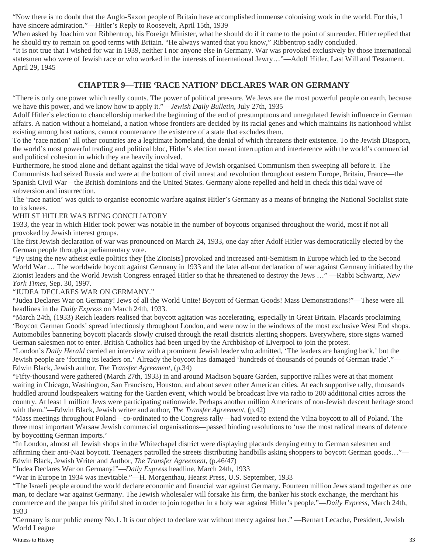"Now there is no doubt that the Anglo-Saxon people of Britain have accomplished immense colonising work in the world. For this, I have sincere admiration."—Hitler's Reply to Roosevelt, April 15th, 1939

When asked by Joachim von Ribbentrop, his Foreign Minister, what he should do if it came to the point of surrender, Hitler replied that he should try to remain on good terms with Britain. "He always wanted that you know," Ribbentrop sadly concluded.

"It is not true that I wished for war in 1939, neither I nor anyone else in Germany. War was provoked exclusively by those international statesmen who were of Jewish race or who worked in the interests of international Jewry…"—Adolf Hitler, Last Will and Testament. April 29, 1945

# **CHAPTER 9—THE 'RACE NATION' DECLARES WAR ON GERMANY**

"There is only one power which really counts. The power of political pressure. We Jews are the most powerful people on earth, because we have this power, and we know how to apply it."—*Jewish Daily Bulletin*, July 27th, 1935

Adolf Hitler's election to chancellorship marked the beginning of the end of presumptuous and unregulated Jewish influence in German affairs. A nation without a homeland, a nation whose frontiers are decided by its racial genes and which maintains its nationhood whilst existing among host nations, cannot countenance the existence of a state that excludes them.

To the 'race nation' all other countries are a legitimate homeland, the denial of which threatens their existence. To the Jewish Diaspora, the world's most powerful trading and political bloc, Hitler's election meant interruption and interference with the world's commercial and political cohesion in which they are heavily involved.

Furthermore, he stood alone and defiant against the tidal wave of Jewish organised Communism then sweeping all before it. The Communists had seized Russia and were at the bottom of civil unrest and revolution throughout eastern Europe, Britain, France—the Spanish Civil War—the British dominions and the United States. Germany alone repelled and held in check this tidal wave of subversion and insurrection.

The 'race nation' was quick to organise economic warfare against Hitler's Germany as a means of bringing the National Socialist state to its knees.

### WHILST HITLER WAS BEING CONCILIATORY

1933, the year in which Hitler took power was notable in the number of boycotts organised throughout the world, most if not all provoked by Jewish interest groups.

The first Jewish declaration of war was pronounced on March 24, 1933, one day after Adolf Hitler was democratically elected by the German people through a parliamentary vote.

"By using the new atheist exile politics they [the Zionists] provoked and increased anti-Semitism in Europe which led to the Second World War  $\ldots$  The worldwide boycott against Germany in 1933 and the later all-out declaration of war against Germany initiated by the Zionist leaders and the World Jewish Congress enraged Hitler so that he threatened to destroy the Jews …" —Rabbi Schwartz, *New York Times*, Sep. 30, 1997.

"JUDEA DECLARES WAR ON GERMANY."

"Judea Declares War on Germany! Jews of all the World Unite! Boycott of German Goods! Mass Demonstrations!"—These were all headlines in the *Daily Express* on March 24th, 1933.

"March 24th, (1933) Reich leaders realised that boycott agitation was accelerating, especially in Great Britain. Placards proclaiming 'Boycott German Goods' spread infectiously throughout London, and were now in the windows of the most exclusive West End shops. Automobiles bannering boycott placards slowly cruised through the retail districts alerting shoppers. Everywhere, store signs warned German salesmen not to enter. British Catholics had been urged by the Archbishop of Liverpool to join the protest.

"London's *Daily Herald* carried an interview with a prominent Jewish leader who admitted, 'The leaders are hanging back,' but the Jewish people are 'forcing its leaders on.' Already the boycott has damaged 'hundreds of thousands of pounds of German trade'."— Edwin Black, Jewish author, *The Transfer Agreement*, (p.34)

"Fifty-thousand were gathered (March 27th, 1933) in and around Madison Square Garden, supportive rallies were at that moment waiting in Chicago, Washington, San Francisco, Houston, and about seven other American cities. At each supportive rally, thousands huddled around loudspeakers waiting for the Garden event, which would be broadcast live via radio to 200 additional cities across the country. At least 1 million Jews were participating nationwide. Perhaps another million Americans of non-Jewish descent heritage stood with them."—Edwin Black, Jewish writer and author, *The Transfer Agreement*, (p.42)

"Mass meetings throughout Poland—co-ordinated to the Congress rally—had voted to extend the Vilna boycott to all of Poland. The three most important Warsaw Jewish commercial organisations—passed binding resolutions to 'use the most radical means of defence by boycotting German imports.'

"In London, almost all Jewish shops in the Whitechapel district were displaying placards denying entry to German salesmen and affirming their anti-Nazi boycott. Teenagers patrolled the streets distributing handbills asking shoppers to boycott German goods…"— Edwin Black, Jewish Writer and Author, *The Transfer Agreement*, (p.46/47)

"Judea Declares War on Germany!"—*Daily Express* headline, March 24th, 1933

"War in Europe in 1934 was inevitable."—H. Morgenthau, Hearst Press, U.S. September, 1933

"The Israeli people around the world declare economic and financial war against Germany. Fourteen million Jews stand together as one man, to declare war against Germany. The Jewish wholesaler will forsake his firm, the banker his stock exchange, the merchant his commerce and the pauper his pitiful shed in order to join together in a holy war against Hitler's people."—*Daily Express*, March 24th, 1933

"Germany is our public enemy No.1. It is our object to declare war without mercy against her." —Bernart Lecache, President, Jewish World League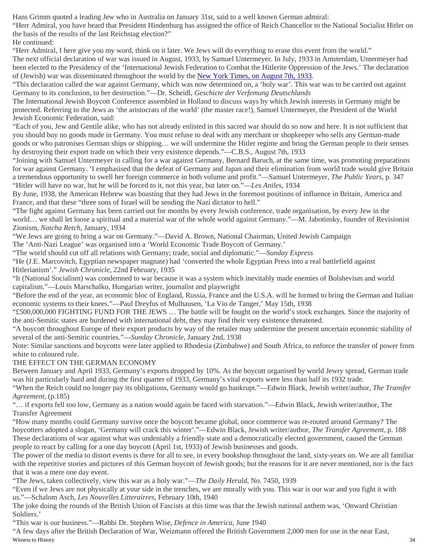Hans Grimm quoted a leading Jew who in Australia on January 31st, said to a well known German admiral:

"Herr Admiral, you have heard that President Hindenburg has assigned the office of Reich Chancellor to the National Socialist Hitler on the basis of the results of the last Reichstag election?"

He continued:

"Herr Admiral, I here give you my word, think on it later. We Jews will do everything to erase this event from the world."

The next official declaration of war was issued in August, 1933, by Samuel Untermeyer. In July, 1933 in Amsterdam, Untermeyer had been elected to the Presidency of the 'International Jewish Federation to Combat the Hitlerite Oppression of the Jews.' The declaration of (Jewish) war was disseminated throughout the world by the [New York Times, on August 7th, 1933](http://www.sweetliberty.org/issues/israel/untermeyer.htm).

"This declaration called the war against Germany, which was now determined on, a 'holy war'. This war was to be carried out against Germany to its conclusion, to her destruction."—Dr. Scheidl, *Geschicte der Verfemung Deutschlands*

The International Jewish Boycott Conference assembled in Holland to discuss ways by which Jewish interests in Germany might be protected. Referring to the Jews as 'the aristocrats of the world' (the master race!), Samuel Untermeyer, the President of the World Jewish Economic Federation, said:

"Each of you, Jew and Gentile alike, who has not already enlisted in this sacred war should do so now and here. It is not sufficient that you should buy no goods made in Germany. You must refuse to deal with any merchant or shopkeeper who sells any German-made goods or who patronises German ships or shipping… we will undermine the Hitler regime and bring the German people to their senses by destroying their export trade on which their very existence depends."—C.B.S., August 7th, 1933

"Joining with Samuel Untermeyer in calling for a war against Germany, Bernard Baruch, at the same time, was promoting preparations for war against Germany. 'I emphasised that the defeat of Germany and Japan and their elimination from world trade would give Britain a tremendous opportunity to swell her foreign commerce in both volume and profit."—Samuel Untermeyer, *The Public Years*, p. 347 "Hitler will have no war, but he will be forced to it, not this year, but later on."—*Les Aniles*, 1934

By June, 1938, the American Hebrew was boasting that they had Jews in the foremost positions of influence in Britain, America and France, and that these "three sons of Israel will be sending the Nazi dictator to hell."

"The fight against Germany has been carried out for months by every Jewish conference, trade organisation, by every Jew in the world... we shall let loose a spiritual and a material war of the whole world against Germany."—M. Jabotinsky, founder of Revisionist Zionism, *Natcha Retch*, January, 1934

"We Jews are going to bring a war on Germany."—David A. Brown, National Chairman, United Jewish Campaign The 'Anti-Nazi League' was organised into a 'World Economic Trade Boycott of Germany.'

"The world should cut off all relations with Germany; trade, social and diplomatic."—*Sunday Express*

"He (J.E. Marcovitch, Egyptian newspaper magnate) had 'converted the whole Egyptian Press into a real battlefield against Hitlerianism'." *Jewish Chronicle*, 22nd February, 1935

"It (National Socialism) was condemned to war because it was a system which inevitably made enemies of Bolshevism and world capitalism."—Louis Marschalko, Hungarian writer, journalist and playwright

"Before the end of the year, an economic bloc of England, Russia, France and the U.S.A. will be formed to bring the German and Italian economic systems to their knees."—Paul Dreyfus of Mulhausen, 'La Vio de Tanger,' May 15th, 1938

"£500,000,000 FIGHTING FUND FOR THE JEWS … The battle will be fought on the world's stock exchanges. Since the majority of the anti-Semitic states are burdened with international debt, they may find their very existence threatened.

"A boycott throughout Europe of their export products by way of the retailer may undermine the present uncertain economic stability of several of the anti-Semitic countries."—*Sunday Chronicle*, January 2nd, 1938

Note: Similar sanctions and boycotts were later applied to Rhodesia (Zimbabwe) and South Africa, to enforce the transfer of power from white to coloured rule.

### THE EFFECT ON THE GERMAN ECONOMY

Between January and April 1933, Germany's exports dropped by 10%. As the boycott organised by world Jewry spread, German trade was hit particularly hard and during the first quarter of 1933, Germany's vital exports were less than half its 1932 trade.

"When the Reich could no longer pay its obligations, Germany would go bankrupt."—Edwin Black, Jewish writer/author, *The Transfer Agreement*, (p.185)

"… if exports fell too low, Germany as a nation would again be faced with starvation."—Edwin Black, Jewish writer/author, The Transfer Agreement

"How many months could Germany survive once the boycott became global, once commerce was re-routed around Germany? The boycotters adopted a slogan, 'Germany will crack this winter'."—Edwin Black, Jewish writer/author, *The Transfer Agreement*, p. 188 These declarations of war against what was undeniably a friendly state and a democratically elected government, caused the German people to react by calling for a one day boycott (April 1st, 1933) of Jewish businesses and goods.

The power of the media to distort events is there for all to see, in every bookshop throughout the land, sixty-years on. We are all familiar with the repetitive stories and pictures of this German boycott of Jewish goods; but the reasons for it are never mentioned, nor is the fact that it was a mere one day event.

"The Jews, taken collectively, view this war as a holy war."—*The Daily Herald*, No. 7450, 1939

"Even if we Jews are not physically at your side in the trenches, we are morally with you. This war is our war and you fight it with us."—Schalom Asch, *Les Nouvelles Litterairres*, February 10th, 1940

The joke doing the rounds of the British Union of Fascists at this time was that the Jewish national anthem was, 'Onward Christian Soldiers.'

"This war is our business."—Rabbi Dr. Stephen Wise, *Defence in America*, June 1940

Witness to History 34 "A few days after the British Declaration of War, Weizmann offered the British Government 2,000 men for use in the near East,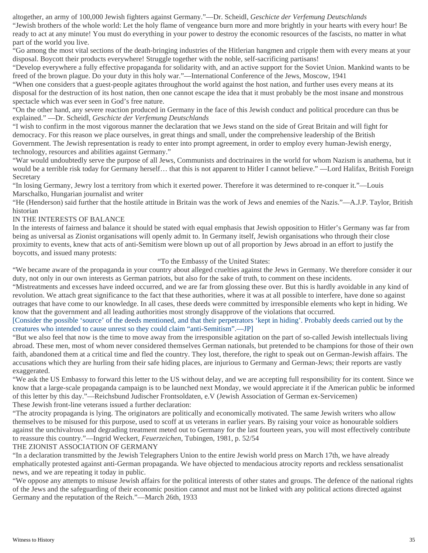altogether, an army of 100,000 Jewish fighters against Germany."—Dr. Scheidl, *Geschicte der Verfemung Deutschlands*

"Jewish brothers of the whole world: Let the holy flame of vengeance burn more and more brightly in your hearts with every hour! Be ready to act at any minute! You must do everything in your power to destroy the economic resources of the fascists, no matter in what part of the world you live.

"Go among the most vital sections of the death-bringing industries of the Hitlerian hangmen and cripple them with every means at your disposal. Boycott their products everywhere! Struggle together with the noble, self-sacrificing partisans!

"Develop everywhere a fully effective propaganda for solidarity with, and an active support for the Soviet Union. Mankind wants to be freed of the brown plague. Do your duty in this holy war."—International Conference of the Jews, Moscow, 1941

"When one considers that a guest-people agitates throughout the world against the host nation, and further uses every means at its disposal for the destruction of its host nation, then one cannot escape the idea that it must probably be the most insane and monstrous spectacle which was ever seen in God's free nature.

"On the other hand, any severe reaction produced in Germany in the face of this Jewish conduct and political procedure can thus be explained." —Dr. Scheidl, *Geschicte der Verfemung Deutschlands*

"I wish to confirm in the most vigorous manner the declaration that we Jews stand on the side of Great Britain and will fight for democracy. For this reason we place ourselves, in great things and small, under the comprehensive leadership of the British Government. The Jewish representation is ready to enter into prompt agreement, in order to employ every human-Jewish energy, technology, resources and abilities against Germany."

"War would undoubtedly serve the purpose of all Jews, Communists and doctrinaires in the world for whom Nazism is anathema, but it would be a terrible risk today for Germany herself… that this is not apparent to Hitler I cannot believe." —Lord Halifax, British Foreign **Secretary** 

"In losing Germany, Jewry lost a territory from which it exerted power. Therefore it was determined to re-conquer it."—Louis Marschalko, Hungarian journalist and writer

"He (Henderson) said further that the hostile attitude in Britain was the work of Jews and enemies of the Nazis."—A.J.P. Taylor, British historian

### IN THE INTERESTS OF BALANCE

In the interests of fairness and balance it should be stated with equal emphasis that Jewish opposition to Hitler's Germany was far from being as universal as Zionist organisations will openly admit to. In Germany itself, Jewish organisations who through their close proximity to events, knew that acts of anti-Semitism were blown up out of all proportion by Jews abroad in an effort to justify the boycotts, and issued many protests:

### "To the Embassy of the United States:

"We became aware of the propaganda in your country about alleged cruelties against the Jews in Germany. We therefore consider it our duty, not only in our own interests as German patriots, but also for the sake of truth, to comment on these incidents.

"Mistreatments and excesses have indeed occurred, and we are far from glossing these over. But this is hardly avoidable in any kind of revolution. We attach great significance to the fact that these authorities, where it was at all possible to interfere, have done so against outrages that have come to our knowledge. In all cases, these deeds were committed by irresponsible elements who kept in hiding. We know that the government and all leading authorities most strongly disapprove of the violations that occurred.

### [Consider the possible 'source' of the deeds mentioned, and that their perpetrators 'kept in hiding'. Probably deeds carried out by the creatures who intended to cause unrest so they could claim "anti-Semitism".—JP]

"But we also feel that now is the time to move away from the irresponsible agitation on the part of so-called Jewish intellectuals living abroad. These men, most of whom never considered themselves German nationals, but pretended to be champions for those of their own faith, abandoned them at a critical time and fled the country. They lost, therefore, the right to speak out on German-Jewish affairs. The accusations which they are hurling from their safe hiding places, are injurious to Germany and German-Jews; their reports are vastly exaggerated.

"We ask the US Embassy to forward this letter to the US without delay, and we are accepting full responsibility for its content. Since we know that a large-scale propaganda campaign is to be launched next Monday, we would appreciate it if the American public be informed of this letter by this day."—Reichsbund Judischer Frontsoldaten, e.V (Jewish Association of German ex-Servicemen) These Jewish front-line veterans issued a further declaration:

"The atrocity propaganda is lying. The originators are politically and economically motivated. The same Jewish writers who allow themselves to be misused for this purpose, used to scoff at us veterans in earlier years. By raising your voice as honourable soldiers against the unchivalrous and degrading treatment meted out to Germany for the last fourteen years, you will most effectively contribute to reassure this country."—Ingrid Weckert, *Feuerzeichen*, Tubingen, 1981, p. 52/54

### THE ZIONIST ASSOCIATION OF GERMANY

"In a declaration transmitted by the Jewish Telegraphers Union to the entire Jewish world press on March 17th, we have already emphatically protested against anti-German propaganda. We have objected to mendacious atrocity reports and reckless sensationalist news, and we are repeating it today in public.

"We oppose any attempts to misuse Jewish affairs for the political interests of other states and groups. The defence of the national rights of the Jews and the safeguarding of their economic position cannot and must not be linked with any political actions directed against Germany and the reputation of the Reich."—March 26th, 1933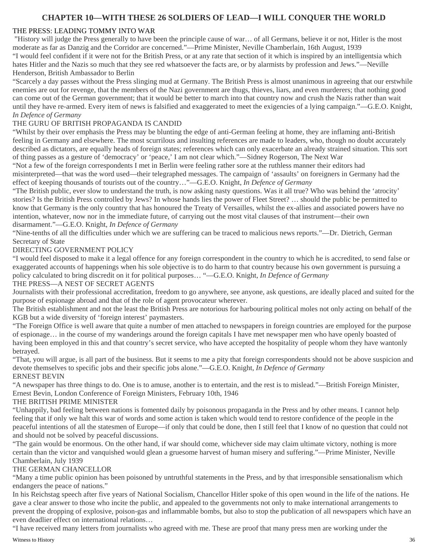# **CHAPTER 10—WITH THESE 26 SOLDIERS OF LEAD—I WILL CONQUER THE WORLD**

### THE PRESS: LEADING TOMMY INTO WAR

 "History will judge the Press generally to have been the principle cause of war… of all Germans, believe it or not, Hitler is the most moderate as far as Danzig and the Corridor are concerned."—Prime Minister, Neville Chamberlain, 16th August, 1939 "I would feel confident if it were not for the British Press, or at any rate that section of it which is inspired by an intelligentsia which hates Hitler and the Nazis so much that they see red whatsoever the facts are, or by alarmists by profession and Jews."—Neville Henderson, British Ambassador to Berlin

"Scarcely a day passes without the Press slinging mud at Germany. The British Press is almost unanimous in agreeing that our erstwhile enemies are out for revenge, that the members of the Nazi government are thugs, thieves, liars, and even murderers; that nothing good can come out of the German government; that it would be better to march into that country now and crush the Nazis rather than wait until they have re-armed. Every item of news is falsified and exaggerated to meet the exigencies of a lying campaign."—G.E.O. Knight, *In Defence of Germany*

### THE GURU OF BRITISH PROPAGANDA IS CANDID

"Whilst by their over emphasis the Press may be blunting the edge of anti-German feeling at home, they are inflaming anti-British feeling in Germany and elsewhere. The most scurrilous and insulting references are made to leaders, who, though no doubt accurately described as dictators, are equally heads of foreign states; references which can only exacerbate an already strained situation. This sort of thing passes as a gesture of 'democracy' or 'peace,' I am not clear which."—Sidney Rogerson, The Next War

"Not a few of the foreign correspondents I met in Berlin were feeling rather sore at the ruthless manner their editors had misinterpreted—that was the word used—their telegraphed messages. The campaign of 'assaults' on foreigners in Germany had the effect of keeping thousands of tourists out of the country…"—G.E.O. Knight, *In Defence of Germany*

"The British public, ever slow to understand the truth, is now asking nasty questions. Was it all true? Who was behind the 'atrocity' stories? Is the British Press controlled by Jews? In whose hands lies the power of Fleet Street? … should the public be permitted to know that Germany is the only country that has honoured the Treaty of Versailles, whilst the ex-allies and associated powers have no intention, whatever, now nor in the immediate future, of carrying out the most vital clauses of that instrument—their own disarmament."—G.E.O. Knight, *In Defence of Germany*

"Nine-tenths of all the difficulties under which we are suffering can be traced to malicious news reports."—Dr. Dietrich, German Secretary of State

### DIRECTING GOVERNMENT POLICY

"I would feel disposed to make it a legal offence for any foreign correspondent in the country to which he is accredited, to send false or exaggerated accounts of happenings when his sole objective is to do harm to that country because his own government is pursuing a policy calculated to bring discredit on it for political purposes… "—G.E.O. Knight, *In Defence of Germany*

### THE PRESS—A NEST OF SECRET AGENTS

Journalists with their professional accreditation, freedom to go anywhere, see anyone, ask questions, are ideally placed and suited for the purpose of espionage abroad and that of the role of agent provocateur wherever.

The British establishment and not the least the British Press are notorious for harbouring political moles not only acting on behalf of the KGB but a wide diversity of 'foreign interest' paymasters.

"The Foreign Office is well aware that quite a number of men attached to newspapers in foreign countries are employed for the purpose of espionage… in the course of my wanderings around the foreign capitals I have met newspaper men who have openly boasted of having been employed in this and that country's secret service, who have accepted the hospitality of people whom they have wantonly betrayed.

"That, you will argue, is all part of the business. But it seems to me a pity that foreign correspondents should not be above suspicion and devote themselves to specific jobs and their specific jobs alone."—G.E.O. Knight, *In Defence of Germany* ERNEST BEVIN

"A newspaper has three things to do. One is to amuse, another is to entertain, and the rest is to mislead."—British Foreign Minister, Ernest Bevin, London Conference of Foreign Ministers, February 10th, 1946

### THE BRITISH PRIME MINISTER

"Unhappily, bad feeling between nations is fomented daily by poisonous propaganda in the Press and by other means. I cannot help feeling that if only we halt this war of words and some action is taken which would tend to restore confidence of the people in the peaceful intentions of all the statesmen of Europe—if only that could be done, then I still feel that I know of no question that could not and should not be solved by peaceful discussions.

"The gain would be enormous. On the other hand, if war should come, whichever side may claim ultimate victory, nothing is more certain than the victor and vanquished would glean a gruesome harvest of human misery and suffering."—Prime Minister, Neville Chamberlain, July 1939

### THE GERMAN CHANCELLOR

"Many a time public opinion has been poisoned by untruthful statements in the Press, and by that irresponsible sensationalism which endangers the peace of nations."

In his Reichstag speech after five years of National Socialism, Chancellor Hitler spoke of this open wound in the life of the nations. He gave a clear answer to those who incite the public, and appealed to the governments not only to make international arrangements to prevent the dropping of explosive, poison-gas and inflammable bombs, but also to stop the publication of all newspapers which have an even deadlier effect on international relations…

"I have received many letters from journalists who agreed with me. These are proof that many press men are working under the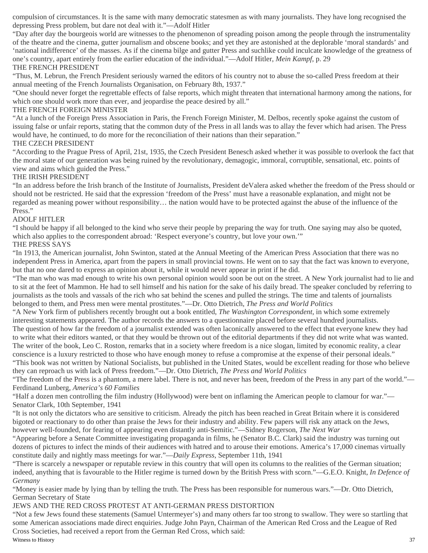compulsion of circumstances. It is the same with many democratic statesmen as with many journalists. They have long recognised the depressing Press problem, but dare not deal with it."—Adolf Hitler

"Day after day the bourgeois world are witnesses to the phenomenon of spreading poison among the people through the instrumentality of the theatre and the cinema, gutter journalism and obscene books; and yet they are astonished at the deplorable 'moral standards' and 'national indifference' of the masses. As if the cinema bilge and gutter Press and suchlike could inculcate knowledge of the greatness of one's country, apart entirely from the earlier education of the individual."—Adolf Hitler, *Mein Kampf*, p. 29

# THE FRENCH PRESIDENT

"Thus, M. Lebrun, the French President seriously warned the editors of his country not to abuse the so-called Press freedom at their annual meeting of the French Journalists Organisation, on February 8th, 1937."

"One should never forget the regrettable effects of false reports, which might threaten that international harmony among the nations, for which one should work more than ever, and jeopardise the peace desired by all."

#### THE FRENCH FOREIGN MINISTER

"At a lunch of the Foreign Press Association in Paris, the French Foreign Minister, M. Delbos, recently spoke against the custom of issuing false or unfair reports, stating that the common duty of the Press in all lands was to allay the fever which had arisen. The Press would have, he continued, to do more for the reconciliation of their nations than their separation."

#### THE CZECH PRESIDENT

"According to the Prague Press of April, 21st, 1935, the Czech President Benesch asked whether it was possible to overlook the fact that the moral state of our generation was being ruined by the revolutionary, demagogic, immoral, corruptible, sensational, etc. points of view and aims which guided the Press."

#### THE IRISH PRESIDENT

"In an address before the Irish branch of the Institute of Journalists, President deValera asked whether the freedom of the Press should or should not be restricted. He said that the expression 'freedom of the Press' must have a reasonable explanation, and might not be regarded as meaning power without responsibility… the nation would have to be protected against the abuse of the influence of the Press."

#### ADOLF HITLER

"I should be happy if all belonged to the kind who serve their people by preparing the way for truth. One saying may also be quoted, which also applies to the correspondent abroad: 'Respect everyone's country, but love your own.'"

#### THE PRESS SAYS

"In 1913, the American journalist, John Swinton, stated at the Annual Meeting of the American Press Association that there was no independent Press in America, apart from the papers in small provincial towns. He went on to say that the fact was known to everyone, but that no one dared to express an opinion about it, while it would never appear in print if he did.

"The man who was mad enough to write his own personal opinion would soon be out on the street. A New York journalist had to lie and to sit at the feet of Mammon. He had to sell himself and his nation for the sake of his daily bread. The speaker concluded by referring to journalists as the tools and vassals of the rich who sat behind the scenes and pulled the strings. The time and talents of journalists belonged to them, and Press men were mental prostitutes."—Dr. Otto Dietrich, *The Press and World Politics*

"A New York firm of publishers recently brought out a book entitled, *The Washington Correspondent*, in which some extremely interesting statements appeared. The author records the answers to a questionnaire placed before several hundred journalists.

The question of how far the freedom of a journalist extended was often laconically answered to the effect that everyone knew they had to write what their editors wanted, or that they would be thrown out of the editorial departments if they did not write what was wanted. The writer of the book, Leo C. Roston, remarks that in a society where freedom is a nice slogan, limited by economic reality, a clear conscience is a luxury restricted to those who have enough money to refuse a compromise at the expense of their personal ideals." "This book was not written by National Socialists, but published in the United States, would be excellent reading for those who believe they can reproach us with lack of Press freedom."—Dr. Otto Dietrich, *The Press and World Politics*

"The freedom of the Press is a phantom, a mere label. There is not, and never has been, freedom of the Press in any part of the world."— Ferdinand Lunberg, *America's 60 Families*

"Half a dozen men controlling the film industry (Hollywood) were bent on inflaming the American people to clamour for war."— Senator Clark, 10th September, 1941

"It is not only the dictators who are sensitive to criticism. Already the pitch has been reached in Great Britain where it is considered bigoted or reactionary to do other than praise the Jews for their industry and ability. Few papers will risk any attack on the Jews, however well-founded, for fearing of appearing even distantly anti-Semitic."—Sidney Rogerson, *The Next War*

"Appearing before a Senate Committee investigating propaganda in films, he (Senator B.C. Clark) said the industry was turning out dozens of pictures to infect the minds of their audiences with hatred and to arouse their emotions. America's 17,000 cinemas virtually constitute daily and nightly mass meetings for war."—*Daily Express*, September 11th, 1941

"There is scarcely a newspaper or reputable review in this country that will open its columns to the realities of the German situation; indeed, anything that is favourable to the Hitler regime is turned down by the British Press with scorn."—G.E.O. Knight, *In Defence of Germany*

"Money is easier made by lying than by telling the truth. The Press has been responsible for numerous wars."—Dr. Otto Dietrich, German Secretary of State

#### JEWS AND THE RED CROSS PROTEST AT ANTI-GERMAN PRESS DISTORTION

"Not a few Jews found these statements (Samuel Untermeyer's) and many others far too strong to swallow. They were so startling that some American associations made direct enquiries. Judge John Payn, Chairman of the American Red Cross and the League of Red Cross Societies, had received a report from the German Red Cross, which said:

#### Witness to History 37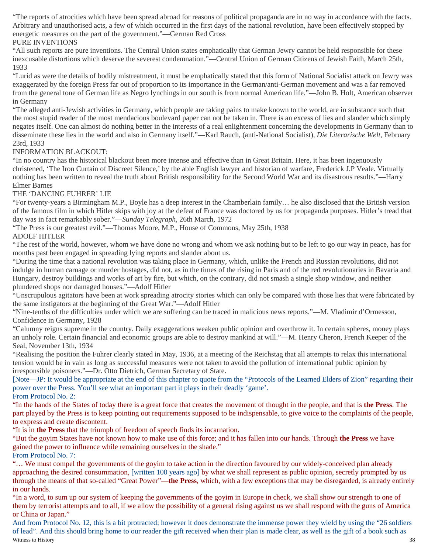"The reports of atrocities which have been spread abroad for reasons of political propaganda are in no way in accordance with the facts. Arbitrary and unauthorised acts, a few of which occurred in the first days of the national revolution, have been effectively stopped by energetic measures on the part of the government."—German Red Cross PURE INVENTIONS

"All such reports are pure inventions. The Central Union states emphatically that German Jewry cannot be held responsible for these inexcusable distortions which deserve the severest condemnation."—Central Union of German Citizens of Jewish Faith, March 25th, 1933

"Lurid as were the details of bodily mistreatment, it must be emphatically stated that this form of National Socialist attack on Jewry was exaggerated by the foreign Press far out of proportion to its importance in the German/anti-German movement and was a far removed from the general tone of German life as Negro lynchings in our south is from normal American life."—John B. Holt, American observer in Germany

"The alleged anti-Jewish activities in Germany, which people are taking pains to make known to the world, are in substance such that the most stupid reader of the most mendacious boulevard paper can not be taken in. There is an excess of lies and slander which simply negates itself. One can almost do nothing better in the interests of a real enlightenment concerning the developments in Germany than to disseminate these lies in the world and also in Germany itself."—Karl Rauch, (anti-National Socialist), *Die Literarische Welt*, February 23rd, 1933

## INFORMATION BLACKOUT:

"In no country has the historical blackout been more intense and effective than in Great Britain. Here, it has been ingenuously christened, 'The Iron Curtain of Discreet Silence,' by the able English lawyer and historian of warfare, Frederick J.P Veale. Virtually nothing has been written to reveal the truth about British responsibility for the Second World War and its disastrous results."—Harry Elmer Barnes

## THE 'DANCING FUHRER' LIE

"For twenty-years a Birmingham M.P., Boyle has a deep interest in the Chamberlain family… he also disclosed that the British version of the famous film in which Hitler skips with joy at the defeat of France was doctored by us for propaganda purposes. Hitler's tread that day was in fact remarkably sober."—*Sunday Telegraph*, 26th March, 1972

"The Press is our greatest evil."—Thomas Moore, M.P., House of Commons, May 25th, 1938

## ADOLF HITLER

"The rest of the world, however, whom we have done no wrong and whom we ask nothing but to be left to go our way in peace, has for months past been engaged in spreading lying reports and slander about us.

"During the time that a national revolution was taking place in Germany, which, unlike the French and Russian revolutions, did not indulge in human carnage or murder hostages, did not, as in the times of the rising in Paris and of the red revolutionaries in Bavaria and Hungary, destroy buildings and works of art by fire, but which, on the contrary, did not smash a single shop window, and neither plundered shops nor damaged houses."—Adolf Hitler

"Unscrupulous agitators have been at work spreading atrocity stories which can only be compared with those lies that were fabricated by the same instigators at the beginning of the Great War."—Adolf Hitler

"Nine-tenths of the difficulties under which we are suffering can be traced in malicious news reports."—M. Vladimir d'Ormesson, Confidence in Germany, 1928

"Calumny reigns supreme in the country. Daily exaggerations weaken public opinion and overthrow it. In certain spheres, money plays an unholy role. Certain financial and economic groups are able to destroy mankind at will."—M. Henry Cheron, French Keeper of the Seal, November 13th, 1934

"Realising the position the Fuhrer clearly stated in May, 1936, at a meeting of the Reichstag that all attempts to relax this international tension would be in vain as long as successful measures were not taken to avoid the pollution of international public opinion by irresponsible poisoners."—Dr. Otto Dietrich, German Secretary of State.

[Note—JP: It would be appropriate at the end of this chapter to quote from the "Protocols of the Learned Elders of Zion" regarding their power over the Press. You'll see what an important part it plays in their deadly 'game'. From Protocol No. 2:

"In the hands of the States of today there is a great force that creates the movement of thought in the people, and that is **the Press**. The part played by the Press is to keep pointing out requirements supposed to be indispensable, to give voice to the complaints of the people, to express and create discontent.

"It is in **the Press** that the triumph of freedom of speech finds its incarnation.

"But the goyim States have not known how to make use of this force; and it has fallen into our hands. Through **the Press** we have gained the power to influence while remaining ourselves in the shade." From Protocol No. 7:

"… We must compel the governments of the goyim to take action in the direction favoured by our widely-conceived plan already approaching the desired consummation, [written 100 years ago] by what we shall represent as public opinion, secretly prompted by us through the means of that so-called "Great Power"—**the Press**, which, with a few exceptions that may be disregarded, is already entirely in our hands.

"In a word, to sum up our system of keeping the governments of the goyim in Europe in check, we shall show our strength to one of them by terrorist attempts and to all, if we allow the possibility of a general rising against us we shall respond with the guns of America or China or Japan."

Witness to History 38 And from Protocol No. 12, this is a bit protracted; however it does demonstrate the immense power they wield by using the "26 soldiers of lead". And this should bring home to our reader the gift received when their plan is made clear, as well as the gift of a book such as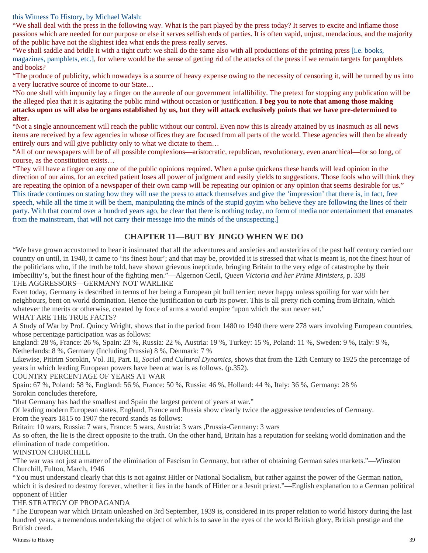this Witness To History, by Michael Walsh:

"We shall deal with the press in the following way. What is the part played by the press today? It serves to excite and inflame those passions which are needed for our purpose or else it serves selfish ends of parties. It is often vapid, unjust, mendacious, and the majority of the public have not the slightest idea what ends the press really serves.

"We shall saddle and bridle it with a tight curb: we shall do the same also with all productions of the printing press [i.e. books, magazines, pamphlets, etc.], for where would be the sense of getting rid of the attacks of the press if we remain targets for pamphlets and books?

"The produce of publicity, which nowadays is a source of heavy expense owing to the necessity of censoring it, will be turned by us into a very lucrative source of income to our State…

"No one shall with impunity lay a finger on the aureole of our government infallibility. The pretext for stopping any publication will be the alleged plea that it is agitating the public mind without occasion or justification. **I beg you to note that among those making attacks upon us will also be organs established by us, but they will attack exclusively points that we have pre-determined to alter.**

"Not a single announcement will reach the public without our control. Even now this is already attained by us inasmuch as all news items are received by a few agencies in whose offices they are focused from all parts of the world. These agencies will then be already entirely ours and will give publicity only to what we dictate to them…

"All of our newspapers will be of all possible complexions—aristocratic, republican, revolutionary, even anarchical—for so long, of course, as the constitution exists…

"They will have a finger on any one of the public opinions required. When a pulse quickens these hands will lead opinion in the direction of our aims, for an excited patient loses all power of judgment and easily yields to suggestions. Those fools who will think they are repeating the opinion of a newspaper of their own camp will be repeating our opinion or any opinion that seems desirable for us." This tirade continues on stating how they will use the press to attack themselves and give the 'impression' that there is, in fact, free speech, while all the time it will be them, manipulating the minds of the stupid goyim who believe they are following the lines of their party. With that control over a hundred years ago, be clear that there is nothing today, no form of media nor entertainment that emanates from the mainstream, that will not carry their message into the minds of the unsuspecting.]

# **CHAPTER 11—BUT BY JINGO WHEN WE DO**

"We have grown accustomed to hear it insinuated that all the adventures and anxieties and austerities of the past half century carried our country on until, in 1940, it came to 'its finest hour'; and that may be, provided it is stressed that what is meant is, not the finest hour of the politicians who, if the truth be told, have shown grievous ineptitude, bringing Britain to the very edge of catastrophe by their imbecility's, but the finest hour of the fighting men."—Algernon Cecil, *Queen Victoria and her Prime Ministers*, p. 338 THE AGGRESSORS—GERMANY NOT WARLIKE

Even today, Germany is described in terms of her being a European pit bull terrier; never happy unless spoiling for war with her neighbours, bent on world domination. Hence the justification to curb its power. This is all pretty rich coming from Britain, which whatever the merits or otherwise, created by force of arms a world empire 'upon which the sun never set.'

#### WHAT ARE THE TRUE FACTS?

A Study of War by Prof. Quincy Wright, shows that in the period from 1480 to 1940 there were 278 wars involving European countries, whose percentage participation was as follows:

England: 28 %, France: 26 %, Spain: 23 %, Russia: 22 %, Austria: 19 %, Turkey: 15 %, Poland: 11 %, Sweden: 9 %, Italy: 9 %, Netherlands: 8 %, Germany (Including Prussia) 8 %, Denmark: 7 %

Likewise, Pitirim Sorokin, Vol. III, Part. II, *Social and Cultural Dynamics*, shows that from the 12th Century to 1925 the percentage of years in which leading European powers have been at war is as follows. (p.352).

#### COUNTRY PERCENTAGE OF YEARS AT WAR

Spain: 67 %, Poland: 58 %, England: 56 %, France: 50 %, Russia: 46 %, Holland: 44 %, Italy: 36 %, Germany: 28 % Sorokin concludes therefore,

"that Germany has had the smallest and Spain the largest percent of years at war."

Of leading modern European states, England, France and Russia show clearly twice the aggressive tendencies of Germany.

From the years 1815 to 1907 the record stands as follows:

Britain: 10 wars, Russia: 7 wars, France: 5 wars, Austria: 3 wars ,Prussia-Germany: 3 wars

As so often, the lie is the direct opposite to the truth. On the other hand, Britain has a reputation for seeking world domination and the elimination of trade competition.

## WINSTON CHURCHILL

"The war was not just a matter of the elimination of Fascism in Germany, but rather of obtaining German sales markets."—Winston Churchill, Fulton, March, 1946

"You must understand clearly that this is not against Hitler or National Socialism, but rather against the power of the German nation, which it is desired to destroy forever, whether it lies in the hands of Hitler or a Jesuit priest."—English explanation to a German political opponent of Hitler

## THE STRATEGY OF PROPAGANDA

"The European war which Britain unleashed on 3rd September, 1939 is, considered in its proper relation to world history during the last hundred years, a tremendous undertaking the object of which is to save in the eyes of the world British glory, British prestige and the British creed.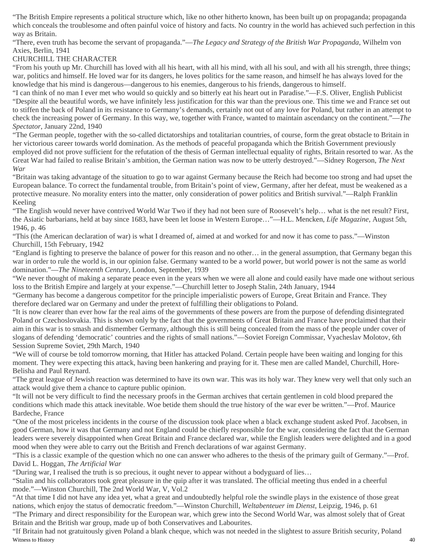"The British Empire represents a political structure which, like no other hitherto known, has been built up on propaganda; propaganda which conceals the troublesome and often painful voice of history and facts. No country in the world has achieved such perfection in this way as Britain.

"There, even truth has become the servant of propaganda."—*The Legacy and Strategy of the British War Propaganda*, Wilhelm von Axies, Berlin, 1941

## CHURCHILL THE CHARACTER

"From his youth up Mr. Churchill has loved with all his heart, with all his mind, with all his soul, and with all his strength, three things; war, politics and himself. He loved war for its dangers, he loves politics for the same reason, and himself he has always loved for the knowledge that his mind is dangerous—dangerous to his enemies, dangerous to his friends, dangerous to himself.

"I can think of no man I ever met who would so quickly and so bitterly eat his heart out in Paradise."—F.S. Oliver, English Publicist "Despite all the beautiful words, we have infinitely less justification for this war than the previous one. This time we and France set out to stiffen the back of Poland in its resistance to Germany's demands, certainly not out of any love for Poland, but rather in an attempt to check the increasing power of Germany. In this way, we, together with France, wanted to maintain ascendancy on the continent."—*The Spectator*, January 22nd, 1940

"The German people, together with the so-called dictatorships and totalitarian countries, of course, form the great obstacle to Britain in her victorious career towards world domination. As the methods of peaceful propaganda which the British Government previously employed did not prove sufficient for the refutation of the thesis of German intellectual equality of rights, Britain resorted to war. As the Great War had failed to realise Britain's ambition, the German nation was now to be utterly destroyed."—Sidney Rogerson, *The Next War*

"Britain was taking advantage of the situation to go to war against Germany because the Reich had become too strong and had upset the European balance. To correct the fundamental trouble, from Britain's point of view, Germany, after her defeat, must be weakened as a protective measure. No morality enters into the matter, only consideration of power politics and British survival."—Ralph Franklin Keeling

"The English would never have contrived World War Two if they had not been sure of Roosevelt's help… what is the net result? First, the Asiatic barbarians, held at bay since 1683, have been let loose in Western Europe…"—H.L. Mencken, *Life Magazine*, August 5th, 1946, p. 46

"This (the American declaration of war) is what I dreamed of, aimed at and worked for and now it has come to pass."—Winston Churchill, 15th February, 1942

"England is fighting to preserve the balance of power for this reason and no other… in the general assumption, that Germany began this war in order to rule the world is, in our opinion false. Germany wanted to be a world power, but world power is not the same as world domination."—*The Nineteenth Century*, London, September, 1939

"We never thought of making a separate peace even in the years when we were all alone and could easily have made one without serious loss to the British Empire and largely at your expense."—Churchill letter to Joseph Stalin, 24th January, 1944

"Germany has become a dangerous competitor for the principle imperialistic powers of Europe, Great Britain and France. They therefore declared war on Germany and under the pretext of fulfilling their obligations to Poland.

"It is now clearer than ever how far the real aims of the governments of these powers are from the purpose of defending disintegrated Poland or Czechoslovakia. This is shown only by the fact that the governments of Great Britain and France have proclaimed that their aim in this war is to smash and dismember Germany, although this is still being concealed from the mass of the people under cover of slogans of defending 'democratic' countries and the rights of small nations."—Soviet Foreign Commissar, Vyacheslav Molotov, 6th Session Supreme Soviet, 29th March, 1940

"We will of course be told tomorrow morning, that Hitler has attacked Poland. Certain people have been waiting and longing for this moment. They were expecting this attack, having been hankering and praying for it. These men are called Mandel, Churchill, Hore-Belisha and Paul Reynard.

"The great league of Jewish reaction was determined to have its own war. This was its holy war. They knew very well that only such an attack would give them a chance to capture public opinion.

"It will not be very difficult to find the necessary proofs in the German archives that certain gentlemen in cold blood prepared the conditions which made this attack inevitable. Woe betide them should the true history of the war ever be written."—Prof. Maurice Bardeche, France

"One of the most priceless incidents in the course of the discussion took place when a black exchange student asked Prof. Jacobsen, in good German, how it was that Germany and not England could be chiefly responsible for the war, considering the fact that the German leaders were severely disappointed when Great Britain and France declared war, while the English leaders were delighted and in a good mood when they were able to carry out the British and French declarations of war against Germany.

"This is a classic example of the question which no one can answer who adheres to the thesis of the primary guilt of Germany."—Prof. David L. Hoggan, *The Artificial War*

"During war, I realised the truth is so precious, it ought never to appear without a bodyguard of lies…

"Stalin and his collaborators took great pleasure in the quip after it was translated. The official meeting thus ended in a cheerful mode."—Winston Churchill, The 2nd World War, V, Vol.2

"At that time I did not have any idea yet, what a great and undoubtedly helpful role the swindle plays in the existence of those great nations, which enjoy the status of democratic freedom."—Winston Churchill, *Weltabenteuer im Dienst*, Leipzig, 1946, p. 61 "The Primary and direct responsibility for the European war, which grew into the Second World War, was almost solely that of Great Britain and the British war group, made up of both Conservatives and Labourites.

Witness to History **40** "If Britain had not gratuitously given Poland a blank cheque, which was not needed in the slightest to assure British security, Poland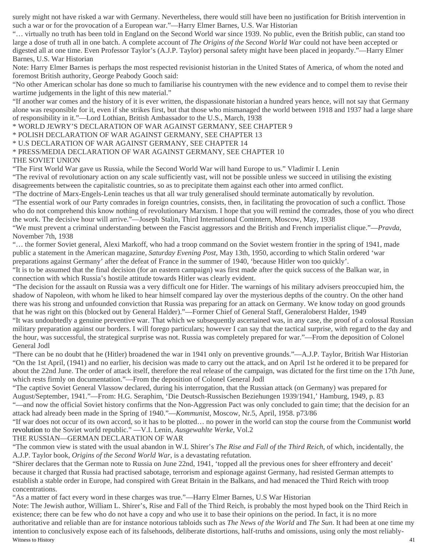surely might not have risked a war with Germany. Nevertheless, there would still have been no justification for British intervention in such a war or for the provocation of a European war."—Harry Elmer Barnes, U.S. War Historian

"… virtually no truth has been told in England on the Second World war since 1939. No public, even the British public, can stand too large a dose of truth all in one batch. A complete account of *The Origins of the Second World War* could not have been accepted or digested all at one time. Even Professor Taylor's (A.J.P. Taylor) personal safety might have been placed in jeopardy."—Harry Elmer Barnes, U.S. War Historian

Note: Harry Elmer Barnes is perhaps the most respected revisionist historian in the United States of America, of whom the noted and foremost British authority, George Peabody Gooch said:

"No other American scholar has done so much to familiarise his countrymen with the new evidence and to compel them to revise their wartime judgements in the light of this new material."

"If another war comes and the history of it is ever written, the dispassionate historian a hundred years hence, will not say that Germany alone was responsible for it, even if she strikes first, but that those who mismanaged the world between 1918 and 1937 had a large share of responsibility in it."—Lord Lothian, British Ambassador to the U.S., March, 1938

\* WORLD JEWRY'S DECLARATION OF WAR AGAINST GERMANY, SEE CHAPTER 9

\* POLISH DECLARATION OF WAR AGAINST GERMANY, SEE CHAPTER 13

\* U.S DECLARATION OF WAR AGAINST GERMANY, SEE CHAPTER 14

\* PRESS/MEDIA DECLARATION OF WAR AGAINST GERMANY, SEE CHAPTER 10

THE SOVIET UNION

"The First World War gave us Russia, while the Second World War will hand Europe to us." Vladimir I. Lenin

"The revival of revolutionary action on any scale sufficiently vast, will not be possible unless we succeed in utilising the existing disagreements between the capitalistic countries, so as to precipitate them against each other into armed conflict.

"The doctrine of Marx-Engels-Lenin teaches us that all war truly generalised should terminate automatically by revolution. "The essential work of our Party comrades in foreign countries, consists, then, in facilitating the provocation of such a conflict. Those who do not comprehend this know nothing of revolutionary Marxism. I hope that you will remind the comrades, those of you who direct the work. The decisive hour will arrive."—Joseph Stalin, Third International Comintern, Moscow, May, 1938

"We must prevent a criminal understanding between the Fascist aggressors and the British and French imperialist clique."—*Pravda*, November 7th, 1938

"… the former Soviet general, Alexi Markoff, who had a troop command on the Soviet western frontier in the spring of 1941, made public a statement in the American magazine, *Saturday Evening Post*, May 13th, 1950, according to which Stalin ordered 'war preparations against Germany' after the defeat of France in the summer of 1940, 'because Hitler won too quickly'.

"It is to be assumed that the final decision (for an eastern campaign) was first made after the quick success of the Balkan war, in connection with which Russia's hostile attitude towards Hitler was clearly evident.

"The decision for the assault on Russia was a very difficult one for Hitler. The warnings of his military advisers preoccupied him, the shadow of Napoleon, with whom he liked to hear himself compared lay over the mysterious depths of the country. On the other hand there was his strong and unfounded conviction that Russia was preparing for an attack on Germany. We know today on good grounds that he was right on this (blocked out by General Halder)."—Former Chief of General Staff, Generaloberst Halder, 1949

"It was undoubtedly a genuine preventive war. That which we subsequently ascertained was, in any case, the proof of a colossal Russian military preparation against our borders. I will forego particulars; however I can say that the tactical surprise, with regard to the day and the hour, was successful, the strategical surprise was not. Russia was completely prepared for war."—From the deposition of Colonel General Jodl

"There can be no doubt that he (Hitler) broadened the war in 1941 only on preventive grounds."—A.J.P. Taylor, British War Historian "On the 1st April, (1941) and no earlier, his decision was made to carry out the attack, and on April 1st he ordered it to be prepared for about the 22nd June. The order of attack itself, therefore the real release of the campaign, was dictated for the first time on the 17th June, which rests firmly on documentation."—From the deposition of Colonel General Jodl

"The captive Soviet General Vlassow declared, during his interrogation, that the Russian attack (on Germany) was prepared for August/September, 1941."—From: H.G. Seraphim, 'Die Deutsch-Russischen Beziehungen 1939/1941,' Hamburg, 1949, p. 83 "—and now the official Soviet history confirms that the Non-Aggression Pact was only concluded to gain time; that the decision for an attack had already been made in the Spring of 1940."—*Kommunist*, Moscow, Nr.5, April, 1958. p73/86

"If war does not occur of its own accord, so it has to be plotted… no power in the world can stop the course from the Communist world revolution to the Soviet world republic." —V.I. Lenin, *Ausgewahlte Werke*, Vol.2

## THE RUSSIAN—GERMAN DECLARATION OF WAR

"The common view is stated with the usual abandon in W.L Shirer's *The Rise and Fall of the Third Reich*, of which, incidentally, the A.J.P. Taylor book, *Origins of the Second World War*, is a devastating refutation.

"Shirer declares that the German note to Russia on June 22nd, 1941, 'topped all the previous ones for sheer effrontery and deceit' because it charged that Russia had practised sabotage, terrorism and espionage against Germany, had resisted German attempts to establish a stable order in Europe, had conspired with Great Britain in the Balkans, and had menaced the Third Reich with troop concentrations.

"As a matter of fact every word in these charges was true."—Harry Elmer Barnes, U.S War Historian

Witness to History **41** Note: The Jewish author, William L. Shirer's, Rise and Fall of the Third Reich, is probably the most hyped book on the Third Reich in existence; there can be few who do not have a copy and who use it to base their opinions on the period. In fact, it is no more authoritative and reliable than are for instance notorious tabloids such as *The News of the World* and *The Sun*. It had been at one time my intention to conclusively expose each of its falsehoods, deliberate distortions, half-truths and omissions, using only the most reliably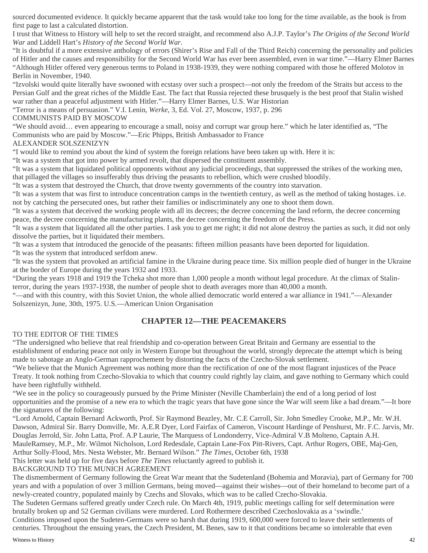sourced documented evidence. It quickly became apparent that the task would take too long for the time available, as the book is from first page to last a calculated distortion.

I trust that Witness to History will help to set the record straight, and recommend also A.J.P. Taylor's *The Origins of the Second World War* and Liddell Hart's *History of the Second World War*.

"It is doubtful if a more extensive anthology of errors (Shirer's Rise and Fall of the Third Reich) concerning the personality and policies of Hitler and the causes and responsibility for the Second World War has ever been assembled, even in war time."—Harry Elmer Barnes "Although Hitler offered very generous terms to Poland in 1938-1939, they were nothing compared with those he offered Molotov in Berlin in November, 1940.

"Izvolski would quite literally have swooned with ecstasy over such a prospect—not only the freedom of the Straits but access to the Persian Gulf and the great riches of the Middle East. The fact that Russia rejected these brusquely is the best proof that Stalin wished war rather than a peaceful adjustment with Hitler."—Harry Elmer Barnes, U.S. War Historian

"Terror is a means of persuasion." V.I. Lenin, *Werke*, 3, Ed. Vol. 27, Moscow, 1937, p. 296

#### COMMUNISTS PAID BY MOSCOW

"We should avoid… even appearing to encourage a small, noisy and corrupt war group here." which he later identified as, "The Communists who are paid by Moscow."—Eric Phipps, British Ambassador to France

#### ALEXANDER SOLSZENIZYN

"I would like to remind you about the kind of system the foreign relations have been taken up with. Here it is:

"It was a system that got into power by armed revolt, that dispersed the constituent assembly.

"It was a system that liquidated political opponents without any judicial proceedings, that suppressed the strikes of the working men, that pillaged the villages so insufferably thus driving the peasants to rebellion, which were crushed bloodily.

"It was a system that destroyed the Church, that drove twenty governments of the country into starvation.

"It was a system that was first to introduce concentration camps in the twentieth century, as well as the method of taking hostages. i.e. not by catching the persecuted ones, but rather their families or indiscriminately any one to shoot them down.

"It was a system that deceived the working people with all its decrees; the decree concerning the land reform, the decree concerning peace, the decree concerning the manufacturing plants, the decree concerning the freedom of the Press.

"It was a system that liquidated all the other parties. I ask you to get me right; it did not alone destroy the parties as such, it did not only dissolve the parties, but it liquidated their members.

"It was a system that introduced the genocide of the peasants: fifteen million peasants have been deported for liquidation. "It was the system that introduced serfdom anew.

"It was the system that provoked an artificial famine in the Ukraine during peace time. Six million people died of hunger in the Ukraine at the border of Europe during the years 1932 and 1933.

"During the years 1918 and 1919 the Tcheka shot more than 1,000 people a month without legal procedure. At the climax of Stalinterror, during the years 1937-1938, the number of people shot to death averages more than 40,000 a month.

"—and with this country, with this Soviet Union, the whole allied democratic world entered a war alliance in 1941."—Alexander Solszenizyn, June, 30th, 1975. U.S.—American Union Organisation

# **CHAPTER 12—THE PEACEMAKERS**

## TO THE EDITOR OF THE TIMES

"The undersigned who believe that real friendship and co-operation between Great Britain and Germany are essential to the establishment of enduring peace not only in Western Europe but throughout the world, strongly deprecate the attempt which is being made to sabotage an Anglo-German rapprochement by distorting the facts of the Czecho-Slovak settlement.

"We believe that the Munich Agreement was nothing more than the rectification of one of the most flagrant injustices of the Peace Treaty. It took nothing from Czecho-Slovakia to which that country could rightly lay claim, and gave nothing to Germany which could have been rightfully withheld.

"We see in the policy so courageously pursued by the Prime Minister (Neville Chamberlain) the end of a long period of lost opportunities and the promise of a new era to which the tragic years that have gone since the War will seem like a bad dream."—It bore the signatures of the following:

"Lord Arnold, Captain Bernard Ackworth, Prof. Sir Raymond Beazley, Mr. C.E Carroll, Sir. John Smedley Crooke, M.P., Mr. W.H. Dawson, Admiral Sir. Barry Domville, Mr. A.E.R Dyer, Lord Fairfax of Cameron, Viscount Hardinge of Penshurst, Mr. F.C. Jarvis, Mr. Douglas Jerrold, Sir. John Latta, Prof. A.P Laurie, The Marquess of Londonderry, Vice-Admiral V.B Molteno, Captain A.H.

MauleRamsey, M.P., Mr. Wilmot Nicholson, Lord Redesdale, Captain Lane-Fox Pitt-Rivers, Capt. Arthur Rogers, OBE, Maj-Gen, Arthur Solly-Flood, Mrs. Nesta Webster, Mr. Bernard Wilson." *The Times*, October 6th, 1938

This letter was held up for five days before *The Times* reluctantly agreed to publish it.

## BACKGROUND TO THE MUNICH AGREEMENT

The dismemberment of Germany following the Great War meant that the Sudetenland (Bohemia and Moravia), part of Germany for 700 years and with a population of over 3 million Germans, being moved—against their wishes—out of their homeland to become part of a newly-created country, populated mainly by Czechs and Slovaks, which was to be called Czecho-Slovakia.

The Sudeten Germans suffered greatly under Czech rule. On March 4th, 1919, public meetings calling for self determination were brutally broken up and 52 German civilians were murdered. Lord Rothermere described Czechoslovakia as a 'swindle.'

Conditions imposed upon the Sudeten-Germans were so harsh that during 1919, 600,000 were forced to leave their settlements of centuries. Throughout the ensuing years, the Czech President, M. Benes, saw to it that conditions became so intolerable that even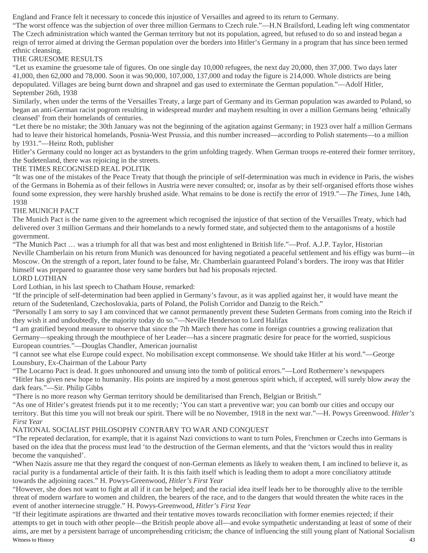England and France felt it necessary to concede this injustice of Versailles and agreed to its return to Germany.

"The worst offence was the subjection of over three million Germans to Czech rule."—H.N Brailsford, Leading left wing commentator The Czech administration which wanted the German territory but not its population, agreed, but refused to do so and instead began a reign of terror aimed at driving the German population over the borders into Hitler's Germany in a program that has since been termed ethnic cleansing.

## THE GRUESOME RESULTS

"Let us examine the gruesome tale of figures. On one single day 10,000 refugees, the next day 20,000, then 37,000. Two days later 41,000, then 62,000 and 78,000. Soon it was 90,000, 107,000, 137,000 and today the figure is 214,000. Whole districts are being depopulated. Villages are being burnt down and shrapnel and gas used to exterminate the German population."—Adolf Hitler, September 26th, 1938

Similarly, when under the terms of the Versailles Treaty, a large part of Germany and its German population was awarded to Poland, so began an anti-German racist pogrom resulting in widespread murder and mayhem resulting in over a million Germans being 'ethnically cleansed' from their homelands of centuries.

"Let there be no mistake; the 30th January was not the beginning of the agitation against Germany; in 1923 over half a million Germans had to leave their historical homelands, Posnia-West Prussia, and this number increased—according to Polish statements—to a million by 1931."—Heinz Roth, publisher

Hitler's Germany could no longer act as bystanders to the grim unfolding tragedy. When German troops re-entered their former territory, the Sudetenland, there was rejoicing in the streets.

## THE TIMES RECOGNISED REAL POLITIK

"It was one of the mistakes of the Peace Treaty that though the principle of self-determination was much in evidence in Paris, the wishes of the Germans in Bohemia as of their fellows in Austria were never consulted; or, insofar as by their self-organised efforts those wishes found some expression, they were harshly brushed aside. What remains to be done is rectify the error of 1919."—*The Times*, June 14th, 1938

## THE MUNICH PACT

The Munich Pact is the name given to the agreement which recognised the injustice of that section of the Versailles Treaty, which had delivered over 3 million Germans and their homelands to a newly formed state, and subjected them to the antagonisms of a hostile government.

"The Munich Pact … was a triumph for all that was best and most enlightened in British life."—Prof. A.J.P. Taylor, Historian Neville Chamberlain on his return from Munich was denounced for having negotiated a peaceful settlement and his effigy was burnt—in Moscow. On the strength of a report, later found to be false, Mr. Chamberlain guaranteed Poland's borders. The irony was that Hitler himself was prepared to guarantee those very same borders but had his proposals rejected.

## LORD LOTHIAN

Lord Lothian, in his last speech to Chatham House, remarked:

"If the principle of self-determination had been applied in Germany's favour, as it was applied against her, it would have meant the return of the Sudetenland, Czechoslovakia, parts of Poland, the Polish Corridor and Danzig to the Reich."

"Personally I am sorry to say I am convinced that we cannot permanently prevent these Sudeten Germans from coming into the Reich if they wish it and undoubtedly, the majority today do so."—Neville Henderson to Lord Halifax

"I am gratified beyond measure to observe that since the 7th March there has come in foreign countries a growing realization that Germany—speaking through the mouthpiece of her Leader—has a sincere pragmatic desire for peace for the worried, suspicious European countries."—Douglas Chandler, American journalist

"I cannot see what else Europe could expect. No mobilisation except commonsense. We should take Hitler at his word."—George Lounsbury, Ex-Chairman of the Labour Party

"The Locarno Pact is dead. It goes unhonoured and unsung into the tomb of political errors."—Lord Rothermere's newspapers "Hitler has given new hope to humanity. His points are inspired by a most generous spirit which, if accepted, will surely blow away the dark fears."—Sir. Philip Gibbs

"There is no more reason why German territory should be demilitarised than French, Belgian or British."

"As one of Hitler's greatest friends put it to me recently; 'You can start a preventive war; you can bomb our cities and occupy our territory. But this time you will not break our spirit. There will be no November, 1918 in the next war."—H. Powys Greenwood. *Hitler's First Year*

NATIONAL SOCIALIST PHILOSOPHY CONTRARY TO WAR AND CONQUEST

"The repeated declaration, for example, that it is against Nazi convictions to want to turn Poles, Frenchmen or Czechs into Germans is based on the idea that the process must lead 'to the destruction of the German elements, and that the 'victors would thus in reality become the vanquished'.

"When Nazis assure me that they regard the conquest of non-German elements as likely to weaken them, I am inclined to believe it, as racial purity is a fundamental article of their faith. It is this faith itself which is leading them to adopt a more conciliatory attitude towards the adjoining races." H. Powys-Greenwood, *Hitler's First Year*

"However, she does not want to fight at all if it can be helped; and the racial idea itself leads her to be thoroughly alive to the terrible threat of modern warfare to women and children, the bearers of the race, and to the dangers that would threaten the white races in the event of another internecine struggle." H. Powys-Greenwood, *Hitler's First Year*

Witness to History **Administer 2018 CONSERVING 2018 Administer 2019 Administer 2019 Administer 2019** "If their legitimate aspirations are thwarted and their tentative moves towards reconciliation with former enemies rejected; if their attempts to get in touch with other people—the British people above all—and evoke sympathetic understanding at least of some of their aims, are met by a persistent barrage of uncomprehending criticism; the chance of influencing the still young plant of National Socialism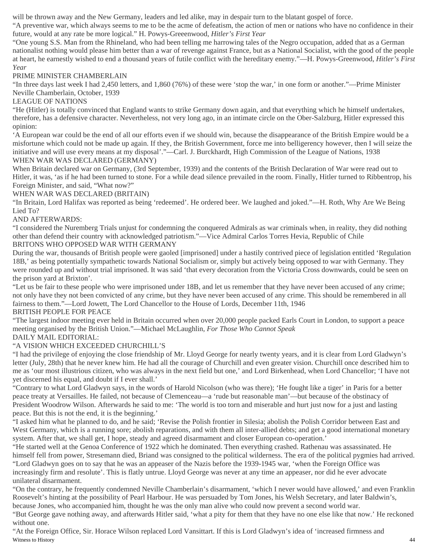will be thrown away and the New Germany, leaders and led alike, may in despair turn to the blatant gospel of force.

"A preventive war, which always seems to me to be the acme of defeatism, the action of men or nations who have no confidence in their future, would at any rate be more logical." H. Powys-Greeenwood, *Hitler's First Year*

"One young S.S. Man from the Rhineland, who had been telling me harrowing tales of the Negro occupation, added that as a German nationalist nothing would please him better than a war of revenge against France, but as a National Socialist, with the good of the people at heart, he earnestly wished to end a thousand years of futile conflict with the hereditary enemy."—H. Powys-Greenwood, *Hitler's First Year*

## PRIME MINISTER CHAMBERLAIN

"In three days last week I had 2,450 letters, and 1,860 (76%) of these were 'stop the war,' in one form or another."—Prime Minister Neville Chamberlain, October, 1939

## LEAGUE OF NATIONS

"He (Hitler) is totally convinced that England wants to strike Germany down again, and that everything which he himself undertakes, therefore, has a defensive character. Nevertheless, not very long ago, in an intimate circle on the Ober-Salzburg, Hitler expressed this opinion:

'A European war could be the end of all our efforts even if we should win, because the disappearance of the British Empire would be a misfortune which could not be made up again. If they, the British Government, force me into belligerency however, then I will seize the initiative and will use every means at my disposal'."—Carl. J. Burckhardt, High Commission of the League of Nations, 1938 WHEN WAR WAS DECLARED (GERMANY)

When Britain declared war on Germany, (3rd September, 1939) and the contents of the British Declaration of War were read out to Hitler, it was, 'as if he had been turned to stone. For a while dead silence prevailed in the room. Finally, Hitler turned to Ribbentrop, his Foreign Minister, and said, "What now?"

## WHEN WAR WAS DECLARED (BRITAIN)

"In Britain, Lord Halifax was reported as being 'redeemed'. He ordered beer. We laughed and joked."—H. Roth, Why Are We Being Lied To?

## AND AFTERWARDS:

"I considered the Nuremberg Trials unjust for condemning the conquered Admirals as war criminals when, in reality, they did nothing other than defend their country with acknowledged patriotism."—Vice Admiral Carlos Torres Hevia, Republic of Chile BRITONS WHO OPPOSED WAR WITH GERMANY

During the war, thousands of British people were gaoled [imprisoned] under a hastily contrived piece of legislation entitled 'Regulation 18B,' as being potentially sympathetic towards National Socialism or, simply but actively being opposed to war with Germany. They were rounded up and without trial imprisoned. It was said 'that every decoration from the Victoria Cross downwards, could be seen on the prison yard at Brixton'.

"Let us be fair to these people who were imprisoned under 18B, and let us remember that they have never been accused of any crime; not only have they not been convicted of any crime, but they have never been accused of any crime. This should be remembered in all fairness to them."—Lord Jowett, The Lord Chancellor to the House of Lords, December 11th, 1946 BRITISH PEOPLE FOR PEACE

"The largest indoor meeting ever held in Britain occurred when over 20,000 people packed Earls Court in London, to support a peace meeting organised by the British Union."—Michael McLaughlin, *For Those Who Cannot Speak*

# DAILY MAIL EDITORIAL:

## "A VISION WHICH EXCEEDED CHURCHILL'S

"I had the privilege of enjoying the close friendship of Mr. Lloyd George for nearly twenty years, and it is clear from Lord Gladwyn's letter (July, 28th) that he never knew him. He had all the courage of Churchill and even greater vision. Churchill once described him to me as 'our most illustrious citizen, who was always in the next field but one,' and Lord Birkenhead, when Lord Chancellor; 'I have not yet discerned his equal, and doubt if I ever shall.'

"Contrary to what Lord Gladwyn says, in the words of Harold Nicolson (who was there); 'He fought like a tiger' in Paris for a better peace treaty at Versailles. He failed, not because of Clemenceau—a 'rude but reasonable man'—but because of the obstinacy of President Woodrow Wilson. Afterwards he said to me: 'The world is too torn and miserable and hurt just now for a just and lasting peace. But this is not the end, it is the beginning.'

"I asked him what he planned to do, and he said; 'Revise the Polish frontier in Silesia; abolish the Polish Corridor between East and West Germany, which is a running sore; abolish reparations, and with them all inter-allied debts; and get a good international monetary system. After that, we shall get, I hope, steady and agreed disarmament and closer European co-operation.'

"He started well at the Genoa Conference of 1922 which he dominated. Then everything crashed. Rathenau was assassinated. He himself fell from power, Stresemann died, Briand was consigned to the political wilderness. The era of the political pygmies had arrived. "Lord Gladwyn goes on to say that he was an appeaser of the Nazis before the 1939-1945 war, 'when the Foreign Office was increasingly firm and resolute'. This is flatly untrue. Lloyd George was never at any time an appeaser, nor did he ever advocate unilateral disarmament.

"On the contrary, he frequently condemned Neville Chamberlain's disarmament, 'which I never would have allowed,' and even Franklin Roosevelt's hinting at the possibility of Pearl Harbour. He was persuaded by Tom Jones, his Welsh Secretary, and later Baldwin's, because Jones, who accompanied him, thought he was the only man alive who could now prevent a second world war.

"But George gave nothing away, and afterwards Hitler said, 'what a pity for them that they have no one else like that now.' He reckoned without one.

Witness to History 44 "At the Foreign Office, Sir. Horace Wilson replaced Lord Vansittart. If this is Lord Gladwyn's idea of 'increased firmness and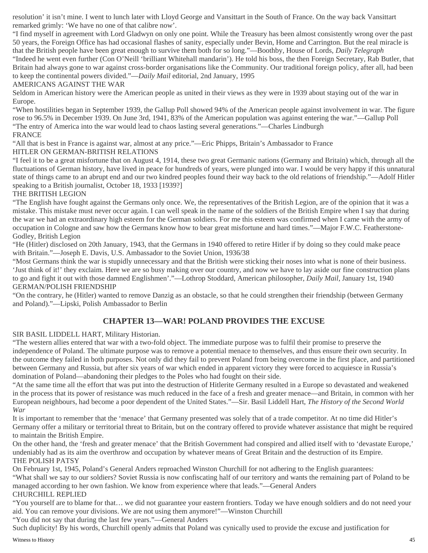resolution' it isn't mine. I went to lunch later with Lloyd George and Vansittart in the South of France. On the way back Vansittart remarked grimly: 'We have no one of that calibre now'.

"I find myself in agreement with Lord Gladwyn on only one point. While the Treasury has been almost consistently wrong over the past 50 years, the Foreign Office has had occasional flashes of sanity, especially under Bevin, Home and Carrington. But the real miracle is that the British people have been great enough to survive them both for so long."—Boothby, House of Lords, *Daily Telegraph* "Indeed he went even further (Con O'Neill 'brilliant Whitehall mandarin'). He told his boss, the then Foreign Secretary, Rab Butler, that Britain had always gone to war against cross-border organisations like the Community. Our traditional foreign policy, after all, had been

to keep the continental powers divided."—*Daily Mail* editorial, 2nd January, 1995

AMERICANS AGAINST THE WAR

Seldom in American history were the American people as united in their views as they were in 1939 about staying out of the war in Europe.

"When hostilities began in September 1939, the Gallup Poll showed 94% of the American people against involvement in war. The figure rose to 96.5% in December 1939. On June 3rd, 1941, 83% of the American population was against entering the war."—Gallup Poll "The entry of America into the war would lead to chaos lasting several generations."—Charles Lindburgh FRANCE

"All that is best in France is against war, almost at any price."—Eric Phipps, Britain's Ambassador to France

HITLER ON GERMAN-BRITISH RELATIONS

"I feel it to be a great misfortune that on August 4, 1914, these two great Germanic nations (Germany and Britain) which, through all the fluctuations of German history, have lived in peace for hundreds of years, were plunged into war. I would be very happy if this unnatural state of things came to an abrupt end and our two kindred peoples found their way back to the old relations of friendship."—Adolf Hitler speaking to a British journalist, October 18, 1933 [1939?]

## THE BRITISH LEGION

"The English have fought against the Germans only once. We, the representatives of the British Legion, are of the opinion that it was a mistake. This mistake must never occur again. I can well speak in the name of the soldiers of the British Empire when I say that during the war we had an extraordinary high esteem for the German soldiers. For me this esteem was confirmed when I came with the army of occupation in Cologne and saw how the Germans know how to bear great misfortune and hard times."—Major F.W.C. Featherstone-Godley, British Legion

"He (Hitler) disclosed on 20th January, 1943, that the Germans in 1940 offered to retire Hitler if by doing so they could make peace with Britain."—Joseph E. Davis, U.S. Ambassador to the Soviet Union, 1936/38

"Most Germans think the war is stupidly unnecessary and that the British were sticking their noses into what is none of their business. 'Just think of it!' they exclaim. Here we are so busy making over our country, and now we have to lay aside our fine construction plans to go and fight it out with those damned Englishmen'."—Lothrop Stoddard, American philosopher, *Daily Mail*, January 1st, 1940 GERMAN/POLISH FRIENDSHIP

"On the contrary, he (Hitler) wanted to remove Danzig as an obstacle, so that he could strengthen their friendship (between Germany and Poland)."—Lipski, Polish Ambassador to Berlin

# **CHAPTER 13—WAR! POLAND PROVIDES THE EXCUSE**

# SIR BASIL LIDDELL HART, Military Historian.

"The western allies entered that war with a two-fold object. The immediate purpose was to fulfil their promise to preserve the independence of Poland. The ultimate purpose was to remove a potential menace to themselves, and thus ensure their own security. In the outcome they failed in both purposes. Not only did they fail to prevent Poland from being overcome in the first place, and partitioned between Germany and Russia, but after six years of war which ended in apparent victory they were forced to acquiesce in Russia's domination of Poland—abandoning their pledges to the Poles who had fought on their side.

"At the same time all the effort that was put into the destruction of Hitlerite Germany resulted in a Europe so devastated and weakened in the process that its power of resistance was much reduced in the face of a fresh and greater menace—and Britain, in common with her European neighbours, had become a poor dependent of the United States."—Sir. Basil Liddell Hart, *The History of the Second World War*

It is important to remember that the 'menace' that Germany presented was solely that of a trade competitor. At no time did Hitler's Germany offer a military or territorial threat to Britain, but on the contrary offered to provide whatever assistance that might be required to maintain the British Empire.

On the other hand, the 'fresh and greater menace' that the British Government had conspired and allied itself with to 'devastate Europe,' undeniably had as its aim the overthrow and occupation by whatever means of Great Britain and the destruction of its Empire. THE POLISH PATSY

On February 1st, 1945, Poland's General Anders reproached Winston Churchill for not adhering to the English guarantees:

"What shall we say to our soldiers? Soviet Russia is now confiscating half of our territory and wants the remaining part of Poland to be managed according to her own fashion. We know from experience where that leads."—General Anders

CHURCHILL REPLIED

"You yourself are to blame for that… we did not guarantee your eastern frontiers. Today we have enough soldiers and do not need your aid. You can remove your divisions. We are not using them anymore!"—Winston Churchill

"You did not say that during the last few years."—General Anders

Such duplicity! By his words, Churchill openly admits that Poland was cynically used to provide the excuse and justification for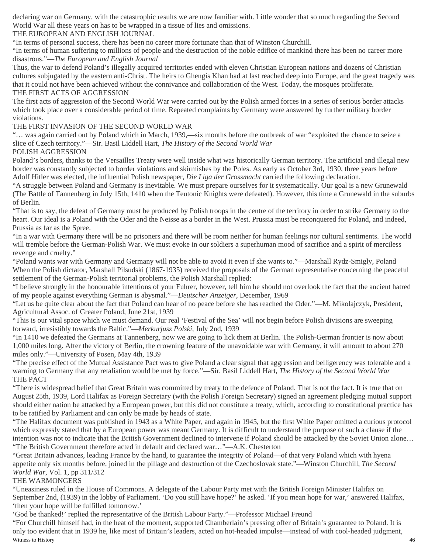declaring war on Germany, with the catastrophic results we are now familiar with. Little wonder that so much regarding the Second World War all these years on has to be wrapped in a tissue of lies and omissions.

# THE EUROPEAN AND ENGLISH JOURNAL

"In terms of personal success, there has been no career more fortunate than that of Winston Churchill.

"In terms of human suffering to millions of people and the destruction of the noble edifice of mankind there has been no career more disastrous."—*The European and English Journal*

Thus, the war to defend Poland's illegally acquired territories ended with eleven Christian European nations and dozens of Christian cultures subjugated by the eastern anti-Christ. The heirs to Ghengis Khan had at last reached deep into Europe, and the great tragedy was that it could not have been achieved without the connivance and collaboration of the West. Today, the mosques proliferate. THE FIRST ACTS OF AGGRESSION

#### The first acts of aggression of the Second World War were carried out by the Polish armed forces in a series of serious border attacks which took place over a considerable period of time. Repeated complaints by Germany were answered by further military border violations.

## THE FIRST INVASION OF THE SECOND WORLD WAR

"… was again carried out by Poland which in March, 1939,—six months before the outbreak of war "exploited the chance to seize a slice of Czech territory."—Sir. Basil Liddell Hart, *The History of the Second World War*

## POLISH AGGRESSION

Poland's borders, thanks to the Versailles Treaty were well inside what was historically German territory. The artificial and illegal new border was constantly subjected to border violations and skirmishes by the Poles. As early as October 3rd, 1930, three years before Adolf Hitler was elected, the influential Polish newspaper, *Die Liga der Grossmacht* carried the following declaration.

"A struggle between Poland and Germany is inevitable. We must prepare ourselves for it systematically. Our goal is a new Grunewald (The Battle of Tannenberg in July 15th, 1410 when the Teutonic Knights were defeated). However, this time a Grunewald in the suburbs of Berlin.

"That is to say, the defeat of Germany must be produced by Polish troops in the centre of the territory in order to strike Germany to the heart. Our ideal is a Poland with the Oder and the Neisse as a border in the West. Prussia must be reconquered for Poland, and indeed, Prussia as far as the Spree.

"In a war with Germany there will be no prisoners and there will be room neither for human feelings nor cultural sentiments. The world will tremble before the German-Polish War. We must evoke in our soldiers a superhuman mood of sacrifice and a spirit of merciless revenge and cruelty."

"Poland wants war with Germany and Germany will not be able to avoid it even if she wants to."—Marshall Rydz-Smigly, Poland When the Polish dictator, Marshall Pilsudski (1867-1935) received the proposals of the German representative concerning the peaceful settlement of the German-Polish territorial problems, the Polish Marshall replied:

"I believe strongly in the honourable intentions of your Fuhrer, however, tell him he should not overlook the fact that the ancient hatred of my people against everything German is abysmal."—*Deutscher Anzeiger*, December, 1969

"Let us be quite clear about the fact that Poland can hear of no peace before she has reached the Oder."—M. Mikolajczyk, President, Agricultural Assoc. of Greater Poland, June 21st, 1939

"This is our vital space which we must demand. Our real 'Festival of the Sea' will not begin before Polish divisions are sweeping forward, irresistibly towards the Baltic."—*Merkurjusz Polski*, July 2nd, 1939

"In 1410 we defeated the Germans at Tannenberg, now we are going to lick them at Berlin. The Polish-German frontier is now about 1,000 miles long. After the victory of Berlin, the crowning feature of the unavoidable war with Germany, it will amount to about 270 miles only."—University of Posen, May 4th, 1939

"The precise effect of the Mutual Assistance Pact was to give Poland a clear signal that aggression and belligerency was tolerable and a warning to Germany that any retaliation would be met by force."—Sir. Basil Liddell Hart, *The History of the Second World War* THE PACT

"There is widespread belief that Great Britain was committed by treaty to the defence of Poland. That is not the fact. It is true that on August 25th, 1939, Lord Halifax as Foreign Secretary (with the Polish Foreign Secretary) signed an agreement pledging mutual support should either nation be attacked by a European power, but this did not constitute a treaty, which, according to constitutional practice has to be ratified by Parliament and can only be made by heads of state.

"The Halifax document was published in 1943 as a White Paper, and again in 1945, but the first White Paper omitted a curious protocol which expressly stated that by a European power was meant Germany. It is difficult to understand the purpose of such a clause if the intention was not to indicate that the British Government declined to intervene if Poland should be attacked by the Soviet Union alone… "The British Government therefore acted in default and declared war…"—A.K. Chesterton

"Great Britain advances, leading France by the hand, to guarantee the integrity of Poland—of that very Poland which with hyena appetite only six months before, joined in the pillage and destruction of the Czechoslovak state."—Winston Churchill, *The Second World War*, Vol. 1, pp 311/312

## THE WARMONGERS

"Uneasiness ruled in the House of Commons. A delegate of the Labour Party met with the British Foreign Minister Halifax on September 2nd, (1939) in the lobby of Parliament. 'Do you still have hope?' he asked. 'If you mean hope for war,' answered Halifax, 'then your hope will be fulfilled tomorrow.'

'God be thanked!' replied the representative of the British Labour Party."—Professor Michael Freund

Witness to History **America** and the set of the set of the set of the set of the set of the set of the set of the set of the set of the set of the set of the set of the set of the set of the set of the set of the set of th "For Churchill himself had, in the heat of the moment, supported Chamberlain's pressing offer of Britain's guarantee to Poland. It is only too evident that in 1939 he, like most of Britain's leaders, acted on hot-headed impulse—instead of with cool-headed judgment,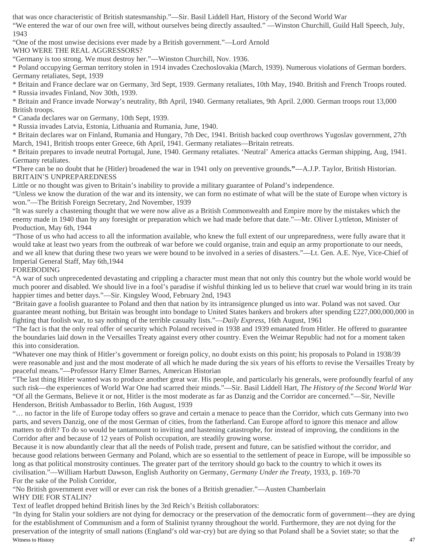that was once characteristic of British statesmanship."—Sir. Basil Liddell Hart, History of the Second World War

"We entered the war of our own free will, without ourselves being directly assaulted." —Winston Churchill, Guild Hall Speech, July, 1943

"One of the most unwise decisions ever made by a British government."—Lord Arnold WHO WERE THE REAL AGGRESSORS?

"Germany is too strong. We must destroy her."—Winston Churchill, Nov. 1936.

\* Poland occupying German territory stolen in 1914 invades Czechoslovakia (March, 1939). Numerous violations of German borders. Germany retaliates, Sept, 1939

\* Britain and France declare war on Germany, 3rd Sept, 1939. Germany retaliates, 10th May, 1940. British and French Troops routed. \* Russia invades Finland, Nov 30th, 1939.

\* Britain and France invade Norway's neutrality, 8th April, 1940. Germany retaliates, 9th April. 2,000. German troops rout 13,000 British troops.

\* Canada declares war on Germany, 10th Sept, 1939.

\* Russia invades Latvia, Estonia, Lithuania and Rumania, June, 1940.

\* Britain declares war on Finland, Rumania and Hungary, 7th Dec, 1941. British backed coup overthrows Yugoslav government, 27th March, 1941, British troops enter Greece, 6th April, 1941. Germany retaliates—Britain retreats.

\* Britain prepares to invade neutral Portugal, June, 1940. Germany retaliates. 'Neutral' America attacks German shipping, Aug, 1941. Germany retaliates.

**"**There can be no doubt that he (Hitler) broadened the war in 1941 only on preventive grounds**."**—A.J.P. Taylor, British Historian. BRITAIN'S UNPREPAREDNESS

Little or no thought was given to Britain's inability to provide a military guarantee of Poland's independence.

"Unless we know the duration of the war and its intensity, we can form no estimate of what will be the state of Europe when victory is won."—The British Foreign Secretary, 2nd November, 1939

"It was surely a chastening thought that we were now alive as a British Commonwealth and Empire more by the mistakes which the enemy made in 1940 than by any foresight or preparation which we had made before that date."—Mr. Oliver Lyttleton, Minister of Production, May 6th, 1944

"Those of us who had access to all the information available, who knew the full extent of our unpreparedness, were fully aware that it would take at least two years from the outbreak of war before we could organise, train and equip an army proportionate to our needs, and we all knew that during these two years we were bound to be involved in a series of disasters."—Lt. Gen. A.E. Nye, Vice-Chief of Imperial General Staff, May 6th,1944

## FOREBODING

"A war of such unprecedented devastating and crippling a character must mean that not only this country but the whole world would be much poorer and disabled. We should live in a fool's paradise if wishful thinking led us to believe that cruel war would bring in its train happier times and better days."—Sir. Kingsley Wood, February 2nd, 1943

"Britain gave a foolish guarantee to Poland and then that nation by its intransigence plunged us into war. Poland was not saved. Our guarantee meant nothing, but Britain was brought into bondage to United States bankers and brokers after spending £227,000,000,000 in fighting that foolish war, to say nothing of the terrible casualty lists."—*Daily Express*, 16th August, 1961

"The fact is that the only real offer of security which Poland received in 1938 and 1939 emanated from Hitler. He offered to guarantee the boundaries laid down in the Versailles Treaty against every other country. Even the Weimar Republic had not for a moment taken this into consideration.

"Whatever one may think of Hitler's government or foreign policy, no doubt exists on this point; his proposals to Poland in 1938/39 were reasonable and just and the most moderate of all which he made during the six years of his efforts to revise the Versailles Treaty by peaceful means."—Professor Harry Elmer Barnes, American Historian

"The last thing Hitler wanted was to produce another great war. His people, and particularly his generals, were profoundly fearful of any such risk—the experiences of World War One had scarred their minds."—Sir. Basil Liddell Hart, *The History of the Second World War* "Of all the Germans, Believe it or not, Hitler is the most moderate as far as Danzig and the Corridor are concerned."—Sir, Neville Henderson, British Ambassador to Berlin, 16th August, 1939

"… no factor in the life of Europe today offers so grave and certain a menace to peace than the Corridor, which cuts Germany into two parts, and severs Danzig, one of the most German of cities, from the fatherland. Can Europe afford to ignore this menace and allow matters to drift? To do so would be tantamount to inviting and hastening catastrophe, for instead of improving, the conditions in the Corridor after and because of 12 years of Polish occupation, are steadily growing worse.

Because it is now abundantly clear that all the needs of Polish trade, present and future, can be satisfied without the corridor, and because good relations between Germany and Poland, which are so essential to the settlement of peace in Europe, will be impossible so long as that political monstrosity continues. The greater part of the territory should go back to the country to which it owes its civilisation."—William Harbutt Dawson, English Authority on Germany, *Germany Under the Treaty*, 1933, p. 169-70 For the sake of the Polish Corridor,

"No British government ever will or ever can risk the bones of a British grenadier."—Austen Chamberlain WHY DIE FOR STALIN?

Text of leaflet dropped behind British lines by the 3rd Reich's British collaborators:

Witness to History **47** "In dying for Stalin your soldiers are not dying for democracy or the preservation of the democratic form of government—they are dying for the establishment of Communism and a form of Stalinist tyranny throughout the world. Furthermore, they are not dying for the preservation of the integrity of small nations (England's old war-cry) but are dying so that Poland shall be a Soviet state; so that the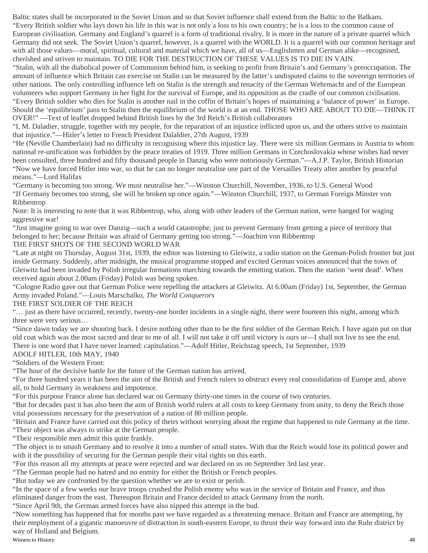Baltic states shall be incorporated in the Soviet Union and so that Soviet influence shall extend from the Baltic to the Balkans. "Every British soldier who lays down his life in this war is not only a loss to his own country; he is a loss to the common cause of European civilisation. Germany and England's quarrel is a form of traditional rivalry. It is more in the nature of a private quarrel which Germany did not seek. The Soviet Union's quarrel, however, is a quarrel with the WORLD. It is a quarrel with our common heritage and with all those values—moral, spiritual, cultural and material which we have, all of us—Englishmen and German alike—recognised, cherished and striven to maintain. TO DIE FOR THE DESTRUCTION OF THESE VALUES IS TO DIE IN VAIN.

"Stalin, with all the diabolical power of Communism behind him, is seeking to profit from Britain's and Germany's preoccupation. The amount of influence which Britain can exercise on Stalin can be measured by the latter's undisputed claims to the sovereign territories of other nations. The only controlling influence left on Stalin is the strength and tenacity of the German Wehrmacht and of the European volunteers who support Germany in her fight for the survival of Europe, and its opposition as the cradle of our common civilisation. "Every British soldier who dies for Stalin is another nail in the coffin of Britain's hopes of maintaining a 'balance of power' in Europe. Should the 'equilibrium' pass to Stalin then the equilibrium of the world is at an end. THOSE WHO ARE ABOUT TO DIE—THINK IT OVER!" —Text of leaflet dropped behind British lines by the 3rd Reich's British collaborators

"I, M. Daladier, struggle, together with my people, for the reparation of an injustice inflicted upon us, and the others strive to maintain that injustice."—Hitler's letter to French President Dalaldier, 27th August, 1939

"He (Neville Chamberlain) had no difficulty in recognising where this injustice lay. There were six million Germans in Austria to whom national re-unification was forbidden by the peace treaties of 1919. Three million Germans in Czechoslovakia whose wishes had never been consulted, three hundred and fifty thousand people in Danzig who were notoriously German."—A.J.P. Taylor, British Historian "Now we have forced Hitler into war, so that he can no longer neutralise one part of the Versailles Treaty after another by peaceful means."—Lord Halifax

"Germany is becoming too strong. We must neutralise her."—Winston Churchill, November, 1936, to U.S. General Wood "If Germany becomes too strong, she will be broken up once again."—Winston Churchill, 1937, to German Foreign Minster von Ribbentrop

Note: It is interesting to note that it was Ribbentrop, who, along with other leaders of the German nation, were hanged for waging aggressive war!

"Just imagine going to war over Danzig—such a world catastrophe, just to prevent Germany from getting a piece of territory that belonged to her; because Britain was afraid of Germany getting too strong."—Joachim von Ribbentrop

## THE FIRST SHOTS OF THE SECOND WORLD WAR

"Late at night on Thursday, August 31st, 1939, the editor was listening to Gleiwitz, a radio station on the German-Polish frontier but just inside Germany. Suddenly, after midnight, the musical programme stopped and excited German voices announced that the town of Gleiwitz had been invaded by Polish irregular formations marching towards the emitting station. Then the station 'went dead'. When received again about 2.00am (Friday) Polish was being spoken.

"Cologne Radio gave out that German Police were repelling the attackers at Gleiwitz. At 6.00am (Friday) 1st, September, the German Army invaded Poland."—Louis Marschalko, *The World Conquerors*

## THE FIRST SOLDIER OF THE REICH

"… just as there have occurred, recently, twenty-one border incidents in a single night, there were fourteen this night, among which three were very serious…

"Since dawn today we are shooting back. I desire nothing other than to be the first soldier of the German Reich. I have again put on that old coat which was the most sacred and dear to me of all. I will not take it off until victory is ours or—I shall not live to see the end. There is one word that I have never learned: capitulation."—Adolf Hitler, Reichstag speech, 1st September, 1939

# ADOLF HITLER, 10th MAY, 1940

"Soldiers of the Western Front:

"The hour of the decisive battle for the future of the German nation has arrived.

"For three hundred years it has been the aim of the British and French rulers to obstruct every real consolidation of Europe and, above all, to hold Germany in weakness and impotence.

"For this purpose France alone has declared war on Germany thirty-one times in the course of two centuries.

"But for decades past it has also been the aim of British world rulers at all costs to keep Germany from unity, to deny the Reich those vital possessions necessary for the preservation of a nation of 80 million people.

"Britain and France have carried out this policy of theirs without worrying about the regime that happened to rule Germany at the time. "Their object was always to strike at the German people.

"Their responsible men admit this quite frankly.

"The object is to smash Germany and to resolve it into a number of small states. With that the Reich would lose its political power and with it the possibility of securing for the German people their vital rights on this earth.

"For this reason all my attempts at peace were rejected and war declared on us on September 3rd last year.

"The German people had no hatred and no enmity for either the British or French peoples.

"But today we are confronted by the question whether we are to exist or perish.

"In the space of a few weeks our brave troops crushed the Polish enemy who was in the service of Britain and France, and thus eliminated danger from the east. Thereupon Britain and France decided to attack Germany from the north.

"Since April 9th, the German armed forces have also nipped this attempt in the bud.

"Now something has happened that for months past we have regarded as a threatening menace. Britain and France are attempting, by their employment of a gigantic manoeuvre of distraction in south-eastern Europe, to thrust their way forward into the Ruhr district by way of Holland and Belgium.

Witness to History 48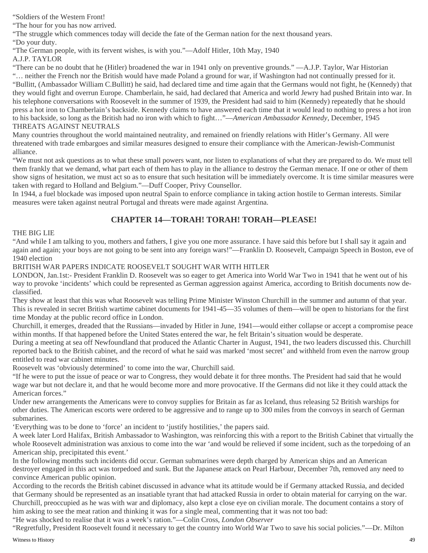"Soldiers of the Western Front!

"The hour for you has now arrived.

"The struggle which commences today will decide the fate of the German nation for the next thousand years.

"Do your duty.

"The German people, with its fervent wishes, is with you."—Adolf Hitler, 10th May, 1940 A.J.P. TAYLOR

"There can be no doubt that he (Hitler) broadened the war in 1941 only on preventive grounds." —A.J.P. Taylor, War Historian "… neither the French nor the British would have made Poland a ground for war, if Washington had not continually pressed for it. "Bullitt, (Ambassador William C.Bullitt) he said, had declared time and time again that the Germans would not fight, he (Kennedy) that they would fight and overrun Europe. Chamberlain, he said, had declared that America and world Jewry had pushed Britain into war. In his telephone conversations with Roosevelt in the summer of 1939, the President had said to him (Kennedy) repeatedly that he should press a hot iron to Chamberlain's backside. Kennedy claims to have answered each time that it would lead to nothing to press a hot iron to his backside, so long as the British had no iron with which to fight…"—*American Ambassador Kennedy*, December, 1945 THREATS AGAINST NEUTRALS

Many countries throughout the world maintained neutrality, and remained on friendly relations with Hitler's Germany. All were threatened with trade embargoes and similar measures designed to ensure their compliance with the American-Jewish-Communist alliance.

"We must not ask questions as to what these small powers want, nor listen to explanations of what they are prepared to do. We must tell them frankly that we demand, what part each of them has to play in the alliance to destroy the German menace. If one or other of them show signs of hesitation, we must act so as to ensure that such hesitation will be immediately overcome. It is time similar measures were taken with regard to Holland and Belgium."—Duff Cooper, Privy Counsellor.

In 1944, a fuel blockade was imposed upon neutral Spain to enforce compliance in taking action hostile to German interests. Similar measures were taken against neutral Portugal and threats were made against Argentina.

# **CHAPTER 14—TORAH! TORAH! TORAH—PLEASE!**

#### THE BIG LIE

"And while I am talking to you, mothers and fathers, I give you one more assurance. I have said this before but I shall say it again and again and again; your boys are not going to be sent into any foreign wars!"—Franklin D. Roosevelt, Campaign Speech in Boston, eve of 1940 election

## BRITISH WAR PAPERS INDICATE ROOSEVELT SOUGHT WAR WITH HITLER

LONDON, Jan.1st:- President Franklin D. Roosevelt was so eager to get America into World War Two in 1941 that he went out of his way to provoke 'incidents' which could be represented as German aggression against America, according to British documents now declassified.

They show at least that this was what Roosevelt was telling Prime Minister Winston Churchill in the summer and autumn of that year. This is revealed in secret British wartime cabinet documents for 1941-45—35 volumes of them—will be open to historians for the first time Monday at the public record office in London.

Churchill, it emerges, dreaded that the Russians—invaded by Hitler in June, 1941—would either collapse or accept a compromise peace within months. If that happened before the United States entered the war, he felt Britain's situation would be desperate.

During a meeting at sea off Newfoundland that produced the Atlantic Charter in August, 1941, the two leaders discussed this. Churchill reported back to the British cabinet, and the record of what he said was marked 'most secret' and withheld from even the narrow group entitled to read war cabinet minutes.

Roosevelt was 'obviously determined' to come into the war, Churchill said.

"If he were to put the issue of peace or war to Congress, they would debate it for three months. The President had said that he would wage war but not declare it, and that he would become more and more provocative. If the Germans did not like it they could attack the American forces."

Under new arrangements the Americans were to convoy supplies for Britain as far as Iceland, thus releasing 52 British warships for other duties. The American escorts were ordered to be aggressive and to range up to 300 miles from the convoys in search of German submarines.

'Everything was to be done to 'force' an incident to 'justify hostilities,' the papers said.

A week later Lord Halifax, British Ambassador to Washington, was reinforcing this with a report to the British Cabinet that virtually the whole Roosevelt administration was anxious to come into the war 'and would be relieved if some incident, such as the torpedoing of an American ship, precipitated this event.'

In the following months such incidents did occur. German submarines were depth charged by American ships and an American destroyer engaged in this act was torpedoed and sunk. But the Japanese attack on Pearl Harbour, December 7th, removed any need to convince American public opinion.

According to the records the British cabinet discussed in advance what its attitude would be if Germany attacked Russia, and decided that Germany should be represented as an insatiable tyrant that had attacked Russia in order to obtain material for carrying on the war. Churchill, preoccupied as he was with war and diplomacy, also kept a close eye on civilian morale. The document contains a story of him asking to see the meat ration and thinking it was for a single meal, commenting that it was not too bad:

"He was shocked to realise that it was a week's ration."—Colin Cross, *London Observer*

"Regretfully, President Roosevelt found it necessary to get the country into World War Two to save his social policies."—Dr. Milton

Witness to History 49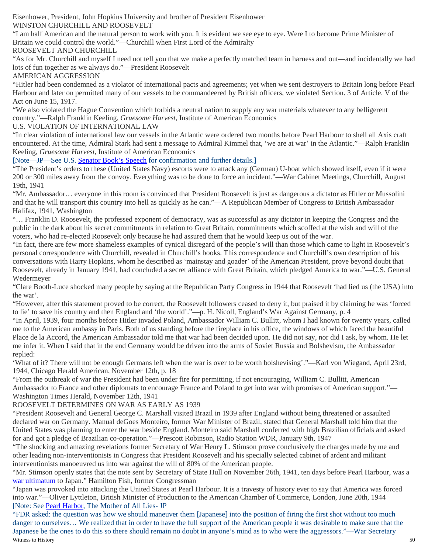Eisenhower, President, John Hopkins University and brother of President Eisenhower WINSTON CHURCHILL AND ROOSEVELT

"I am half American and the natural person to work with you. It is evident we see eye to eye. Were I to become Prime Minister of Britain we could control the world."—Churchill when First Lord of the Admiralty

ROOSEVELT AND CHURCHILL

"As for Mr. Churchill and myself I need not tell you that we make a perfectly matched team in harness and out—and incidentally we had lots of fun together as we always do."—President Roosevelt

AMERICAN AGGRESSION

"Hitler had been condemned as a violator of international pacts and agreements; yet when we sent destroyers to Britain long before Pearl Harbour and later on permitted many of our vessels to be commandeered by British officers, we violated Section. 3 of Article. V of the Act on June 15, 1917.

"We also violated the Hague Convention which forbids a neutral nation to supply any war materials whatever to any belligerent country."—Ralph Franklin Keeling, *Gruesome Harvest*, Institute of American Economics

## U.S. VIOLATION OF INTERNATIONAL LAW

"In clear violation of international law our vessels in the Atlantic were ordered two months before Pearl Harbour to shell all Axis craft encountered. At the time, Admiral Stark had sent a message to Admiral Kimmel that, 'we are at war' in the Atlantic."—Ralph Franklin Keeling, *Gruesome Harvest*, Institute of American Economics

[Note—JP—See U.S. [Senator Book's Speech](http://www.sweetliberty.org/issues/wars/book.htm) for confirmation and further details.]

"The President's orders to these (United States Navy) escorts were to attack any (German) U-boat which showed itself, even if it were 200 or 300 miles away from the convoy. Everything was to be done to force an incident."—War Cabinet Meetings, Churchill, August 19th, 1941

"Mr. Ambassador… everyone in this room is convinced that President Roosevelt is just as dangerous a dictator as Hitler or Mussolini and that he will transport this country into hell as quickly as he can."—A Republican Member of Congress to British Ambassador Halifax, 1941, Washington

"… Franklin D. Roosevelt, the professed exponent of democracy, was as successful as any dictator in keeping the Congress and the public in the dark about his secret commitments in relation to Great Britain, commitments which scoffed at the wish and will of the voters, who had re-elected Roosevelt only because he had assured them that he would keep us out of the war.

"In fact, there are few more shameless examples of cynical disregard of the people's will than those which came to light in Roosevelt's personal correspondence with Churchill, revealed in Churchill's books. This correspondence and Churchill's own description of his conversations with Harry Hopkins, whom he described as 'mainstay and goader' of the American President, prove beyond doubt that Roosevelt, already in January 1941, had concluded a secret alliance with Great Britain, which pledged America to war."—U.S. General Wedermeyer

"Clare Booth-Luce shocked many people by saying at the Republican Party Congress in 1944 that Roosevelt 'had lied us (the USA) into the war'.

"However, after this statement proved to be correct, the Roosevelt followers ceased to deny it, but praised it by claiming he was 'forced to lie' to save his country and then England and 'the world'."—p. H. Nicoll, England's War Against Germany, p. 4

"In April, 1939, four months before Hitler invaded Poland, Ambassador William C. Bullitt, whom I had known for twenty years, called me to the American embassy in Paris. Both of us standing before the fireplace in his office, the windows of which faced the beautiful Place de la Accord, the American Ambassador told me that war had been decided upon. He did not say, nor did I ask, by whom. He let me infer it. When I said that in the end Germany would be driven into the arms of Soviet Russia and Bolshevism, the Ambassador replied:

'What of it? There will not be enough Germans left when the war is over to be worth bolshevising'."—Karl von Wiegand, April 23rd, 1944, Chicago Herald American, November 12th, p. 18

"From the outbreak of war the President had been under fire for permitting, if not encouraging, William C. Bullitt, American Ambassador to France and other diplomats to encourage France and Poland to get into war with promises of American support."— Washington Times Herald, November 12th, 1941

ROOSEVELT DETERMINES ON WAR AS EARLY AS 1939

"President Roosevelt and General George C. Marshall visited Brazil in 1939 after England without being threatened or assaulted declared war on Germany. Manual deGoes Monteiro, former War Minister of Brazil, stated that General Marshall told him that the United States was planning to enter the war beside England. Monteiro said Marshall conferred with high Brazilian officials and asked for and got a pledge of Brazilian co-operation."—Prescott Robinson, Radio Station WDR, January 9th, 1947

"The shocking and amazing revelations former Secretary of War Henry L. Stimson prove conclusively the charges made by me and other leading non-interventionists in Congress that President Roosevelt and his specially selected cabinet of ardent and militant interventionists manoeuvred us into war against the will of 80% of the American people.

"Mr. Stimson openly states that the note sent by Secretary of State Hull on November 26th, 1941, ten days before Pearl Harbour, was a [war ultimatum](http://www.sweetliberty.org/issues/wars/hull.htm) to Japan." Hamilton Fish, former Congressman

"Japan was provoked into attacking the United States at Pearl Harbour. It is a travesty of history ever to say that America was forced into war."—Oliver Lyttleton, British Minister of Production to the American Chamber of Commerce, London, June 20th, 1944 [Note: See [Pearl Harbor](http://www.sweetliberty.org/issues/wars/pearlharbor.htm), The Mother of All Lies- JP

Witness to History 50 and the set of the set of the set of the set of the set of the set of the set of the set of the set of the set of the set of the set of the set of the set of the set of the set of the set of the set o "FDR asked: the question was how we should maneuver them [Japanese] into the position of firing the first shot without too much danger to ourselves… We realized that in order to have the full support of the American people it was desirable to make sure that the Japanese be the ones to do this so there should remain no doubt in anyone's mind as to who were the aggressors."—War Secretary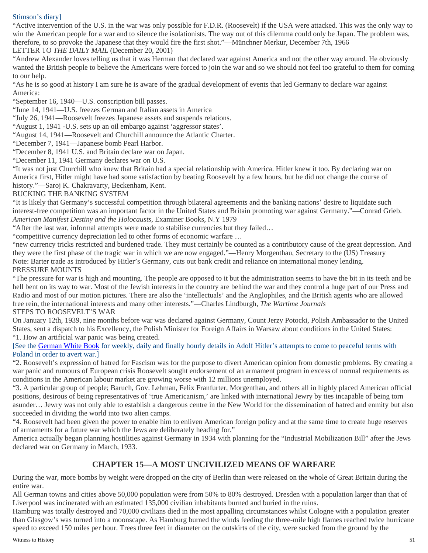#### Stimson's diary]

"Active intervention of the U.S. in the war was only possible for F.D.R. (Roosevelt) if the USA were attacked. This was the only way to win the American people for a war and to silence the isolationists. The way out of this dilemma could only be Japan. The problem was, therefore, to so provoke the Japanese that they would fire the first shot."—Münchner Merkur, December 7th, 1966

#### LETTER TO *THE DAILY MAIL* (December 20, 2001)

"Andrew Alexander loves telling us that it was Herman that declared war against America and not the other way around. He obviously wanted the British people to believe the Americans were forced to join the war and so we should not feel too grateful to them for coming to our help.

"As he is so good at history I am sure he is aware of the gradual development of events that led Germany to declare war against America:

"September 16, 1940—U.S. conscription bill passes.

"June 14, 1941—U.S. freezes German and Italian assets in America

"July 26, 1941—Roosevelt freezes Japanese assets and suspends relations.

"August 1, 1941 -U.S. sets up an oil embargo against 'aggressor states'.

"August 14, 1941—Roosevelt and Churchill announce the Atlantic Charter.

"December 7, 1941—Japanese bomb Pearl Harbor.

"December 8, 1941 U.S. and Britain declare war on Japan.

"December 11, 1941 Germany declares war on U.S.

"It was not just Churchill who knew that Britain had a special relationship with America. Hitler knew it too. By declaring war on America first, Hitler might have had some satisfaction by beating Roosevelt by a few hours, but he did not change the course of history."—Saroj K. Chakravarty, Beckenham, Kent.

#### BUCKING THE BANKING SYSTEM

"It is likely that Germany's successful competition through bilateral agreements and the banking nations' desire to liquidate such interest-free competition was an important factor in the United States and Britain promoting war against Germany."—Conrad Grieb. *American Manifest Destiny and the Holocausts*, Examiner Books, N.Y 1979

"After the last war, informal attempts were made to stabilise currencies but they failed…

"competitive currency depreciation led to other forms of economic warfare …

"new currency tricks restricted and burdened trade. They must certainly be counted as a contributory cause of the great depression. And they were the first phase of the tragic war in which we are now engaged."—Henry Morgenthau, Secretary to the (US) Treasury Note: Barter trade as introduced by Hitler's Germany, cuts out bank credit and reliance on international money lending. PRESSURE MOUNTS

"The pressure for war is high and mounting. The people are opposed to it but the administration seems to have the bit in its teeth and be hell bent on its way to war. Most of the Jewish interests in the country are behind the war and they control a huge part of our Press and Radio and most of our motion pictures. There are also the 'intellectuals' and the Anglophiles, and the British agents who are allowed free rein, the international interests and many other interests."—Charles Lindburgh, *The Wartime Journals* STEPS TO ROOSEVELT'S WAR

On January 12th, 1939, nine months before war was declared against Germany, Count Jerzy Potocki, Polish Ambassador to the United States, sent a dispatch to his Excellency, the Polish Minister for Foreign Affairs in Warsaw about conditions in the United States: "1. How an artificial war panic was being created.

[See the [German White Book](http://www.sweetliberty.org/issues/wars/whitebook/1.htm) for weekly, daily and finally hourly details in Adolf Hitler's attempts to come to peaceful terms with Poland in order to avert war.]

"2. Roosevelt's expression of hatred for Fascism was for the purpose to divert American opinion from domestic problems. By creating a war panic and rumours of European crisis Roosevelt sought endorsement of an armament program in excess of normal requirements as conditions in the American labour market are growing worse with 12 millions unemployed.

"3. A particular group of people; Baruch, Gov. Lehman, Felix Franfurter, Morgenthau, and others all in highly placed American official positions, desirous of being representatives of 'true Americanism,' are linked with international Jewry by ties incapable of being torn asunder… Jewry was not only able to establish a dangerous centre in the New World for the dissemination of hatred and enmity but also succeeded in dividing the world into two alien camps.

"4. Roosevelt had been given the power to enable him to enliven American foreign policy and at the same time to create huge reserves of armaments for a future war which the Jews are deliberately heading for."

America actually began planning hostilities against Germany in 1934 with planning for the "Industrial Mobilization Bill" after the Jews declared war on Germany in March, 1933.

# **CHAPTER 15—A MOST UNCIVILIZED MEANS OF WARFARE**

During the war, more bombs by weight were dropped on the city of Berlin than were released on the whole of Great Britain during the entire war.

All German towns and cities above 50,000 population were from 50% to 80% destroyed. Dresden with a population larger than that of Liverpool was incinerated with an estimated 135,000 civilian inhabitants burned and buried in the ruins.

Hamburg was totally destroyed and 70,000 civilians died in the most appalling circumstances whilst Cologne with a population greater than Glasgow's was turned into a moonscape. As Hamburg burned the winds feeding the three-mile high flames reached twice hurricane speed to exceed 150 miles per hour. Trees three feet in diameter on the outskirts of the city, were sucked from the ground by the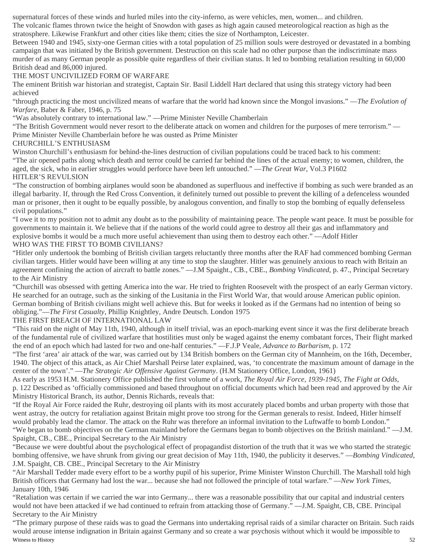supernatural forces of these winds and hurled miles into the city-inferno, as were vehicles, men, women... and children.

The volcanic flames thrown twice the height of Snowdon with gases as high again caused meteorological reaction as high as the stratosphere. Likewise Frankfurt and other cities like them; cities the size of Northampton, Leicester.

Between 1940 and 1945, sixty-one German cities with a total population of 25 million souls were destroyed or devastated in a bombing campaign that was initiated by the British government. Destruction on this scale had no other purpose than the indiscriminate mass murder of as many German people as possible quite regardless of their civilian status. It led to bombing retaliation resulting in 60,000 British dead and 86,000 injured.

THE MOST UNCIVILIZED FORM OF WARFARE

The eminent British war historian and strategist, Captain Sir. Basil Liddell Hart declared that using this strategy victory had been achieved

"through practicing the most uncivilized means of warfare that the world had known since the Mongol invasions." —*The Evolution of Warfare*, Baber & Faber, 1946, p. 75

"Was absolutely contrary to international law." —Prime Minister Neville Chamberlain

"The British Government would never resort to the deliberate attack on women and children for the purposes of mere terrorism." — Prime Minister Neville Chamberlain before he was ousted as Prime Minister

## CHURCHILL'S ENTHUSIASM

Winston Churchill's enthusiasm for behind-the-lines destruction of civilian populations could be traced back to his comment:

"The air opened paths along which death and terror could be carried far behind the lines of the actual enemy; to women, children, the aged, the sick, who in earlier struggles would perforce have been left untouched." —*The Great War*, Vol.3 P1602 HITLER'S REVULSION

"The construction of bombing airplanes would soon be abandoned as superfluous and ineffective if bombing as such were branded as an illegal barbarity. If, through the Red Cross Convention, it definitely turned out possible to prevent the killing of a defenceless wounded man or prisoner, then it ought to be equally possible, by analogous convention, and finally to stop the bombing of equally defenseless civil populations."

"I owe it to my position not to admit any doubt as to the possibility of maintaining peace. The people want peace. It must be possible for governments to maintain it. We believe that if the nations of the world could agree to destroy all their gas and inflammatory and explosive bombs it would be a much more useful achievement than using them to destroy each other." —Adolf Hitler WHO WAS THE FIRST TO BOMB CIVILIANS?

"Hitler only undertook the bombing of British civilian targets reluctantly three months after the RAF had commenced bombing German civilian targets. Hitler would have been willing at any time to stop the slaughter. Hitler was genuinely anxious to reach with Britain an agreement confining the action of aircraft to battle zones." —J.M Spaight., CB., CBE., *Bombing Vindicated*, p. 47., Principal Secretary to the Air Ministry

"Churchill was obsessed with getting America into the war. He tried to frighten Roosevelt with the prospect of an early German victory. He searched for an outrage, such as the sinking of the Lusitania in the First World War, that would arouse American public opinion. German bombing of British civilians might well achieve this. But for weeks it looked as if the Germans had no intention of being so obliging."—*The First Casualty*, Phillip Knightley, Andre Deutsch. London 1975

# THE FIRST BREACH OF INTERNATIONAL LAW

"This raid on the night of May 11th, 1940, although in itself trivial, was an epoch-marking event since it was the first deliberate breach of the fundamental rule of civilized warfare that hostilities must only be waged against the enemy combatant forces, Their flight marked the end of an epoch which had lasted for two and one-half centuries." —F.J.P Veale, *Advance to Barbarism*, p. 172

"The first 'area' air attack of the war, was carried out by 134 British bombers on the German city of Mannheim, on the 16th, December, 1940. The object of this attack, as Air Chief Marshall Peirse later explained, was, 'to concentrate the maximum amount of damage in the center of the town'." —*The Strategic Air Offensive Against Germany*. (H.M Stationery Office, London, 1961)

As early as 1953 H.M. Stationery Office published the first volume of a work, *The Royal Air Force, 1939-1945, The Fight at Odds*, p. 122 Described as 'officially commissioned and based throughout on official documents which had been read and approved by the Air Ministry Historical Branch, its author, Dennis Richards, reveals that:

"If the Royal Air Force raided the Ruhr, destroying oil plants with its most accurately placed bombs and urban property with those that went astray, the outcry for retaliation against Britain might prove too strong for the German generals to resist. Indeed, Hitler himself would probably lead the clamor. The attack on the Ruhr was therefore an informal invitation to the Luftwaffe to bomb London." "We began to bomb objectives on the German mainland before the Germans began to bomb objectives on the British mainland." —J.M. Spaight, CB., CBE., Principal Secretary to the Air Ministry

"Because we were doubtful about the psychological effect of propagandist distortion of the truth that it was we who started the strategic bombing offensive, we have shrunk from giving our great decision of May 11th, 1940, the publicity it deserves." —*Bombing Vindicated*, J.M. Spaight, CB. CBE., Principal Secretary to the Air Ministry

"Air Marshall Tedder made every effort to be a worthy pupil of his superior, Prime Minister Winston Churchill. The Marshall told high British officers that Germany had lost the war... because she had not followed the principle of total warfare." —*New York Times*, January 10th, 1946

"Retaliation was certain if we carried the war into Germany... there was a reasonable possibility that our capital and industrial centers would not have been attacked if we had continued to refrain from attacking those of Germany." —J.M. Spaight, CB, CBE. Principal Secretary to the Air Ministry

Witness to History 52 "The primary purpose of these raids was to goad the Germans into undertaking reprisal raids of a similar character on Britain. Such raids would arouse intense indignation in Britain against Germany and so create a war psychosis without which it would be impossible to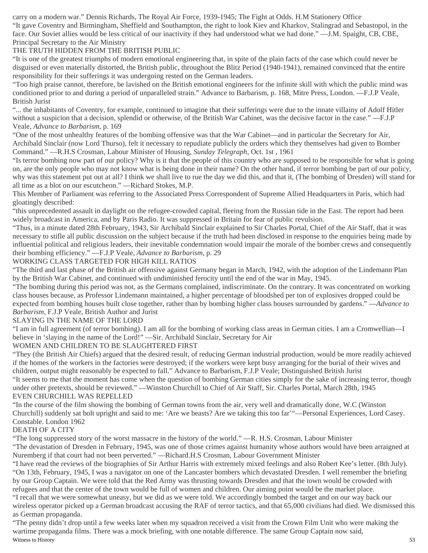carry on a modern war." Dennis Richards, The Royal Air Force, 1939-1945; The Fight at Odds. H.M Stationery Office "It gave Coventry and Birmingham, Sheffield and Southampton, the right to look Kiev and Kharkov, Stalingrad and Sebastopol, in the face. Our Soviet allies would be less critical of our inactivity if they had understood what we had done." —J.M. Spaight, CB, CBE, Principal Secretary to the Air Ministry

## THE TRUTH HIDDEN FROM THE BRITISH PUBLIC

"It is one of the greatest triumphs of modern emotional engineering that, in spite of the plain facts of the case which could never be disguised or even materially distorted, the British public, throughout the Blitz Period (1940-1941), remained convinced that the entire responsibility for their sufferings it was undergoing rested on the German leaders.

"Too high praise cannot, therefore, be lavished on the British emotional engineers for the infinite skill with which the public mind was conditioned prior to and during a period of unparalleled strain." Advance to Barbarism, p. 168, Mitre Press, London. —F.J.P Veale, British Jurist

"... the inhabitants of Coventry, for example, continued to imagine that their sufferings were due to the innate villainy of Adolf Hitler without a suspicion that a decision, splendid or otherwise, of the British War Cabinet, was the decisive factor in the case."—F.J.P Veale, *Advance to Barbarism*, p. 169

"One of the most unhealthy features of the bombing offensive was that the War Cabinet—and in particular the Secretary for Air, Archibald Sinclair (now Lord Thurso), felt it necessary to repudiate publicly the orders which they themselves had given to Bomber Command." —R.H.S Crosman, Labour Minister of Housing, *Sunday Telegraph*, Oct. 1st , 1961

"Is terror bombing now part of our policy? Why is it that the people of this country who are supposed to be responsible for what is going on, are the only people who may not know what is being done in their name? On the other hand, if terror bombing be part of our policy, why was this statement put out at all? I think we shall live to rue the day we did this, and that it, (The bombing of Dresden) will stand for all time as a blot on our escutcheon." —Richard Stokes, M.P.

This Member of Parliament was referring to the Associated Press Correspondent of Supreme Allied Headquarters in Paris, which had gloatingly described:

"this unprecedented assault in daylight on the refugee-crowded capital, fleeing from the Russian tide in the East. The report had been widely broadcast in America, and by Paris Radio. It was suppressed in Britain for fear of public revulsion.

"Thus, in a minute dated 28th February, 1943, Sir Archibald Sinclair explained to Sir Charles Portal, Chief of the Air Staff, that it was necessary to stifle all public discussion on the subject because if the truth had been disclosed in response to the enquiries being made by influential political and religious leaders, their inevitable condemnation would impair the morale of the bomber crews and consequently their bombing efficiency." —F.J.P Veale, *Advance to Barbarism*, p. 29

## WORKING CLASS TARGETED FOR HIGH KILL RATIOS

"The third and last phase of the British air offensive against Germany began in March, 1942, with the adoption of the Lindemann Plan by the British War Cabinet, and continued with undiminished ferocity until the end of the war in May, 1945.

"The bombing during this period was not, as the Germans complained, indiscriminate. On the contrary. It was concentrated on working class houses because, as Professor Lindemann maintained, a higher percentage of bloodshed per ton of explosives dropped could be expected from bombing houses built close together, rather than by bombing higher class houses surrounded by gardens." —*Advance to Barbarism*, F.J.P Veale, British Author and Jurist

## SLAYING IN THE NAME OF THE LORD

"I am in full agreement (of terror bombing). I am all for the bombing of working class areas in German cities. I am a Cromwellian—I believe in 'slaying in the name of the Lord!"—Sir. Archibald Sinclair, Secretary for Air

## WOMEN AND CHILDREN TO BE SLAUGHTERED FIRST

"They (the British Air Chiefs) argued that the desired result, of reducing German industrial production, would be more readily achieved if the homes of the workers in the factories were destroyed; if the workers were kept busy arranging for the burial of their wives and children, output might reasonably be expected to fall." Advance to Barbarism, F.J.P Veale; Distinguished British Jurist "It seems to me that the moment has come when the question of bombing German cities simply for the sake of increasing terror, though under other pretexts, should be reviewed." —Winston Churchill to Chief of Air Staff, Sir. Charles Portal, March 28th, 1945 EVEN CHURCHILL WAS REPELLED

"In the course of the film showing the bombing of German towns from the air, very well and dramatically done, W.C (Winston Churchill) suddenly sat bolt upright and said to me: 'Are we beasts? Are we taking this too far'"—Personal Experiences, Lord Casey. Constable. London 1962

# DEATH OF A CITY

"The long suppressed story of the worst massacre in the history of the world." —R. H.S. Crosman, Labour Minister "The devastation of Dresden in February, 1945, was one of those crimes against humanity whose authors would have been arraigned at Nuremberg if that court had not been perverted." —Richard.H.S Crosman, Labour Government Minister

"I have read the reviews of the biographies of Sir Arthur Harris with extremely mixed feelings and also Robert Kee's letter. (8th July). "On 13th, February, 1945, I was a navigator on one of the Lancaster bombers which devastated Dresden. I well remember the briefing by our Group Captain. We were told that the Red Army was thrusting towards Dresden and that the town would be crowded with refugees and that the center of the town would be full of women and children. Our aiming point would be the market place.

"I recall that we were somewhat uneasy, but we did as we were told. We accordingly bombed the target and on our way back our wireless operator picked up a German broadcast accusing the RAF of terror tactics, and that 65,000 civilians had died. We dismissed this as German propaganda.

witness to History 53 "The penny didn't drop until a few weeks later when my squadron received a visit from the Crown Film Unit who were making the wartime propaganda films. There was a mock briefing, with one notable difference. The same Group Captain now said,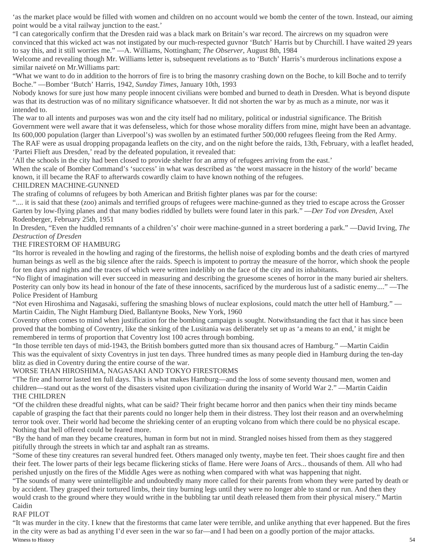'as the market place would be filled with women and children on no account would we bomb the center of the town. Instead, our aiming point would be a vital railway junction to the east.'

"I can categorically confirm that the Dresden raid was a black mark on Britain's war record. The aircrews on my squadron were convinced that this wicked act was not instigated by our much-respected guvnor 'Butch' Harris but by Churchill. I have waited 29 years to say this, and it still worries me." —A. Williams, Nottingham; *The Observer*, August 8th, 1984

Welcome and revealing though Mr. Williams letter is, subsequent revelations as to 'Butch' Harris's murderous inclinations expose a similar naiveté on Mr.Williams part:

"What we want to do in addition to the horrors of fire is to bring the masonry crashing down on the Boche, to kill Boche and to terrify Boche." —Bomber 'Butch' Harris, 1942, *Sunday Times*, January 10th, 1993

Nobody knows for sure just how many people innocent civilians were bombed and burned to death in Dresden. What is beyond dispute was that its destruction was of no military significance whatsoever. It did not shorten the war by as much as a minute, nor was it intended to.

The war to all intents and purposes was won and the city itself had no military, political or industrial significance. The British Government were well aware that it was defenseless, which for those whose morality differs from mine, might have been an advantage. Its 600,000 population (larger than Liverpool's) was swollen by an estimated further 500,000 refugees fleeing from the Red Army. The RAF were as usual dropping propaganda leaflets on the city, and on the night before the raids, 13th, February, with a leaflet headed, 'Partei Flieft aus Dresden,' read by the defeated population, it revealed that:

'All the schools in the city had been closed to provide shelter for an army of refugees arriving from the east.'

When the scale of Bomber Command's 'success' in what was described as 'the worst massacre in the history of the world' became known, it ill became the RAF to afterwards cowardly claim to have known nothing of the refugees.

## CHILDREN MACHINE-GUNNED

The strafing of columns of refugees by both American and British fighter planes was par for the course:

".... it is said that these (zoo) animals and terrified groups of refugees were machine-gunned as they tried to escape across the Grosser Garten by low-flying planes and that many bodies riddled by bullets were found later in this park." —*Der Tod von Dresden*, Axel Rodenberger, February 25th, 1951

In Dresden, "Even the huddled remnants of a children's' choir were machine-gunned in a street bordering a park." —David Irving, *The Destruction of Dresden*

## THE FIRESTORM OF HAMBURG

"Its horror is revealed in the howling and raging of the firestorms, the hellish noise of exploding bombs and the death cries of martyred human beings as well as the big silence after the raids. Speech is impotent to portray the measure of the horror, which shook the people for ten days and nights and the traces of which were written indelibly on the face of the city and its inhabitants.

"No flight of imagination will ever succeed in measuring and describing the gruesome scenes of horror in the many buried air shelters. Posterity can only bow its head in honour of the fate of these innocents, sacrificed by the murderous lust of a sadistic enemy...." —The Police President of Hamburg

"Not even Hiroshima and Nagasaki, suffering the smashing blows of nuclear explosions, could match the utter hell of Hamburg." — Martin Caidin, The Night Hamburg Died, Ballantyne Books, New York, 1960

Coventry often comes to mind when justification for the bombing campaign is sought. Notwithstanding the fact that it has since been proved that the bombing of Coventry, like the sinking of the Lusitania was deliberately set up as 'a means to an end,' it might be remembered in terms of proportion that Coventry lost 100 acres through bombing.

"In those terrible ten days of mid-1943, the British bombers gutted more than six thousand acres of Hamburg." —Martin Caidin This was the equivalent of sixty Coventrys in just ten days. Three hundred times as many people died in Hamburg during the ten-day blitz as died in Coventry during the entire course of the war.

## WORSE THAN HIROSHIMA, NAGASAKI AND TOKYO FIRESTORMS

"The fire and horror lasted ten full days. This is what makes Hamburg—and the loss of some seventy thousand men, women and children—stand out as the worst of the disasters visited upon civilization during the insanity of World War 2." —Martin Caidin THE CHILDREN

"Of the children these dreadful nights, what can be said? Their fright became horror and then panics when their tiny minds became capable of grasping the fact that their parents could no longer help them in their distress. They lost their reason and an overwhelming terror took over. Their world had become the shrieking center of an erupting volcano from which there could be no physical escape. Nothing that hell offered could be feared more.

"By the hand of man they became creatures, human in form but not in mind. Strangled noises hissed from them as they staggered pitifully through the streets in which tar and asphalt ran as streams.

"Some of these tiny creatures ran several hundred feet. Others managed only twenty, maybe ten feet. Their shoes caught fire and then their feet. The lower parts of their legs became flickering sticks of flame. Here were Joans of Arcs... thousands of them. All who had perished unjustly on the fires of the Middle Ages were as nothing when compared with what was happening that night.

"The sounds of many were unintelligible and undoubtedly many more called for their parents from whom they were parted by death or by accident. They grasped their tortured limbs, their tiny burning legs until they were no longer able to stand or run. And then they would crash to the ground where they would writhe in the bubbling tar until death released them from their physical misery." Martin Caidin

# RAF PILOT

Witness to History 54 "It was murder in the city. I knew that the firestorms that came later were terrible, and unlike anything that ever happened. But the fires in the city were as bad as anything I'd ever seen in the war so far—and I had been on a goodly portion of the major attacks.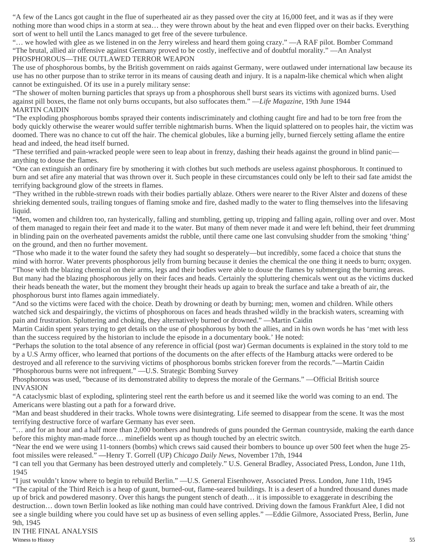"A few of the Lancs got caught in the flue of superheated air as they passed over the city at 16,000 feet, and it was as if they were nothing more than wood chips in a storm at sea… they were thrown about by the heat and even flipped over on their backs. Everything sort of went to hell until the Lancs managed to get free of the severe turbulence.

"… we howled with glee as we listened in on the Jerry wireless and heard them going crazy." —A RAF pilot. Bomber Command "The brutal, allied air offensive against Germany proved to be costly, ineffective and of doubtful morality." —An Analyst PHOSPHOROUS—THE OUTLAWED TERROR WEAPON

The use of phosphorous bombs, by the British government on raids against Germany, were outlawed under international law because its use has no other purpose than to strike terror in its means of causing death and injury. It is a napalm-like chemical which when alight cannot be extinguished. Of its use in a purely military sense:

"The shower of molten burning particles that sprays up from a phosphorous shell burst sears its victims with agonized burns. Used against pill boxes, the flame not only burns occupants, but also suffocates them." —*Life Magazine*, 19th June 1944 MARTIN CAIDIN

"The exploding phosphorous bombs sprayed their contents indiscriminately and clothing caught fire and had to be torn free from the body quickly otherwise the wearer would suffer terrible nightmarish burns. When the liquid splattered on to peoples hair, the victim was doomed. There was no chance to cut off the hair. The chemical globules, like a burning jelly, burned fiercely setting aflame the entire head and indeed, the head itself burned.

"These terrified and pain-wracked people were seen to leap about in frenzy, dashing their heads against the ground in blind panic anything to douse the flames.

"One can extinguish an ordinary fire by smothering it with clothes but such methods are useless against phosphorous. It continued to burn and set afire any material that was thrown over it. Such people in these circumstances could only be left to their sad fate amidst the terrifying background glow of the streets in flames.

"They writhed in the rubble-strewn roads with their bodies partially ablaze. Others were nearer to the River Alster and dozens of these shrieking demented souls, trailing tongues of flaming smoke and fire, dashed madly to the water to fling themselves into the lifesaving liquid.

"Men, women and children too, ran hysterically, falling and stumbling, getting up, tripping and falling again, rolling over and over. Most of them managed to regain their feet and made it to the water. But many of them never made it and were left behind, their feet drumming in blinding pain on the overheated pavements amidst the rubble, until there came one last convulsing shudder from the smoking 'thing' on the ground, and then no further movement.

"Those who made it to the water found the safety they had sought so desperately—but incredibly, some faced a choice that stuns the mind with horror. Water prevents phosphorous jelly from burning because it denies the chemical the one thing it needs to burn; oxygen. "Those with the blazing chemical on their arms, legs and their bodies were able to douse the flames by submerging the burning areas. But many had the blazing phosphorous jelly on their faces and heads. Certainly the spluttering chemicals went out as the victims ducked their heads beneath the water, but the moment they brought their heads up again to break the surface and take a breath of air, the phosphorous burst into flames again immediately.

"And so the victims were faced with the choice. Death by drowning or death by burning; men, women and children. While others watched sick and despairingly, the victims of phosphorous on faces and heads thrashed wildly in the brackish waters, screaming with pain and frustration. Spluttering and choking, they alternatively burned or drowned." —Martin Caidin

Martin Caidin spent years trying to get details on the use of phosphorous by both the allies, and in his own words he has 'met with less than the success required by the historian to include the episode in a documentary book.' He noted:

"Perhaps the solution to the total absence of any reference in official (post war) German documents is explained in the story told to me by a U.S Army officer, who learned that portions of the documents on the after effects of the Hamburg attacks were ordered to be destroyed and all reference to the surviving victims of phosphorous bombs stricken forever from the records."—Martin Caidin "Phosphorous burns were not infrequent." —U.S. Strategic Bombing Survey

Phosphorous was used, "because of its demonstrated ability to depress the morale of the Germans." —Official British source INVASION

"A cataclysmic blast of exploding, splintering steel rent the earth before us and it seemed like the world was coming to an end. The Americans were blasting out a path for a forward drive.

"Man and beast shuddered in their tracks. Whole towns were disintegrating. Life seemed to disappear from the scene. It was the most terrifying destructive force of warfare Germany has ever seen.

"… and for an hour and a half more than 2,000 bombers and hundreds of guns pounded the German countryside, making the earth dance before this mighty man-made force… minefields went up as though touched by an electric switch.

"Near the end we were using 11-tonners (bombs) which crews said caused their bombers to bounce up over 500 feet when the huge 25 foot missiles were released." —Henry T. Gorrell (UP) *Chicago Daily News*, November 17th, 1944

"I can tell you that Germany has been destroyed utterly and completely." U.S. General Bradley, Associated Press, London, June 11th, 1945

"I just wouldn't know where to begin to rebuild Berlin." —U.S. General Eisenhower, Associated Press. London, June 11th, 1945 "The capital of the Third Reich is a heap of gaunt, burned-out, flame-seared buildings. It is a desert of a hundred thousand dunes made up of brick and powdered masonry. Over this hangs the pungent stench of death… it is impossible to exaggerate in describing the destruction… down town Berlin looked as like nothing man could have contrived. Driving down the famous Frankfurt Alee, I did not see a single building where you could have set up as business of even selling apples." —Eddie Gilmore, Associated Press, Berlin, June 9th, 1945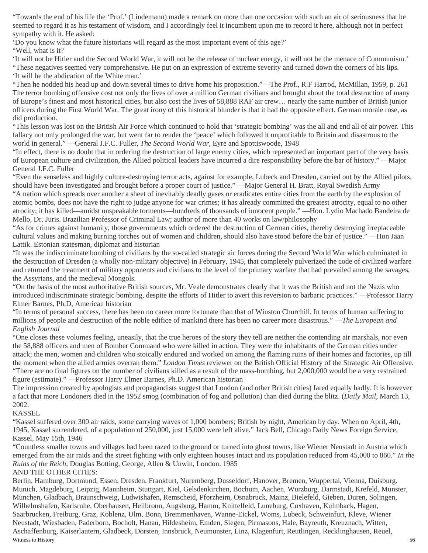"Towards the end of his life the 'Prof.' (Lindemann) made a remark on more than one occasion with such an air of seriousness that he seemed to regard it as his testament of wisdom, and I accordingly feel it incumbent upon me to record it here, although not in perfect sympathy with it. He asked:

'Do you know what the future historians will regard as the most important event of this age?'

"Well, what is it?

'It will not be Hitler and the Second World War, it will not be the release of nuclear energy, it will not be the menace of Communism.' "These negatives seemed very comprehensive. He put on an expression of extreme severity and turned down the corners of his lips. 'It will be the abdication of the White man.'

"Then he nodded his head up and down several times to drive home his proposition."—The Prof., R.F Harrod, McMillan, 1959, p. 261 The terror bombing offensive cost not only the lives of over a million German civilians and brought about the total destruction of many of Europe's finest and most historical cities, but also cost the lives of 58,888 RAF air crew… nearly the same number of British junior officers during the First World War. The great irony of this historical blunder is that it had the opposite effect. German morale rose, as did production.

"This lesson was lost on the British Air Force which continued to hold that 'strategic bombing' was the all and end all of air power. This fallacy not only prolonged the war, but went far to render the 'peace' which followed it unprofitable to Britain and disastrous to the world in general." —General J.F.C. Fuller, *The Second World War*, Eyre and Spottiswoode, 1948

"In effect, there is no doubt that in ordering the destruction of large enemy cities, which represented an important part of the very basis of European culture and civilization, the Allied political leaders have incurred a dire responsibility before the bar of history." —Major General J.F.C. Fuller

"Even the senseless and highly culture-destroying terror acts, against for example, Lubeck and Dresden, carried out by the Allied pilots, should have been investigated and brought before a proper court of justice." —Major General H. Bratt, Royal Swedish Army

"A nation which spreads over another a sheet of inevitably deadly gases or eradicates entire cities from the earth by the explosion of atomic bombs, does not have the right to judge anyone for war crimes; it has already committed the greatest atrocity, equal to no other atrocity; it has killed—amidst unspeakable torments—hundreds of thousands of innocent people." —Hon. Lydio Machado Bandeira de Mello, Dr. Juris. Brazilian Professor of Criminal Law; author of more than 40 works on law/philosophy

"As for crimes against humanity, those governments which ordered the destruction of German cities, thereby destroying irreplaceable cultural values and making burning torches out of women and children, should also have stood before the bar of justice." —Hon Jaan Lattik. Estonian statesman, diplomat and historian

"It was the indiscriminate bombing of civilians by the so-called strategic air forces during the Second World War which culminated in the destruction of Dresden (a wholly non-military objective) in February, 1945, that completely pulverized the code of civilized warfare and returned the treatment of military opponents and civilians to the level of the primary warfare that had prevailed among the savages, the Assyrians, and the medieval Mongols.

"On the basis of the most authoritative British sources, Mr. Veale demonstrates clearly that it was the British and not the Nazis who introduced indiscriminate strategic bombing, despite the efforts of Hitler to avert this reversion to barbaric practices." —Professor Harry Elmer Barnes, Ph.D, American historian

"In terms of personal success, there has been no career more fortunate than that of Winston Churchill. In terms of human suffering to millions of people and destruction of the noble edifice of mankind there has been no career more disastrous." —*The European and English Journal*

"One closes these volumes feeling, uneasily, that the true heroes of the story they tell are neither the contending air marshals, nor even the 58,888 officers and men of Bomber Command who were killed in action. They were the inhabitants of the German cities under attack; the men, women and children who stoically endured and worked on among the flaming ruins of their homes and factories, up till the moment when the allied armies overran them." *London Times* reviewer on the British Official History of the Strategic Air Offensive. "There are no final figures on the number of civilians killed as a result of the mass-bombing, but 2,000,000 would be a very restrained figure (estimate)." —Professor Harry Elmer Barnes, Ph.D. American historian

The impression created by apologists and propagandists suggest that London (and other British cities) fared equally badly. It is however a fact that more Londoners died in the 1952 smog (combination of fog and pollution) than died during the blitz. (*Daily Mail*, March 13, 2002.

KASSEL

"Kassel suffered over 300 air raids, some carrying waves of 1,000 bombers; British by night, American by day. When on April, 4th, 1945, Kassel surrendered, of a population of 250,000, just 15,000 were left alive." Jack Bell, Chicago Daily News Foreign Service, Kassel, May 15th, 1946

"Countless smaller towns and villages had been razed to the ground or turned into ghost towns, like Wiener Neustadt in Austria which emerged from the air raids and the street fighting with only eighteen houses intact and its population reduced from 45,000 to 860." *In the Ruins of the Reich*, Douglas Botting, George, Allen & Unwin, London. 1985 AND THE OTHER CITIES:

Witness to History 56 Berlin, Hamburg, Dortmund, Essen, Dresden, Frankfurt, Nuremberg, Dusseldorf, Hanover, Bremen, Wuppertal, Vienna, Duisburg. Munich, Magdeburg, Leipzig, Mannheim, Stuttgart, Kiel, Gelsdenkirchen, Bochum, Aachen, Wurzburg, Darmstadt, Krefeld, Munster, Munchen, Gladbach, Braunschweig, Ludwishafen, Remscheid, Pforzheim, Osnabruck, Mainz, Bielefeld, Gieben, Duren, Solingen, Wilhelmshafen, Karlsruhe, Oberhausen, Heilbronn, Augsburg, Hamm, Knittelfeld, Luneburg, Cuxhaven, Kulmback, Hagen, Saarbrucken, Freiburg, Graz, Koblenz, Ulm, Bonn, Bremmenhaven, Wanne-Eickel, Woms, Lubeck, Schweinfurt, Kleve, Wiener Neustadt, Wiesbaden, Paderborn, Bocholt, Hanau, Hildesheim, Emden, Siegen, Pirmasons, Hale, Bayreuth, Kreuznach, Witten, Aschaffenburg, Kaiserlautern, Gladbeck, Dorsten, Innsbruck, Neumunster, Linz, Klagenfurt, Reutlingen, Recklinghausen, Reuel,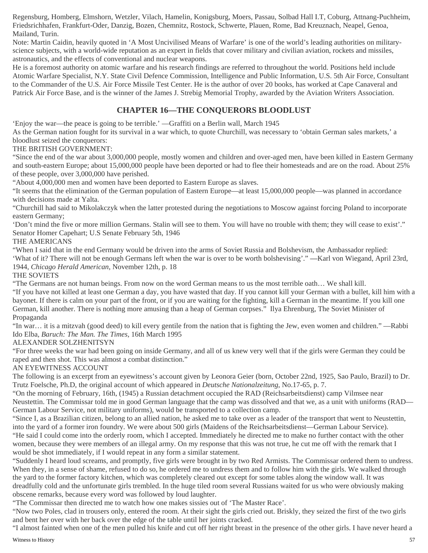Regensburg, Homberg, Elmshorn, Wetzler, Vilach, Hamelin, Konigsburg, Moers, Passau, Solbad Hall I.T, Coburg, Attnang-Puchheim, Friedsrichhafen, Frankfurt-Oder, Danzig, Bozen, Chemnitz, Rostock, Schwerte, Plauen, Rome, Bad Kreuznach, Neapel, Genoa, Mailand, Turin.

Note: Martin Caidin, heavily quoted in 'A Most Uncivilised Means of Warfare' is one of the world's leading authorities on militaryscience subjects, with a world-wide reputation as an expert in fields that cover military and civilian aviation, rockets and missiles, astronautics, and the effects of conventional and nuclear weapons.

He is a foremost authority on atomic warfare and his research findings are referred to throughout the world. Positions held include Atomic Warfare Specialist, N.Y. State Civil Defence Commission, Intelligence and Public Information, U.S. 5th Air Force, Consultant to the Commander of the U.S. Air Force Missile Test Center. He is the author of over 20 books, has worked at Cape Canaveral and Patrick Air Force Base, and is the winner of the James J. Strebig Memorial Trophy, awarded by the Aviation Writers Association.

# **CHAPTER 16—THE CONQUERORS BLOODLUST**

'Enjoy the war—the peace is going to be terrible.' —Graffiti on a Berlin wall, March 1945

As the German nation fought for its survival in a war which, to quote Churchill, was necessary to 'obtain German sales markets,' a bloodlust seized the conquerors:

## THE BRITISH GOVERNMENT:

"Since the end of the war about 3,000,000 people, mostly women and children and over-aged men, have been killed in Eastern Germany and south-eastern Europe; about 15,000,000 people have been deported or had to flee their homesteads and are on the road. About 25% of these people, over 3,000,000 have perished.

"About 4,000,000 men and women have been deported to Eastern Europe as slaves.

"It seems that the elimination of the German population of Eastern Europe—at least 15,000,000 people—was planned in accordance with decisions made at Yalta.

"Churchill had said to Mikolakczyk when the latter protested during the negotiations to Moscow against forcing Poland to incorporate eastern Germany;

'Don't mind the five or more million Germans. Stalin will see to them. You will have no trouble with them; they will cease to exist'." Senator Homer Capehart; U.S Senate February 5th, 1946

#### THE AMERICANS

"When I said that in the end Germany would be driven into the arms of Soviet Russia and Bolshevism, the Ambassador replied: 'What of it? There will not be enough Germans left when the war is over to be worth bolshevising'." —Karl von Wiegand, April 23rd, 1944, *Chicago Herald American*, November 12th, p. 18

THE SOVIETS

"The Germans are not human beings. From now on the word German means to us the most terrible oath… We shall kill. "If you have not killed at least one German a day, you have wasted that day. If you cannot kill your German with a bullet, kill him with a bayonet. If there is calm on your part of the front, or if you are waiting for the fighting, kill a German in the meantime. If you kill one German, kill another. There is nothing more amusing than a heap of German corpses." Ilya Ehrenburg, The Soviet Minister of Propaganda

"In war… it is a mitzvah (good deed) to kill every gentile from the nation that is fighting the Jew, even women and children." —Rabbi Ido Elba, *Baruch: The Man. The Times*, 16th March 1995

ALEXANDER SOLZHENITSYN

"For three weeks the war had been going on inside Germany, and all of us knew very well that if the girls were German they could be raped and then shot. This was almost a combat distinction."

AN EYEWITNESS ACCOUNT

The following is an excerpt from an eyewitness's account given by Leonora Geier (born, October 22nd, 1925, Sao Paulo, Brazil) to Dr. Trutz Foelsche, Ph.D, the original account of which appeared in *Deutsche Nationalzeitung*, No.17-65, p. 7.

"On the morning of February, 16th, (1945) a Russian detachment occupied the RAD (Reichsarbeitsdienst) camp Vilmsee near Neustettin. The Commissar told me in good German language that the camp was dissolved and that we, as a unit with uniforms (RAD— German Labour Service, not military uniforms), would be transported to a collection camp.

"Since I, as a Brazilian citizen, belong to an allied nation, he asked me to take over as a leader of the transport that went to Neustettin, into the yard of a former iron foundry. We were about 500 girls (Maidens of the Reichsarbeitsdienst—German Labour Service). "He said I could come into the orderly room, which I accepted. Immediately he directed me to make no further contact with the other women, because they were members of an illegal army. On my response that this was not true, he cut me off with the remark that I would be shot immediately, if I would repeat in any form a similar statement.

"Suddenly I heard loud screams, and promptly, five girls were brought in by two Red Armists. The Commissar ordered them to undress. When they, in a sense of shame, refused to do so, he ordered me to undress them and to follow him with the girls. We walked through the yard to the former factory kitchen, which was completely cleared out except for some tables along the window wall. It was dreadfully cold and the unfortunate girls trembled. In the huge tiled room several Russians waited for us who were obviously making obscene remarks, because every word was followed by loud laughter.

"The Commissar then directed me to watch how one makes sissies out of 'The Master Race'.

"Now two Poles, clad in trousers only, entered the room. At their sight the girls cried out. Briskly, they seized the first of the two girls and bent her over with her back over the edge of the table until her joints cracked.

"I almost fainted when one of the men pulled his knife and cut off her right breast in the presence of the other girls. I have never heard a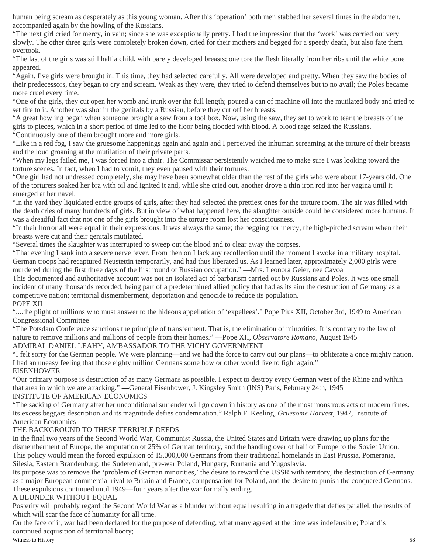human being scream as desperately as this young woman. After this 'operation' both men stabbed her several times in the abdomen, accompanied again by the howling of the Russians.

"The next girl cried for mercy, in vain; since she was exceptionally pretty. I had the impression that the 'work' was carried out very slowly. The other three girls were completely broken down, cried for their mothers and begged for a speedy death, but also fate them overtook.

"The last of the girls was still half a child, with barely developed breasts; one tore the flesh literally from her ribs until the white bone appeared.

"Again, five girls were brought in. This time, they had selected carefully. All were developed and pretty. When they saw the bodies of their predecessors, they began to cry and scream. Weak as they were, they tried to defend themselves but to no avail; the Poles became more cruel every time.

"One of the girls, they cut open her womb and trunk over the full length; poured a can of machine oil into the mutilated body and tried to set fire to it. Another was shot in the genitals by a Russian, before they cut off her breasts.

"A great howling began when someone brought a saw from a tool box. Now, using the saw, they set to work to tear the breasts of the girls to pieces, which in a short period of time led to the floor being flooded with blood. A blood rage seized the Russians. "Continuously one of them brought more and more girls.

"Like in a red fog, I saw the gruesome happenings again and again and I perceived the inhuman screaming at the torture of their breasts and the loud groaning at the mutilation of their private parts.

"When my legs failed me, I was forced into a chair. The Commissar persistently watched me to make sure I was looking toward the torture scenes. In fact, when I had to vomit, they even paused with their tortures.

"One girl had not undressed completely, she may have been somewhat older than the rest of the girls who were about 17-years old. One of the torturers soaked her bra with oil and ignited it and, while she cried out, another drove a thin iron rod into her vagina until it emerged at her navel.

"In the yard they liquidated entire groups of girls, after they had selected the prettiest ones for the torture room. The air was filled with the death cries of many hundreds of girls. But in view of what happened here, the slaughter outside could be considered more humane. It was a dreadful fact that not one of the girls brought into the torture room lost her consciousness.

"In their horror all were equal in their expressions. It was always the same; the begging for mercy, the high-pitched scream when their breasts were cut and their genitals mutilated.

"Several times the slaughter was interrupted to sweep out the blood and to clear away the corpses.

"That evening I sank into a severe nerve fever. From then on I lack any recollection until the moment I awoke in a military hospital. German troops had recaptured Neustettin temporarily, and had thus liberated us. As I learned later, approximately 2,000 girls were murdered during the first three days of the first round of Russian occupation." —Mrs. Leonora Geier, nee Cavoa

This documented and authoritative account was not an isolated act of barbarism carried out by Russians and Poles. It was one small incident of many thousands recorded, being part of a predetermined allied policy that had as its aim the destruction of Germany as a competitive nation; territorial dismemberment, deportation and genocide to reduce its population. POPE XII

#### "....the plight of millions who must answer to the hideous appellation of 'expellees'." Pope Pius XII, October 3rd, 1949 to American Congressional Committee

"The Potsdam Conference sanctions the principle of transferment. That is, the elimination of minorities. It is contrary to the law of nature to remove millions and millions of people from their homes." —Pope XII, *Observatore Romano*, August 1945

# ADMIRAL DANIEL LEAHY, AMBASSADOR TO THE VICHY GOVERNMENT

"I felt sorry for the German people. We were planning—and we had the force to carry out our plans—to obliterate a once mighty nation. I had an uneasy feeling that those eighty million Germans some how or other would live to fight again." EISENHOWER

"Our primary purpose is destruction of as many Germans as possible. I expect to destroy every German west of the Rhine and within that area in which we are attacking." —General Eisenhower, J. Kingsley Smith (INS) Paris, February 24th, 1945 INSTITUTE OF AMERICAN ECONOMICS

"The sacking of Germany after her unconditional surrender will go down in history as one of the most monstrous acts of modern times. Its excess beggars description and its magnitude defies condemnation." Ralph F. Keeling, *Gruesome Harvest*, 1947, Institute of American Economics

# THE BACKGROUND TO THESE TERRIBLE DEEDS

In the final two years of the Second World War, Communist Russia, the United States and Britain were drawing up plans for the dismemberment of Europe, the amputation of 25% of German territory, and the handing over of half of Europe to the Soviet Union. This policy would mean the forced expulsion of 15,000,000 Germans from their traditional homelands in East Prussia, Pomerania, Silesia, Eastern Brandenburg, the Sudetenland, pre-war Poland, Hungary, Rumania and Yugoslavia.

Its purpose was to remove the 'problem of German minorities,' the desire to reward the USSR with territory, the destruction of Germany as a major European commercial rival to Britain and France, compensation for Poland, and the desire to punish the conquered Germans. These expulsions continued until 1949—four years after the war formally ending.

## A BLUNDER WITHOUT EQUAL

Posterity will probably regard the Second World War as a blunder without equal resulting in a tragedy that defies parallel, the results of which will scar the face of humanity for all time.

On the face of it, war had been declared for the purpose of defending, what many agreed at the time was indefensible; Poland's continued acquisition of territorial booty;

#### Witness to History 58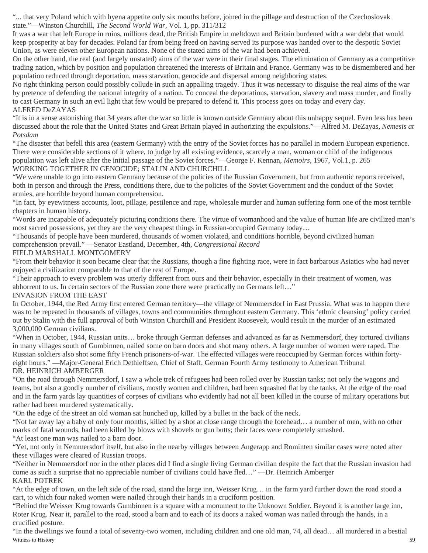"... that very Poland which with hyena appetite only six months before, joined in the pillage and destruction of the Czechoslovak state."—Winston Churchill, *The Second World War*, Vol. 1, pp. 311/312

It was a war that left Europe in ruins, millions dead, the British Empire in meltdown and Britain burdened with a war debt that would keep prosperity at bay for decades. Poland far from being freed on having served its purpose was handed over to the despotic Soviet Union, as were eleven other European nations. None of the stated aims of the war had been achieved.

On the other hand, the real (and largely unstated) aims of the war were in their final stages. The elimination of Germany as a competitive trading nation, which by position and population threatened the interests of Britain and France. Germany was to be dismembered and her population reduced through deportation, mass starvation, genocide and dispersal among neighboring states.

No right thinking person could possibly collude in such an appalling tragedy. Thus it was necessary to disguise the real aims of the war by pretence of defending the national integrity of a nation. To conceal the deportations, starvation, slavery and mass murder, and finally to cast Germany in such an evil light that few would be prepared to defend it. This process goes on today and every day. ALFRED DeZAYAS

"It is in a sense astonishing that 34 years after the war so little is known outside Germany about this unhappy sequel. Even less has been discussed about the role that the United States and Great Britain played in authorizing the expulsions."—Alfred M. DeZayas, *Nemesis at Potsdam*

"The disaster that befell this area (eastern Germany) with the entry of the Soviet forces has no parallel in modern European experience. There were considerable sections of it where, to judge by all existing evidence, scarcely a man, woman or child of the indigenous population was left alive after the initial passage of the Soviet forces."—George F. Kennan, *Memoirs*, 1967, Vol.1, p. 265 WORKING TOGETHER IN GENOCIDE; STALIN AND CHURCHILL

"We were unable to go into eastern Germany because of the policies of the Russian Government, but from authentic reports received, both in person and through the Press, conditions there, due to the policies of the Soviet Government and the conduct of the Soviet armies, are horrible beyond human comprehension.

"In fact, by eyewitness accounts, loot, pillage, pestilence and rape, wholesale murder and human suffering form one of the most terrible chapters in human history.

"Words are incapable of adequately picturing conditions there. The virtue of womanhood and the value of human life are civilized man's most sacred possessions, yet they are the very cheapest things in Russian-occupied Germany today…

"Thousands of people have been murdered, thousands of women violated, and conditions horrible, beyond civilized human comprehension prevail." —Senator Eastland, December, 4th, *Congressional Record*

## FIELD MARSHALL MONTGOMERY

"From their behavior it soon became clear that the Russians, though a fine fighting race, were in fact barbarous Asiatics who had never enjoyed a civilization comparable to that of the rest of Europe.

"Their approach to every problem was utterly different from ours and their behavior, especially in their treatment of women, was abhorrent to us. In certain sectors of the Russian zone there were practically no Germans left…"

## INVASION FROM THE EAST

In October, 1944, the Red Army first entered German territory—the village of Nemmersdorf in East Prussia. What was to happen there was to be repeated in thousands of villages, towns and communities throughout eastern Germany. This 'ethnic cleansing' policy carried out by Stalin with the full approval of both Winston Churchill and President Roosevelt, would result in the murder of an estimated 3,000,000 German civilians.

"When in October, 1944, Russian units… broke through German defenses and advanced as far as Nemmersdorf, they tortured civilians in many villages south of Gumbinnen, nailed some on barn doors and shot many others. A large number of women were raped. The Russian soldiers also shot some fifty French prisoners-of-war. The effected villages were reoccupied by German forces within fortyeight hours." —Major-General Erich Dethleffsen, Chief of Staff, German Fourth Army testimony to American Tribunal DR. HEINRICH AMBERGER

"On the road through Nemmersdorf, I saw a whole trek of refugees had been rolled over by Russian tanks; not only the wagons and teams, but also a goodly number of civilians, mostly women and children, had been squashed flat by the tanks. At the edge of the road and in the farm yards lay quantities of corpses of civilians who evidently had not all been killed in the course of military operations but rather had been murdered systematically.

"On the edge of the street an old woman sat hunched up, killed by a bullet in the back of the neck.

"Not far away lay a baby of only four months, killed by a shot at close range through the forehead… a number of men, with no other marks of fatal wounds, had been killed by blows with shovels or gun butts; their faces were completely smashed. "At least one man was nailed to a barn door.

"Yet, not only in Nemmersdorf itself, but also in the nearby villages between Angerapp and Rominten similar cases were noted after these villages were cleared of Russian troops.

"Neither in Nemmersdorf nor in the other places did I find a single living German civilian despite the fact that the Russian invasion had come as such a surprise that no appreciable number of civilians could have fled…" —Dr. Heinrich Amberger KARL POTREK

"At the edge of town, on the left side of the road, stand the large inn, Weisser Krug… in the farm yard further down the road stood a cart, to which four naked women were nailed through their hands in a cruciform position.

"Behind the Weisser Krug towards Gumbinnen is a square with a monument to the Unknown Soldier. Beyond it is another large inn, Roter Krug. Near it, parallel to the road, stood a barn and to each of its doors a naked woman was nailed through the hands, in a crucified posture.

Witness to History 59 "In the dwellings we found a total of seventy-two women, including children and one old man, 74, all dead… all murdered in a bestial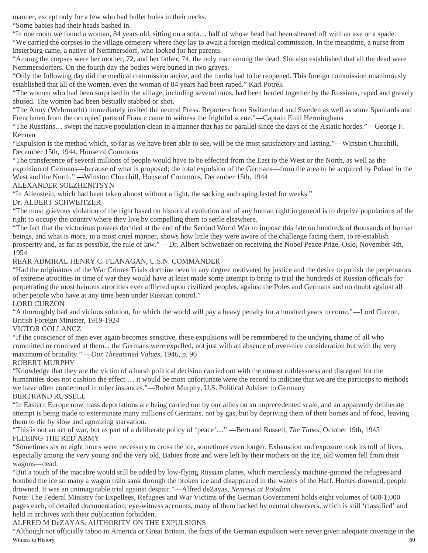manner, except only for a few who had bullet holes in their necks.

"Some babies had their heads bashed in.

"In one room we found a woman, 84 years old, sitting on a sofa… half of whose head had been sheared off with an axe or a spade. "We carried the corpses to the village cemetery where they lay to await a foreign medical commission. In the meantime, a nurse from Insterburg came, a native of Nemmersdorf, who looked for her parents.

"Among the corpses were her mother, 72, and her father, 74, the only man among the dead. She also established that all the dead were Nemmersdorfers. On the fourth day the bodies were buried in two graves.

"Only the following day did the medical commission arrive, and the tombs had to be reopened. This foreign commission unanimously established that all of the women, even the woman of 84 years had been raped." Karl Potrek

"The women who had been surprised in the village, including several nuns, had been herded together by the Russians, raped and gravely abused. The women had been bestially stabbed or shot.

"The Army (Wehrmacht) immediately invited the neutral Press. Reporters from Switzerland and Sweden as well as some Spaniards and Frenchmen from the occupied parts of France came to witness the frightful scene."—Captain Emil Herminghaus

"The Russians… swept the native population clean in a manner that has no parallel since the days of the Asiatic hordes."—George F. Kennan

"Expulsion is the method which, so far as we have been able to see, will be the most satisfactory and lasting."—Winston Churchill, December 15th, 1944, House of Commons

"The transference of several millions of people would have to be effected from the East to the West or the North, as well as the expulsion of Germans—because of what is proposed; the total expulsion of the Germans—from the area to be acquired by Poland in the West and the North." —Winston Churchill, House of Commons, December 15th, 1944

## ALEXANDER SOLZHENITSYN

"In Allenstein, which had been taken almost without a fight, the sacking and raping lasted for weeks."

## Dr. ALBERT SCHWEITZER

"The most grievous violation of the right based on historical evolution and of any human right in general is to deprive populations of the right to occupy the country where they live by compelling them to settle elsewhere.

"The fact that the victorious powers decided at the end of the Second World War to impose this fate on hundreds of thousands of human beings, and what is more, in a most cruel manner, shows how little they were aware of the challenge facing them, to re-establish prosperity and, as far as possible, the rule of law." —Dr. Albert Schweitzer on receiving the Nobel Peace Prize, Oslo, November 4th, 1954

## REAR ADMIRAL HENRY C. FLANAGAN, U.S.N. COMMANDER

"Had the originators of the War Crimes Trials doctrine been in any degree motivated by justice and the desire to punish the perpetrators of extreme atrocities in time of war they would have at least made some attempt to bring to trial the hundreds of Russian officials for perpetrating the most heinous atrocities ever afflicted upon civilized peoples, against the Poles and Germans and no doubt against all other people who have at any time been under Russian control."

## LORD CURZON

"A thoroughly bad and vicious solution, for which the world will pay a heavy penalty for a hundred years to come."—Lord Curzon, British Foreign Minister, 1919-1924

# VICTOR GOLLANCZ

"If the conscience of men ever again becomes sensitive, these expulsions will be remembered to the undying shame of all who committed or connived at them... the Germans were expelled, not just with an absence of over-nice consideration but with the very maximum of brutality." —*Our Threatened Values*, 1946, p. 96

## ROBERT MURPHY

"Knowledge that they are the victim of a harsh political decision carried out with the utmost ruthlessness and disregard for the humanities does not cushion the effect ... it would be most unfortunate were the record to indicate that we are the particeps to methods we have often condemned in other instances."—Robert Murphy, U.S. Political Adviser to Germany BERTRAND RUSSELL

"In Eastern Europe now mass deportations are being carried out by our allies on an unprecedented scale, and an apparently deliberate attempt is being made to exterminate many millions of Germans, not by gas, but by depriving them of their homes and of food, leaving them to die by slow and agonizing starvation.

"This is not an act of war, but as part of a deliberate policy of 'peace'...." —Bertrand Russell, *The Times*, October 19th, 1945 FLEEING THE RED ARMY

"Sometimes six or eight hours were necessary to cross the ice, sometimes even longer. Exhaustion and exposure took its toll of lives, especially among the very young and the very old. Babies froze and were left by their mothers on the ice, old women fell from their wagons—dead.

"But a touch of the macabre would still be added by low-flying Russian planes, which mercilessly machine-gunned the refugees and bombed the ice so many a wagon train sank through the broken ice and disappeared in the waters of the Haff. Horses drowned, people drowned. It was an unimaginable trial against despair."—Alfred deZayas, *Nemesis at Potsdam*

Note: The Federal Ministry for Expellees, Refugees and War Victims of the German Government holds eight volumes of 600-1,000 pages each, of detailed documentation; eye-witness accounts, many of them backed by neutral observers, which is still 'classified' and held in archives with their publication forbidden.

# ALFRED M DeZAYAS, AUTHORITY ON THE EXPULSIONS

Witness to History 60 "Although not officially taboo in America or Great Britain, the facts of the German expulsion were never given adequate coverage in the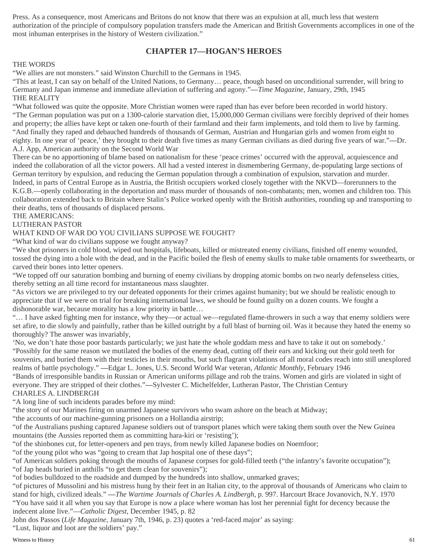Press. As a consequence, most Americans and Britons do not know that there was an expulsion at all, much less that western authorization of the principle of compulsory population transfers made the American and British Governments accomplices in one of the most inhuman enterprises in the history of Western civilization."

# **CHAPTER 17—HOGAN'S HEROES**

#### THE WORDS

"We allies are not monsters." said Winston Churchill to the Germans in 1945.

"This at least, I can say on behalf of the United Nations, to Germany… peace, though based on unconditional surrender, will bring to Germany and Japan immense and immediate alleviation of suffering and agony."—*Time Magazine*, January, 29th, 1945 THE REALITY

"What followed was quite the opposite. More Christian women were raped than has ever before been recorded in world history. "The German population was put on a 1300-calorie starvation diet, 15,000,000 German civilians were forcibly deprived of their homes and property; the allies have kept or taken one-fourth of their farmland and their farm implements, and told them to live by farming. "And finally they raped and debauched hundreds of thousands of German, Austrian and Hungarian girls and women from eight to eighty. In one year of 'peace,' they brought to their death five times as many German civilians as died during five years of war."—Dr. A.J. App, American authority on the Second World War

There can be no apportioning of blame based on nationalism for these 'peace crimes' occurred with the approval, acquiescence and indeed the collaboration of all the victor powers. All had a vested interest in dismembering Germany, de-populating large sections of German territory by expulsion, and reducing the German population through a combination of expulsion, starvation and murder. Indeed, in parts of Central Europe as in Austria, the British occupiers worked closely together with the NKVD—forerunners to the

K.G.B.—openly collaborating in the deportation and mass murder of thousands of non-combatants; men, women and children too. This collaboration extended back to Britain where Stalin's Police worked openly with the British authorities, rounding up and transporting to their deaths, tens of thousands of displaced persons.

THE AMERICANS:

#### LUTHERAN PASTOR

WHAT KIND OF WAR DO YOU CIVILIANS SUPPOSE WE FOUGHT?

"What kind of war do civilians suppose we fought anyway?

"We shot prisoners in cold blood, wiped out hospitals, lifeboats, killed or mistreated enemy civilians, finished off enemy wounded, tossed the dying into a hole with the dead, and in the Pacific boiled the flesh of enemy skulls to make table ornaments for sweethearts, or carved their bones into letter openers.

"We topped off our saturation bombing and burning of enemy civilians by dropping atomic bombs on two nearly defenseless cities, thereby setting an all time record for instantaneous mass slaughter.

"As victors we are privileged to try our defeated opponents for their crimes against humanity; but we should be realistic enough to appreciate that if we were on trial for breaking international laws, we should be found guilty on a dozen counts. We fought a dishonorable war, because morality has a low priority in battle…

"… I have asked fighting men for instance, why they—or actual we—regulated flame-throwers in such a way that enemy soldiers were set afire, to die slowly and painfully, rather than be killed outright by a full blast of burning oil. Was it because they hated the enemy so thoroughly? The answer was invariably,

'No, we don't hate those poor bastards particularly; we just hate the whole goddam mess and have to take it out on somebody.' "Possibly for the same reason we mutilated the bodies of the enemy dead, cutting off their ears and kicking out their gold teeth for souvenirs, and buried them with their testicles in their mouths, but such flagrant violations of all moral codes reach into still unexplored realms of battle psychology." —Edgar L. Jones, U.S. Second World War veteran, *Atlantic Monthly*, February 1946

"Bands of irresponsible bandits in Russian or American uniforms pillage and rob the trains. Women and girls are violated in sight of everyone. They are stripped of their clothes."—Sylvester C. Michelfelder, Lutheran Pastor, The Christian Century

## CHARLES A. LINDBERGH

"A long line of such incidents parades before my mind:

"the story of our Marines firing on unarmed Japanese survivors who swam ashore on the beach at Midway;

"the accounts of our machine-gunning prisoners on a Hollandia airstrip;

"of the Australians pushing captured Japanese soldiers out of transport planes which were taking them south over the New Guinea mountains (the Aussies reported them as committing hara-kiri or 'resisting');

"of the shinbones cut, for letter-openers and pen trays, from newly killed Japanese bodies on Noemfoor;

"of the young pilot who was "going to cream that Jap hospital one of these days";

"of American soldiers poking through the mouths of Japanese corpses for gold-filled teeth ("the infantry's favorite occupation"); "of Jap heads buried in anthills "to get them clean for souvenirs");

"of bodies bulldozed to the roadside and dumped by the hundreds into shallow, unmarked graves;

"of pictures of Mussolini and his mistress hung by their feet in an Italian city, to the approval of thousands of Americans who claim to stand for high, civilized ideals." —*The Wartime Journals of Charles A. Lindbergh*, p. 997. Harcourt Brace Jovanovich, N.Y. 1970 "You have said it all when you say that Europe is now a place where woman has lost her perennial fight for decency because the indecent alone live."—*Catholic Digest*, December 1945, p. 82

John dos Passos (*Life Magazine*, January 7th, 1946, p. 23) quotes a 'red-faced major' as saying:

"Lust, liquor and loot are the soldiers' pay."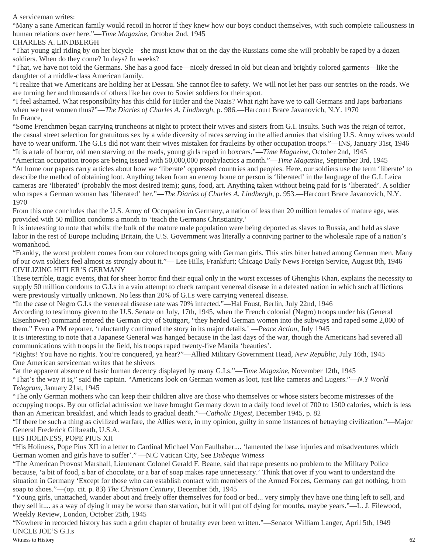A serviceman writes:

"Many a sane American family would recoil in horror if they knew how our boys conduct themselves, with such complete callousness in human relations over here."—*Time Magazine*, October 2nd, 1945

## CHARLES A. LINDBERGH

"That young girl riding by on her bicycle—she must know that on the day the Russians come she will probably be raped by a dozen soldiers. When do they come? In days? In weeks?

"That, we have not told the Germans. She has a good face—nicely dressed in old but clean and brightly colored garments—like the daughter of a middle-class American family.

"I realize that we Americans are holding her at Dessau. She cannot flee to safety. We will not let her pass our sentries on the roads. We are turning her and thousands of others like her over to Soviet soldiers for their sport.

"I feel ashamed. What responsibility has this child for Hitler and the Nazis? What right have we to call Germans and Japs barbarians when we treat women thus?"—*The Diaries of Charles A. Lindbergh*, p. 986.—Harcourt Brace Javanovich, N.Y. 1970 In France,

"Some Frenchmen began carrying truncheons at night to protect their wives and sisters from G.I. insults. Such was the reign of terror, the casual street selection for gratuitous sex by a wide diversity of races serving in the allied armies that visiting U.S. Army wives would have to wear uniform. The G.I.s did not want their wives mistaken for frauleins by other occupation troops."—INS, January 31st, 1946 "It is a tale of horror, old men starving on the roads, young girls raped in boxcars."—*Time Magazine*, October 2nd, 1945

"American occupation troops are being issued with 50,000,000 prophylactics a month."—*Time Magazine*, September 3rd, 1945 "At home our papers carry articles about how we 'liberate' oppressed countries and peoples. Here, our soldiers use the term 'liberate' to describe the method of obtaining loot. Anything taken from an enemy home or person is 'liberated' in the language of the G.I. Leica cameras are 'liberated' (probably the most desired item); guns, food, art. Anything taken without being paid for is 'liberated'. A soldier who rapes a German woman has 'liberated' her."—*The Diaries of Charles A. Lindbergh*, p. 953.—Harcourt Brace Javanovich, N.Y. 1970

From this one concludes that the U.S. Army of Occupation in Germany, a nation of less than 20 million females of mature age, was provided with 50 million condoms a month to 'teach the Germans Christianity.'

It is interesting to note that whilst the bulk of the mature male population were being deported as slaves to Russia, and held as slave labor in the rest of Europe including Britain, the U.S. Government was literally a conniving partner to the wholesale rape of a nation's womanhood.

"Frankly, the worst problem comes from our colored troops going with German girls. This stirs bitter hatred among German men. Many of our own soldiers feel almost as strongly about it."— Lee Hills, Frankfurt; Chicago Daily News Foreign Service, August 8th, 1946 CIVILIZING HITLER'S GERMANY

These terrible, tragic events, that for sheer horror find their equal only in the worst excesses of Ghenghis Khan, explains the necessity to supply 50 million condoms to G.I.s in a vain attempt to check rampant venereal disease in a defeated nation in which such afflictions were previously virtually unknown. No less than 20% of G.I.s were carrying venereal disease.

"In the case of Negro G.I.s the venereal disease rate was 70% infected."—Hal Foust, Berlin, July 22nd, 1946

According to testimony given to the U.S. Senate on July, 17th, 1945, when the French colonial (Negro) troops under his (General Eisenhower) command entered the German city of Stuttgart, "they herded German women into the subways and raped some 2,000 of them." Even a PM reporter, 'reluctantly confirmed the story in its major details.' —*Peace Action*, July 1945

It is interesting to note that a Japanese General was hanged because in the last days of the war, though the Americans had severed all communications with troops in the field, his troops raped twenty-five Manila 'beauties'.

"Rights! You have no rights. You're conquered, ya hear?"—Allied Military Government Head, *New Republic*, July 16th, 1945 One American serviceman writes that he shivers

"at the apparent absence of basic human decency displayed by many G.I.s."—*Time Magazine*, November 12th, 1945

"That's the way it is," said the captain. "Americans look on German women as loot, just like cameras and Lugers."—*N.Y World Telegram*, January 21st, 1945

"The only German mothers who can keep their children alive are those who themselves or whose sisters become mistresses of the occupying troops. By our official admission we have brought Germany down to a daily food level of 700 to 1500 calories, which is less than an American breakfast, and which leads to gradual death."—*Catholic Digest*, December 1945, p. 82

"If there be such a thing as civilized warfare, the Allies were, in my opinion, guilty in some instances of betraying civilization."—Major General Frederick Gilbreath, U.S.A.

HIS HOLINESS, POPE PIUS XII

"His Holiness, Pope Pius XII in a letter to Cardinal Michael Von Faulhaber.... 'lamented the base injuries and misadventures which German women and girls have to suffer'." —N.C Vatican City, See *Dubeque Witness*

"The American Provost Marshall, Lieutenant Colonel Gerald F. Beane, said that rape presents no problem to the Military Police because, 'a bit of food, a bar of chocolate, or a bar of soap makes rape unnecessary.' Think that over if you want to understand the situation in Germany 'Except for those who can establish contact with members of the Armed Forces, Germany can get nothing, from soap to shoes."—(op. cit. p. 83) *The Christian Century*, December 5th, 1945

"Young girls, unattached, wander about and freely offer themselves for food or bed... very simply they have one thing left to sell, and they sell it.... as a way of dying it may be worse than starvation, but it will put off dying for months, maybe years."—L. J. Filewood, Weekly Review, London, October 25th, 1945

"Nowhere in recorded history has such a grim chapter of brutality ever been written."—Senator William Langer, April 5th, 1949 UNCLE JOE'S G.I.s

Witness to History 62 and the state of the state of the state of the state of the state of the state of the state of the state of the state of the state of the state of the state of the state of the state of the state of t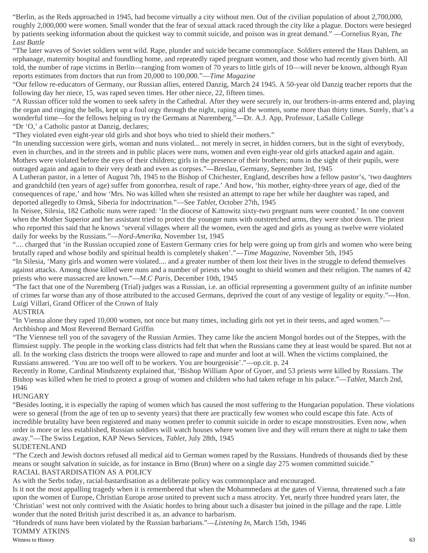"Berlin, as the Reds approached in 1945, had become virtually a city without men. Out of the civilian population of about 2,700,000, roughly 2,000,000 were women. Small wonder that the fear of sexual attack raced through the city like a plague. Doctors were besieged by patients seeking information about the quickest way to commit suicide, and poison was in great demand." —Cornelius Ryan, *The Last Battle*

"The later waves of Soviet soldiers went wild. Rape, plunder and suicide became commonplace. Soldiers entered the Haus Dahlem, an orphanage, maternity hospital and foundling home, and repeatedly raped pregnant women, and those who had recently given birth. All told, the number of rape victims in Berlin—ranging from women of 70 years to little girls of 10—will never be known, although Ryan reports estimates from doctors that run from 20,000 to 100,000."—*Time Magazine*

"Our fellow re-educators of Germany, our Russian allies, entered Danzig, March 24 1945. A 50-year old Danzig teacher reports that the following day her niece, 15, was raped seven times. Her other niece, 22, fifteen times.

"A Russian officer told the women to seek safety in the Cathedral. After they were securely in, our brothers-in-arms entered and, playing the organ and ringing the bells, kept up a foul orgy through the night, raping all the women, some more than thirty times. Surely, that's a wonderful time—for the fellows helping us try the Germans at Nuremberg."—Dr. A.J. App, Professor, LaSalle College "Dr 'O,' a Catholic pastor at Danzig, declares;

"They violated even eight-year old girls and shot boys who tried to shield their mothers."

"In unending succession were girls, woman and nuns violated... not merely in secret, in hidden corners, but in the sight of everybody, even in churches, and in the streets and in public places were nuns, women and even eight-year old girls attacked again and again. Mothers were violated before the eyes of their children; girls in the presence of their brothers; nuns in the sight of their pupils, were outraged again and again to their very death and even as corpses."—Breslau, Germany, September 3rd, 1945

A Lutheran pastor, in a letter of August 7th, 1945 to the Bishop of Chichester, England, describes how a fellow pastor's, 'two daughters and grandchild (ten years of age) suffer from gonorrhea, result of rape.' And how, 'his mother, eighty-three years of age, died of the consequences of rape,' and how 'Mrs. No was killed when she resisted an attempt to rape her while her daughter was raped, and deported allegedly to Omsk, Siberia for indoctrination."—See *Tablet*, October 27th, 1945

In Neisee, Silesia, 182 Catholic nuns were raped: 'In the diocese of Kattowitz sixty-two pregnant nuns were counted.' In one convent when the Mother Superior and her assistant tried to protect the younger nuns with outstretched arms, they were shot down. The priest who reported this said that he knows 'several villages where all the women, even the aged and girls as young as twelve were violated daily for weeks by the Russians."—*Nord-Amerika*, November 1st, 1945

".... charged that 'in the Russian occupied zone of Eastern Germany cries for help were going up from girls and women who were being brutally raped and whose bodily and spiritual health is completely shaken'."—*Time Magazine*, November 5th, 1945

"In Silesia, 'Many girls and women were violated.... and a greater number of them lost their lives in the struggle to defend themselves against attacks. Among those killed were nuns and a number of priests who sought to shield women and their religion. The names of 42 priests who were massacred are known."—*M.C Paris*, December 10th, 1945

"The fact that one of the Nuremberg (Trial) judges was a Russian, i.e. an official representing a government guilty of an infinite number of crimes far worse than any of those attributed to the accused Germans, deprived the court of any vestige of legality or equity."—Hon. Luigi Villari, Grand Officer of the Crown of Italy

## AUSTRIA

"In Vienna alone they raped 10,000 women, not once but many times, including girls not yet in their teens, and aged women."— Archbishop and Most Reverend Bernard Griffin

"The Viennese tell you of the savagery of the Russian Armies. They came like the ancient Mongol hordes out of the Steppes, with the flimsiest supply. The people in the working class districts had felt that when the Russians came they at least would be spared. But not at all. In the working class districts the troops were allowed to rape and murder and loot at will. When the victims complained, the Russians answered. 'You are too well off to be workers. You are bourgeoisie'."—op.cit. p. 24

Recently in Rome, Cardinal Mindszenty explained that, 'Bishop William Apor of Gyoer, and 53 priests were killed by Russians. The Bishop was killed when he tried to protect a group of women and children who had taken refuge in his palace."—*Tablet*, March 2nd, 1946

## **HUNGARY**

"Besides looting, it is especially the raping of women which has caused the most suffering to the Hungarian population. These violations were so general (from the age of ten up to seventy years) that there are practically few women who could escape this fate. Acts of incredible brutality have been registered and many women prefer to commit suicide in order to escape monstrosities. Even now, when order is more or less established, Russian soldiers will watch houses where women live and they will return there at night to take them away."—The Swiss Legation, KAP News Services, *Tablet*, July 28th, 1945

## SUDETENLAND

"The Czech and Jewish doctors refused all medical aid to German women raped by the Russians. Hundreds of thousands died by these means or sought salvation in suicide, as for instance in Brno (Brun) where on a single day 275 women committed suicide." RACIAL BASTARDISATION AS A POLICY

As with the Serbs today, racial-bastardisation as a deliberate policy was commonplace and encouraged.

Is it not the most appalling tragedy when it is remembered that when the Mohammedans at the gates of Vienna, threatened such a fate upon the women of Europe, Christian Europe arose united to prevent such a mass atrocity. Yet, nearly three hundred years later, the 'Christian' west not only contrived with the Asiatic hordes to bring about such a disaster but joined in the pillage and the rape. Little wonder that the noted British jurist described it as, an advance to barbarism.

"Hundreds of nuns have been violated by the Russian barbarians."—*Listening In*, March 15th, 1946

#### TOMMY ATKINS

Witness to History 63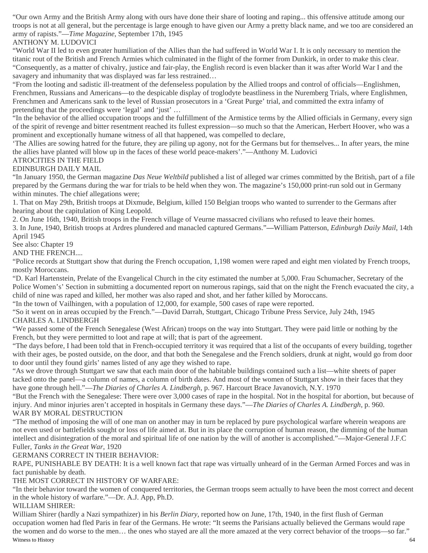"Our own Army and the British Army along with ours have done their share of looting and raping... this offensive attitude among our troops is not at all general, but the percentage is large enough to have given our Army a pretty black name, and we too are considered an army of rapists."—*Time Magazine*, September 17th, 1945

# ANTHONY M. LUDOVICI

"World War II led to even greater humiliation of the Allies than the had suffered in World War I. It is only necessary to mention the titanic rout of the British and French Armies which culminated in the flight of the former from Dunkirk, in order to make this clear. "Consequently, as a matter of chivalry, justice and fair-play, the English record is even blacker than it was after World War I and the savagery and inhumanity that was displayed was far less restrained…

"From the looting and sadistic ill-treatment of the defenseless population by the Allied troops and control of officials—Englishmen, Frenchmen, Russians and Americans—to the despicable display of troglodyte beastliness in the Nuremberg Trials, where Englishmen, Frenchmen and Americans sank to the level of Russian prosecutors in a 'Great Purge' trial, and committed the extra infamy of pretending that the proceedings were 'legal' and 'just' …

"In the behavior of the allied occupation troops and the fulfillment of the Armistice terms by the Allied officials in Germany, every sign of the spirit of revenge and bitter resentment reached its fullest expression—so much so that the American, Herbert Hoover, who was a prominent and exceptionally humane witness of all that happened, was compelled to declare,

'The Allies are sowing hatred for the future, they are piling up agony, not for the Germans but for themselves... In after years, the mine the allies have planted will blow up in the faces of these world peace-makers'."—Anthony M. Ludovici

# ATROCITIES IN THE FIELD

# EDINBURGH DAILY MAIL

"In January 1950, the German magazine *Das Neue Weltbild* published a list of alleged war crimes committed by the British, part of a file prepared by the Germans during the war for trials to be held when they won. The magazine's 150,000 print-run sold out in Germany within minutes. The chief allegations were;

1. That on May 29th, British troops at Dixmude, Belgium, killed 150 Belgian troops who wanted to surrender to the Germans after hearing about the capitulation of King Leopold.

2. On June 16th, 1940, British troops in the French village of Veurne massacred civilians who refused to leave their homes.

3. In June, 1940, British troops at Ardres plundered and manacled captured Germans."—William Patterson, *Edinburgh Daily Mail*, 14th April 1945

See also: Chapter 19

AND THE FRENCH....

"Police records at Stuttgart show that during the French occupation, 1,198 women were raped and eight men violated by French troops, mostly Moroccans.

"D. Karl Hartenstein, Prelate of the Evangelical Church in the city estimated the number at 5,000. Frau Schumacher, Secretary of the Police Women's' Section in submitting a documented report on numerous rapings, said that on the night the French evacuated the city, a child of nine was raped and killed, her mother was also raped and shot, and her father killed by Moroccans.

"In the town of Vailhingen, with a population of 12,000, for example, 500 cases of rape were reported.

"So it went on in areas occupied by the French."—David Darrah, Stuttgart, Chicago Tribune Press Service, July 24th, 1945 CHARLES A. LINDBERGH

"We passed some of the French Senegalese (West African) troops on the way into Stuttgart. They were paid little or nothing by the French, but they were permitted to loot and rape at will; that is part of the agreement.

"The days before, I had been told that in French-occupied territory it was required that a list of the occupants of every building, together with their ages, be posted outside, on the door, and that both the Senegalese and the French soldiers, drunk at night, would go from door to door until they found girls' names listed of any age they wished to rape.

"As we drove through Stuttgart we saw that each main door of the habitable buildings contained such a list—white sheets of paper tacked onto the panel—a column of names, a column of birth dates. And most of the women of Stuttgart show in their faces that they have gone through hell."—*The Diaries of Charles A. Lindbergh*, p. 967. Harcourt Brace Javanovich, N.Y. 1970

"But the French with the Senegalese: There were over 3,000 cases of rape in the hospital. Not in the hospital for abortion, but because of injury. And minor injuries aren't accepted in hospitals in Germany these days."—*The Diaries of Charles A. Lindbergh*, p. 960. WAR BY MORAL DESTRUCTION

"The method of imposing the will of one man on another may in turn be replaced by pure psychological warfare wherein weapons are not even used or battlefields sought or loss of life aimed at. But in its place the corruption of human reason, the dimming of the human intellect and disintegration of the moral and spiritual life of one nation by the will of another is accomplished."—Major-General J.F.C Fuller, *Tanks in the Great War*, 1920

## GERMANS CORRECT IN THEIR BEHAVIOR:

RAPE, PUNISHABLE BY DEATH: It is a well known fact that rape was virtually unheard of in the German Armed Forces and was in fact punishable by death.

THE MOST CORRECT IN HISTORY OF WARFARE:

"In their behavior toward the women of conquered territories, the German troops seem actually to have been the most correct and decent in the whole history of warfare."—Dr. A.J. App, Ph.D.

## WILLIAM SHIRER:

Witness to History 64 William Shirer (hardly a Nazi sympathizer) in his *Berlin Diary*, reported how on June, 17th, 1940, in the first flush of German occupation women had fled Paris in fear of the Germans. He wrote: "It seems the Parisians actually believed the Germans would rape the women and do worse to the men… the ones who stayed are all the more amazed at the very correct behavior of the troops—so far."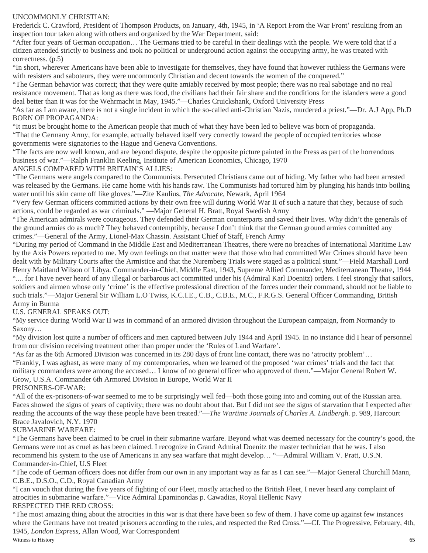#### UNCOMMONLY CHRISTIAN:

Frederick C. Crawford, President of Thompson Products, on January, 4th, 1945, in 'A Report From the War Front' resulting from an inspection tour taken along with others and organized by the War Department, said:

"After four years of German occupation… The Germans tried to be careful in their dealings with the people. We were told that if a citizen attended strictly to business and took no political or underground action against the occupying army, he was treated with correctness. (p.5)

"In short, wherever Americans have been able to investigate for themselves, they have found that however ruthless the Germans were with resisters and saboteurs, they were uncommonly Christian and decent towards the women of the conquered."

"The German behavior was correct; that they were quite amiably received by most people; there was no real sabotage and no real resistance movement. That as long as there was food, the civilians had their fair share and the conditions for the islanders were a good deal better than it was for the Wehrmacht in May, 1945."—Charles Cruickshank, Oxford University Press

"As far as I am aware, there is not a single incident in which the so-called anti-Christian Nazis, murdered a priest."—Dr. A.J App, Ph.D BORN OF PROPAGANDA:

"It must be brought home to the American people that much of what they have been led to believe was born of propaganda. "That the Germany Army, for example, actually behaved itself very correctly toward the people of occupied territories whose governments were signatories to the Hague and Geneva Conventions.

"The facts are now well known, and are beyond dispute, despite the opposite picture painted in the Press as part of the horrendous business of war."—Ralph Franklin Keeling, Institute of American Economics, Chicago, 1970

#### ANGELS COMPARED WITH BRITAIN'S ALLIES:

"The Germans were angels compared to the Communists. Persecuted Christians came out of hiding. My father who had been arrested was released by the Germans. He came home with his hands raw. The Communists had tortured him by plunging his hands into boiling water until his skin came off like gloves."—Zite Kaulius, *The Advocate*, Newark, April 1964

"Very few German officers committed actions by their own free will during World War II of such a nature that they, because of such actions, could be regarded as war criminals." —Major General H. Bratt, Royal Swedish Army

"The American admirals were courageous. They defended their German counterparts and saved their lives. Why didn't the generals of the ground armies do as much? They behaved contemptibly, because I don't think that the German ground armies committed any crimes."—General of the Army, Lionel-Max Chassin. Assistant Chief of Staff, French Army

"During my period of Command in the Middle East and Mediterranean Theatres, there were no breaches of International Maritime Law by the Axis Powers reported to me. My own feelings on that matter were that those who had committed War Crimes should have been dealt with by Military Courts after the Armistice and that the Nuremberg Trials were staged as a political stunt."—Field Marshall Lord Henry Maitland Wilson of Libya. Commander-in-Chief, Middle East, 1943, Supreme Allied Commander, Mediterranean Theatre, 1944 ".... for I have never heard of any illegal or barbarous act committed under his (Admiral Karl Doenitz) orders. I feel strongly that sailors, soldiers and airmen whose only 'crime' is the effective professional direction of the forces under their command, should not be liable to such trials."—Major General Sir William L.O Twiss, K.C.I.E., C.B., C.B.E., M.C., F.R.G.S. General Officer Commanding, British Army in Burma

#### U.S. GENERAL SPEAKS OUT:

"My service during World War II was in command of an armored division throughout the European campaign, from Normandy to Saxony…

"My division lost quite a number of officers and men captured between July 1944 and April 1945. In no instance did I hear of personnel from our division receiving treatment other than proper under the 'Rules of Land Warfare'.

"As far as the 6th Armored Division was concerned in its 280 days of front line contact, there was no 'atrocity problem'… "Frankly, I was aghast, as were many of my contemporaries, when we learned of the proposed 'war crimes' trials and the fact that military commanders were among the accused… I know of no general officer who approved of them."—Major General Robert W. Grow, U.S.A. Commander 6th Armored Division in Europe, World War II PRISONERS-OF-WAR:

"All of the ex-prisoners-of-war seemed to me to be surprisingly well fed—both those going into and coming out of the Russian area. Faces showed the signs of years of captivity; there was no doubt about that. But I did not see the signs of starvation that I expected after reading the accounts of the way these people have been treated."—*The Wartime Journals of Charles A. Lindbergh*. p. 989, Harcourt Brace Javalovich, N.Y. 1970

#### SUBMARINE WARFARE:

"The Germans have been claimed to be cruel in their submarine warfare. Beyond what was deemed necessary for the country's good, the Germans were not as cruel as has been claimed. I recognize in Grand Admiral Doenitz the master technician that he was. I also recommend his system to the use of Americans in any sea warfare that might develop… "—Admiral William V. Pratt, U.S.N. Commander-in-Chief, U.S Fleet

"The code of German officers does not differ from our own in any important way as far as I can see."—Major General Churchill Mann, C.B.E., D.S.O., C.D., Royal Canadian Army

"I can vouch that during the five years of fighting of our Fleet, mostly attached to the British Fleet, I never heard any complaint of atrocities in submarine warfare."—Vice Admiral Epaminondas p. Cawadias, Royal Hellenic Navy RESPECTED THE RED CROSS:

Witness to History 65 "The most amazing thing about the atrocities in this war is that there have been so few of them. I have come up against few instances where the Germans have not treated prisoners according to the rules, and respected the Red Cross."—Cf. The Progressive, February, 4th, 1945, *London Express*, Allan Wood, War Correspondent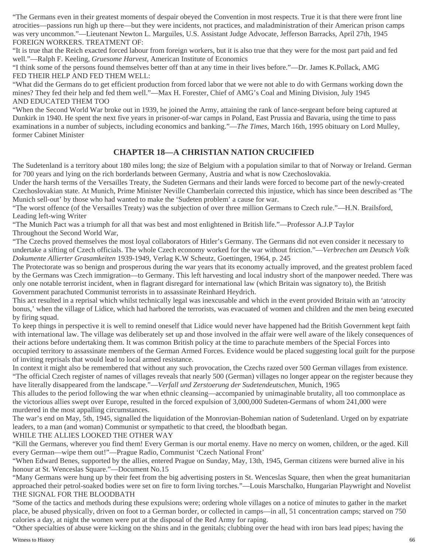"The Germans even in their greatest moments of despair obeyed the Convention in most respects. True it is that there were front line atrocities—passions run high up there—but they were incidents, not practices, and maladministration of their American prison camps was very uncommon."—Lieutenant Newton L. Marguiles, U.S. Assistant Judge Advocate, Jefferson Barracks, April 27th, 1945 FOREIGN WORKERS. TREATMENT OF:

"It is true that the Reich exacted forced labour from foreign workers, but it is also true that they were for the most part paid and fed well."—Ralph F. Keeling, *Gruesome Harvest*, American Institute of Economics

"I think some of the persons found themselves better off than at any time in their lives before."—Dr. James K.Pollack, AMG FED THEIR HELP AND FED THEM WELL:

"What did the Germans do to get efficient production from forced labor that we were not able to do with Germans working down the mines? They fed their help and fed them well."—Max H. Forester, Chief of AMG's Coal and Mining Division, July 1945 AND EDUCATED THEM TOO

"When the Second World War broke out in 1939, he joined the Army, attaining the rank of lance-sergeant before being captured at Dunkirk in 1940. He spent the next five years in prisoner-of-war camps in Poland, East Prussia and Bavaria, using the time to pass examinations in a number of subjects, including economics and banking."—*The Times*, March 16th, 1995 obituary on Lord Mulley, former Cabinet Minister

# **CHAPTER 18—A CHRISTIAN NATION CRUCIFIED**

The Sudetenland is a territory about 180 miles long; the size of Belgium with a population similar to that of Norway or Ireland. German for 700 years and lying on the rich borderlands between Germany, Austria and what is now Czechoslovakia.

Under the harsh terms of the Versailles Treaty, the Sudeten Germans and their lands were forced to become part of the newly-created Czechoslovakian state. At Munich, Prime Minister Neville Chamberlain corrected this injustice, which has since been described as 'The Munich sell-out' by those who had wanted to make the 'Sudeten problem' a cause for war.

"The worst offence (of the Versailles Treaty) was the subjection of over three million Germans to Czech rule."—H.N. Brailsford, Leading left-wing Writer

"The Munich Pact was a triumph for all that was best and most enlightened in British life."—Professor A.J.P Taylor Throughout the Second World War,

"The Czechs proved themselves the most loyal collaborators of Hitler's Germany. The Germans did not even consider it necessary to undertake a sifting of Czech officials. The whole Czech economy worked for the war without friction."—*Verbrechen am Deutsch Volk Dokumente Allierter Grasamkeiten* 1939-1949, Verlag K.W Scheutz, Goettingen, 1964, p. 245

The Protectorate was so benign and prosperous during the war years that its economy actually improved, and the greatest problem faced by the Germans was Czech immigration—to Germany. This left harvesting and local industry short of the manpower needed. There was only one notable terrorist incident, when in flagrant disregard for international law (which Britain was signatory to), the British Government parachuted Communist terrorists in to assassinate Reinhard Heydrich.

This act resulted in a reprisal which whilst technically legal was inexcusable and which in the event provided Britain with an 'atrocity bonus,' when the village of Lidice, which had harbored the terrorists, was evacuated of women and children and the men being executed by firing squad.

To keep things in perspective it is well to remind oneself that Lidice would never have happened had the British Government kept faith with international law. The village was deliberately set up and those involved in the affair were well aware of the likely consequences of their actions before undertaking them. It was common British policy at the time to parachute members of the Special Forces into occupied territory to assassinate members of the German Armed Forces. Evidence would be placed suggesting local guilt for the purpose of inviting reprisals that would lead to local armed resistance.

In context it might also be remembered that without any such provocation, the Czechs razed over 500 German villages from existence. "The official Czech register of names of villages reveals that nearly 500 (German) villages no longer appear on the register because they have literally disappeared from the landscape."—*Verfall und Zerstoerung der Sudetendeutschen*, Munich, 1965

This alludes to the period following the war when ethnic cleansing—accompanied by unimaginable brutality, all too commonplace as the victorious allies swept over Europe, resulted in the forced expulsion of 3,000,000 Sudeten-Germans of whom 241,000 were murdered in the most appalling circumstances.

The war's end on May, 5th, 1945, signalled the liquidation of the Monrovian-Bohemian nation of Sudetenland. Urged on by expatriate leaders, to a man (and woman) Communist or sympathetic to that creed, the bloodbath began.

# WHILE THE ALLIES LOOKED THE OTHER WAY

"Kill the Germans, wherever you find them! Every German is our mortal enemy. Have no mercy on women, children, or the aged. Kill every German—wipe them out!"—Prague Radio, Communist 'Czech National Front'

"When Edward Benes, supported by the allies, entered Prague on Sunday, May, 13th, 1945, German citizens were burned alive in his honour at St. Wenceslas Square."—Document No.15

"Many Germans were hung up by their feet from the big advertising posters in St. Wenceslas Square, then when the great humanitarian approached their petrol-soaked bodies were set on fire to form living torches."—Louis Marschalko, Hungarian Playwright and Novelist THE SIGNAL FOR THE BLOODBATH

"Some of the tactics and methods during these expulsions were; ordering whole villages on a notice of minutes to gather in the market place, be abused physically, driven on foot to a German border, or collected in camps—in all, 51 concentration camps; starved on 750 calories a day, at night the women were put at the disposal of the Red Army for raping.

"Other specialties of abuse were kicking on the shins and in the genitals; clubbing over the head with iron bars lead pipes; having the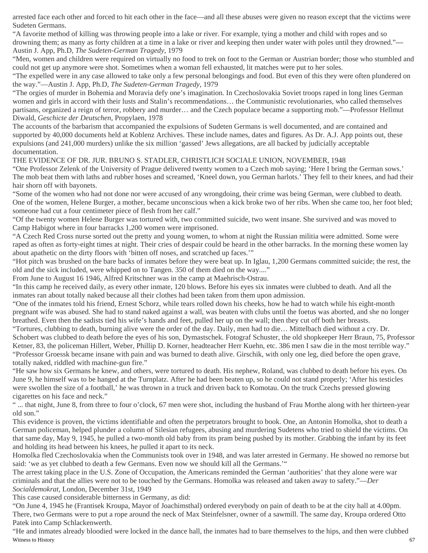arrested face each other and forced to hit each other in the face—and all these abuses were given no reason except that the victims were Sudeten Germans.

"A favorite method of killing was throwing people into a lake or river. For example, tying a mother and child with ropes and so drowning them; as many as forty children at a time in a lake or river and keeping then under water with poles until they drowned."— Austin J. App, Ph.D, *The Sudeten-German Tragedy*, 1979

"Men, women and children were required on virtually no food to trek on foot to the German or Austrian border; those who stumbled and could not get up anymore were shot. Sometimes when a woman fell exhausted, lit matches were put to her soles.

"The expelled were in any case allowed to take only a few personal belongings and food. But even of this they were often plundered on the way."—Austin J. App, Ph.D, *The Sudeten-German Tragedy*, 1979

"The orgies of murder in Bohemia and Moravia defy one's imagination. In Czechoslovakia Soviet troops raped in long lines German women and girls in accord with their lusts and Stalin's recommendations… the Communistic revolutionaries, who called themselves partisans, organized a reign of terror, robbery and murder… and the Czech populace became a supporting mob."—Professor Hellmut Diwald, *Geschicte der Deutschen*, Propylaen, 1978

The accounts of the barbarism that accompanied the expulsions of Sudeten Germans is well documented, and are contained and supported by 40,000 documents held at Koblenz Archives. These include names, dates and figures. As Dr. A.J. App points out, these expulsions (and 241,000 murders) unlike the six million 'gassed' Jews allegations, are all backed by judicially acceptable documentation.

THE EVIDENCE OF DR. JUR. BRUNO S. STADLER, CHRISTLICH SOCIALE UNION, NOVEMBER, 1948

"One Professor Zelenk of the University of Prague delivered twenty women to a Czech mob saying; 'Here I bring the German sows.' The mob beat them with laths and rubber hoses and screamed, 'Kneel down, you German harlots.' They fell to their knees, and had their hair shorn off with bayonets.

"Some of the women who had not done nor were accused of any wrongdoing, their crime was being German, were clubbed to death. One of the women, Helene Burger, a mother, became unconscious when a kick broke two of her ribs. When she came too, her foot bled; someone had cut a four centimeter piece of flesh from her calf."

"Of the twenty women Helene Burger was tortured with, two committed suicide, two went insane. She survived and was moved to Camp Habigot where in four barracks 1,200 women were imprisoned.

"A Czech Red Cross nurse sorted out the pretty and young women, to whom at night the Russian militia were admitted. Some were raped as often as forty-eight times at night. Their cries of despair could be heard in the other barracks. In the morning these women lay about apathetic on the dirty floors with 'bitten off noses, and scratched up faces.'"

"Hot pitch was brushed on the bare backs of inmates before they were beat up. In Iglau, 1,200 Germans committed suicide; the rest, the old and the sick included, were whipped on to Tangen. 350 of them died on the way...."

From June to August 16 1946, Alfred Kritschner was in the camp at Maehrisch-Ostrau.

"In this camp he received daily, as every other inmate, 120 blows. Before his eyes six inmates were clubbed to death. And all the inmates ran about totally naked because all their clothes had been taken from them upon admission.

"One of the inmates told his friend, Ernest Schorz, while tears rolled down his cheeks, how he had to watch while his eight-month pregnant wife was abused. She had to stand naked against a wall, was beaten with clubs until the foetus was aborted, and she no longer breathed. Even then the sadists tied his wife's hands and feet, pulled her up on the wall; then they cut off both her breasts.

"Tortures, clubbing to death, burning alive were the order of the day. Daily, men had to die… Mittelbach died without a cry. Dr. Schobert was clubbed to death before the eyes of his son, Dymastschek. Fotograf Schuster, the old shopkeeper Herr Braun, 75, Professor Ketner, 83, the policeman Hillert, Weber, Phillip D. Korner, headteacher Herr Kuehn, etc. 386 men I saw die in the most terrible way." "Professor Groessk became insane with pain and was burned to death alive. Girschik, with only one leg, died before the open grave, totally naked, riddled with machine-gun fire."

"He saw how six Germans he knew, and others, were tortured to death. His nephew, Roland, was clubbed to death before his eyes. On June 9, he himself was to be hanged at the Turnplatz. After he had been beaten up, so he could not stand properly; 'After his testicles were swollen the size of a football,' he was thrown in a truck and driven back to Komotau. On the truck Czechs pressed glowing cigarettes on his face and neck."

" ... that night, June 8, from three to four o'clock, 67 men were shot, including the husband of Frau Morthe along with her thirteen-year old son."

This evidence is proven, the victims identifiable and often the perpetrators brought to book. One, an Antonin Homolka, shot to death a German policeman, helped plunder a column of Silesian refugees, abusing and murdering Sudetens who tried to shield the victims. On that same day, May 9, 1945, he pulled a two-month old baby from its pram being pushed by its mother. Grabbing the infant by its feet and holding its head between his knees, he pulled it apart to its neck.

Homolka fled Czechoslovakia when the Communists took over in 1948, and was later arrested in Germany. He showed no remorse but said: 'we as yet clubbed to death a few Germans. Even now we should kill all the Germans.'"

The arrest taking place in the U.S. Zone of Occupation, the Americans reminded the German 'authorities' that they alone were war criminals and that the allies were not to be touched by the Germans. Homolka was released and taken away to safety."—*Der Socialdemokrat*, London, December 31st, 1949

This case caused considerable bitterness in Germany, as did:

"On June 4, 1945 he (Frantisek Kroupa, Mayor of Joachimsthal) ordered everybody on pain of death to be at the city hall at 4.00pm. There, two Germans were to put a rope around the neck of Max Steinfelsner, owner of a sawmill. The same day, Kroupa ordered Otto Patek into Camp Schlackenwerth.

Witness to History 67 and the set of the set of the set of the set of the set of the set of the set of the set of the set of the set of the set of the set of the set of the set of the set of the set of the set of the set o "He and inmates already bloodied were locked in the dance hall, the inmates had to bare themselves to the hips, and then were clubbed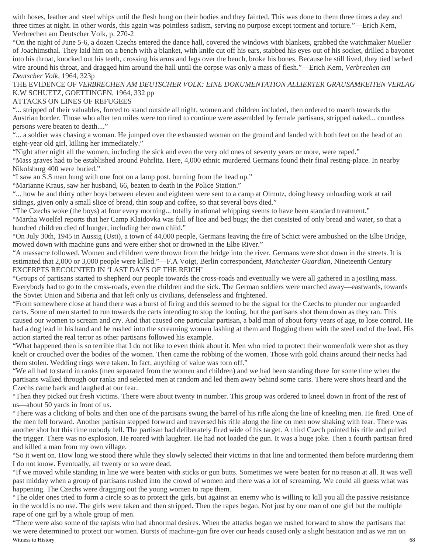with hoses, leather and steel whips until the flesh hung on their bodies and they fainted. This was done to them three times a day and three times at night. In other words, this again was pointless sadism, serving no purpose except torment and torture."—Erich Kern, Verbrechen am Deutscher Volk, p. 270-2

"On the night of June 5-6, a dozen Czechs entered the dance hall, covered the windows with blankets, grabbed the watchmaker Mueller of Joachimsthal. They laid him on a bench with a blanket, with knife cut off his ears, stabbed his eyes out of his socket, drilled a bayonet into his throat, knocked out his teeth, crossing his arms and legs over the bench, broke his bones. Because he still lived, they tied barbed wire around his throat, and dragged him around the hall until the corpse was only a mass of flesh."—Erich Kern, *Verbrechen am Deutscher Volk*, 1964, 323p

THE EVIDENCE OF *VERBRECHEN AM DEUTSCHER VOLK: EINE DOKUMENTATION ALLIERTER GRAUSAMKEITEN VERLAG* K.W SCHUETZ, GOETTINGEN, 1964, 332 pp

ATTACKS ON LINES OF REFUGEES

"... stripped of their valuables, forced to stand outside all night, women and children included, then ordered to march towards the Austrian border. Those who after ten miles were too tired to continue were assembled by female partisans, stripped naked... countless persons were beaten to death...."

... a soldier was chasing a woman. He jumped over the exhausted woman on the ground and landed with both feet on the head of an eight-year old girl, killing her immediately."

"Night after night all the women, including the sick and even the very old ones of seventy years or more, were raped."

"Mass graves had to be established around Pohrlitz. Here, 4,000 ethnic murdered Germans found their final resting-place. In nearby Nikolsburg 400 were buried."

"I saw an S.S man hung with one foot on a lamp post, burning from the head up."

"Marianne Kraus, saw her husband, 66, beaten to death in the Police Station."

"... how he and thirty other boys between eleven and eighteen were sent to a camp at Olmutz, doing heavy unloading work at rail sidings, given only a small slice of bread, thin soup and coffee, so that several boys died."

"The Czechs woke (the boys) at four every morning... totally irrational whipping seems to have been standard treatment."

"Martha Woelfel reports that her Camp Klaidovka was full of lice and bed bugs; the diet consisted of only bread and water, so that a hundred children died of hunger, including her own child."

"On July 30th, 1945 in Aussig (Usti), a town of 44,000 people, Germans leaving the fire of Schict were ambushed on the Elbe Bridge, mowed down with machine guns and were either shot or drowned in the Elbe River."

"A massacre followed. Women and children were thrown from the bridge into the river. Germans were shot down in the streets. It is estimated that 2,000 or 3,000 people were killed."—F.A Voigt, Berlin correspondent, *Manchester Guardian*, Nineteenth Century EXCERPTS RECOUNTED IN 'LAST DAYS OF THE REICH'

"Groups of partisans started to shepherd our people towards the cross-roads and eventually we were all gathered in a jostling mass. Everybody had to go to the cross-roads, even the children and the sick. The German soldiers were marched away—eastwards, towards the Soviet Union and Siberia and that left only us civilians, defenseless and frightened.

"From somewhere close at hand there was a burst of firing and this seemed to be the signal for the Czechs to plunder our unguarded carts. Some of men started to run towards the carts intending to stop the looting, but the partisans shot them down as they ran. This caused our women to scream and cry. And that caused one particular partisan, a bald man of about forty years of age, to lose control. He had a dog lead in his hand and he rushed into the screaming women lashing at them and flogging them with the steel end of the lead. His action started the real terror as other partisans followed his example.

"What happened then is so terrible that I do not like to even think about it. Men who tried to protect their womenfolk were shot as they knelt or crouched over the bodies of the women. Then came the robbing of the women. Those with gold chains around their necks had them stolen. Wedding rings were taken. In fact, anything of value was torn off."

"We all had to stand in ranks (men separated from the women and children) and we had been standing there for some time when the partisans walked through our ranks and selected men at random and led them away behind some carts. There were shots heard and the Czechs came back and laughed at our fear.

"Then they picked out fresh victims. There were about twenty in number. This group was ordered to kneel down in front of the rest of us—about 50 yards in front of us.

"There was a clicking of bolts and then one of the partisans swung the barrel of his rifle along the line of kneeling men. He fired. One of the men fell forward. Another partisan stepped forward and traversed his rifle along the line on men now shaking with fear. There was another shot but this time nobody fell. The partisan had deliberately fired wide of his target. A third Czech pointed his rifle and pulled the trigger. There was no explosion. He roared with laughter. He had not loaded the gun. It was a huge joke. Then a fourth partisan fired and killed a man from my own village.

"So it went on. How long we stood there while they slowly selected their victims in that line and tormented them before murdering them I do not know. Eventually, all twenty or so were dead.

"If we moved while standing in line we were beaten with sticks or gun butts. Sometimes we were beaten for no reason at all. It was well past midday when a group of partisans rushed into the crowd of women and there was a lot of screaming. We could all guess what was happening. The Czechs were dragging out the young women to rape them.

"The older ones tried to form a circle so as to protect the girls, but against an enemy who is willing to kill you all the passive resistance in the world is no use. The girls were taken and then stripped. Then the rapes began. Not just by one man of one girl but the multiple rape of one girl by a whole group of men.

Witness to History **68** 68 "There were also some of the rapists who had abnormal desires. When the attacks began we rushed forward to show the partisans that we were determined to protect our women. Bursts of machine-gun fire over our heads caused only a slight hesitation and as we ran on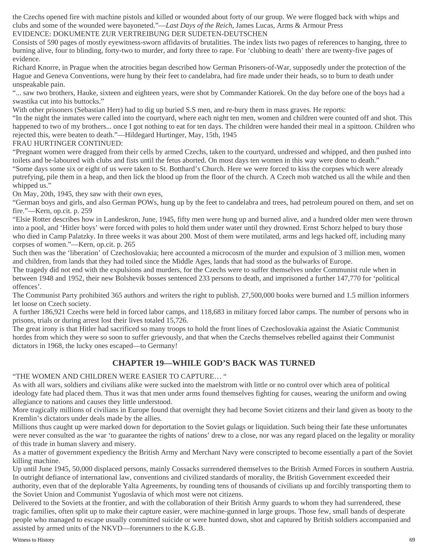the Czechs opened fire with machine pistols and killed or wounded about forty of our group. We were flogged back with whips and clubs and some of the wounded were bayoneted."—*Last Days of the Reich*, James Lucas, Arms & Armour Press EVIDENCE: DOKUMENTE ZUR VERTREIBUNG DER SUDETEN-DEUTSCHEN

Consists of 590 pages of mostly eyewitness-sworn affidavits of brutalities. The index lists two pages of references to hanging, three to burning alive, four to blinding, forty-two to murder, and forty three to rape. For 'clubbing to death' there are twenty-five pages of evidence.

Richard Knorre, in Prague when the atrocities began described how German Prisoners-of-War, supposedly under the protection of the Hague and Geneva Conventions, were hung by their feet to candelabra, had fire made under their heads, so to burn to death under unspeakable pain.

"... saw two brothers, Hauke, sixteen and eighteen years, were shot by Commander Katiorek. On the day before one of the boys had a swastika cut into his buttocks."

With other prisoners (Sebastian Herr) had to dig up buried S.S men, and re-bury them in mass graves. He reports:

"In the night the inmates were called into the courtyard, where each night ten men, women and children were counted off and shot. This happened to two of my brothers... once I got nothing to eat for ten days. The children were handed their meal in a spittoon. Children who rejected this, were beaten to death."—Hildegard Hurtinger, May, 15th, 1945

#### FRAU HURTINGER CONTINUED:

"Pregnant women were dragged from their cells by armed Czechs, taken to the courtyard, undressed and whipped, and then pushed into toilets and be-laboured with clubs and fists until the fetus aborted. On most days ten women in this way were done to death." "Some days some six or eight of us were taken to St. Botthard's Church. Here we were forced to kiss the corpses which were already putrefying, pile them in a heap, and then lick the blood up from the floor of the church. A Czech mob watched us all the while and then whipped us."

On May, 20th, 1945, they saw with their own eyes,

"German boys and girls, and also German POWs, hung up by the feet to candelabra and trees, had petroleum poured on them, and set on fire."—Kern, op.cit. p. 259

"Elsie Rotter describes how in Landeskron, June, 1945, fifty men were hung up and burned alive, and a hundred older men were thrown into a pool, and 'Hitler boys' were forced with poles to hold them under water until they drowned. Ernst Schorz helped to bury those who died in Camp Palatzky. In three weeks it was about 200. Most of them were mutilated, arms and legs hacked off, including many corpses of women."—Kern, op.cit. p. 265

Such then was the 'liberation' of Czechoslovakia; here accounted a microcosm of the murder and expulsion of 3 million men, women and children, from lands that they had toiled since the Middle Ages, lands that had stood as the bulwarks of Europe.

The tragedy did not end with the expulsions and murders, for the Czechs were to suffer themselves under Communist rule when in between 1948 and 1952, their new Bolshevik bosses sentenced 233 persons to death, and imprisoned a further 147,770 for 'political offences'.

The Communist Party prohibited 365 authors and writers the right to publish. 27,500,000 books were burned and 1.5 million informers let loose on Czech society.

A further 186,921 Czechs were held in forced labor camps, and 118,683 in military forced labor camps. The number of persons who in prisons, trials or during arrest lost their lives totaled 15,726.

The great irony is that Hitler had sacrificed so many troops to hold the front lines of Czechoslovakia against the Asiatic Communist hordes from which they were so soon to suffer grievously, and that when the Czechs themselves rebelled against their Communist dictators in 1968, the lucky ones escaped—to Germany!

# **CHAPTER 19—WHILE GOD'S BACK WAS TURNED**

## "THE WOMEN AND CHILDREN WERE EASIER TO CAPTURE… "

As with all wars, soldiers and civilians alike were sucked into the maelstrom with little or no control over which area of political ideology fate had placed them. Thus it was that men under arms found themselves fighting for causes, wearing the uniform and owing allegiance to nations and causes they little understood.

More tragically millions of civilians in Europe found that overnight they had become Soviet citizens and their land given as booty to the Kremlin's dictators under deals made by the allies.

Millions thus caught up were marked down for deportation to the Soviet gulags or liquidation. Such being their fate these unfortunates were never consulted as the war 'to guarantee the rights of nations' drew to a close, nor was any regard placed on the legality or morality of this trade in human slavery and misery.

As a matter of government expediency the British Army and Merchant Navy were conscripted to become essentially a part of the Soviet killing machine.

Up until June 1945, 50,000 displaced persons, mainly Cossacks surrendered themselves to the British Armed Forces in southern Austria. In outright defiance of international law, conventions and civilized standards of morality, the British Government exceeded their authority, even that of the deplorable Yalta Agreements, by rounding tens of thousands of civilians up and forcibly transporting them to the Soviet Union and Communist Yugoslavia of which most were not citizens.

Delivered to the Soviets at the frontier, and with the collaboration of their British Army guards to whom they had surrendered, these tragic families, often split up to make their capture easier, were machine-gunned in large groups. Those few, small bands of desperate people who managed to escape usually committed suicide or were hunted down, shot and captured by British soldiers accompanied and assisted by armed units of the NKVD—forerunners to the K.G.B.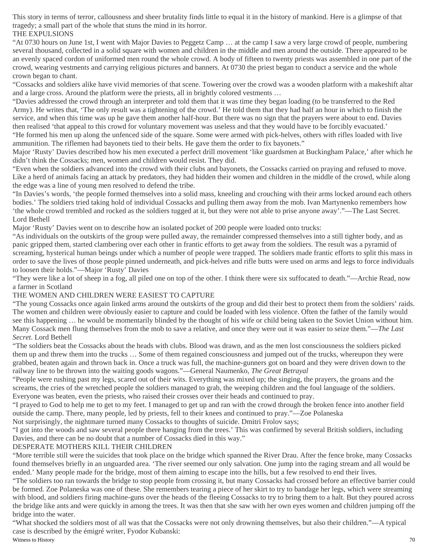This story in terms of terror, callousness and sheer brutality finds little to equal it in the history of mankind. Here is a glimpse of that tragedy; a small part of the whole that stuns the mind in its horror. THE EXPULSIONS

"At 0730 hours on June 1st, I went with Major Davies to Peggetz Camp … at the camp I saw a very large crowd of people, numbering several thousand, collected in a solid square with women and children in the middle and men around the outside. There appeared to be an evenly spaced cordon of uniformed men round the whole crowd. A body of fifteen to twenty priests was assembled in one part of the crowd, wearing vestments and carrying religious pictures and banners. At 0730 the priest began to conduct a service and the whole crown began to chant.

"Cossacks and soldiers alike have vivid memories of that scene. Towering over the crowd was a wooden platform with a makeshift altar and a large cross. Around the platform were the priests, all in brightly colored vestments …

"Davies addressed the crowd through an interpreter and told them that it was time they began loading (to be transferred to the Red Army). He writes that, 'The only result was a tightening of the crowd.' He told them that they had half an hour in which to finish the service, and when this time was up he gave them another half-hour. But there was no sign that the prayers were about to end. Davies then realised 'that appeal to this crowd for voluntary movement was useless and that they would have to be forcibly evacuated.' "He formed his men up along the unfenced side of the square. Some were armed with pick-helves, others with rifles loaded with live ammunition. The riflemen had bayonets tied to their belts. He gave them the order to fix bayonets."

Major 'Rusty' Davies described how his men executed a perfect drill movement 'like guardsmen at Buckingham Palace,' after which he didn't think the Cossacks; men, women and children would resist. They did.

"Even when the soldiers advanced into the crowd with their clubs and bayonets, the Cossacks carried on praying and refused to move. Like a herd of animals facing an attack by predators, they had hidden their women and children in the middle of the crowd, while along the edge was a line of young men resolved to defend the tribe.

"In Davies's words, 'the people formed themselves into a solid mass, kneeling and crouching with their arms locked around each others bodies.' The soldiers tried taking hold of individual Cossacks and pulling them away from the mob. Ivan Martynenko remembers how 'the whole crowd trembled and rocked as the soldiers tugged at it, but they were not able to prise anyone away'."—The Last Secret. Lord Bethell

Major 'Rusty' Davies went on to describe how an isolated pocket of 200 people were loaded onto trucks:

"As individuals on the outskirts of the group were pulled away, the remainder compressed themselves into a still tighter body, and as panic gripped them, started clambering over each other in frantic efforts to get away from the soldiers. The result was a pyramid of screaming, hysterical human beings under which a number of people were trapped. The soldiers made frantic efforts to split this mass in order to save the lives of those people pinned underneath, and pick-helves and rifle butts were used on arms and legs to force individuals to loosen their holds."—Major 'Rusty' Davies

"They were like a lot of sheep in a fog, all piled one on top of the other. I think there were six suffocated to death."—Archie Read, now a farmer in Scotland

# THE WOMEN AND CHILDREN WERE EASIEST TO CAPTURE

"The young Cossacks once again linked arms around the outskirts of the group and did their best to protect them from the soldiers' raids. The women and children were obviously easier to capture and could be loaded with less violence. Often the father of the family would see this happening … he would be momentarily blinded by the thought of his wife or child being taken to the Soviet Union without him. Many Cossack men flung themselves from the mob to save a relative, and once they were out it was easier to seize them."—*The Last Secret*. Lord Bethell

"The soldiers beat the Cossacks about the heads with clubs. Blood was drawn, and as the men lost consciousness the soldiers picked them up and threw them into the trucks … Some of them regained consciousness and jumped out of the trucks, whereupon they were grabbed, beaten again and thrown back in. Once a truck was full, the machine-gunners got on board and they were driven down to the railway line to be thrown into the waiting goods wagons."—General Naumenko, *The Great Betrayal*

"People were rushing past my legs, scared out of their wits. Everything was mixed up; the singing, the prayers, the groans and the screams, the cries of the wretched people the soldiers managed to grab, the weeping children and the foul language of the soldiers. Everyone was beaten, even the priests, who raised their crosses over their heads and continued to pray.

"I prayed to God to help me to get to my feet. I managed to get up and ran with the crowd through the broken fence into another field outside the camp. There, many people, led by priests, fell to their knees and continued to pray."—Zoe Polaneska

Not surprisingly, the nightmare turned many Cossacks to thoughts of suicide. Dmitri Frolov says;

"I got into the woods and saw several people there hanging from the trees.' This was confirmed by several British soldiers, including Davies, and there can be no doubt that a number of Cossacks died in this way."

## DESPERATE MOTHERS KILL THEIR CHILDREN

"More terrible still were the suicides that took place on the bridge which spanned the River Drau. After the fence broke, many Cossacks found themselves briefly in an unguarded area. 'The river seemed our only salvation. One jump into the raging stream and all would be ended.' Many people made for the bridge, most of them aiming to escape into the hills, but a few resolved to end their lives.

"The soldiers too ran towards the bridge to stop people from crossing it, but many Cossacks had crossed before an effective barrier could be formed. Zoe Polaneska was one of these. She remembers tearing a piece of her skirt to try to bandage her legs, which were streaming with blood, and soldiers firing machine-guns over the heads of the fleeing Cossacks to try to bring them to a halt. But they poured across the bridge like ants and were quickly in among the trees. It was then that she saw with her own eyes women and children jumping off the bridge into the water.

"What shocked the soldiers most of all was that the Cossacks were not only drowning themselves, but also their children."—A typical case is described by the émigré writer, Fyodor Kubanski:

Witness to History 70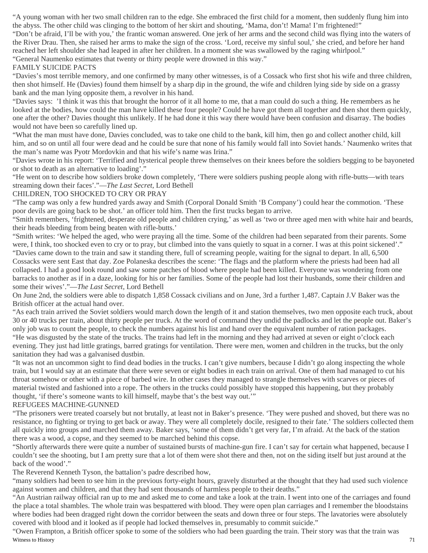"A young woman with her two small children ran to the edge. She embraced the first child for a moment, then suddenly flung him into the abyss. The other child was clinging to the bottom of her skirt and shouting, 'Mama, don't! Mama! I'm frightened!"

"Don't be afraid, I'll be with you,' the frantic woman answered. One jerk of her arms and the second child was flying into the waters of the River Drau. Then, she raised her arms to make the sign of the cross. 'Lord, receive my sinful soul,' she cried, and before her hand reached her left shoulder she had leaped in after her children. In a moment she was swallowed by the raging whirlpool." "General Naumenko estimates that twenty or thirty people were drowned in this way."

#### FAMILY SUICIDE PACTS

"Davies's most terrible memory, and one confirmed by many other witnesses, is of a Cossack who first shot his wife and three children, then shot himself. He (Davies) found them himself by a sharp dip in the ground, the wife and children lying side by side on a grassy bank and the man lying opposite them, a revolver in his hand.

"Davies says: 'I think it was this that brought the horror of it all home to me, that a man could do such a thing. He remembers as he looked at the bodies, how could the man have killed these four people? Could he have got them all together and then shot them quickly, one after the other? Davies thought this unlikely. If he had done it this way there would have been confusion and disarray. The bodies would not have been so carefully lined up.

"What the man must have done, Davies concluded, was to take one child to the bank, kill him, then go and collect another child, kill him, and so on until all four were dead and he could be sure that none of his family would fall into Soviet hands.' Naumenko writes that the man's name was Pyotr Mordovkin and that his wife's name was Irina."

"Davies wrote in his report: 'Terrified and hysterical people threw themselves on their knees before the soldiers begging to be bayoneted or shot to death as an alternative to loading'."

"He went on to describe how soldiers broke down completely, 'There were soldiers pushing people along with rifle-butts—with tears streaming down their faces'."—*The Last Secret*, Lord Bethell

#### CHILDREN, TOO SHOCKED TO CRY OR PRAY

"The camp was only a few hundred yards away and Smith (Corporal Donald Smith 'B Company') could hear the commotion. 'These poor devils are going back to be shot.' an officer told him. Then the first trucks began to arrive.

"Smith remembers, 'frightened, desperate old people and children crying,' as well as 'two or three aged men with white hair and beards, their heads bleeding from being beaten with rifle-butts.'

"Smith writes: 'We helped the aged, who were praying all the time. Some of the children had been separated from their parents. Some were, I think, too shocked even to cry or to pray, but climbed into the vans quietly to squat in a corner. I was at this point sickened'." "Davies came down to the train and saw it standing there, full of screaming people, waiting for the signal to depart. In all, 6,500 Cossacks were sent East that day. Zoe Polaneska describes the scene: 'The flags and the platform where the priests had been had all collapsed. I had a good look round and saw some patches of blood where people had been killed. Everyone was wondering from one barracks to another as if in a daze, looking for his or her families. Some of the people had lost their husbands, some their children and some their wives'."—*The Last Secret*, Lord Bethell

On June 2nd, the soldiers were able to dispatch 1,858 Cossack civilians and on June, 3rd a further 1,487. Captain J.V Baker was the British officer at the actual hand over.

"As each train arrived the Soviet soldiers would march down the length of it and station themselves, two men opposite each truck, about 30 or 40 trucks per train, about thirty people per truck. At the word of command they undid the padlocks and let the people out. Baker's only job was to count the people, to check the numbers against his list and hand over the equivalent number of ration packages.

"He was disgusted by the state of the trucks. The trains had left in the morning and they had arrived at seven or eight o'clock each evening. They just had little gratings, barred gratings for ventilation. There were men, women and children in the trucks, but the only sanitation they had was a galvanised dustbin.

"It was not an uncommon sight to find dead bodies in the trucks. I can't give numbers, because I didn't go along inspecting the whole train, but I would say at an estimate that there were seven or eight bodies in each train on arrival. One of them had managed to cut his throat somehow or other with a piece of barbed wire. In other cases they managed to strangle themselves with scarves or pieces of material twisted and fashioned into a rope. The others in the trucks could possibly have stopped this happening, but they probably thought, 'if there's someone wants to kill himself, maybe that's the best way out.'"

## REFUGEES MACHINE-GUNNED

"The prisoners were treated coarsely but not brutally, at least not in Baker's presence. 'They were pushed and shoved, but there was no resistance, no fighting or trying to get back or away. They were all completely docile, resigned to their fate.' The soldiers collected them all quickly into groups and marched them away. Baker says, 'some of them didn't get very far, I'm afraid. At the back of the station there was a wood, a copse, and they seemed to be marched behind this copse.

"Shortly afterwards there were quite a number of sustained bursts of machine-gun fire. I can't say for certain what happened, because I couldn't see the shooting, but I am pretty sure that a lot of them were shot there and then, not on the siding itself but just around at the back of the wood'."

The Reverend Kenneth Tyson, the battalion's padre described how,

"many soldiers had been to see him in the previous forty-eight hours, gravely disturbed at the thought that they had used such violence against women and children, and that they had sent thousands of harmless people to their deaths."

"An Austrian railway official ran up to me and asked me to come and take a look at the train. I went into one of the carriages and found the place a total shambles. The whole train was bespattered with blood. They were open plan carriages and I remember the bloodstains where bodies had been dragged right down the corridor between the seats and down three or four steps. The lavatories were absolutely covered with blood and it looked as if people had locked themselves in, presumably to commit suicide."

Witness to History 71 "Owen Frampton, a British officer spoke to some of the soldiers who had been guarding the train. Their story was that the train was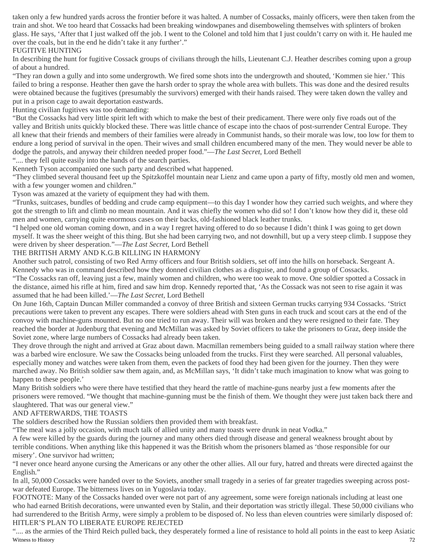taken only a few hundred yards across the frontier before it was halted. A number of Cossacks, mainly officers, were then taken from the train and shot. We too heard that Cossacks had been breaking windowpanes and disemboweling themselves with splinters of broken glass. He says, 'After that I just walked off the job. I went to the Colonel and told him that I just couldn't carry on with it. He hauled me over the coals, but in the end he didn't take it any further'."

## FUGITIVE HUNTING

In describing the hunt for fugitive Cossack groups of civilians through the hills, Lieutenant C.J. Heather describes coming upon a group of about a hundred.

"They ran down a gully and into some undergrowth. We fired some shots into the undergrowth and shouted, 'Kommen sie hier.' This failed to bring a response. Heather then gave the harsh order to spray the whole area with bullets. This was done and the desired results were obtained because the fugitives (presumably the survivors) emerged with their hands raised. They were taken down the valley and put in a prison cage to await deportation eastwards.

Hunting civilian fugitives was too demanding:

"But the Cossacks had very little spirit left with which to make the best of their predicament. There were only five roads out of the valley and British units quickly blocked these. There was little chance of escape into the chaos of post-surrender Central Europe. They all knew that their friends and members of their families were already in Communist hands, so their morale was low, too low for them to endure a long period of survival in the open. Their wives and small children encumbered many of the men. They would never be able to dodge the patrols, and anyway their children needed proper food."—*The Last Secret*, Lord Bethell

".... they fell quite easily into the hands of the search parties.

Kenneth Tyson accompanied one such party and described what happened.

"They climbed several thousand feet up the Spitzkoffel mountain near Lienz and came upon a party of fifty, mostly old men and women, with a few younger women and children."

Tyson was amazed at the variety of equipment they had with them.

"Trunks, suitcases, bundles of bedding and crude camp equipment—to this day I wonder how they carried such weights, and where they got the strength to lift and climb no mean mountain. And it was chiefly the women who did so! I don't know how they did it, these old men and women, carrying quite enormous cases on their backs, old-fashioned black leather trunks.

"I helped one old woman coming down, and in a way I regret having offered to do so because I didn't think I was going to get down myself. It was the sheer weight of this thing. But she had been carrying two, and not downhill, but up a very steep climb. I suppose they were driven by sheer desperation."—*The Last Secret*, Lord Bethell

## THE BRITISH ARMY AND K.G.B KILLING IN HARMONY

Another such patrol, consisting of two Red Army officers and four British soldiers, set off into the hills on horseback. Sergeant A. Kennedy who was in command described how they donned civilian clothes as a disguise, and found a group of Cossacks.

"The Cossacks ran off, leaving just a few, mainly women and children, who were too weak to move. One soldier spotted a Cossack in the distance, aimed his rifle at him, fired and saw him drop. Kennedy reported that, 'As the Cossack was not seen to rise again it was assumed that he had been killed.'—*The Last Secret*, Lord Bethell

On June 16th, Captain Duncan Miller commanded a convoy of three British and sixteen German trucks carrying 934 Cossacks. 'Strict precautions were taken to prevent any escapes. There were soldiers ahead with Sten guns in each truck and scout cars at the end of the convoy with machine-guns mounted. But no one tried to run away. Their will was broken and they were resigned to their fate. They reached the border at Judenburg that evening and McMillan was asked by Soviet officers to take the prisoners to Graz, deep inside the Soviet zone, where large numbers of Cossacks had already been taken.

They drove through the night and arrived at Graz about dawn. Macmillan remembers being guided to a small railway station where there was a barbed wire enclosure. We saw the Cossacks being unloaded from the trucks. First they were searched. All personal valuables, especially money and watches were taken from them, even the packets of food they had been given for the journey. Then they were marched away. No British soldier saw them again, and, as McMillan says, 'It didn't take much imagination to know what was going to happen to these people.'

Many British soldiers who were there have testified that they heard the rattle of machine-guns nearby just a few moments after the prisoners were removed. "We thought that machine-gunning must be the finish of them. We thought they were just taken back there and slaughtered. That was our general view."

## AND AFTERWARDS, THE TOASTS

The soldiers described how the Russian soldiers then provided them with breakfast.

"The meal was a jolly occasion, with much talk of allied unity and many toasts were drunk in neat Vodka."

A few were killed by the guards during the journey and many others died through disease and general weakness brought about by terrible conditions. When anything like this happened it was the British whom the prisoners blamed as 'those responsible for our misery'. One survivor had written;

"I never once heard anyone cursing the Americans or any other the other allies. All our fury, hatred and threats were directed against the English."

In all, 50,000 Cossacks were handed over to the Soviets, another small tragedy in a series of far greater tragedies sweeping across postwar defeated Europe. The bitterness lives on in Yugoslavia today.

FOOTNOTE: Many of the Cossacks handed over were not part of any agreement, some were foreign nationals including at least one who had earned British decorations, were unwanted even by Stalin, and their deportation was strictly illegal. These 50,000 civilians who had surrendered to the British Army, were simply a problem to be disposed of. No less than eleven countries were similarly disposed of: HITLER'S PLAN TO LIBERATE EUROPE REJECTED

Witness to History 22 and 2008 12:00 the Second Library 2008 12:00 the Second Library 2008 12:00 the Second Library 2008 12:00 the Second Library 2008 12:00 the Second Library 2008 12:00 the Second Library 2008 12:00 the S ".... as the armies of the Third Reich pulled back, they desperately formed a line of resistance to hold all points in the east to keep Asiatic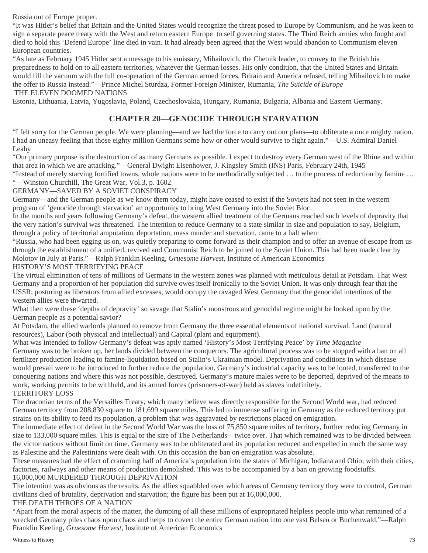Russia out of Europe proper.

"It was Hitler's belief that Britain and the United States would recognize the threat posed to Europe by Communism, and he was keen to sign a separate peace treaty with the West and return eastern Europe to self governing states. The Third Reich armies who fought and died to hold this 'Defend Europe' line died in vain. It had already been agreed that the West would abandon to Communism eleven European countries.

"As late as February 1945 Hitler sent a message to his emissary, Mihailovich, the Chetnik leader, to convey to the British his preparedness to hold on to all eastern territories, whatever the German losses. His only condition, that the United States and Britain would fill the vacuum with the full co-operation of the German armed forces. Britain and America refused, telling Mihailovich to make the offer to Russia instead."—Prince Michel Sturdza, Former Foreign Minister, Rumania, *The Suicide of Europe* THE ELEVEN DOOMED NATIONS

Estonia, Lithuania, Latvia, Yugoslavia, Poland, Czechoslovakia, Hungary, Rumania, Bulgaria, Albania and Eastern Germany.

# **CHAPTER 20—GENOCIDE THROUGH STARVATION**

"I felt sorry for the German people. We were planning—and we had the force to carry out our plans—to obliterate a once mighty nation. I had an uneasy feeling that those eighty million Germans some how or other would survive to fight again."—U.S. Admiral Daniel Leahy

"Our primary purpose is the destruction of as many Germans as possible. I expect to destroy every German west of the Rhine and within that area in which we are attacking."—General Dwight Eisenhower, J. Kingsley Smith (INS) Paris, February 24th, 1945

"Instead of merely starving fortified towns, whole nations were to be methodically subjected … to the process of reduction by famine … "—Winston Churchill, The Great War, Vol.3, p. 1602

GERMANY—SAVED BY A SOVIET CONSPIRACY

Germany—and the German people as we know them today, might have ceased to exist if the Soviets had not seen in the western program of 'genocide through starvation' an opportunity to bring West Germany into the Soviet Bloc.

In the months and years following Germany's defeat, the western allied treatment of the Germans reached such levels of depravity that the very nation's survival was threatened. The intention to reduce Germany to a state similar in size and population to say, Belgium, through a policy of territorial amputation, deportation, mass murder and starvation, came to a halt when:

"Russia, who had been egging us on, was quietly preparing to come forward as their champion and to offer an avenue of escape from us through the establishment of a unified, revived and Communist Reich to be joined to the Soviet Union. This had been made clear by Molotov in July at Paris."—Ralph Franklin Keeling, *Gruesome Harvest*, Institute of American Economics

## HISTORY'S MOST TERRIFYING PEACE

The virtual elimination of tens of millions of Germans in the western zones was planned with meticulous detail at Potsdam. That West Germany and a proportion of her population did survive owes itself ironically to the Soviet Union. It was only through fear that the USSR, posturing as liberators from allied excesses, would occupy the ravaged West Germany that the genocidal intentions of the western allies were thwarted.

What then were these 'depths of depravity' so savage that Stalin's monstrous and genocidal regime might be looked upon by the German people as a potential savior?

At Potsdam, the allied warlords planned to remove from Germany the three essential elements of national survival. Land (natural resources), Labor (both physical and intellectual) and Capital (plant and equipment).

What was intended to follow Germany's defeat was aptly named 'History's Most Terrifying Peace' by *Time Magazine*

Germany was to be broken up, her lands divided between the conquerors. The agricultural process was to be stopped with a ban on all fertilizer production leading to famine-liquidation based on Stalin's Ukrainian model. Deprivation and conditions in which disease would prevail were to be introduced to further reduce the population. Germany's industrial capacity was to be looted, transferred to the conquering nations and where this was not possible, destroyed. Germany's mature males were to be deported, deprived of the means to work, working permits to be withheld, and its armed forces (prisoners-of-war) held as slaves indefinitely. TERRITORY LOSS

The draconian terms of the Versailles Treaty, which many believe was directly responsible for the Second World war, had reduced German territory from 208,830 square to 181,699 square miles. This led to immense suffering in Germany as the reduced territory put strains on its ability to feed its population, a problem that was aggravated by restrictions placed on emigration.

The immediate effect of defeat in the Second World War was the loss of 75,850 square miles of territory, further reducing Germany in size to 133,000 square miles. This is equal to the size of The Netherlands—twice over. That which remained was to be divided between the victor nations without limit on time. Germany was to be obliterated and its population reduced and expelled in much the same way as Palestine and the Palestinians were dealt with. On this occasion the ban on emigration was absolute.

These measures had the effect of cramming half of America's population into the states of Michigan, Indiana and Ohio; with their cities, factories, railways and other means of production demolished. This was to be accompanied by a ban on growing foodstuffs.

16,000,000 MURDERED THROUGH DEPRIVATION

The intention was as obvious as the results. As the allies squabbled over which areas of Germany territory they were to control, German civilians died of brutality, deprivation and starvation; the figure has been put at 16,000,000.

## THE DEATH THROES OF A NATION

"Apart from the moral aspects of the matter, the dumping of all these millions of expropriated helpless people into what remained of a wrecked Germany piles chaos upon chaos and helps to covert the entire German nation into one vast Belsen or Buchenwald."—Ralph Franklin Keeling, *Gruesome Harvest*, Institute of American Economics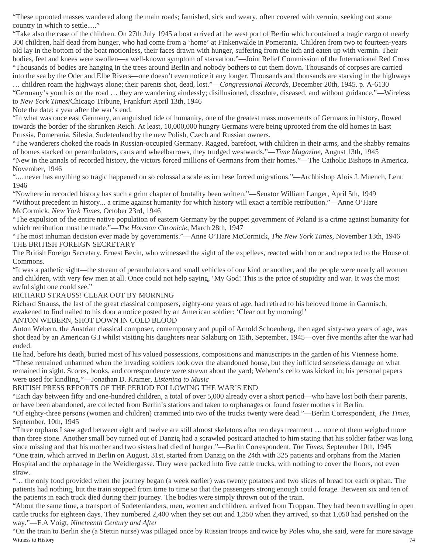"These uprooted masses wandered along the main roads; famished, sick and weary, often covered with vermin, seeking out some country in which to settle....."

"Take also the case of the children. On 27th July 1945 a boat arrived at the west port of Berlin which contained a tragic cargo of nearly 300 children, half dead from hunger, who had come from a 'home' at Finkenwalde in Pomerania. Children from two to fourteen-years old lay in the bottom of the boat motionless, their faces drawn with hunger, suffering from the itch and eaten up with vermin. Their bodies, feet and knees were swollen—a well-known symptom of starvation."—Joint Relief Commission of the International Red Cross "Thousands of bodies are hanging in the trees around Berlin and nobody bothers to cut them down. Thousands of corpses are carried into the sea by the Oder and Elbe Rivers—one doesn't even notice it any longer. Thousands and thousands are starving in the highways … children roam the highways alone; their parents shot, dead, lost."—*Congressional Records*, December 20th, 1945. p. A-6130 "Germany's youth is on the road … they are wandering aimlessly; disillusioned, dissolute, diseased, and without guidance."—Wireless to *New York Times*/Chicago Tribune, Frankfurt April 13th, 1946

Note the date: a year after the war's end.

"In what was once east Germany, an anguished tide of humanity, one of the greatest mass movements of Germans in history, flowed towards the border of the shrunken Reich. At least, 10,000,000 hungry Germans were being uprooted from the old homes in East Prussia, Pomerania, Silesia, Sudetenland by the new Polish, Czech and Russian owners.

"The wanderers choked the roads in Russian-occupied Germany. Ragged, barefoot, with children in their arms, and the shabby remains of homes stacked on perambulators, carts and wheelbarrows, they trudged westwards."—*Time Magazine*, August 13th, 1945 "New in the annals of recorded history, the victors forced millions of Germans from their homes."—The Catholic Bishops in America, November, 1946

".... never has anything so tragic happened on so colossal a scale as in these forced migrations."—Archbishop Alois J. Muench, Lent. 1946

"Nowhere in recorded history has such a grim chapter of brutality been written."—Senator William Langer, April 5th, 1949 "Without precedent in history... a crime against humanity for which history will exact a terrible retribution."—Anne O'Hare McCormick, *New York Times*, October 23rd, 1946

"The expulsion of the entire native population of eastern Germany by the puppet government of Poland is a crime against humanity for which retribution must be made."—*The Houston Chronicle*, March 28th, 1947

"The most inhuman decision ever made by governments."—Anne O'Hare McCormick, *The New York Times*, November 13th, 1946 THE BRITISH FOREIGN SECRETARY

The British Foreign Secretary, Ernest Bevin, who witnessed the sight of the expellees, reacted with horror and reported to the House of Commons.

"It was a pathetic sight—the stream of perambulators and small vehicles of one kind or another, and the people were nearly all women and children, with very few men at all. Once could not help saying, 'My God! This is the price of stupidity and war. It was the most awful sight one could see."

#### RICHARD STRAUSS! CLEAR OUT BY MORNING

Richard Strauss, the last of the great classical composers, eighty-one years of age, had retired to his beloved home in Garmisch,

awakened to find nailed to his door a notice posted by an American soldier: 'Clear out by morning!'

# ANTON WEBERN, SHOT DOWN IN COLD BLOOD

Anton Webern, the Austrian classical composer, contemporary and pupil of Arnold Schoenberg, then aged sixty-two years of age, was shot dead by an American G.I whilst visiting his daughters near Salzburg on 15th, September, 1945—over five months after the war had ended.

He had, before his death, buried most of his valued possessions, compositions and manuscripts in the garden of his Viennese home. "These remained unharmed when the invading soldiers took over the abandoned house, but they inflicted senseless damage on what remained in sight. Scores, books, and correspondence were strewn about the yard; Webern's cello was kicked in; his personal papers were used for kindling."—Jonathan D. Kramer, *Listening to Music*

#### BRITISH PRESS REPORTS OF THE PERIOD FOLLOWING THE WAR'S END

"Each day between fifty and one-hundred children, a total of over 5,000 already over a short period—who have lost both their parents, or have been abandoned, are collected from Berlin's stations and taken to orphanages or found foster mothers in Berlin.

"Of eighty-three persons (women and children) crammed into two of the trucks twenty were dead."—Berlin Correspondent, *The Times*, September, 10th, 1945

"Three orphans I saw aged between eight and twelve are still almost skeletons after ten days treatment … none of them weighed more than three stone. Another small boy turned out of Danzig had a scrawled postcard attached to him stating that his soldier father was long since missing and that his mother and two sisters had died of hunger."—Berlin Correspondent, *The Times*, September 10th, 1945 "One train, which arrived in Berlin on August, 31st, started from Danzig on the 24th with 325 patients and orphans from the Marien Hospital and the orphanage in the Weidlergasse. They were packed into five cattle trucks, with nothing to cover the floors, not even straw.

"… the only food provided when the journey began (a week earlier) was twenty potatoes and two slices of bread for each orphan. The patients had nothing, but the train stopped from time to time so that the passengers strong enough could forage. Between six and ten of the patients in each truck died during their journey. The bodies were simply thrown out of the train.

"About the same time, a transport of Sudetenlanders, men, women and children, arrived from Troppau. They had been travelling in open cattle trucks for eighteen days. They numbered 2,400 when they set out and 1,350 when they arrived, so that 1,050 had perished on the way."—F.A Voigt, *Nineteenth Century and After*

Witness to History 74 "On the train to Berlin she (a Stettin nurse) was pillaged once by Russian troops and twice by Poles who, she said, were far more savage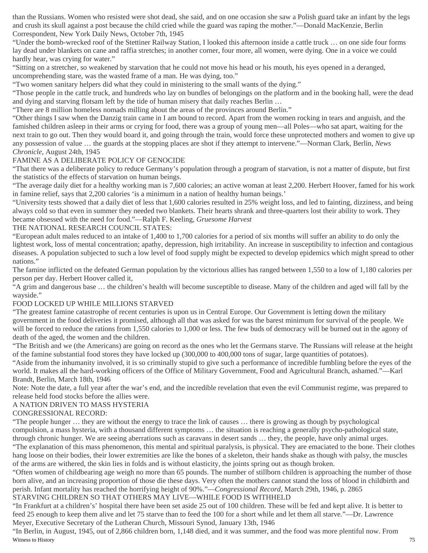than the Russians. Women who resisted were shot dead, she said, and on one occasion she saw a Polish guard take an infant by the legs and crush its skull against a post because the child cried while the guard was raping the mother."—Donald MacKenzie, Berlin Correspondent, New York Daily News, October 7th, 1945

"Under the bomb-wrecked roof of the Stettiner Railway Station, I looked this afternoon inside a cattle truck … on one side four forms lay dead under blankets on cane and raffia stretches; in another corner, four more, all women, were dying. One in a voice we could hardly hear, was crying for water."

"Sitting on a stretcher, so weakened by starvation that he could not move his head or his mouth, his eyes opened in a deranged, uncomprehending stare, was the wasted frame of a man. He was dying, too."

"Two women sanitary helpers did what they could in ministering to the small wants of the dying."

"Those people in the cattle truck, and hundreds who lay on bundles of belongings on the platform and in the booking hall, were the dead and dying and starving flotsam left by the tide of human misery that daily reaches Berlin …

"There are 8 million homeless nomads milling about the areas of the provinces around Berlin."

"Other things I saw when the Danzig train came in I am bound to record. Apart from the women rocking in tears and anguish, and the famished children asleep in their arms or crying for food, there was a group of young men—all Poles—who sat apart, waiting for the next train to go out. Then they would board it, and going through the train, would force these unprotected mothers and women to give up any possession of value … the guards at the stopping places are shot if they attempt to intervene."—Norman Clark, Berlin, *News Chronicle*, August 24th, 1945

#### FAMINE AS A DELIBERATE POLICY OF GENOCIDE

"That there was a deliberate policy to reduce Germany's population through a program of starvation, is not a matter of dispute, but first the statistics of the effects of starvation on human beings.

"The average daily diet for a healthy working man is 7,600 calories; an active woman at least 2,200. Herbert Hoover, famed for his work in famine relief, says that 2,200 calories 'is a minimum in a nation of healthy human beings.'

"University tests showed that a daily diet of less that 1,600 calories resulted in 25% weight loss, and led to fainting, dizziness, and being always cold so that even in summer they needed two blankets. Their hearts shrank and three-quarters lost their ability to work. They became obsessed with the need for food."—Ralph F. Keeling, *Gruesome Harvest*

#### THE NATIONAL RESEARCH COUNCIL STATES:

"European adult males reduced to an intake of 1,400 to 1,700 calories for a period of six months will suffer an ability to do only the lightest work, loss of mental concentration; apathy, depression, high irritability. An increase in susceptibility to infection and contagious diseases. A population subjected to such a low level of food supply might be expected to develop epidemics which might spread to other nations."

The famine inflicted on the defeated German population by the victorious allies has ranged between 1,550 to a low of 1,180 calories per person per day. Herbert Hoover called it,

"A grim and dangerous base … the children's health will become susceptible to disease. Many of the children and aged will fall by the wayside."

## FOOD LOCKED UP WHILE MILLIONS STARVED

"The greatest famine catastrophe of recent centuries is upon us in Central Europe. Our Government is letting down the military government in the food deliveries it promised, although all that was asked for was the barest minimum for survival of the people. We will be forced to reduce the rations from 1,550 calories to 1,000 or less. The few buds of democracy will be burned out in the agony of death of the aged, the women and the children.

"The British and we (the Americans) are going on record as the ones who let the Germans starve. The Russians will release at the height of the famine substantial food stores they have locked up (300,000 to 400,000 tons of sugar, large quantities of potatoes).

"Aside from the inhumanity involved, it is so criminally stupid to give such a performance of incredible fumbling before the eyes of the world. It makes all the hard-working officers of the Office of Military Government, Food and Agricultural Branch, ashamed."—Karl Brandt, Berlin, March 18th, 1946

Note: Note the date, a full year after the war's end, and the incredible revelation that even the evil Communist regime, was prepared to release held food stocks before the allies were.

## A NATION DRIVEN TO MASS HYSTERIA

#### CONGRESSIONAL RECORD:

"The people hunger … they are without the energy to trace the link of causes … there is growing as though by psychological compulsion, a mass hysteria, with a thousand different symptoms … the situation is reaching a generally psycho-pathological state, through chronic hunger. We are seeing aberrations such as caravans in desert sands … they, the people, have only animal urges. "The explanation of this mass phenomenon, this mental and spiritual paralysis, is physical. They are emaciated to the bone. Their clothes hang loose on their bodies, their lower extremities are like the bones of a skeleton, their hands shake as though with palsy, the muscles of the arms are withered, the skin lies in folds and is without elasticity, the joints spring out as though broken.

"Often women of childbearing age weigh no more than 65 pounds. The number of stillborn children is approaching the number of those born alive, and an increasing proportion of those die these days. Very often the mothers cannot stand the loss of blood in childbirth and perish. Infant mortality has reached the horrifying height of 90%."—*Congressional Record*, March 29th, 1946, p. 2865

## STARVING CHILDREN SO THAT OTHERS MAY LIVE—WHILE FOOD IS WITHHELD

"In Frankfurt at a children's' hospital there have been set aside 25 out of 100 children. These will be fed and kept alive. It is better to feed 25 enough to keep them alive and let 75 starve than to feed the 100 for a short while and let them all starve."—Dr. Lawrence Meyer, Executive Secretary of the Lutheran Church, Missouri Synod, January 13th, 1946

Witness to History 75 "In Berlin, in August, 1945, out of 2,866 children born, 1,148 died, and it was summer, and the food was more plentiful now. From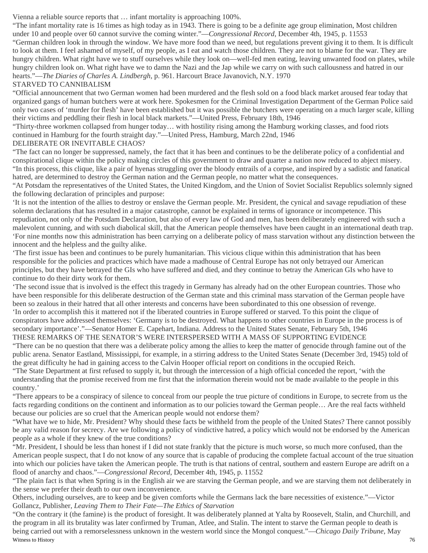Vienna a reliable source reports that … infant mortality is approaching 100%.

"The infant mortality rate is 16 times as high today as in 1943. There is going to be a definite age group elimination, Most children under 10 and people over 60 cannot survive the coming winter."—*Congressional Record*, December 4th, 1945, p. 11553

"German children look in through the window. We have more food than we need, but regulations prevent giving it to them. It is difficult to look at them. I feel ashamed of myself, of my people, as I eat and watch those children. They are not to blame for the war. They are hungry children. What right have we to stuff ourselves while they look on—well-fed men eating, leaving unwanted food on plates, while hungry children look on. What right have we to damn the Nazi and the Jap while we carry on with such callousness and hatred in our hearts."—*The Diaries of Charles A. Lindbergh*, p. 961. Harcourt Brace Javanovich, N.Y. 1970

## STARVED TO CANNIBALISM

"Official announcement that two German women had been murdered and the flesh sold on a food black market aroused fear today that organized gangs of human butchers were at work here. Spokesmen for the Criminal Investigation Department of the German Police said only two cases of 'murder for flesh' have been established but it was possible the butchers were operating on a much larger scale, killing their victims and peddling their flesh in local black markets."—United Press, February 18th, 1946

"Thirty-three workmen collapsed from hunger today… with hostility rising among the Hamburg working classes, and food riots continued in Hamburg for the fourth straight day."—United Press, Hamburg, March 22nd, 1946

## DELIBERATE OR INEVITABLE CHAOS?

"The fact can no longer be suppressed, namely, the fact that it has been and continues to be the deliberate policy of a confidential and conspirational clique within the policy making circles of this government to draw and quarter a nation now reduced to abject misery. "In this process, this clique, like a pair of hyenas struggling over the bloody entrails of a corpse, and inspired by a sadistic and fanatical hatred, are determined to destroy the German nation and the German people, no matter what the consequences.

"At Potsdam the representatives of the United States, the United Kingdom, and the Union of Soviet Socialist Republics solemnly signed the following declaration of principles and purpose:

'It is not the intention of the allies to destroy or enslave the German people. Mr. President, the cynical and savage repudiation of these solemn declarations that has resulted in a major catastrophe, cannot be explained in terms of ignorance or incompetence. This repudiation, not only of the Potsdam Declaration, but also of every law of God and men, has been deliberately engineered with such a malevolent cunning, and with such diabolical skill, that the American people themselves have been caught in an international death trap. 'For nine months now this administration has been carrying on a deliberate policy of mass starvation without any distinction between the innocent and the helpless and the guilty alike.

'The first issue has been and continues to be purely humanitarian. This vicious clique within this administration that has been responsible for the policies and practices which have made a madhouse of Central Europe has not only betrayed our American principles, but they have betrayed the GIs who have suffered and died, and they continue to betray the American GIs who have to continue to do their dirty work for them.

'The second issue that is involved is the effect this tragedy in Germany has already had on the other European countries. Those who have been responsible for this deliberate destruction of the German state and this criminal mass starvation of the German people have been so zealous in their hatred that all other interests and concerns have been subordinated to this one obsession of revenge. 'In order to accomplish this it mattered not if the liberated countries in Europe suffered or starved. To this point the clique of conspirators have addressed themselves: 'Germany is to be destroyed. What happens to other countries in Europe in the process is of secondary importance'."—Senator Homer E. Capehart, Indiana. Address to the United States Senate, February 5th, 1946 THESE REMARKS OF THE SENATOR'S WERE INTERSPERSED WITH A MASS OF SUPPORTING EVIDENCE

"There can be no question that there was a deliberate policy among the allies to keep the matter of genocide through famine out of the public arena. Senator Eastland, Mississippi, for example, in a stirring address to the United States Senate (December 3rd, 1945) told of the great difficulty he had in gaining access to the Calvin Hooper official report on conditions in the occupied Reich.

"The State Department at first refused to supply it, but through the intercession of a high official conceded the report, 'with the understanding that the promise received from me first that the information therein would not be made available to the people in this country.'

"There appears to be a conspiracy of silence to conceal from our people the true picture of conditions in Europe, to secrete from us the facts regarding conditions on the continent and information as to our policies toward the German people... Are the real facts withheld because our policies are so cruel that the American people would not endorse them?

"What have we to hide, Mr. President? Why should these facts be withheld from the people of the United States? There cannot possibly be any valid reason for secrecy. Are we following a policy of vindictive hatred, a policy which would not be endorsed by the American people as a whole if they knew of the true conditions?

"Mr. President, I should be less than honest if I did not state frankly that the picture is much worse, so much more confused, than the American people suspect, that I do not know of any source that is capable of producing the complete factual account of the true situation into which our policies have taken the American people. The truth is that nations of central, southern and eastern Europe are adrift on a flood of anarchy and chaos."—*Congressional Record*, December 4th, 1945, p. 11552

"The plain fact is that when Spring is in the English air we are starving the German people, and we are starving them not deliberately in the sense we prefer their death to our own inconvenience.

Others, including ourselves, are to keep and be given comforts while the Germans lack the bare necessities of existence."—Victor Gollancz, Publisher, *Leaving Them to Their Fate—The Ethics of Starvation*

Witness to History 2008 and the set of the set of the set of the set of the set of the set of the set of the set of the set of the set of the set of the set of the set of the set of the set of the set of the set of the set "On the contrary it (the famine) is the product of foresight. It was deliberately planned at Yalta by Roosevelt, Stalin, and Churchill, and the program in all its brutality was later confirmed by Truman, Atlee, and Stalin. The intent to starve the German people to death is being carried out with a remorselessness unknown in the western world since the Mongol conquest."—*Chicago Daily Tribune*, May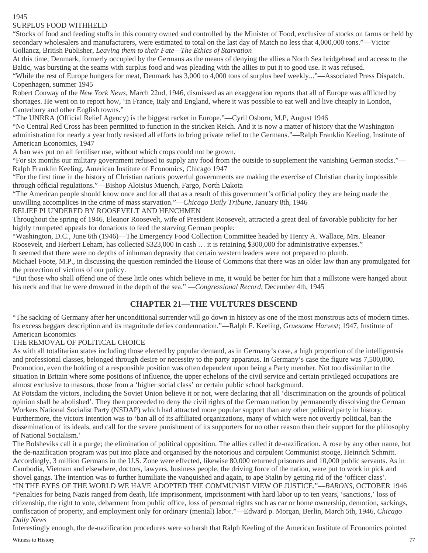#### 1945

## SURPLUS FOOD WITHHELD

"Stocks of food and feeding stuffs in this country owned and controlled by the Minister of Food, exclusive of stocks on farms or held by secondary wholesalers and manufacturers, were estimated to total on the last day of Match no less that 4,000,000 tons."—Victor Gollancz, British Publisher, *Leaving them to their Fate—The Ethics of Starvation*

At this time, Denmark, formerly occupied by the Germans as the means of denying the allies a North Sea bridgehead and access to the Baltic, was bursting at the seams with surplus food and was pleading with the allies to put it to good use. It was refused. "While the rest of Europe hungers for meat, Denmark has 3,000 to 4,000 tons of surplus beef weekly..."—Associated Press Dispatch.

Copenhagen, summer 1945

Robert Conway of the *New York News*, March 22nd, 1946, dismissed as an exaggeration reports that all of Europe was afflicted by shortages. He went on to report how, 'in France, Italy and England, where it was possible to eat well and live cheaply in London, Canterbury and other English towns."

"The UNRRA (Official Relief Agency) is the biggest racket in Europe."—Cyril Osborn, M.P, August 1946

"No Central Red Cross has been permitted to function in the stricken Reich. And it is now a matter of history that the Washington administration for nearly a year hotly resisted all efforts to bring private relief to the Germans."—Ralph Franklin Keeling, Institute of American Economics, 1947

A ban was put on all fertiliser use, without which crops could not be grown.

"For six months our military government refused to supply any food from the outside to supplement the vanishing German stocks."— Ralph Franklin Keeling, American Institute of Economics, Chicago 1947

"For the first time in the history of Christian nations powerful governments are making the exercise of Christian charity impossible through official regulations."—Bishop Aloisius Muench, Fargo, North Dakota

"The American people should know once and for all that as a result of this government's official policy they are being made the unwilling accomplices in the crime of mass starvation."—*Chicago Daily Tribune*, January 8th, 1946

## RELIEF PLUNDERED BY ROOSEVELT AND HENCHMEN

Throughout the spring of 1946, Eleanor Roosevelt, wife of President Roosevelt, attracted a great deal of favorable publicity for her highly trumpeted appeals for donations to feed the starving German people:

"Washington, D.C., June 6th (1946)—The Emergency Food Collection Committee headed by Henry A. Wallace, Mrs. Eleanor Roosevelt, and Herbert Leham, has collected \$323,000 in cash … it is retaining \$300,000 for administrative expenses."

It seemed that there were no depths of inhuman depravity that certain western leaders were not prepared to plumb.

Michael Foote, M.P., in discussing the question reminded the House of Commons that there was an older law than any promulgated for the protection of victims of our policy.

"But those who shall offend one of these little ones which believe in me, it would be better for him that a millstone were hanged about his neck and that he were drowned in the depth of the sea." —*Congressional Record*, December 4th, 1945

# **CHAPTER 21—THE VULTURES DESCEND**

"The sacking of Germany after her unconditional surrender will go down in history as one of the most monstrous acts of modern times. Its excess beggars description and its magnitude defies condemnation."—Ralph F. Keeling, *Gruesome Harvest*; 1947, Institute of American Economics

THE REMOVAL OF POLITICAL CHOICE

As with all totalitarian states including those elected by popular demand, as in Germany's case, a high proportion of the intelligentsia and professional classes, belonged through desire or necessity to the party apparatus. In Germany's case the figure was 7,500,000. Promotion, even the holding of a responsible position was often dependent upon being a Party member. Not too dissimilar to the situation in Britain where some positions of influence, the upper echelons of the civil service and certain privileged occupations are almost exclusive to masons, those from a 'higher social class' or certain public school background.

At Potsdam the victors, including the Soviet Union believe it or not, were declaring that all 'discrimination on the grounds of political opinion shall be abolished'. They then proceeded to deny the civil rights of the German nation by permanently dissolving the German Workers National Socialist Party (NSDAP) which had attracted more popular support than any other political party in history. Furthermore, the victors intention was to 'ban all of its affiliated organizations, many of which were not overtly political, ban the dissemination of its ideals, and call for the severe punishment of its supporters for no other reason than their support for the philosophy of National Socialism.'

The Bolsheviks call it a purge; the elimination of political opposition. The allies called it de-nazification. A rose by any other name, but the de-nazification program was put into place and organised by the notorious and corpulent Communist stooge, Heinrich Schmitt. Accordingly, 3 million Germans in the U.S. Zone were effected, likewise 80,000 returned prisoners and 10,000 public servants. As in Cambodia, Vietnam and elsewhere, doctors, lawyers, business people, the driving force of the nation, were put to work in pick and shovel gangs. The intention was to further humiliate the vanquished and again, to ape Stalin by getting rid of the 'officer class'. "IN THE EYES OF THE WORLD WE HAVE ADOPTED THE COMMUNIST VIEW OF JUSTICE."—*BARONS*, OCTOBER 1946 "Penalties for being Nazis ranged from death, life imprisonment, imprisonment with hard labor up to ten years, 'sanctions,' loss of citizenship, the right to vote, debarment from public office, loss of personal rights such as car or home ownership, demotion, sackings, confiscation of property, and employment only for ordinary (menial) labor."—Edward p. Morgan, Berlin, March 5th, 1946, *Chicago Daily News*

Interestingly enough, the de-nazification procedures were so harsh that Ralph Keeling of the American Institute of Economics pointed

Witness to History 27 and 2008 and 2008 and 2008 and 2008 and 2008 and 2008 and 2008 and 2008 and 2008 and 200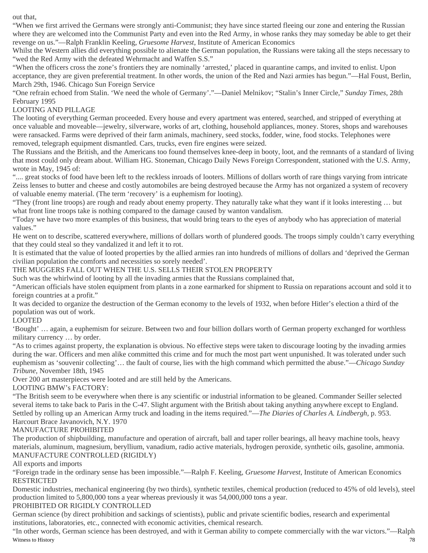out that,

"When we first arrived the Germans were strongly anti-Communist; they have since started fleeing our zone and entering the Russian where they are welcomed into the Communist Party and even into the Red Army, in whose ranks they may someday be able to get their revenge on us."—Ralph Franklin Keeling, *Gruesome Harvest*, Institute of American Economics

Whilst the Western allies did everything possible to alienate the German population, the Russians were taking all the steps necessary to "wed the Red Army with the defeated Wehrmacht and Waffen S.S."

"When the officers cross the zone's frontiers they are nominally 'arrested,' placed in quarantine camps, and invited to enlist. Upon acceptance, they are given preferential treatment. In other words, the union of the Red and Nazi armies has begun."—Hal Foust, Berlin, March 29th, 1946. Chicago Sun Foreign Service

"One refrain echoed from Stalin. 'We need the whole of Germany'."—Daniel Melnikov; "Stalin's Inner Circle," *Sunday Times*, 28th February 1995

## LOOTING AND PILLAGE

The looting of everything German proceeded. Every house and every apartment was entered, searched, and stripped of everything at once valuable and moveable—jewelry, silverware, works of art, clothing, household appliances, money. Stores, shops and warehouses were ransacked. Farms were deprived of their farm animals, machinery, seed stocks, fodder, wine, food stocks. Telephones were removed, telegraph equipment dismantled. Cars, trucks, even fire engines were seized.

The Russians and the British, and the Americans too found themselves knee-deep in booty, loot, and the remnants of a standard of living that most could only dream about. William HG. Stoneman, Chicago Daily News Foreign Correspondent, stationed with the U.S. Army, wrote in May, 1945 of:

".... great stocks of food have been left to the reckless inroads of looters. Millions of dollars worth of rare things varying from intricate Zeiss lenses to butter and cheese and costly automobiles are being destroyed because the Army has not organized a system of recovery of valuable enemy material. (The term 'recovery' is a euphemism for looting).

"They (front line troops) are rough and ready about enemy property. They naturally take what they want if it looks interesting … but what front line troops take is nothing compared to the damage caused by wanton vandalism.

"Today we have two more examples of this business, that would bring tears to the eyes of anybody who has appreciation of material values."

He went on to describe, scattered everywhere, millions of dollars worth of plundered goods. The troops simply couldn't carry everything that they could steal so they vandalized it and left it to rot.

It is estimated that the value of looted properties by the allied armies ran into hundreds of millions of dollars and 'deprived the German civilian population the comforts and necessities so sorely needed'.

## THE MUGGERS FALL OUT WHEN THE U.S. SELLS THEIR STOLEN PROPERTY

Such was the whirlwind of looting by all the invading armies that the Russians complained that,

"American officials have stolen equipment from plants in a zone earmarked for shipment to Russia on reparations account and sold it to foreign countries at a profit."

It was decided to organize the destruction of the German economy to the levels of 1932, when before Hitler's election a third of the population was out of work.

## LOOTED

'Bought' … again, a euphemism for seizure. Between two and four billion dollars worth of German property exchanged for worthless military currency … by order.

"As to crimes against property, the explanation is obvious. No effective steps were taken to discourage looting by the invading armies during the war. Officers and men alike committed this crime and for much the most part went unpunished. It was tolerated under such euphemism as 'souvenir collecting'… the fault of course, lies with the high command which permitted the abuse."—*Chicago Sunday Tribune*, November 18th, 1945

Over 200 art masterpieces were looted and are still held by the Americans.

LOOTING BMW's FACTORY:

"The British seem to be everywhere when there is any scientific or industrial information to be gleaned. Commander Seiller selected several items to take back to Paris in the C-47. Slight argument with the British about taking anything anywhere except to England. Settled by rolling up an American Army truck and loading in the items required."—*The Diaries of Charles A. Lindbergh*, p. 953. Harcourt Brace Javanovich, N.Y. 1970

## MANUFACTURE PROHIBITED

The production of shipbuilding, manufacture and operation of aircraft, ball and taper roller bearings, all heavy machine tools, heavy materials, aluminum, magnesium, beryllium, vanadium, radio active materials, hydrogen peroxide, synthetic oils, gasoline, ammonia. MANUFACTURE CONTROLLED (RIGIDLY)

## All exports and imports

"Foreign trade in the ordinary sense has been impossible."—Ralph F. Keeling, *Gruesome Harvest*, Institute of American Economics RESTRICTED

Domestic industries, mechanical engineering (by two thirds), synthetic textiles, chemical production (reduced to 45% of old levels), steel production limited to 5,800,000 tons a year whereas previously it was 54,000,000 tons a year.

## PROHIBITED OR RIGIDLY CONTROLLED

German science (by direct prohibition and sackings of scientists), public and private scientific bodies, research and experimental institutions, laboratories, etc., connected with economic activities, chemical research.

Witness to History 78 "In other words, German science has been destroyed, and with it German ability to compete commercially with the war victors."—Ralph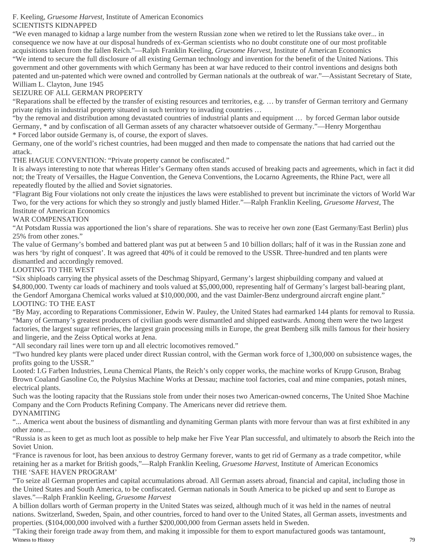## F. Keeling, *Gruesome Harvest*, Institute of American Economics SCIENTISTS KIDNAPPED

"We even managed to kidnap a large number from the western Russian zone when we retired to let the Russians take over... in consequence we now have at our disposal hundreds of ex-German scientists who no doubt constitute one of our most profitable acquisitions taken from the fallen Reich."—Ralph Franklin Keeling, *Gruesome Harvest*, Institute of American Economics "We intend to secure the full disclosure of all existing German technology and invention for the benefit of the United Nations. This

government and other governments with which Germany has been at war have reduced to their control inventions and designs both patented and un-patented which were owned and controlled by German nationals at the outbreak of war."—Assistant Secretary of State, William L. Clayton, June 1945

## SEIZURE OF ALL GERMAN PROPERTY

"Reparations shall be effected by the transfer of existing resources and territories, e.g. … by transfer of German territory and Germany private rights in industrial property situated in such territory to invading countries …

"by the removal and distribution among devastated countries of industrial plants and equipment … by forced German labor outside Germany, \* and by confiscation of all German assets of any character whatsoever outside of Germany."—Henry Morgenthau \* Forced labor outside Germany is, of course, the export of slaves.

Germany, one of the world's richest countries, had been mugged and then made to compensate the nations that had carried out the attack.

THE HAGUE CONVENTION: "Private property cannot be confiscated."

It is always interesting to note that whereas Hitler's Germany often stands accused of breaking pacts and agreements, which in fact it did not; the Treaty of Versailles, the Hague Convention, the Geneva Conventions, the Locarno Agreements, the Rhine Pact, were all repeatedly flouted by the allied and Soviet signatories.

"Flagrant Big Four violations not only create the injustices the laws were established to prevent but incriminate the victors of World War Two, for the very actions for which they so strongly and justly blamed Hitler."—Ralph Franklin Keeling, *Gruesome Harvest*, The Institute of American Economics

## WAR COMPENSATION

"At Potsdam Russia was apportioned the lion's share of reparations. She was to receive her own zone (East Germany/East Berlin) plus 25% from other zones."

The value of Germany's bombed and battered plant was put at between 5 and 10 billion dollars; half of it was in the Russian zone and was hers 'by right of conquest'. It was agreed that 40% of it could be removed to the USSR. Three-hundred and ten plants were dismantled and accordingly removed.

## LOOTING TO THE WEST

"Six shiploads carrying the physical assets of the Deschmag Shipyard, Germany's largest shipbuilding company and valued at \$4,800,000. Twenty car loads of machinery and tools valued at \$5,000,000, representing half of Germany's largest ball-bearing plant, the Gendorf Amorgana Chemical works valued at \$10,000,000, and the vast Daimler-Benz underground aircraft engine plant." LOOTING: TO THE EAST

"By May, according to Reparations Commissioner, Edwin W. Pauley, the United States had earmarked 144 plants for removal to Russia. "Many of Germany's greatest producers of civilian goods were dismantled and shipped eastwards. Among them were the two largest factories, the largest sugar refineries, the largest grain processing mills in Europe, the great Bemberg silk mills famous for their hosiery and lingerie, and the Zeiss Optical works at Jena.

"All secondary rail lines were torn up and all electric locomotives removed."

"Two hundred key plants were placed under direct Russian control, with the German work force of 1,300,000 on subsistence wages, the profits going to the USSR."

Looted: I.G Farben Industries, Leuna Chemical Plants, the Reich's only copper works, the machine works of Krupp Gruson, Brabag Brown Coaland Gasoline Co, the Polysius Machine Works at Dessau; machine tool factories, coal and mine companies, potash mines, electrical plants.

Such was the looting rapacity that the Russians stole from under their noses two American-owned concerns, The United Shoe Machine Company and the Corn Products Refining Company. The Americans never did retrieve them. DYNAMITING

"... America went about the business of dismantling and dynamiting German plants with more fervour than was at first exhibited in any other zone....

"Russia is as keen to get as much loot as possible to help make her Five Year Plan successful, and ultimately to absorb the Reich into the Soviet Union.

"France is ravenous for loot, has been anxious to destroy Germany forever, wants to get rid of Germany as a trade competitor, while retaining her as a market for British goods,"—Ralph Franklin Keeling, *Gruesome Harvest*, Institute of American Economics THE 'SAFE HAVEN PROGRAM'

"To seize all German properties and capital accumulations abroad. All German assets abroad, financial and capital, including those in the United States and South America, to be confiscated. German nationals in South America to be picked up and sent to Europe as slaves."—Ralph Franklin Keeling, *Gruesome Harvest*

A billion dollars worth of German property in the United States was seized, although much of it was held in the names of neutral nations. Switzerland, Sweden, Spain, and other countries, forced to hand over to the United States, all German assets, investments and properties. (\$104,000,000 involved with a further \$200,000,000 from German assets held in Sweden.

Witness to History 79 "Taking their foreign trade away from them, and making it impossible for them to export manufactured goods was tantamount,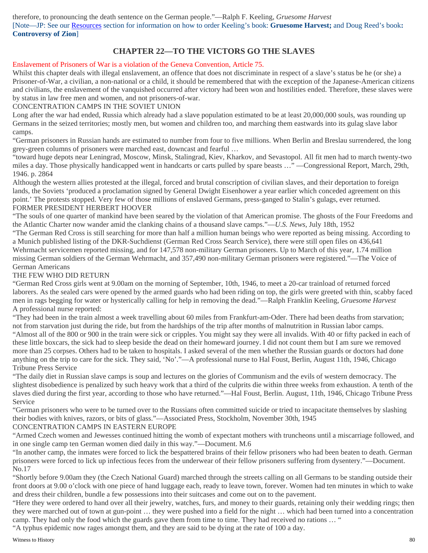therefore, to pronouncing the death sentence on the German people."—Ralph F. Keeling, *Gruesome Harvest* [Note—JP: See our [Resources](http://www.sweetliberty.org/resources/) section for information on how to order Keeling's book: **Gruesome Harvest;** and Doug Reed's book**: Controversy of Zion**]

# **CHAPTER 22—TO THE VICTORS GO THE SLAVES**

## Enslavement of Prisoners of War is a violation of the Geneva Convention, Article 75.

Whilst this chapter deals with illegal enslavement, an offence that does not discriminate in respect of a slave's status be he (or she) a Prisoner-of-War, a civilian, a non-national or a child, it should be remembered that with the exception of the Japanese-American citizens and civilians, the enslavement of the vanquished occurred after victory had been won and hostilities ended. Therefore, these slaves were by status in law free men and women, and not prisoners-of-war.

## CONCENTRATION CAMPS IN THE SOVIET UNION

Long after the war had ended, Russia which already had a slave population estimated to be at least 20,000,000 souls, was rounding up Germans in the seized territories; mostly men, but women and children too, and marching them eastwards into its gulag slave labor camps.

"German prisoners in Russian hands are estimated to number from four to five millions. When Berlin and Breslau surrendered, the long grey-green columns of prisoners were marched east, downcast and fearful …

"toward huge depots near Leningrad, Moscow, Minsk, Stalingrad, Kiev, Kharkov, and Sevastopol. All fit men had to march twenty-two miles a day. Those physically handicapped went in handcarts or carts pulled by spare beasts …" —Congressional Report, March, 29th, 1946. p. 2864

Although the western allies protested at the illegal, forced and brutal conscription of civilian slaves, and their deportation to foreign lands, the Soviets 'produced a proclamation signed by General Dwight Eisenhower a year earlier which conceded agreement on this point.' The protests stopped. Very few of those millions of enslaved Germans, press-ganged to Stalin's gulags, ever returned. FORMER PRESIDENT HERBERT HOOVER

"The souls of one quarter of mankind have been seared by the violation of that American promise. The ghosts of the Four Freedoms and the Atlantic Charter now wander amid the clanking chains of a thousand slave camps."—*U.S. News*, July 18th, 1952

"The German Red Cross is still searching for more than half a million human beings who were reported as being missing. According to a Munich published listing of the DKR-Suchdienst (German Red Cross Search Service), there were still open files on 436,641 Wehrmacht servicemen reported missing, and for 147,578 non-military German prisoners. Up to March of this year, 1.74 million missing German soldiers of the German Wehrmacht, and 357,490 non-military German prisoners were registered."—The Voice of German Americans

## THE FEW WHO DID RETURN

"German Red Cross girls went at 9.00am on the morning of September, 10th, 1946, to meet a 20-car trainload of returned forced laborers. As the sealed cars were opened by the armed guards who had been riding on top, the girls were greeted with thin, scabby faced men in rags begging for water or hysterically calling for help in removing the dead."—Ralph Franklin Keeling, *Gruesome Harvest* A professional nurse reported:

"They had been in the train almost a week travelling about 60 miles from Frankfurt-am-Oder. There had been deaths from starvation; not from starvation just during the ride, but from the hardships of the trip after months of malnutrition in Russian labor camps.

"Almost all of the 800 or 900 in the train were sick or cripples. You might say they were all invalids. With 40 or fifty packed in each of these little boxcars, the sick had to sleep beside the dead on their homeward journey. I did not count them but I am sure we removed more than 25 corpses. Others had to be taken to hospitals. I asked several of the men whether the Russian guards or doctors had done anything on the trip to care for the sick. They said, 'No'."—A professional nurse to Hal Foust, Berlin, August 11th, 1946, Chicago Tribune Press Service

"The daily diet in Russian slave camps is soup and lectures on the glories of Communism and the evils of western democracy. The slightest disobedience is penalized by such heavy work that a third of the culprits die within three weeks from exhaustion. A tenth of the slaves died during the first year, according to those who have returned."—Hal Foust, Berlin. August, 11th, 1946, Chicago Tribune Press Service

"German prisoners who were to be turned over to the Russians often committed suicide or tried to incapacitate themselves by slashing their bodies with knives, razors, or bits of glass."—Associated Press, Stockholm, November 30th, 1945

# CONCENTRATION CAMPS IN EASTERN EUROPE

"Armed Czech women and Jewesses continued hitting the womb of expectant mothers with truncheons until a miscarriage followed, and in one single camp ten German women died daily in this way."—Document. M.6

"In another camp, the inmates were forced to lick the bespattered brains of their fellow prisoners who had been beaten to death. German prisoners were forced to lick up infectious feces from the underwear of their fellow prisoners suffering from dysentery."—Document. No.17

"Shortly before 9.00am they (the Czech National Guard) marched through the streets calling on all Germans to be standing outside their front doors at 9.00 o'clock with one piece of hand luggage each, ready to leave town, forever. Women had ten minutes in which to wake and dress their children, bundle a few possessions into their suitcases and come out on to the pavement.

"Here they were ordered to hand over all their jewelry, watches, furs, and money to their guards, retaining only their wedding rings; then they were marched out of town at gun-point … they were pushed into a field for the night … which had been turned into a concentration camp. They had only the food which the guards gave them from time to time. They had received no rations ... "

"A typhus epidemic now rages amongst them, and they are said to be dying at the rate of 100 a day.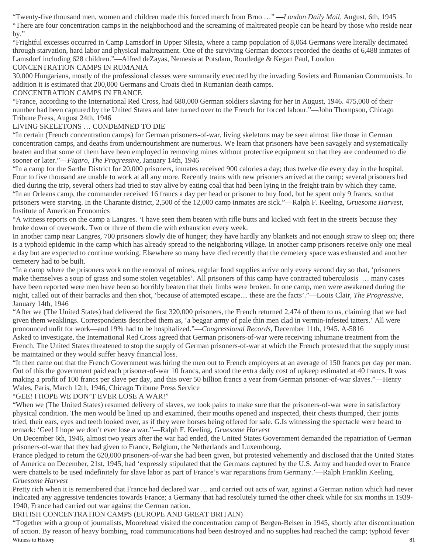"Twenty-five thousand men, women and children made this forced march from Brno …" —*London Daily Mail*, August, 6th, 1945 "There are four concentration camps in the neighborhood and the screaming of maltreated people can be heard by those who reside near by."

"Frightful excesses occurred in Camp Lamsdorf in Upper Silesia, where a camp population of 8,064 Germans were literally decimated through starvation, hard labor and physical maltreatment. One of the surviving German doctors recorded the deaths of 6,488 inmates of Lamsdorf including 628 children."—Alfred deZayas, Nemesis at Potsdam, Routledge & Kegan Paul, London

## CONCENTRATION CAMPS IN RUMANIA

30,000 Hungarians, mostly of the professional classes were summarily executed by the invading Soviets and Rumanian Communists. In addition it is estimated that 200,000 Germans and Croats died in Rumanian death camps.

#### CONCENTRATION CAMPS IN FRANCE

"France, according to the International Red Cross, had 680,000 German soldiers slaving for her in August, 1946. 475,000 of their number had been captured by the United States and later turned over to the French for forced labour."—John Thompson, Chicago Tribune Press, August 24th, 1946

## LIVING SKELETONS … CONDEMNED TO DIE

"In certain (French concentration camps) for German prisoners-of-war, living skeletons may be seen almost like those in German concentration camps, and deaths from undernourishment are numerous. We learn that prisoners have been savagely and systematically beaten and that some of them have been employed in removing mines without protective equipment so that they are condemned to die sooner or later."—*Figaro, The Progressive*, January 14th, 1946

"In a camp for the Sarthe District for 20,000 prisoners, inmates received 900 calories a day; thus twelve die every day in the hospital. Four to five thousand are unable to work at all any more. Recently trains with new prisoners arrived at the camp; several prisoners had died during the trip, several others had tried to stay alive by eating coal that had been lying in the freight train by which they came. "In an Orleans camp, the commander received 16 francs a day per head or prisoner to buy food, but he spent only 9 francs, so that prisoners were starving. In the Charante district, 2,500 of the 12,000 camp inmates are sick."—Ralph F. Keeling, *Gruesome Harvest*, Institute of American Economics

"A witness reports on the camp a Langres. 'I have seen them beaten with rifle butts and kicked with feet in the streets because they broke down of overwork. Two or three of them die with exhaustion every week.

In another camp near Langres, 700 prisoners slowly die of hunger; they have hardly any blankets and not enough straw to sleep on; there is a typhoid epidemic in the camp which has already spread to the neighboring village. In another camp prisoners receive only one meal a day but are expected to continue working. Elsewhere so many have died recently that the cemetery space was exhausted and another cemetery had to be built.

"In a camp where the prisoners work on the removal of mines, regular food supplies arrive only every second day so that, 'prisoners make themselves a soup of grass and some stolen vegetables'. All prisoners of this camp have contracted tuberculosis … many cases have been reported were men have been so horribly beaten that their limbs were broken. In one camp, men were awakened during the night, called out of their barracks and then shot, 'because of attempted escape.... these are the facts'."—Louis Clair, *The Progressive*, January 14th, 1946

"After we (The United States) had delivered the first 320,000 prisoners, the French returned 2,474 of them to us, claiming that we had given them weaklings. Correspondents described them as, 'a beggar army of pale thin men clad in vermin-infested tatters.' All were pronounced unfit for work—and 19% had to be hospitalized."—*Congressional Records*, December 11th, 1945. A-5816

Asked to investigate, the International Red Cross agreed that German prisoners-of-war were receiving inhumane treatment from the French. The United States threatened to stop the supply of German prisoners-of-war at which the French protested that the supply must be maintained or they would suffer heavy financial loss.

"It then came out that the French Government was hiring the men out to French employers at an average of 150 francs per day per man. Out of this the government paid each prisoner-of-war 10 francs, and stood the extra daily cost of upkeep estimated at 40 francs. It was making a profit of 100 francs per slave per day, and this over 50 billion francs a year from German prisoner-of-war slaves."—Henry Wales, Paris, March 12th, 1946, Chicago Tribune Press Service

## "GEE! I HOPE WE DON'T EVER LOSE A WAR!"

"When we (The United States) resumed delivery of slaves, we took pains to make sure that the prisoners-of-war were in satisfactory physical condition. The men would be lined up and examined, their mouths opened and inspected, their chests thumped, their joints tried, their ears, eyes and teeth looked over, as if they were horses being offered for sale. G.Is witnessing the spectacle were heard to remark: 'Gee! I hope we don't ever lose a war."—Ralph F. Keeling, *Gruesome Harvest*

On December 6th, 1946, almost two years after the war had ended, the United States Government demanded the repatriation of German prisoners-of-war that they had given to France, Belgium, the Netherlands and Luxembourg.

France pledged to return the 620,000 prisoners-of-war she had been given, but protested vehemently and disclosed that the United States of America on December, 21st, 1945, had 'expressly stipulated that the Germans captured by the U.S. Army and handed over to France were chattels to be used indefinitely for slave labor as part of France's war reparations from Germany.'—Ralph Franklin Keeling, *Gruesome Harvest*

Pretty rich when it is remembered that France had declared war … and carried out acts of war, against a German nation which had never indicated any aggressive tendencies towards France; a Germany that had resolutely turned the other cheek while for six months in 1939- 1940, France had carried out war against the German nation.

## BRITISH CONCENTRATION CAMPS (EUROPE AND GREAT BRITAIN)

Witness to History 81 "Together with a group of journalists, Moorehead visited the concentration camp of Bergen-Belsen in 1945, shortly after discontinuation of action. By reason of heavy bombing, road communications had been destroyed and no supplies had reached the camp; typhoid fever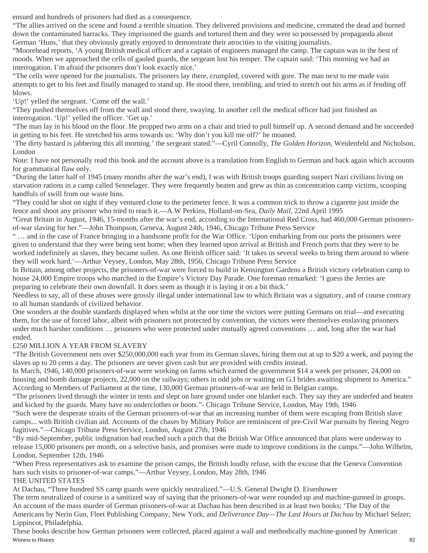ensued and hundreds of prisoners had died as a consequence.

"The allies arrived on the scene and found a terrible situation. They delivered provisions and medicine, cremated the dead and burned down the contaminated barracks. They imprisoned the guards and tortured them and they were so possessed by propaganda about German 'Huns,' that they obviously greatly enjoyed to demonstrate their atrocities to the visiting journalists.

"Moorehead reports, 'A young British medical officer and a captain of engineers managed the camp. The captain was in the best of moods. When we approached the cells of gaoled guards, the sergeant lost his temper. The captain said: 'This morning we had an interrogation. I'm afraid the prisoners don't look exactly nice.'

"The cells were opened for the journalists. The prisoners lay there, crumpled, covered with gore. The man next to me made vain attempts to get to his feet and finally managed to stand up. He stood there, trembling, and tried to stretch out his arms as if fending off blows.

'Up!' yelled the sergeant. 'Come off the wall.'

"They pushed themselves off from the wall and stood there, swaying. In another cell the medical officer had just finished an interrogation. 'Up!' yelled the officer. 'Get up.'

"The man lay in his blood on the floor. He propped two arms on a chair and tried to pull himself up. A second demand and he succeeded in getting to his feet. He stretched his arms towards us: 'Why don't you kill me off?' he moaned.

'The dirty bastard is jabbering this all morning.' the sergeant stated."—Cyril Connolly, *The Golden Horizon*, Weidenfeld and Nicholson, London

Note: I have not personally read this book and the account above is a translation from English to German and back again which accounts for grammatical flaw only.

"During the latter half of 1945 (many months after the war's end), I was with British troops guarding suspect Nazi civilians living on starvation rations in a camp called Sennelager. They were frequently beaten and grew as thin as concentration camp victims, scooping handfuls of swill from our waste bins.

"They could be shot on sight if they ventured close to the perimeter fence. It was a common trick to throw a cigarette just inside the fence and shoot any prisoner who tried to reach it.—A.W Perkins, Holland-on-Sea, *Daily Mail*, 22nd April 1995

"Great Britain in August, 1946, 15-months after the war's end, according to the International Red Cross, had 460,000 German prisonersof-war slaving for her."—John Thompson, Geneva, August 24th, 1946, Chicago Tribune Press Service

" … and in the case of France bringing in a handsome profit for the War Office. 'Upon embarking from our ports the prisoners were given to understand that they were being sent home; when they learned upon arrival at British and French ports that they were to be worked indefinitely as slaves, they became sullen. As one British officer said: 'It takes us several weeks to bring them around to where they will work hard.'—Arthur Veysey, London, May 28th, 1956, Chicago Tribune Press Service

In Britain, among other projects, the prisoners-of-war were forced to build in Kensington Gardens a British victory celebration camp to house 24,000 Empire troops who marched in the Empire's Victory Day Parade. One foreman remarked: 'I guess the Jerries are preparing to celebrate their own downfall. It does seem as though it is laying it on a bit thick.'

Needless to say, all of these abuses were grossly illegal under international law to which Britain was a signatory, and of course contrary to all human standards of civilized behavior.

One wonders at the double standards displayed when whilst at the one time the victors were putting Germans on trial—and executing them, for the use of forced labor, albeit with prisoners not protected by convention, the victors were themselves enslaving prisoners under much harsher conditions … prisoners who were protected under mutually agreed conventions … and, long after the war had ended.

## £250 MILLION A YEAR FROM SLAVERY

"The British Government nets over \$250,000,000 each year from its German slaves, hiring them out at up to \$20 a week, and paying the slaves up to 20 cents a day. The prisoners are never given cash but are provided with credits instead.

In March, 1946, 140,000 prisoners-of-war were working on farms which earned the government \$14 a week per prisoner, 24,000 on housing and bomb damage projects, 22,000 on the railways; others in odd jobs or waiting on G.I brides awaiting shipment to America." According to Members of Parliament at the time, 130,000 German prisoners-of-war are held in Belgian camps.

"The prisoners lived through the winter in tents and slept on bare ground under one blanket each. They say they are underfed and beaten and kicked by the guards. Many have no underclothes or boots."- Chicago Tribune Service, London, May 19th, 1946

"Such were the desperate straits of the German prisoners-of-war that an increasing number of them were escaping from British slave camps... with British civilian aid. Accounts of the chases by Military Police are reminiscent of pre-Civil War pursuits by fleeing Negro fugitives."—Chicago Tribune Press Service, London, August 27th, 1946

"By mid-September, public indignation had reached such a pitch that the British War Office announced that plans were underway to release 15,000 prisoners per month, on a selective basis, and promises were made to improve conditions in the camps."—John Wilhelm, London, September 12th, 1946

"When Press representatives ask to examine the prison camps, the British loudly refuse, with the excuse that the Geneva Convention bars such visits to prisoner-of-war camps."—Arthur Veysey, London, May 28th, 1946 THE UNITED STATES

At Dachau, "Three hundred SS camp guards were quickly neutralized."—U.S. General Dwight D. Eisenhower

The term neutralized of course is a sanitized way of saying that the prisoners-of-war were rounded up and machine-gunned in groups. An account of the mass murder of German prisoners-of-war at Dachau has been described in at least two books; 'The Day of the Americans by Nerin Gun, Fleet Publishing Company, New York, and *Deliverance Day—The Last Hours at Dachau* by Michael Selzer; Lippincot, Philadelphia.

Witness to History 82 These books describe how German prisoners were collected, placed against a wall and methodically machine-gunned by American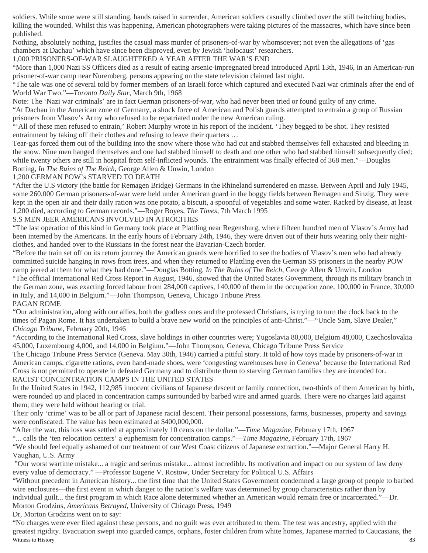soldiers. While some were still standing, hands raised in surrender, American soldiers casually climbed over the still twitching bodies, killing the wounded. Whilst this was happening, American photographers were taking pictures of the massacres, which have since been published.

Nothing, absolutely nothing, justifies the casual mass murder of prisoners-of-war by whomsoever; not even the allegations of 'gas chambers at Dachau' which have since been disproved, even by Jewish 'holocaust' researchers.

## 1,000 PRISONERS-OF-WAR SLAUGHTERED A YEAR AFTER THE WAR'S END

"More than 1,000 Nazi SS Officers died as a result of eating arsenic-impregnated bread introduced April 13th, 1946, in an American-run prisoner-of-war camp near Nuremberg, persons appearing on the state television claimed last night.

"The tale was one of several told by former members of an Israeli force which captured and executed Nazi war criminals after the end of World War Two."—*Toronto Daily Star*, March 9th, 1968

Note: The 'Nazi war criminals' are in fact German prisoners-of-war, who had never been tried or found guilty of any crime.

"At Dachau in the American zone of Germany, a shock force of American and Polish guards attempted to entrain a group of Russian prisoners from Vlasov's Army who refused to be repatriated under the new American ruling.

"'All of these men refused to entrain,' Robert Murphy wrote in his report of the incident. 'They begged to be shot. They resisted entrainment by taking off their clothes and refusing to leave their quarters …

Tear-gas forced them out of the building into the snow where those who had cut and stabbed themselves fell exhausted and bleeding in the snow. Nine men hanged themselves and one had stabbed himself to death and one other who had stabbed himself subsequently died; while twenty others are still in hospital from self-inflicted wounds. The entrainment was finally effected of 368 men."—Douglas Botting, *In The Ruins of The Reich*, George Allen & Unwin, London

## 1,200 GERMAN POW's STARVED TO DEATH

"After the U.S victory (the battle for Remagen Bridge) Germans in the Rhineland surrendered en masse. Between April and July 1945, some 260,000 German prisoners-of-war were held under American guard in the boggy fields between Remagen and Sinzig. They were kept in the open air and their daily ration was one potato, a biscuit, a spoonful of vegetables and some water. Racked by disease, at least 1,200 died, according to German records."—Roger Boyes, *The Times*, 7th March 1995

## S.S MEN JEER AMERICANS INVOLVED IN ATROCITIES

"The last operation of this kind in Germany took place at Plattling near Regensburg, where fifteen hundred men of Vlasov's Army had been interned by the Americans. In the early hours of February 24th, 1946, they were driven out of their huts wearing only their nightclothes, and handed over to the Russians in the forest near the Bavarian-Czech border.

"Before the train set off on its return journey the American guards were horrified to see the bodies of Vlasov's men who had already committed suicide hanging in rows from trees, and when they returned to Plattling even the German SS prisoners in the nearby POW camp jeered at them for what they had done."—Douglas Botting, *In The Ruins of The Reich*, George Allen & Unwin, London "The official International Red Cross Report in August, 1946, showed that the United States Government, through its military branch in the German zone, was exacting forced labour from 284,000 captives, 140,000 of them in the occupation zone, 100,000 in France, 30,000 in Italy, and 14,000 in Belgium."—John Thompson, Geneva, Chicago Tribune Press PAGAN ROME

"Our administration, along with our allies, both the godless ones and the professed Christians, is trying to turn the clock back to the times of Pagan Rome. It has undertaken to build a brave new world on the principles of anti-Christ."—"Uncle Sam, Slave Dealer," *Chicago Tribune*, February 20th, 1946

"According to the International Red Cross, slave holdings in other countries were; Yugoslavia 80,000, Belgium 48,000, Czechoslovakia 45,000, Luxembourg 4,000, and 14,000 in Belgium."—John Thompson, Geneva, Chicago Tribune Press Service

The Chicago Tribune Press Service (Geneva. May 30th, 1946) carried a pitiful story. It told of how toys made by prisoners-of-war in American camps, cigarette rations, even hand-made shoes, were 'congesting warehouses here in Geneva' because the International Red Cross is not permitted to operate in defeated Germany and to distribute them to starving German families they are intended for. RACIST CONCENTRATION CAMPS IN THE UNITED STATES

In the United States in 1942, 112,985 innocent civilians of Japanese descent or family connection, two-thirds of them American by birth, were rounded up and placed in concentration camps surrounded by barbed wire and armed guards. There were no charges laid against them; they were held without hearing or trial.

Their only 'crime' was to be all or part of Japanese racial descent. Their personal possessions, farms, businesses, property and savings were confiscated. The value has been estimated at \$400,000,000.

"After the war, this loss was settled at approximately 10 cents on the dollar."—*Time Magazine*, February 17th, 1967

"... calls the 'ten relocation centers' a euphemism for concentration camps."—*Time Magazine*, February 17th, 1967

"We should feel equally ashamed of our treatment of our West Coast citizens of Japanese extraction."—Major General Harry H. Vaughan, U.S. Army

 "Our worst wartime mistake... a tragic and serious mistake... almost incredible. Its motivation and impact on our system of law deny every value of democracy." —Professor Eugene V. Rostow, Under Secretary for Political U.S. Affairs

"Without precedent in American history... the first time that the United States Government condemned a large group of people to barbed wire enclosures—the first event in which danger to the nation's welfare was determined by group characteristics rather than by individual guilt... the first program in which Race alone determined whether an American would remain free or incarcerated."—Dr. Morton Grodzins, *Americans Betrayed*, University of Chicago Press, 1949

Dr, Morton Grodzins went on to say:

Witness to History 83 "No charges were ever filed against these persons, and no guilt was ever attributed to them. The test was ancestry, applied with the greatest rigidity. Evacuation swept into guarded camps, orphans, foster children from white homes, Japanese married to Caucasians, the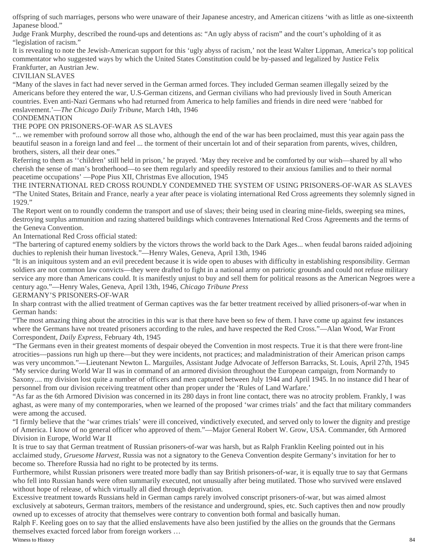offspring of such marriages, persons who were unaware of their Japanese ancestry, and American citizens 'with as little as one-sixteenth Japanese blood."

Judge Frank Murphy, described the round-ups and detentions as: "An ugly abyss of racism" and the court's upholding of it as "legislation of racism."

It is revealing to note the Jewish-American support for this 'ugly abyss of racism,' not the least Walter Lippman, America's top political commentator who suggested ways by which the United States Constitution could be by-passed and legalized by Justice Felix Frankfurter, an Austrian Jew.

## CIVILIAN SLAVES

"Many of the slaves in fact had never served in the German armed forces. They included German seamen illegally seized by the Americans before they entered the war, U.S-German citizens, and German civilians who had previously lived in South American countries. Even anti-Nazi Germans who had returned from America to help families and friends in dire need were 'nabbed for enslavement.'—*The Chicago Daily Tribune*, March 14th, 1946

## **CONDEMNATION**

## THE POPE ON PRISONERS-OF-WAR AS SLAVES

"... we remember with profound sorrow all those who, although the end of the war has been proclaimed, must this year again pass the beautiful season in a foreign land and feel ... the torment of their uncertain lot and of their separation from parents, wives, children, brothers, sisters, all their dear ones."

Referring to them as ''children' still held in prison,' he prayed. 'May they receive and be comforted by our wish—shared by all who cherish the sense of man's brotherhood—to see them regularly and speedily restored to their anxious families and to their normal peacetime occupations' —Pope Pius XII, Christmas Eve allocution, 1945

THE INTERNATIONAL RED CROSS ROUNDLY CONDEMNED THE SYSTEM OF USING PRISONERS-OF-WAR AS SLAVES "The United States, Britain and France, nearly a year after peace is violating international Red Cross agreements they solemnly signed in 1929."

The Report went on to roundly condemn the transport and use of slaves; their being used in clearing mine-fields, sweeping sea mines, destroying surplus ammunition and razing shattered buildings which contravenes International Red Cross Agreements and the terms of the Geneva Convention.

An International Red Cross official stated:

"The bartering of captured enemy soldiers by the victors throws the world back to the Dark Ages... when feudal barons raided adjoining duchies to replenish their human livestock."—Henry Wales, Geneva, April 13th, 1946

"It is an iniquitous system and an evil precedent because it is wide open to abuses with difficulty in establishing responsibility. German soldiers are not common law convicts—they were drafted to fight in a national army on patriotic grounds and could not refuse military service any more than Americans could. It is manifestly unjust to buy and sell them for political reasons as the American Negroes were a century ago."—Henry Wales, Geneva, April 13th, 1946, *Chicago Tribune Press*

#### GERMANY'S PRISONERS-OF-WAR

In sharp contrast with the allied treatment of German captives was the far better treatment received by allied prisoners-of-war when in German hands:

"The most amazing thing about the atrocities in this war is that there have been so few of them. I have come up against few instances where the Germans have not treated prisoners according to the rules, and have respected the Red Cross."—Alan Wood, War Front Correspondent, *Daily Express*, February 4th, 1945

"The Germans even in their greatest moments of despair obeyed the Convention in most respects. True it is that there were front-line atrocities—passions run high up there—but they were incidents, not practices; and maladministration of their American prison camps was very uncommon."—Lieutenant Newton L. Marguiles, Assistant Judge Advocate of Jefferson Barracks, St. Louis, April 27th, 1945 "My service during World War II was in command of an armored division throughout the European campaign, from Normandy to Saxony.... my division lost quite a number of officers and men captured between July 1944 and April 1945. In no instance did I hear of personnel from our division receiving treatment other than proper under the 'Rules of Land Warfare.'

"As far as the 6th Armored Division was concerned in its 280 days in front line contact, there was no atrocity problem. Frankly, I was aghast, as were many of my contemporaries, when we learned of the proposed 'war crimes trials' and the fact that military commanders were among the accused.

"I firmly believe that the 'war crimes trials' were ill conceived, vindictively executed, and served only to lower the dignity and prestige of America. I know of no general officer who approved of them."—Major General Robert W. Grow, USA. Commander, 6th Armored Division in Europe, World War II

It is true to say that German treatment of Russian prisoners-of-war was harsh, but as Ralph Franklin Keeling pointed out in his acclaimed study, *Gruesome Harvest,* Russia was not a signatory to the Geneva Convention despite Germany's invitation for her to become so. Therefore Russia had no right to be protected by its terms.

Furthermore, whilst Russian prisoners were treated more badly than say British prisoners-of-war, it is equally true to say that Germans who fell into Russian hands were often summarily executed, not unusually after being mutilated. Those who survived were enslaved without hope of release, of which virtually all died through deprivation.

Excessive treatment towards Russians held in German camps rarely involved conscript prisoners-of-war, but was aimed almost exclusively at saboteurs, German traitors, members of the resistance and underground, spies, etc. Such captives then and now proudly owned up to excesses of atrocity that themselves were contrary to convention both formal and basically human.

Ralph F. Keeling goes on to say that the allied enslavements have also been justified by the allies on the grounds that the Germans themselves exacted forced labor from foreign workers …

Witness to History 84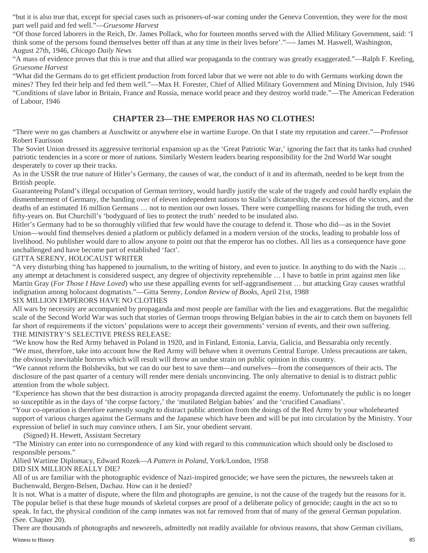"but it is also true that, except for special cases such as prisoners-of-war coming under the Geneva Convention, they were for the most part well paid and fed well."—*Gruesome Harvest*

"Of those forced laborers in the Reich, Dr. James Pollack, who for fourteen months served with the Allied Military Government, said: 'I think some of the persons found themselves better off than at any time in their lives before'."—- James M. Haswell, Washington, August 27th, 1946, *Chicago Daily News*

"A mass of evidence proves that this is true and that allied war propaganda to the contrary was greatly exaggerated."—Ralph F. Keeling, *Gruesome Harvest*

"What did the Germans do to get efficient production from forced labor that we were not able to do with Germans working down the mines? They fed their help and fed them well."—Max H. Forester, Chief of Allied Military Government and Mining Division, July 1946 "Conditions of slave labor in Britain, France and Russia, menace world peace and they destroy world trade."—The American Federation of Labour, 1946

# **CHAPTER 23—THE EMPEROR HAS NO CLOTHES!**

"There were no gas chambers at Auschwitz or anywhere else in wartime Europe. On that I state my reputation and career."—Professor Robert Faurisson

The Soviet Union dressed its aggressive territorial expansion up as the 'Great Patriotic War,' ignoring the fact that its tanks had crushed patriotic tendencies in a score or more of nations. Similarly Western leaders bearing responsibility for the 2nd World War sought desperately to cover up their tracks.

As in the USSR the true nature of Hitler's Germany, the causes of war, the conduct of it and its aftermath, needed to be kept from the British people.

Guaranteeing Poland's illegal occupation of German territory, would hardly justify the scale of the tragedy and could hardly explain the dismemberment of Germany, the handing over of eleven independent nations to Stalin's dictatorship, the excesses of the victors, and the deaths of an estimated 16 million Germans … not to mention our own losses. There were compelling reasons for hiding the truth, even fifty-years on. But Churchill's 'bodyguard of lies to protect the truth' needed to be insulated also.

Hitler's Germany had to be so thoroughly vilified that few would have the courage to defend it. Those who did—as in the Soviet Union—would find themselves denied a platform or publicly defamed in a modern version of the stocks, leading to probable loss of livelihood. No publisher would dare to allow anyone to point out that the emperor has no clothes. All lies as a consequence have gone unchallenged and have become part of established 'fact'.

## GITTA SERENY, HOLOCAUST WRITER

"A very disturbing thing has happened to journalism, to the writing of history, and even to justice. In anything to do with the Nazis … any attempt at detachment is considered suspect, any degree of objectivity reprehensible … I have to battle in print against men like Martin Gray (*For Those I Have Loved*) who use these appalling events for self-aggrandisement … but attacking Gray causes wrathful indignation among holocaust dogmatists."—Gitta Sereny, *London Review of Books*, April 21st, 1988

## SIX MILLION EMPERORS HAVE NO CLOTHES

All wars by necessity are accompanied by propaganda and most people are familiar with the lies and exaggerations. But the megalithic scale of the Second World War was such that stories of German troops throwing Belgian babies in the air to catch them on bayonets fell far short of requirements if the victors' populations were to accept their governments' version of events, and their own suffering. THE MINISTRY'S SELECTIVE PRESS RELEASE:

"We know how the Red Army behaved in Poland in 1920, and in Finland, Estonia, Latvia, Galicia, and Bessarabia only recently. "We must, therefore, take into account how the Red Army will behave when it overruns Central Europe. Unless precautions are taken, the obviously inevitable horrors which will result will throw an undue strain on public opinion in this country.

"We cannot reform the Bolsheviks, but we can do our best to save them—and ourselves—from the consequences of their acts. The disclosure of the past quarter of a century will render mere denials unconvincing. The only alternative to denial is to distract public attention from the whole subject.

"Experience has shown that the best distraction is atrocity propaganda directed against the enemy. Unfortunately the public is no longer so susceptible as in the days of 'the corpse factory,' the 'mutilated Belgian babies' and the 'crucified Canadians'.

"Your co-operation is therefore earnestly sought to distract public attention from the doings of the Red Army by your wholehearted support of various charges against the Germans and the Japanese which have been and will be put into circulation by the Ministry. Your expression of belief in such may convince others. I am Sir, your obedient servant.

(Signed) H. Hewett, Assistant Secretary

"The Ministry can enter into no correspondence of any kind with regard to this communication which should only be disclosed to responsible persons."

Allied Wartime Diplomacy, Edward Rozek—*A Pattern in Poland*, York/London, 1958

## DID SIX MILLION REALLY DIE?

All of us are familiar with the photographic evidence of Nazi-inspired genocide; we have seen the pictures, the newsreels taken at Buchenwald, Bergen-Belsen, Dachau. How can it be denied?

It is not. What is a matter of dispute, where the film and photographs are genuine, is not the cause of the tragedy but the reasons for it. The popular belief is that these huge mounds of skeletal corpses are proof of a deliberate policy of genocide; caught in the act so to speak. In fact, the physical condition of the camp inmates was not far removed from that of many of the general German population. (See. Chapter 20).

There are thousands of photographs and newsreels, admittedly not readily available for obvious reasons, that show German civilians,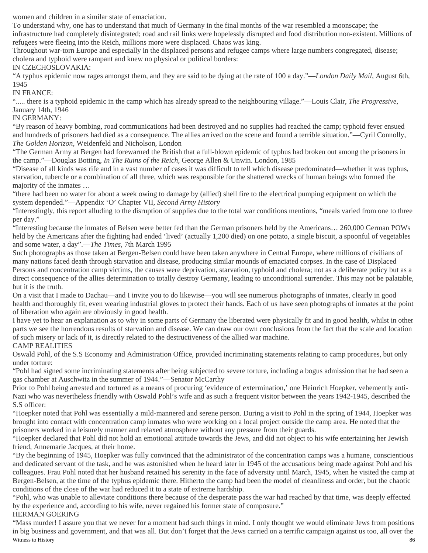women and children in a similar state of emaciation.

To understand why, one has to understand that much of Germany in the final months of the war resembled a moonscape; the infrastructure had completely disintegrated; road and rail links were hopelessly disrupted and food distribution non-existent. Millions of refugees were fleeing into the Reich, millions more were displaced. Chaos was king.

Throughout war-torn Europe and especially in the displaced persons and refugee camps where large numbers congregated, disease; cholera and typhoid were rampant and knew no physical or political borders:

# IN CZECHOSLOVAKIA:

"A typhus epidemic now rages amongst them, and they are said to be dying at the rate of 100 a day."—*London Daily Mail*, August 6th, 1945

IN FRANCE:

"..... there is a typhoid epidemic in the camp which has already spread to the neighbouring village."—Louis Clair, *The Progressive*, January 14th, 1946

IN GERMANY:

"By reason of heavy bombing, road communications had been destroyed and no supplies had reached the camp; typhoid fever ensued and hundreds of prisoners had died as a consequence. The allies arrived on the scene and found a terrible situation."—Cyril Connolly, *The Golden Horizon*, Weidenfeld and Nicholson, London

"The German Army at Bergen had forewarned the British that a full-blown epidemic of typhus had broken out among the prisoners in the camp."—Douglas Botting, *In The Ruins of the Reich*, George Allen & Unwin. London, 1985

"Disease of all kinds was rife and in a vast number of cases it was difficult to tell which disease predominated—whether it was typhus, starvation, tubercle or a combination of all three, which was responsible for the shattered wrecks of human beings who formed the majority of the inmates …

"there had been no water for about a week owing to damage by (allied) shell fire to the electrical pumping equipment on which the system depended."—Appendix 'O' Chapter VII, *Second Army History*

"Interestingly, this report alluding to the disruption of supplies due to the total war conditions mentions, "meals varied from one to three per day."

"Interesting because the inmates of Belsen were better fed than the German prisoners held by the Americans… 260,000 German POWs held by the Americans after the fighting had ended 'lived' (actually 1,200 died) on one potato, a single biscuit, a spoonful of vegetables and some water, a day".—*The Times*, 7th March 1995

Such photographs as those taken at Bergen-Belsen could have been taken anywhere in Central Europe, where millions of civilians of many nations faced death through starvation and disease, producing similar mounds of emaciated corpses. In the case of Displaced Persons and concentration camp victims, the causes were deprivation, starvation, typhoid and cholera; not as a deliberate policy but as a direct consequence of the allies determination to totally destroy Germany, leading to unconditional surrender. This may not be palatable, but it is the truth.

On a visit that I made to Dachau—and I invite you to do likewise—you will see numerous photographs of inmates, clearly in good health and thoroughly fit, even wearing industrial gloves to protect their hands. Each of us have seen photographs of inmates at the point of liberation who again are obviously in good health.

I have yet to hear an explanation as to why in some parts of Germany the liberated were physically fit and in good health, whilst in other parts we see the horrendous results of starvation and disease. We can draw our own conclusions from the fact that the scale and location of such misery or lack of it, is directly related to the destructiveness of the allied war machine.

## CAMP REALITIES

Oswald Pohl, of the S.S Economy and Administration Office, provided incriminating statements relating to camp procedures, but only under torture:

"Pohl had signed some incriminating statements after being subjected to severe torture, including a bogus admission that he had seen a gas chamber at Auschwitz in the summer of 1944."—Senator McCarthy

Prior to Pohl being arrested and tortured as a means of procuring 'evidence of extermination,' one Heinrich Hoepker, vehemently anti-Nazi who was nevertheless friendly with Oswald Pohl's wife and as such a frequent visitor between the years 1942-1945, described the S.S officer:

"Hoepker noted that Pohl was essentially a mild-mannered and serene person. During a visit to Pohl in the spring of 1944, Hoepker was brought into contact with concentration camp inmates who were working on a local project outside the camp area. He noted that the prisoners worked in a leisurely manner and relaxed atmosphere without any pressure from their guards.

"Hoepker declared that Pohl did not hold an emotional attitude towards the Jews, and did not object to his wife entertaining her Jewish friend, Annemarie Jacques, at their home.

"By the beginning of 1945, Hoepker was fully convinced that the administrator of the concentration camps was a humane, conscientious and dedicated servant of the task, and he was astonished when he heard later in 1945 of the accusations being made against Pohl and his colleagues. Frau Pohl noted that her husband retained his serenity in the face of adversity until March, 1945, when he visited the camp at Bergen-Belsen, at the time of the typhus epidemic there. Hitherto the camp had been the model of cleanliness and order, but the chaotic conditions of the close of the war had reduced it to a state of extreme hardship.

"Pohl, who was unable to alleviate conditions there because of the desperate pass the war had reached by that time, was deeply effected by the experience and, according to his wife, never regained his former state of composure."

## HERMAN GOERING

Witness to History 86 "Mass murder! I assure you that we never for a moment had such things in mind. I only thought we would eliminate Jews from positions in big business and government, and that was all. But don't forget that the Jews carried on a terrific campaign against us too, all over the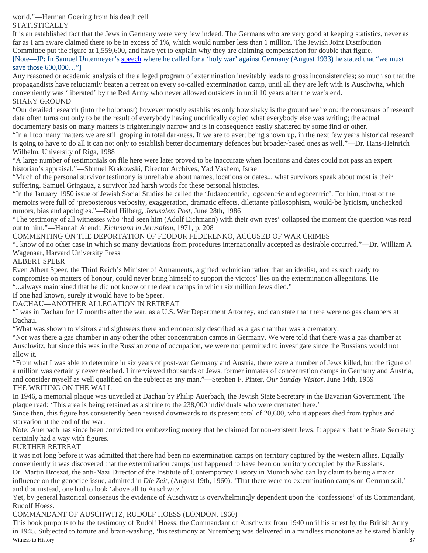world."—Herman Goering from his death cell **STATISTICALLY** 

It is an established fact that the Jews in Germany were very few indeed. The Germans who are very good at keeping statistics, never as far as I am aware claimed there to be in excess of 1%, which would number less than 1 million. The Jewish Joint Distribution Committee put the figure at 1,559,600, and have yet to explain why they are claiming compensation for double that figure. [Note—JP: In Samuel Untermeyer's [speech](http://www.sweetliberty.org/issues/israel/untermeyer.htm) where he called for a 'holy war' against Germany (August 1933) he stated that "we must save those  $600,000...$ "]

Any reasoned or academic analysis of the alleged program of extermination inevitably leads to gross inconsistencies; so much so that the propagandists have reluctantly beaten a retreat on every so-called extermination camp, until all they are left with is Auschwitz, which conveniently was 'liberated' by the Red Army who never allowed outsiders in until 10 years after the war's end. SHAKY GROUND

"Our detailed research (into the holocaust) however mostly establishes only how shaky is the ground we're on: the consensus of research data often turns out only to be the result of everybody having uncritically copied what everybody else was writing; the actual documentary basis on many matters is frighteningly narrow and is in consequence easily shattered by some find or other.

"In all too many matters we are still groping in total darkness. If we are to avert being shown up, in the next few years historical research is going to have to do all it can not only to establish better documentary defences but broader-based ones as well."—Dr. Hans-Heinrich Wilhelm, University of Riga, 1988

"A large number of testimonials on file here were later proved to be inaccurate when locations and dates could not pass an expert historian's appraisal."—Shmuel Krakowski, Director Archives, Yad Vashem, Israel

"Much of the personal survivor testimony is unreliable about names, locations or dates... what survivors speak about most is their suffering. Samuel Gringauz, a survivor had harsh words for these personal histories.

"In the January 1950 issue of Jewish Social Studies he called the 'Judaeocentric, logocentric and egocentric'. For him, most of the memoirs were full of 'preposterous verbosity, exaggeration, dramatic effects, dilettante philosophism, would-be lyricism, unchecked rumors, bias and apologies."—Raul Hilberg, *Jerusalem Post*, June 28th, 1986

"The testimony of all witnesses who 'had seen him (Adolf Eichmann) with their own eyes' collapsed the moment the question was read out to him."—Hannah Arendt, *Eichmann in Jerusalem*, 1971, p. 208

COMMENTING ON THE DEPORTATION OF FEODUR FEDERENKO, ACCUSED OF WAR CRIMES

"I know of no other case in which so many deviations from procedures internationally accepted as desirable occurred."—Dr. William A Wagenaar, Harvard University Press

## ALBERT SPEER

Even Albert Speer, the Third Reich's Minister of Armaments, a gifted technician rather than an idealist, and as such ready to compromise on matters of honour, could never bring himself to support the victors' lies on the extermination allegations. He "...always maintained that he did not know of the death camps in which six million Jews died."

If one had known, surely it would have to be Speer.

## DACHAU—ANOTHER ALLEGATION IN RETREAT

"I was in Dachau for 17 months after the war, as a U.S. War Department Attorney, and can state that there were no gas chambers at Dachau.

"What was shown to visitors and sightseers there and erroneously described as a gas chamber was a crematory.

"Nor was there a gas chamber in any other the other concentration camps in Germany. We were told that there was a gas chamber at Auschwitz, but since this was in the Russian zone of occupation, we were not permitted to investigate since the Russians would not allow it.

"From what I was able to determine in six years of post-war Germany and Austria, there were a number of Jews killed, but the figure of a million was certainly never reached. I interviewed thousands of Jews, former inmates of concentration camps in Germany and Austria, and consider myself as well qualified on the subject as any man."—Stephen F. Pinter, *Our Sunday Visitor*, June 14th, 1959 THE WRITING ON THE WALL

In 1946, a memorial plaque was unveiled at Dachau by Philip Auerbach, the Jewish State Secretary in the Bavarian Government. The plaque read: 'This area is being retained as a shrine to the 238,000 individuals who were cremated here.'

Since then, this figure has consistently been revised downwards to its present total of 20,600, who it appears died from typhus and starvation at the end of the war.

Note: Auerbach has since been convicted for embezzling money that he claimed for non-existent Jews. It appears that the State Secretary certainly had a way with figures.

## FURTHER RETREAT

It was not long before it was admitted that there had been no extermination camps on territory captured by the western allies. Equally conveniently it was discovered that the extermination camps just happened to have been on territory occupied by the Russians. Dr. Martin Broszat, the anti-Nazi Director of the Institute of Contemporary History in Munich who can lay claim to being a major influence on the genocide issue, admitted in *Die Zeit*, (August 19th, 1960). 'That there were no extermination camps on German soil,' and that instead, one had to look 'above all to Auschwitz.'

Yet, by general historical consensus the evidence of Auschwitz is overwhelmingly dependent upon the 'confessions' of its Commandant, Rudolf Hoess.

## COMMANDANT OF AUSCHWITZ, RUDOLF HOESS (LONDON, 1960)

Witness to History 87 This book purports to be the testimony of Rudolf Hoess, the Commandant of Auschwitz from 1940 until his arrest by the British Army in 1945. Subjected to torture and brain-washing, 'his testimony at Nuremberg was delivered in a mindless monotone as he stared blankly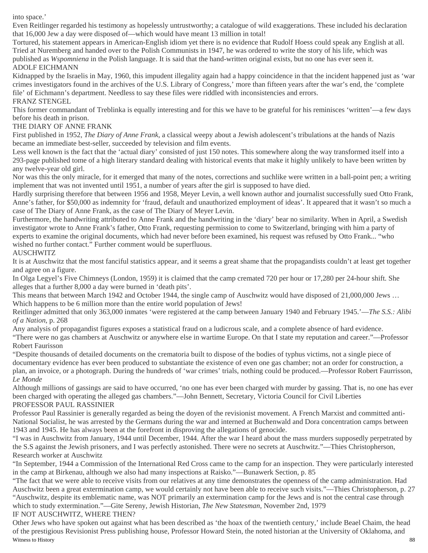into space.'

Even Reitlinger regarded his testimony as hopelessly untrustworthy; a catalogue of wild exaggerations. These included his declaration that 16,000 Jew a day were disposed of—which would have meant 13 million in total!

Tortured, his statement appears in American-English idiom yet there is no evidence that Rudolf Hoess could speak any English at all. Tried at Nuremberg and handed over to the Polish Communists in 1947, he was ordered to write the story of his life, which was published as *Wspomniena* in the Polish language. It is said that the hand-written original exists, but no one has ever seen it. ADOLF EICHMANN

Kidnapped by the Israelis in May, 1960, this impudent illegality again had a happy coincidence in that the incident happened just as 'war crimes investigators found in the archives of the U.S. Library of Congress,' more than fifteen years after the war's end, the 'complete file' of Eichmann's department. Needless to say these files were riddled with inconsistencies and errors. FRANZ STENGEL

This former commandant of Treblinka is equally interesting and for this we have to be grateful for his reminisces 'written'—a few days before his death in prison.

## THE DIARY OF ANNE FRANK

First published in 1952, *The Diary of Anne Frank*, a classical weepy about a Jewish adolescent's tribulations at the hands of Nazis became an immediate best-seller, succeeded by television and film events.

Less well known is the fact that the 'actual diary' consisted of just 150 notes. This somewhere along the way transformed itself into a 293-page published tome of a high literary standard dealing with historical events that make it highly unlikely to have been written by any twelve-year old girl.

Nor was this the only miracle, for it emerged that many of the notes, corrections and suchlike were written in a ball-point pen; a writing implement that was not invented until 1951, a number of years after the girl is supposed to have died.

Hardly surprising therefore that between 1956 and 1958, Meyer Levin, a well known author and journalist successfully sued Otto Frank, Anne's father, for \$50,000 as indemnity for 'fraud, default and unauthorized employment of ideas'. It appeared that it wasn't so much a case of The Diary of Anne Frank, as the case of The Diary of Meyer Levin.

Furthermore, the handwriting attributed to Anne Frank and the handwriting in the 'diary' bear no similarity. When in April, a Swedish investigator wrote to Anne Frank's father, Otto Frank, requesting permission to come to Switzerland, bringing with him a party of experts to examine the original documents, which had never before been examined, his request was refused by Otto Frank... "who wished no further contact." Further comment would be superfluous.

## AUSCHWITZ

It is at Auschwitz that the most fanciful statistics appear, and it seems a great shame that the propagandists couldn't at least get together and agree on a figure.

In Olga Legyel's Five Chimneys (London, 1959) it is claimed that the camp cremated 720 per hour or 17,280 per 24-hour shift. She alleges that a further 8,000 a day were burned in 'death pits'.

This means that between March 1942 and October 1944, the single camp of Auschwitz would have disposed of 21,000,000 Jews … Which happens to be 6 million more than the entire world population of Jews!

Reitlinger admitted that only 363,000 inmates 'were registered at the camp between January 1940 and February 1945.'—*The S.S.: Alibi of a Nation*, p. 268

Any analysis of propagandist figures exposes a statistical fraud on a ludicrous scale, and a complete absence of hard evidence.

"There were no gas chambers at Auschwitz or anywhere else in wartime Europe. On that I state my reputation and career."—Professor Robert Faurisson

"Despite thousands of detailed documents on the crematoria built to dispose of the bodies of typhus victims, not a single piece of documentary evidence has ever been produced to substantiate the existence of even one gas chamber; not an order for construction, a plan, an invoice, or a photograph. During the hundreds of 'war crimes' trials, nothing could be produced.—Professor Robert Faurrisson, *Le Monde*

Although millions of gassings are said to have occurred, 'no one has ever been charged with murder by gassing. That is, no one has ever been charged with operating the alleged gas chambers."—John Bennett, Secretary, Victoria Council for Civil Liberties PROFESSOR PAUL RASSINIER

Professor Paul Rassinier is generally regarded as being the doyen of the revisionist movement. A French Marxist and committed anti-National Socialist, he was arrested by the Germans during the war and interned at Buchenwald and Dora concentration camps between 1943 and 1945. He has always been at the forefront in disproving the allegations of genocide.

"I was in Auschwitz from January, 1944 until December, 1944. After the war I heard about the mass murders supposedly perpetrated by the S.S against the Jewish prisoners, and I was perfectly astonished. There were no secrets at Auschwitz."—Thies Christopherson, Research worker at Auschwitz

"In September, 1944 a Commission of the International Red Cross came to the camp for an inspection. They were particularly interested in the camp at Birkenau, although we also had many inspections at Raisko."—Bunawerk Section, p. 85

"The fact that we were able to receive visits from our relatives at any time demonstrates the openness of the camp administration. Had Auschwitz been a great extermination camp, we would certainly not have been able to receive such visits."—Thies Christopherson, p. 27 "Auschwitz, despite its emblematic name, was NOT primarily an extermination camp for the Jews and is not the central case through which to study extermination."—Gite Sereny, Jewish Historian, *The New Statesman*, November 2nd, 1979

## IF NOT AUSCHWITZ, WHERE THEN?

Witness to History 88 Other Jews who have spoken out against what has been described as 'the hoax of the twentieth century,' include Beael Chaim, the head of the prestigious Revisionist Press publishing house, Professor Howard Stein, the noted historian at the University of Oklahoma, and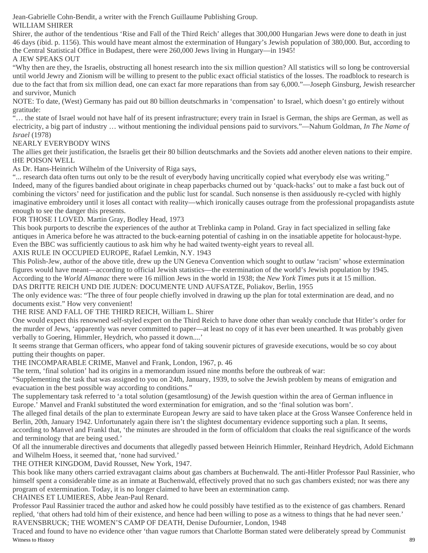Jean-Gabrielle Cohn-Bendit, a writer with the French Guillaume Publishing Group. WILLIAM SHIRER

Shirer, the author of the tendentious 'Rise and Fall of the Third Reich' alleges that 300,000 Hungarian Jews were done to death in just 46 days (ibid. p. 1156). This would have meant almost the extermination of Hungary's Jewish population of 380,000. But, according to the Central Statistical Office in Budapest, there were 260,000 Jews living in Hungary—in 1945! A JEW SPEAKS OUT

"Why then are they, the Israelis, obstructing all honest research into the six million question? All statistics will so long be controversial until world Jewry and Zionism will be willing to present to the public exact official statistics of the losses. The roadblock to research is due to the fact that from six million dead, one can exact far more reparations than from say 6,000."—Joseph Ginsburg, Jewish researcher and survivor, Munich

NOTE: To date, (West) Germany has paid out 80 billion deutschmarks in 'compensation' to Israel, which doesn't go entirely without gratitude:

"… the state of Israel would not have half of its present infrastructure; every train in Israel is German, the ships are German, as well as electricity, a big part of industry … without mentioning the individual pensions paid to survivors."—Nahum Goldman, *In The Name of Israel* (1978)

## NEARLY EVERYBODY WINS

The allies get their justification, the Israelis get their 80 billion deutschmarks and the Soviets add another eleven nations to their empire. tHE POISON WELL

As Dr. Hans-Heinrich Wilhelm of the University of Riga says,

"... research data often turns out only to be the result of everybody having uncritically copied what everybody else was writing." Indeed, many of the figures bandied about originate in cheap paperbacks churned out by 'quack-hacks' out to make a fast buck out of combining the victors' need for justification and the public lust for scandal. Such nonsense is then assiduously re-cycled with highly imaginative embroidery until it loses all contact with reality—which ironically causes outrage from the professional propagandists astute enough to see the danger this presents.

FOR THOSE I LOVED. Martin Gray, Bodley Head, 1973

This book purports to describe the experiences of the author at Treblinka camp in Poland. Gray in fact specialized in selling fake antiques in America before he was attracted to the buck-earning potential of cashing in on the insatiable appetite for holocaust-hype. Even the BBC was sufficiently cautious to ask him why he had waited twenty-eight years to reveal all.

AXIS RULE IN OCCUPIED EUROPE, Rafael Lemkin, N.Y. 1943

This Polish-Jew, author of the above title, drew up the UN Geneva Convention which sought to outlaw 'racism' whose extermination figures would have meant—according to official Jewish statistics—the extermination of the world's Jewish population by 1945. According to the *World Almanac* there were 16 million Jews in the world in 1938; the *New York Times* puts it at 15 million.

DAS DRITTE REICH UND DIE JUDEN: DOCUMENTE UND AUFSATZE, Poliakov, Berlin, 1955

The only evidence was: "The three of four people chiefly involved in drawing up the plan for total extermination are dead, and no documents exist." How very convenient!

THE RISE AND FALL OF THE THIRD REICH, William L. Shirer

One would expect this renowned self-styled expert on the Third Reich to have done other than weakly conclude that Hitler's order for the murder of Jews, 'apparently was never committed to paper—at least no copy of it has ever been unearthed. It was probably given verbally to Goering, Himmler, Heydrich, who passed it down....'

It seems strange that German officers, who appear fond of taking souvenir pictures of graveside executions, would be so coy about putting their thoughts on paper.

THE INCOMPARABLE CRIME, Manvel and Frank, London, 1967, p. 46

The term, 'final solution' had its origins in a memorandum issued nine months before the outbreak of war:

"Supplementing the task that was assigned to you on 24th, January, 1939, to solve the Jewish problem by means of emigration and evacuation in the best possible way according to conditions."

The supplementary task referred to 'a total solution (gesamtlosung) of the Jewish question within the area of German influence in Europe.' Manvel and Frankl substituted the word extermination for emigration, and so the 'final solution was born'.

The alleged final details of the plan to exterminate European Jewry are said to have taken place at the Gross Wansee Conference held in Berlin, 20th, January 1942. Unfortunately again there isn't the slightest documentary evidence supporting such a plan. It seems,

according to Manvel and Frankl that, 'the minutes are shrouded in the form of officialdom that cloaks the real significance of the words and terminology that are being used.'

Of all the innumerable directives and documents that allegedly passed between Heinrich Himmler, Reinhard Heydrich, Adold Eichmann and Wilhelm Hoess, it seemed that, 'none had survived.'

THE OTHER KINGDOM, David Rousset, New York, 1947.

This book like many others carried extravagant claims about gas chambers at Buchenwald. The anti-Hitler Professor Paul Rassinier, who himself spent a considerable time as an inmate at Buchenwald, effectively proved that no such gas chambers existed; nor was there any program of extermination. Today, it is no longer claimed to have been an extermination camp.

CHAINES ET LUMIERES, Abbe Jean-Paul Renard.

Professor Paul Rassinier traced the author and asked how he could possibly have testified as to the existence of gas chambers. Renard replied, 'that others had told him of their existence, and hence had been willing to pose as a witness to things that he had never seen.' RAVENSBRUCK; THE WOMEN'S CAMP OF DEATH, Denise Dufournier, London, 1948

Witness to History 89 Traced and found to have no evidence other 'than vague rumors that Charlotte Borman stated were deliberately spread by Communist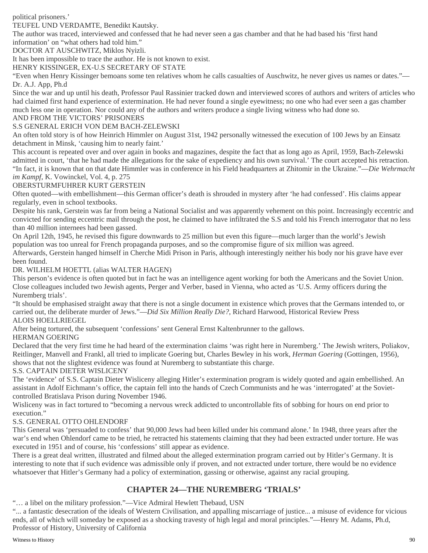political prisoners.'

TEUFEL UND VERDAMTE, Benedikt Kautsky.

The author was traced, interviewed and confessed that he had never seen a gas chamber and that he had based his 'first hand information' on "what others had told him."

DOCTOR AT AUSCHWITZ, Miklos Nyizli.

It has been impossible to trace the author. He is not known to exist.

HENRY KISSINGER, EX-U.S SECRETARY OF STATE

"Even when Henry Kissinger bemoans some ten relatives whom he calls casualties of Auschwitz, he never gives us names or dates."— Dr. A.J. App, Ph.d

Since the war and up until his death, Professor Paul Rassinier tracked down and interviewed scores of authors and writers of articles who had claimed first hand experience of extermination. He had never found a single evewitness; no one who had ever seen a gas chamber much less one in operation. Nor could any of the authors and writers produce a single living witness who had done so.

## AND FROM THE VICTORS' PRISONERS

## S.S GENERAL ERICH VON DEM BACH-ZELEWSKI

An often told story is of how Heinrich Himmler on August 31st, 1942 personally witnessed the execution of 100 Jews by an Einsatz detachment in Minsk, 'causing him to nearly faint.'

This account is repeated over and over again in books and magazines, despite the fact that as long ago as April, 1959, Bach-Zelewski admitted in court, 'that he had made the allegations for the sake of expediency and his own survival.' The court accepted his retraction. "In fact, it is known that on that date Himmler was in conference in his Field headquarters at Zhitomir in the Ukraine."—*Die Wehrmacht im Kampf*, K. Vowinckel, Vol. 4, p. 275

## OBERSTURMFUHRER KURT GERSTEIN

Often quoted—with embellishment—this German officer's death is shrouded in mystery after 'he had confessed'. His claims appear regularly, even in school textbooks.

Despite his rank, Gerstein was far from being a National Socialist and was apparently vehement on this point. Increasingly eccentric and convicted for sending eccentric mail through the post, he claimed to have infiltrated the S.S and told his French interrogator that no less than 40 million internees had been gassed.

On April 12th, 1945, he revised this figure downwards to 25 million but even this figure—much larger than the world's Jewish population was too unreal for French propaganda purposes, and so the compromise figure of six million was agreed.

Afterwards, Gerstein hanged himself in Cherche Midi Prison in Paris, although interestingly neither his body nor his grave have ever been found.

## DR. WILHELM HOETTL (alias WALTER HAGEN)

This person's evidence is often quoted but in fact he was an intelligence agent working for both the Americans and the Soviet Union. Close colleagues included two Jewish agents, Perger and Verber, based in Vienna, who acted as 'U.S. Army officers during the Nuremberg trials'.

"It should be emphasised straight away that there is not a single document in existence which proves that the Germans intended to, or carried out, the deliberate murder of Jews."—*Did Six Million Really Die?*, Richard Harwood, Historical Review Press ALOIS HOELLRIEGEL

After being tortured, the subsequent 'confessions' sent General Ernst Kaltenbrunner to the gallows.

#### HERMAN GOERING

Declared that the very first time he had heard of the extermination claims 'was right here in Nuremberg.' The Jewish writers, Poliakov, Reitlinger, Manvell and Frankl, all tried to implicate Goering but, Charles Bewley in his work, *Herman Goering* (Gottingen, 1956), shows that not the slightest evidence was found at Nuremberg to substantiate this charge.

## S.S. CAPTAIN DIETER WISLICENY

The 'evidence' of S.S. Captain Dieter Wisliceny alleging Hitler's extermination program is widely quoted and again embellished. An assistant in Adolf Eichmann's office, the captain fell into the hands of Czech Communists and he was 'interrogated' at the Sovietcontrolled Bratislava Prison during November 1946.

Wisliceny was in fact tortured to "becoming a nervous wreck addicted to uncontrollable fits of sobbing for hours on end prior to execution."

## S.S. GENERAL OTTO OHLENDORF

This General was 'persuaded to confess' that 90,000 Jews had been killed under his command alone.' In 1948, three years after the war's end when Ohlendorf came to be tried, he retracted his statements claiming that they had been extracted under torture. He was executed in 1951 and of course, his 'confessions' still appear as evidence.

There is a great deal written, illustrated and filmed about the alleged extermination program carried out by Hitler's Germany. It is interesting to note that if such evidence was admissible only if proven, and not extracted under torture, there would be no evidence whatsoever that Hitler's Germany had a policy of extermination, gassing or otherwise, against any racial grouping.

# **CHAPTER 24—THE NUREMBERG 'TRIALS'**

"… a libel on the military profession."—Vice Admiral Hewlett Thebaud, USN

"... a fantastic desecration of the ideals of Western Civilisation, and appalling miscarriage of justice... a misuse of evidence for vicious ends, all of which will someday be exposed as a shocking travesty of high legal and moral principles."—Henry M. Adams, Ph.d, Professor of History, University of California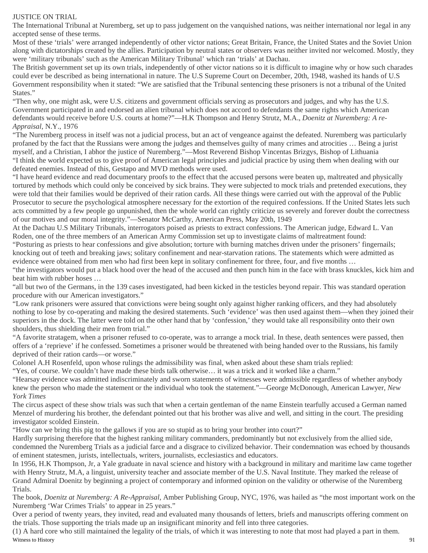## JUSTICE ON TRIAL

The International Tribunal at Nuremberg, set up to pass judgement on the vanquished nations, was neither international nor legal in any accepted sense of these terms.

Most of these 'trials' were arranged independently of other victor nations; Great Britain, France, the United States and the Soviet Union along with dictatorships created by the allies. Participation by neutral states or observers was neither invited nor welcomed. Mostly, they were 'military tribunals' such as the American Military Tribunal' which ran 'trials' at Dachau.

The British government set up its own trials, independently of other victor nations so it is difficult to imagine why or how such charades could ever be described as being international in nature. The U.S Supreme Court on December, 20th, 1948, washed its hands of U.S Government responsibility when it stated: "We are satisfied that the Tribunal sentencing these prisoners is not a tribunal of the United States."

"Then why, one might ask, were U.S. citizens and government officials serving as prosecutors and judges, and why has the U.S. Government participated in and endorsed an alien tribunal which does not accord to defendants the same rights which American defendants would receive before U.S. courts at home?"—H.K Thompson and Henry Strutz, M.A., *Doenitz at Nuremberg: A re-Appraisal*, N.Y., 1976

"The Nuremberg process in itself was not a judicial process, but an act of vengeance against the defeated. Nuremberg was particularly profaned by the fact that the Russians were among the judges and themselves guilty of many crimes and atrocities … Being a jurist myself, and a Christian, I abhor the justice of Nuremberg."—Most Reverend Bishop Vincentas Brizgys, Bishop of Lithuania "I think the world expected us to give proof of American legal principles and judicial practice by using them when dealing with our defeated enemies. Instead of this, Gestapo and MVD methods were used.

"I have heard evidence and read documentary proofs to the effect that the accused persons were beaten up, maltreated and physically tortured by methods which could only be conceived by sick brains. They were subjected to mock trials and pretended executions, they were told that their families would be deprived of their ration cards. All these things were carried out with the approval of the Public Prosecutor to secure the psychological atmosphere necessary for the extortion of the required confessions. If the United States lets such acts committed by a few people go unpunished, then the whole world can rightly criticize us severely and forever doubt the correctness of our motives and our moral integrity."—Senator McCarthy, American Press, May 20th, 1949

At the Dachau U.S Military Tribunals, interrogators poised as priests to extract confessions. The American judge, Edward L. Van Roden, one of the three members of an American Army Commission set up to investigate claims of maltreatment found:

"Posturing as priests to hear confessions and give absolution; torture with burning matches driven under the prisoners' fingernails; knocking out of teeth and breaking jaws; solitary confinement and near-starvation rations. The statements which were admitted as evidence were obtained from men who had first been kept in solitary confinement for three, four, and five months …

"the investigators would put a black hood over the head of the accused and then punch him in the face with brass knuckles, kick him and beat him with rubber hoses …

"all but two of the Germans, in the 139 cases investigated, had been kicked in the testicles beyond repair. This was standard operation procedure with our American investigators."

"Low rank prisoners were assured that convictions were being sought only against higher ranking officers, and they had absolutely nothing to lose by co-operating and making the desired statements. Such 'evidence' was then used against them—when they joined their superiors in the dock. The latter were told on the other hand that by 'confession,' they would take all responsibility onto their own shoulders, thus shielding their men from trial."

"A favorite stratagem, when a prisoner refused to co-operate, was to arrange a mock trial. In these, death sentences were passed, then offers of a 'reprieve' if he confessed. Sometimes a prisoner would be threatened with being handed over to the Russians, his family deprived of their ration cards—or worse."

Colonel A.H Rosenfeld, upon whose rulings the admissibility was final, when asked about these sham trials replied:

"Yes, of course. We couldn't have made these birds talk otherwise… it was a trick and it worked like a charm."

"Hearsay evidence was admitted indiscriminately and sworn statements of witnesses were admissible regardless of whether anybody knew the person who made the statement or the individual who took the statement."—George McDonough, American Lawyer, *New York Times*

The circus aspect of these show trials was such that when a certain gentleman of the name Einstein tearfully accused a German named Menzel of murdering his brother, the defendant pointed out that his brother was alive and well, and sitting in the court. The presiding investigator scolded Einstein.

"How can we bring this pig to the gallows if you are so stupid as to bring your brother into court?"

Hardly surprising therefore that the highest ranking military commanders, predominantly but not exclusively from the allied side, condemned the Nuremberg Trials as a judicial farce and a disgrace to civilized behavior. Their condemnation was echoed by thousands of eminent statesmen, jurists, intellectuals, writers, journalists, ecclesiastics and educators.

In 1956, H.K Thompson, Jr, a Yale graduate in naval science and history with a background in military and maritime law came together with Henry Strutz, M.A, a linguist, university teacher and associate member of the U.S. Naval Institute. They marked the release of Grand Admiral Doenitz by beginning a project of contemporary and informed opinion on the validity or otherwise of the Nuremberg Trials.

The book, *Doenitz at Nuremberg: A Re-Appraisal*, Amber Publishing Group, NYC, 1976, was hailed as "the most important work on the Nuremberg 'War Crimes Trials' to appear in 25 years."

Over a period of twenty years, they invited, read and evaluated many thousands of letters, briefs and manuscripts offering comment on the trials. Those supporting the trials made up an insignificant minority and fell into three categories.

Witness to History 2012 2013 2014 2014 2022 2023 2024 2022 2023 2024 2022 2023 2024 2022 2023 2024 2022 2023 2024 2022 2023 2024 2022 2023 2022 2023 2022 2023 2022 2023 2022 2023 2022 2023 2022 2023 2023 2023 2023 2023 202 (1) A hard core who still maintained the legality of the trials, of which it was interesting to note that most had played a part in them.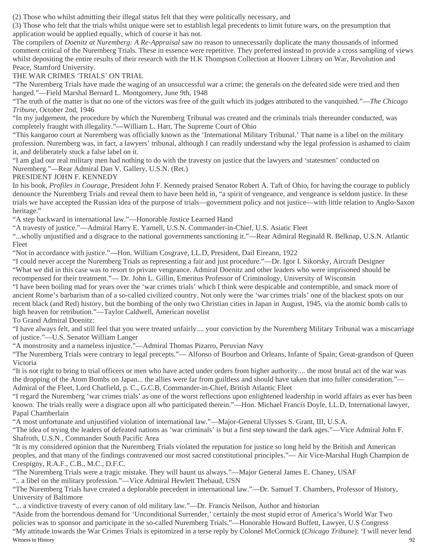(2) Those who whilst admitting their illegal status felt that they were politically necessary, and

(3) Those who felt that the trials whilst unique were set to establish legal precedents to limit future wars, on the presumption that application would be applied equally, which of course it has not.

The compilers of *Doenitz at Nuremberg: A Re-Appraisal* saw no reason to unnecessarily duplicate the many thousands of informed comment critical of the Nuremberg Trials. These in essence were repetitive. They preferred instead to provide a cross sampling of views whilst depositing the entire results of their research with the H.K Thompson Collection at Hoover Library on War, Revolution and Peace, Stamford University.

THE WAR CRIMES 'TRIALS' ON TRIAL

"The Nuremberg Trials have made the waging of an unsuccessful war a crime; the generals on the defeated side were tried and then hanged."—Field Marshal Bernard L. Montgomery, June 9th, 1948

"The truth of the matter is that no one of the victors was free of the guilt which its judges attributed to the vanquished."—*The Chicago Tribune*, October 2nd, 1946

"In my judgement, the procedure by which the Nuremberg Tribunal was created and the criminals trials thereunder conducted, was completely fraught with illegality."—William L. Hart, The Supreme Court of Ohio

"This kangaroo court at Nuremberg was officially known as the 'International Military Tribunal.' That name is a libel on the military profession. Nuremberg was, in fact, a lawyers' tribunal, although I can readily understand why the legal profession is ashamed to claim it, and deliberately stuck a false label on it.

"I am glad our real military men had nothing to do with the travesty on justice that the lawyers and 'statesmen' conducted on Nuremberg."—Rear Admiral Dan V. Gallery, U.S.N. (Ret.)

PRESIDENT JOHN F. KENNEDY

In his book, *Profiles in Courage*, President John F. Kennedy praised Senator Robert A. Taft of Ohio, for having the courage to publicly denounce the Nuremberg Trials and reveal them to have been held in, "a spirit of vengeance, and vengeance is seldom justice. In these trials we have accepted the Russian idea of the purpose of trials—government policy and not justice—with little relation to Anglo-Saxon heritage."

"A step backward in international law."—Honorable Justice Learned Hand

"A travesty of justice."—Admiral Harry E. Yarnell, U.S.N. Commander-in-Chief, U.S. Asiatic Fleet

"...wholly unjustified and a disgrace to the national governments sanctioning it."—Rear Admiral Reginald R. Belknap, U.S.N. Atlantic Fleet

"Not in accordance with justice."—Hon. William Cosgrave, LL.D, President, Dail Eireann, 1922

"I could never accept the Nuremberg Trials as representing a fair and just procedure."—Dr. Igor I. Sikorsky, Aircraft Designer "What we did in this case was to resort to private vengeance. Admiral Doenitz and other leaders who were imprisoned should be

recompensed for their treatment."— Dr. John L. Gillin, Emeritus Professor of Criminology, University of Wisconsin

"I have been boiling mad for years over the 'war crimes trials' which I think were despicable and contemptible, and smack more of ancient Rome's barbarism than of a so-called civilized country. Not only were the 'war crimes trials' one of the blackest spots on our recent black (and Red) history, but the bombing of the only two Christian cities in Japan in August, 1945, via the atomic bomb calls to high heaven for retribution."—Taylor Caldwell, American novelist

To Grand Admiral Doenitz:

"I have always felt, and still feel that you were treated unfairly.... your conviction by the Nuremberg Military Tribunal was a miscarriage of justice."—U.S. Senator William Langer

"A monstrosity and a nameless injustice."—Admiral Thomas Pizarro, Peruvian Navy

"The Nuremberg Trials were contrary to legal precepts."— Alfonso of Bourbon and Orleans, Infante of Spain; Great-grandson of Queen Victoria

"It is not right to bring to trial officers or men who have acted under orders from higher authority.... the most brutal act of the war was the dropping of the Atom Bombs on Japan... the allies were far from guiltless and should have taken that into fuller consideration."— Admiral of the Fleet, Lord Chatfield, p. C., G.C.B, Commander-in-Chief, British Atlantic Fleet

"I regard the Nuremberg 'war crimes trials' as one of the worst reflections upon enlightened leadership in world affairs as ever has been known. The trials really were a disgrace upon all who participated therein."—Hon. Michael Francis Doyle, LL.D, International lawyer, Papal Chamberlain

"A most unfortunate and unjustified violation of international law."—Major-General Ulysses S. Grant, III, U.S.A.

"The idea of trying the leaders of defeated nations as 'war criminals' is but a first step toward the dark ages."—Vice Admiral John F. Shafroth, U.S.N., Commander South Pacific Area

"It is my considered opinion that the Nuremberg Trials violated the reputation for justice so long held by the British and American peoples, and that many of the findings contravened our most sacred constitutional principles."— Air Vice-Marshal Hugh Champion de Crespigny, R.A.F., C.B., M.C., D.F.C.

"The Nuremberg Trials were a tragic mistake. They will haunt us always."—Major General James E. Chaney, USAF

".. a libel on the military profession."—Vice Admiral Hewlett Thebaud, USN

"The Nuremberg Trials have created a deplorable precedent in international law."—Dr. Samuel T. Chambers, Professor of History, University of Baltimore

"... a vindictive travesty of every canon of old military law."—Dr. Francis Neilson, Author and historian

Witness to History 92 "Aside from the horrendous demand for 'Unconditional Surrender,' certainly the most stupid error of America's World War Two policies was to sponsor and participate in the so-called Nuremberg Trials."—Honorable Howard Buffett, Lawyer, U.S Congress "My attitude towards the War Crimes Trials is epitomized in a terse reply by Colonel McCormick (*Chicago Tribune*): 'I will never lend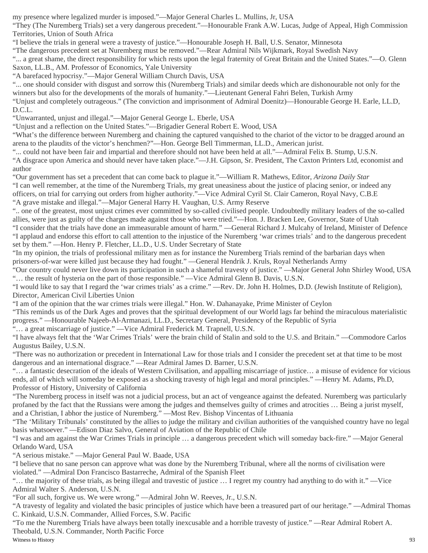my presence where legalized murder is imposed."—Major General Charles L. Mullins, Jr, USA

"They (The Nuremberg Trials) set a very dangerous precedent."—Honourable Frank A.W. Lucas, Judge of Appeal, High Commission Territories, Union of South Africa

"I believe the trials in general were a travesty of justice."—Honourable Joseph H. Ball, U.S. Senator, Minnesota

"The dangerous precedent set at Nuremberg must be removed."—Rear Admiral Nils Wijkmark, Royal Swedish Navy

"... a great shame, the direct responsibility for which rests upon the legal fraternity of Great Britain and the United States."—O. Glenn Saxon, LL.B., AM. Professor of Economics, Yale University

"A barefaced hypocrisy."—Major General William Church Davis, USA

"... one should consider with disgust and sorrow this (Nuremberg Trials) and similar deeds which are dishonourable not only for the winners but also for the developments of the morals of humanity."—Lieutenant General Fahri Belen, Turkish Army

"Unjust and completely outrageous." (The conviction and imprisonment of Admiral Doenitz)—Honourable George H. Earle, LL.D, D.C.L.

"Unwarranted, unjust and illegal."—Major General George L. Eberle, USA

"Unjust and a reflection on the United States."—Brigadier General Robert E. Wood, USA

"What's the difference between Nuremberg and chaining the captured vanquished to the chariot of the victor to be dragged around an arena to the plaudits of the victor's henchmen?"—Hon. George Bell Timmerman, LL.D., American jurist.

"... could not have been fair and impartial and therefore should not have been held at all."—Admiral Felix B. Stump, U.S.N.

"A disgrace upon America and should never have taken place."—J.H. Gipson, Sr. President, The Caxton Printers Ltd, economist and author

"Our government has set a precedent that can come back to plague it."—William R. Mathews, Editor, *Arizona Daily Star* "I can well remember, at the time of the Nuremberg Trials, my great uneasiness about the justice of placing senior, or indeed any officers, on trial for carrying out orders from higher authority."—Vice Admiral Cyril St. Clair Cameron, Royal Navy, C.B.E "A grave mistake and illegal."—Major General Harry H. Vaughan, U.S. Army Reserve

".. one of the greatest, most unjust crimes ever committed by so-called civilised people. Undoubtedly military leaders of the so-called

allies, were just as guilty of the charges made against those who were tried."—Hon. J. Bracken Lee, Governor, State of Utah "I consider that the trials have done an immeasurable amount of harm." —General Richard J. Mulcahy of Ireland, Minister of Defence

"I applaud and endorse this effort to call attention to the injustice of the Nuremberg 'war crimes trials' and to the dangerous precedent set by them." —Hon. Henry P. Fletcher, LL.D., U.S. Under Secretary of State

"In my opinion, the trials of professional military men as for instance the Nuremberg Trials remind of the barbarian days when prisoners-of-war were killed just because they had fought." —General Hendrik J. Kruls, Royal Netherlands Army

"Our country could never live down its participation in such a shameful travesty of justice." —Major General John Shirley Wood, USA "… the result of hysteria on the part of those responsible." —Vice Admiral Glenn B. Davis, U.S.N.

"I would like to say that I regard the 'war crimes trials' as a crime." —Rev. Dr. John H. Holmes, D.D. (Jewish Institute of Religion), Director, American Civil Liberties Union

"I am of the opinion that the war crimes trials were illegal." Hon. W. Dahanayake, Prime Minister of Ceylon

"This reminds us of the Dark Ages and proves that the spiritual development of our World lags far behind the miraculous materialistic progress." —Honourable Najeeb-Al-Armanazi, LL.D., Secretary General, Presidency of the Republic of Syria

"… a great miscarriage of justice." —Vice Admiral Frederick M. Trapnell, U.S.N.

"I have always felt that the 'War Crimes Trials' were the brain child of Stalin and sold to the U.S. and Britain." —Commodore Carlos Augustus Bailey, U.S.N.

"There was no authorization or precedent in International Law for those trials and I consider the precedent set at that time to be most dangerous and an international disgrace." —Rear Admiral James D. Barner, U.S.N.

"… a fantastic desecration of the ideals of Western Civilisation, and appalling miscarriage of justice… a misuse of evidence for vicious ends, all of which will someday be exposed as a shocking travesty of high legal and moral principles." —Henry M. Adams, Ph.D, Professor of History, University of California

"The Nuremberg process in itself was not a judicial process, but an act of vengeance against the defeated. Nuremberg was particularly profaned by the fact that the Russians were among the judges and themselves guilty of crimes and atrocities … Being a jurist myself, and a Christian, I abhor the justice of Nuremberg." —Most Rev. Bishop Vincentas of Lithuania

"The 'Military Tribunals' constituted by the allies to judge the military and civilian authorities of the vanquished country have no legal basis whatsoever." —Edison Diaz Salvo, General of Aviation of the Republic of Chile

"I was and am against the War Crimes Trials in principle … a dangerous precedent which will someday back-fire." —Major General Orlando Ward, USA

"A serious mistake." —Major General Paul W. Baade, USA

"I believe that no sane person can approve what was done by the Nuremberg Tribunal, where all the norms of civilisation were violated." —Admiral Don Francisco Bastarreche, Admiral of the Spanish Fleet

"… the majority of these trials, as being illegal and travestic of justice … I regret my country had anything to do with it." —Vice Admiral Walter S. Anderson, U.S.N.

"For all such, forgive us. We were wrong." —Admiral John W. Reeves, Jr., U.S.N.

"A travesty of legality and violated the basic principles of justice which have been a treasured part of our heritage." —Admiral Thomas C. Kinkaid, U.S.N. Commander, Allied Forces, S.W. Pacific

"To me the Nuremberg Trials have always been totally inexcusable and a horrible travesty of justice." —Rear Admiral Robert A. Theobald, U.S.N. Commander, North Pacific Force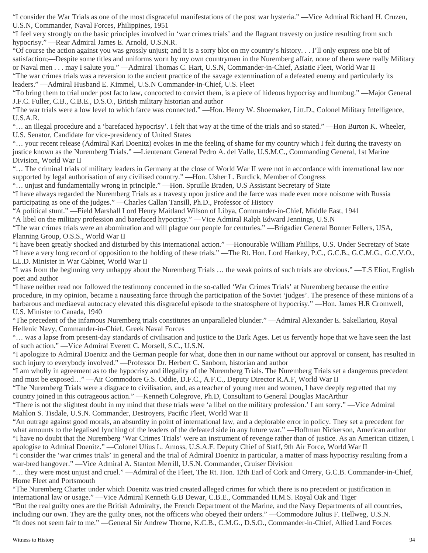"I consider the War Trials as one of the most disgraceful manifestations of the post war hysteria." —Vice Admiral Richard H. Cruzen, U.S.N, Commander, Naval Forces, Philippines, 1951

"I feel very strongly on the basic principles involved in 'war crimes trials' and the flagrant travesty on justice resulting from such hypocrisy." —Rear Admiral James E. Arnold, U.S.N.R.

"Of course the action against you was grossly unjust; and it is a sorry blot on my country's history. . . I'll only express one bit of satisfaction;—Despite some titles and uniforms worn by my own countrymen in the Nuremberg affair, none of them were really Military or Naval men . . . may I salute you." —Admiral Thomas C. Hart, U.S.N, Commander-in-Chief, Asiatic Fleet, World War II "The war crimes trials was a reversion to the ancient practice of the savage extermination of a defeated enemy and particularly its leaders." —Admiral Husband E. Kimmel, U.S.N Commander-in-Chief, U.S. Fleet

"To bring them to trial under post facto law, concocted to convict them, is a piece of hideous hypocrisy and humbug." —Major General J.F.C. Fuller, C.B., C.B.E., D.S.O., British military historian and author

"The war trials were a low level to which farce was connected." —Hon. Henry W. Shoemaker, Litt.D., Colonel Military Intelligence, U.S.A.R.

"… an illegal procedure and a 'barefaced hypocrisy'. I felt that way at the time of the trials and so stated." —Hon Burton K. Wheeler, U.S. Senator, Candidate for vice-presidency of United States

"… your recent release (Admiral Karl Doenitz) evokes in me the feeling of shame for my country which I felt during the travesty on justice known as the Nuremberg Trials." —Lieutenant General Pedro A. del Valle, U.S.M.C., Commanding General, 1st Marine Division, World War II

"… The criminal trials of military leaders in Germany at the close of World War II were not in accordance with international law nor supported by legal authorisation of any civilised country." —Hon. Usher L. Burdick, Member of Congress

"… unjust and fundamentally wrong in principle." —Hon. Spruille Braden, U.S Assistant Secretary of State

"I have always regarded the Nuremberg Trials as a travesty upon justice and the farce was made even more noisome with Russia participating as one of the judges." —Charles Callan Tansill, Ph.D., Professor of History

"A political stunt." —Field Marshall Lord Henry Maitland Wilson of Libya, Commander-in-Chief, Middle East, 1941

"A libel on the military profession and barefaced hypocrisy." —Vice Admiral Ralph Edward Jennings, U.S.N

"The war crimes trials were an abomination and will plague our people for centuries." —Brigadier General Bonner Fellers, USA, Planning Group, O.S.S., World War II

"I have been greatly shocked and disturbed by this international action." —Honourable William Phillips, U.S. Under Secretary of State "I have a very long record of opposition to the holding of these trials." —The Rt. Hon. Lord Hankey, P.C., G.C.B., G.C.M.G., G.C.V.O., LL.D. Minister in War Cabinet, World War II

"I was from the beginning very unhappy about the Nuremberg Trials … the weak points of such trials are obvious." —T.S Eliot, English poet and author

"I have neither read nor followed the testimony concerned in the so-called 'War Crimes Trials' at Nuremberg because the entire procedure, in my opinion, became a nauseating farce through the participation of the Soviet 'judges'. The presence of these minions of a barbarous and mediaeval autocracy elevated this disgraceful episode to the stratosphere of hypocrisy." —Hon. James H.R Cromwell, U.S. Minister to Canada, 1940

"The precedent of the infamous Nuremberg trials constitutes an unparalleled blunder." —Admiral Alexander E. Sakellariou, Royal Hellenic Navy, Commander-in-Chief, Greek Naval Forces

"… was a lapse from present-day standards of civilisation and justice to the Dark Ages. Let us fervently hope that we have seen the last of such action." —Vice Admiral Everett C. Morsell, S.C., U.S.N.

"I apologize to Admiral Doenitz and the German people for what, done then in our name without our approval or consent, has resulted in such injury to everybody involved." —Professor Dr. Herbert C. Sanborn, historian and author

"I am wholly in agreement as to the hypocrisy and illegality of the Nuremberg Trials. The Nuremberg Trials set a dangerous precedent and must be exposed…" —Air Commodore G.S. Oddie, D.F.C., A.F.C., Deputy Director R.A.F, World War II

"The Nuremberg Trials were a disgrace to civilisation, and, as a teacher of young men and women, I have deeply regretted that my country joined in this outrageous action." —Kenneth Colegrove, Ph.D, Consultant to General Douglas MacArthur

"There is not the slightest doubt in my mind that these trials were 'a libel on the military profession.' I am sorry." —Vice Admiral Mahlon S. Tisdale, U.S.N. Commander, Destroyers, Pacific Fleet, World War II

"An outrage against good morals, an absurdity in point of international law, and a deplorable error in policy. They set a precedent for what amounts to the legalised lynching of the leaders of the defeated side in any future war." —Hoffman Nickerson, American author "I have no doubt that the Nuremberg 'War Crimes Trials' were an instrument of revenge rather than of justice. As an American citizen, I apologise to Admiral Doenitz." —Colonel Ulius L. Amoss, U.S.A.F. Deputy Chief of Staff, 9th Air Force, World War II

"I consider the 'war crimes trials' in general and the trial of Admiral Doenitz in particular, a matter of mass hypocrisy resulting from a war-bred hangover." —Vice Admiral A. Stanton Merrill, U.S.N. Commander, Cruiser Division

"... they were most unjust and cruel." —Admiral of the Fleet, The Rt. Hon. 12th Earl of Cork and Orrery, G.C.B. Commander-in-Chief, Home Fleet and Portsmouth

"The Nuremberg Charter under which Doenitz was tried created alleged crimes for which there is no precedent or justification in international law or usage." —Vice Admiral Kenneth G.B Dewar, C.B.E., Commanded H.M.S. Royal Oak and Tiger "But the real guilty ones are the British Admiralty, the French Department of the Marine, and the Navy Departments of all countries, including our own. They are the guilty ones, not the officers who obeyed their orders." —Commodore Julius F. Hellweg, U.S.N. "It does not seem fair to me." —General Sir Andrew Thorne, K.C.B., C.M.G., D.S.O., Commander-in-Chief, Allied Land Forces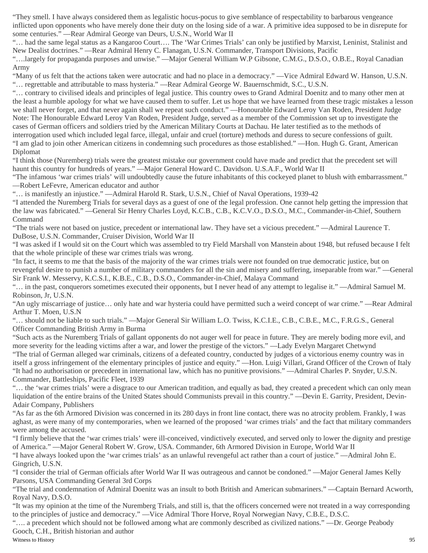"They smell. I have always considered them as legalistic hocus-pocus to give semblance of respectability to barbarous vengeance inflicted upon opponents who have merely done their duty on the losing side of a war. A primitive idea supposed to be in disrepute for some centuries." —Rear Admiral George van Deurs, U.S.N., World War II

"… had the same legal status as a Kangaroo Court…. The 'War Crimes Trials' can only be justified by Marxist, Leninist, Stalinist and New Dealist doctrines." —Rear Admiral Henry C. Flanagan, U.S.N. Commander, Transport Divisions, Pacific

"….largely for propaganda purposes and unwise." —Major General William W.P Gibsone, C.M.G., D.S.O., O.B.E., Royal Canadian Army

"Many of us felt that the actions taken were autocratic and had no place in a democracy." —Vice Admiral Edward W. Hanson, U.S.N. "… regrettable and attributable to mass hysteria." —Rear Admiral George W. Bauernschmidt, S.C., U.S.N.

"… contrary to civilised ideals and principles of legal justice. This country owes to Grand Admiral Doenitz and to many other men at the least a humble apology for what we have caused them to suffer. Let us hope that we have learned from these tragic mistakes a lesson we shall never forget, and that never again shall we repeat such conduct." —Honourable Edward Leroy Van Roden, President Judge Note: The Honourable Edward Leroy Van Roden, President Judge, served as a member of the Commission set up to investigate the cases of German officers and soldiers tried by the American Military Courts at Dachau. He later testified as to the methods of interrogation used which included legal farce, illegal, unfair and cruel (torture) methods and duress to secure confessions of guilt. "I am glad to join other American citizens in condemning such procedures as those established." —Hon. Hugh G. Grant, American Diplomat

"I think those (Nuremberg) trials were the greatest mistake our government could have made and predict that the precedent set will haunt this country for hundreds of years." —Major General Howard C. Davidson. U.S.A.F., World War II

"The infamous 'war crimes trials' will undoubtedly cause the future inhabitants of this cockeyed planet to blush with embarrassment." —Robert LeFevre, American educator and author

"… is manifestly an injustice." —Admiral Harold R. Stark, U.S.N., Chief of Naval Operations, 1939-42

"I attended the Nuremberg Trials for several days as a guest of one of the legal profession. One cannot help getting the impression that the law was fabricated." —General Sir Henry Charles Loyd, K.C.B., C.B., K.C.V.O., D.S.O., M.C., Commander-in-Chief, Southern Command

"The trials were not based on justice, precedent or international law. They have set a vicious precedent." —Admiral Laurence T. DuBose, U.S.N. Commander, Cruiser Division, World War II

"I was asked if I would sit on the Court which was assembled to try Field Marshall von Manstein about 1948, but refused because I felt that the whole principle of these war crimes trials was wrong.

"In fact, it seems to me that the basis of the majority of the war crimes trials were not founded on true democratic justice, but on revengeful desire to punish a number of military commanders for all the sin and misery and suffering, inseparable from war." —General Sir Frank W. Messervy, K.C.S.I., K.B.E., C.B., D.S.O., Commander-in-Chief, Malaya Command

"… in the past, conquerors sometimes executed their opponents, but I never head of any attempt to legalise it." —Admiral Samuel M. Robinson, Jr, U.S.N.

"An ugly miscarriage of justice… only hate and war hysteria could have permitted such a weird concept of war crime." —Rear Admiral Arthur T. Moen, U.S.N

"… should not be liable to such trials." —Major General Sir William L.O. Twiss, K.C.I.E., C.B., C.B.E., M.C., F.R.G.S., General Officer Commanding British Army in Burma

"Such acts as the Nuremberg Trials of gallant opponents do not auger well for peace in future. They are merely boding more evil, and more severity for the leading victims after a war, and lower the prestige of the victors." —Lady Evelyn Margaret Chetwynd

"The trial of German alleged war criminals, citizens of a defeated country, conducted by judges of a victorious enemy country was in itself a gross infringement of the elementary principles of justice and equity." —Hon. Luigi Villari, Grand Officer of the Crown of Italy "It had no authorisation or precedent in international law, which has no punitive provisions." —Admiral Charles P. Snyder, U.S.N. Commander, Battleships, Pacific Fleet, 1939

"… the 'war crimes trials' were a disgrace to our American tradition, and equally as bad, they created a precedent which can only mean liquidation of the entire brains of the United States should Communists prevail in this country." —Devin E. Garrity, President, Devin-Adair Company, Publishers

"As far as the 6th Armored Division was concerned in its 280 days in front line contact, there was no atrocity problem. Frankly, I was aghast, as were many of my contemporaries, when we learned of the proposed 'war crimes trials' and the fact that military commanders were among the accused.

"I firmly believe that the 'war crimes trials' were ill-conceived, vindictively executed, and served only to lower the dignity and prestige of America." —Major General Robert W. Grow, USA. Commander, 6th Armored Division in Europe, World War II

"I have always looked upon the 'war crimes trials' as an unlawful revengeful act rather than a court of justice." —Admiral John E. Gingrich, U.S.N.

"I consider the trial of German officials after World War II was outrageous and cannot be condoned." —Major General James Kelly Parsons, USA Commanding General 3rd Corps

"The trial and condemnation of Admiral Doenitz was an insult to both British and American submariners." —Captain Bernard Acworth, Royal Navy, D.S.O.

"It was my opinion at the time of the Nuremberg Trials, and still is, that the officers concerned were not treated in a way corresponding to the principles of justice and democracy." —Vice Admiral Thore Horve, Royal Norwegian Navy, C.B.E., D.S.C.

"…. a precedent which should not be followed among what are commonly described as civilized nations." —Dr. George Peabody Gooch, C.H., British historian and author

Witness to History 95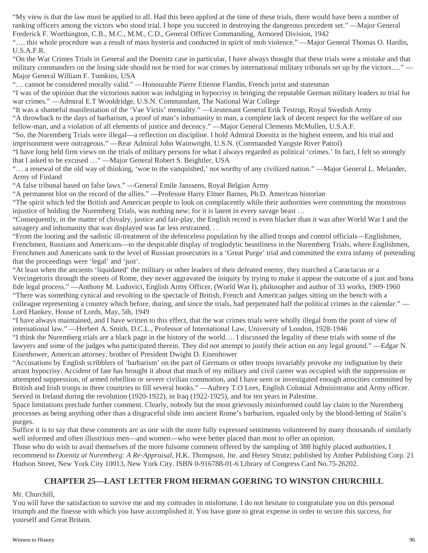"My view is that the law must be applied to all. Had this been applied at the time of these trials, there would have been a number of ranking officers among the victors who stood trial. I hope you succeed in destroying the dangerous precedent set." —Major General Frederick F. Worthington, C.B., M.C., M.M., C.D., General Officer Commanding, Armored Division, 1942

"…. this whole procedure was a result of mass hysteria and conducted in spirit of mob violence." —Major General Thomas O. Hardin, U.S.A.F.R.

"On the War Crimes Trials in General and the Doenitz case in particular, I have always thought that these trials were a mistake and that military commanders on the losing side should not be tried for war crimes by international military tribunals set up by the victors...." — Major General William F. Tomkins, USA

"… cannot be considered morally valid." —Honourable Pierre Etienne Flandin, French jurist and statesman

"I was of the opinion that the victorious nation was indulging in hypocrisy in bringing the reputable German military leaders to trial for war crimes." —Admiral E.T Wooldridge, U.S.N. Commandant, The National War College

"It was a shameful manifestation of the 'Vae Victis' mentality." —Lieutenant General Erik Testrup, Royal Swedish Army "A throwback to the days of barbarism, a proof of man's inhumanity to man, a complete lack of decent respect for the welfare of our fellow-man, and a violation of all elements of justice and decency." —Major General Clements McMullen, U.S.A.F.

"So, the Nuremberg Trials were illegal—a reflection on discipline. I hold Admiral Doenitz in the highest esteem, and his trial and imprisonment were outrageous." —Rear Admiral John Wainwright, U.S.N. (Commanded Yangste River Patrol)

"I have long held firm views on the trials of military persons for what I always regarded as political 'crimes.' In fact, I felt so strongly that I asked to be excused …" —Major General Robert S. Beightler, USA

"… a renewal of the old way of thinking, 'woe to the vanquished,' not worthy of any civilized nation." —Major General L. Melander, Army of Finland

"A false tribunal based on false laws." —General Emile Janssens, Royal Belgian Army

"A permanent blot on the record of the allies." —Professor Harry Elmer Barnes, Ph.D. American historian

"The spirit which led the British and American people to look on complacently while their authorities were committing the monstrous injustice of holding the Nuremberg Trials, was nothing new; for it is latent in every savage beast …

"Consequently, in the matter of chivalry, justice and fair-play, the English record is even blacker than it was after World War I and the savagery and inhumanity that was displayed was far less restrained. . .

"From the looting and the sadistic ill-treatment of the defenceless population by the allied troops and control officials—Englishmen, Frenchmen, Russians and Americans—to the despicable display of troglodytic beastliness in the Nuremberg Trials, where Englishmen, Frenchmen and Americans sank to the level of Russian prosecutors in a 'Great Purge' trial and committed the extra infamy of pretending that the proceedings were 'legal' and 'just'.

"At least when the ancients 'liquidated' the military or other leaders of their defeated enemy, they marched a Caractacus or a Vercingetorix through the streets of Rome, they never aggravated the iniquity by trying to make it appear the outcome of a just and bona fide legal process." —Anthony M. Ludovici, English Army Officer, (World War I), philosopher and author of 33 works, 1909-1960 "There was something cynical and revolting in the spectacle of British, French and American judges sitting on the bench with a colleague representing a country which before, during, and since the trials, had perpetrated half the political crimes in the calendar." — Lord Hankey, House of Lords, May, 5th, 1949

"I have always maintained, and I have written to this effect, that the war crimes trials were wholly illegal from the point of view of international law." —Herbert A. Smith, D.C.L., Professor of International Law, University of London, 1928-1946

"I think the Nuremberg trials are a black page in the history of the world…. I discussed the legality of these trials with some of the lawyers and some of the judges who participated therein. They did not attempt to justify their action on any legal ground." —Edgar N. Eisenhower, American attorney, brother of President Dwight D. Eisenhower

"Accusations by English scribblers of 'barbarism' on the part of Germans or other troops invariably provoke my indignation by their arrant hypocrisy. Accident of fate has brought it about that much of my military and civil career was occupied with the suppression or attempted suppression, of armed rebellion or severe civilian commotion, and I have seen or investigated enough atrocities committed by British and Irish troops in three countries to fill several books." —Aubrey T.O Lees, English Colonial Administrator and Army officer. Served in Ireland during the revolution (1920-1922), in Iraq (1922-1925), and for ten years in Palestine.

Space limitations preclude further comment. Clearly, nobody but the most grievously misinformed could lay claim to the Nuremberg processes as being anything other than a disgraceful slide into ancient Rome's barbarism, equaled only by the blood-letting of Stalin's purges.

Suffice it is to say that these comments are as one with the more fully expressed sentiments volunteered by many thousands of similarly well informed and often illustrious men—and women—who were better placed than most to offer an opinion.

Those who do wish to avail themselves of the more fulsome comment offered by the sampling of 388 highly placed authorities, I recommend to *Doenitz at Nuremberg: A Re-Appraisal*, H.K. Thompson, Jnr. and Henry Strutz; published by Amber Publishing Corp. 21 Hudson Street, New York City 10013, New York City. ISBN 0-916788-01-6 Library of Congress Card No.75-26202.

## **CHAPTER 25—LAST LETTER FROM HERMAN GOERING TO WINSTON CHURCHILL**

## Mr. Churchill,

You will have the satisfaction to survive me and my comrades in misfortune. I do not hesitate to congratulate you on this personal triumph and the finesse with which you have accomplished it. You have gone to great expense in order to secure this success, for yourself and Great Britain.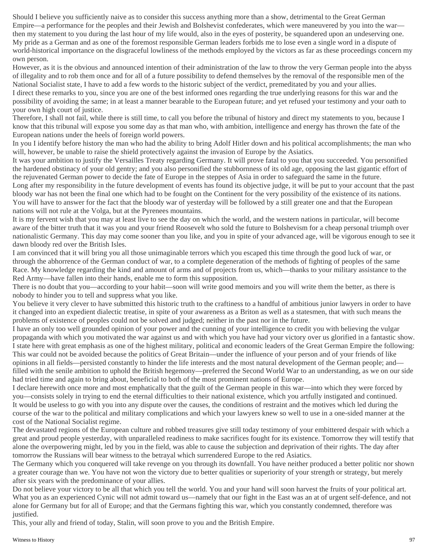Should I believe you sufficiently naive as to consider this success anything more than a show, detrimental to the Great German Empire—a performance for the peoples and their Jewish and Bolshevist confederates, which were maneuvered by you into the war then my statement to you during the last hour of my life would, also in the eyes of posterity, be squandered upon an undeserving one. My pride as a German and as one of the foremost responsible German leaders forbids me to lose even a single word in a dispute of world-historical importance on the disgraceful lowliness of the methods employed by the victors as far as these proceedings concern my own person.

However, as it is the obvious and announced intention of their administration of the law to throw the very German people into the abyss of illegality and to rob them once and for all of a future possibility to defend themselves by the removal of the responsible men of the National Socialist state, I have to add a few words to the historic subject of the verdict, premeditated by you and your allies. I direct these remarks to you, since you are one of the best informed ones regarding the true underlying reasons for this war and the possibility of avoiding the same; in at least a manner bearable to the European future; and yet refused your testimony and your oath to your own high court of justice.

Therefore, I shall not fail, while there is still time, to call you before the tribunal of history and direct my statements to you, because I know that this tribunal will expose you some day as that man who, with ambition, intelligence and energy has thrown the fate of the European nations under the heels of foreign world powers.

In you I identify before history the man who had the ability to bring Adolf Hitler down and his political accomplishments; the man who will, however, be unable to raise the shield protectively against the invasion of Europe by the Asiatics.

It was your ambition to justify the Versailles Treaty regarding Germany. It will prove fatal to you that you succeeded. You personified the hardened obstinacy of your old gentry; and you also personified the stubbornness of its old age, opposing the last gigantic effort of the rejuvenated German power to decide the fate of Europe in the steppes of Asia in order to safeguard the same in the future. Long after my responsibility in the future development of events has found its objective judge, it will be put to your account that the past

bloody war has not been the final one which had to be fought on the Continent for the very possibility of the existence of its nations. You will have to answer for the fact that the bloody war of yesterday will be followed by a still greater one and that the European nations will not rule at the Volga, but at the Pyrenees mountains.

It is my fervent wish that you may at least live to see the day on which the world, and the western nations in particular, will become aware of the bitter truth that it was you and your friend Roosevelt who sold the future to Bolshevism for a cheap personal triumph over nationalistic Germany. This day may come sooner than you like, and you in spite of your advanced age, will be vigorous enough to see it dawn bloody red over the British Isles.

I am convinced that it will bring you all those unimaginable terrors which you escaped this time through the good luck of war, or through the abhorrence of the German conduct of war, to a complete degeneration of the methods of fighting of peoples of the same Race. My knowledge regarding the kind and amount of arms and of projects from us, which—thanks to your military assistance to the Red Army—have fallen into their hands, enable me to form this supposition.

There is no doubt that you—according to your habit—soon will write good memoirs and you will write them the better, as there is nobody to hinder you to tell and suppress what you like.

You believe it very clever to have submitted this historic truth to the craftiness to a handful of ambitious junior lawyers in order to have it changed into an expedient dialectic treatise, in spite of your awareness as a Briton as well as a statesmen, that with such means the problems of existence of peoples could not be solved and judged; neither in the past nor in the future.

I have an only too well grounded opinion of your power and the cunning of your intelligence to credit you with believing the vulgar propaganda with which you motivated the war against us and with which you have had your victory over us glorified in a fantastic show. I state here with great emphasis as one of the highest military, political and economic leaders of the Great German Empire the following: This war could not be avoided because the politics of Great Britain—under the influence of your person and of your friends of like opinions in all fields—persisted constantly to hinder the life interests and the most natural development of the German people; and filled with the senile ambition to uphold the British hegemony—preferred the Second World War to an understanding, as we on our side had tried time and again to bring about, beneficial to both of the most prominent nations of Europe.

I declare herewith once more and most emphatically that the guilt of the German people in this war—into which they were forced by you—consists solely in trying to end the eternal difficulties to their national existence, which you artfully instigated and continued. It would be useless to go with you into any dispute over the causes, the conditions of restraint and the motives which led during the course of the war to the political and military complications and which your lawyers knew so well to use in a one-sided manner at the cost of the National Socialist regime.

The devastated regions of the European culture and robbed treasures give still today testimony of your embittered despair with which a great and proud people yesterday, with unparalleled readiness to make sacrifices fought for its existence. Tomorrow they will testify that alone the overpowering might, led by you in the field, was able to cause the subjection and deprivation of their rights. The day after tomorrow the Russians will bear witness to the betrayal which surrendered Europe to the red Asiatics.

The Germany which you conquered will take revenge on you through its downfall. You have neither produced a better politic nor shown a greater courage than we. You have not won the victory due to better qualities or superiority of your strength or strategy, but merely after six years with the predominance of your allies.

Do not believe your victory to be all that which you tell the world. You and your hand will soon harvest the fruits of your political art. What you as an experienced Cynic will not admit toward us—namely that our fight in the East was an at of urgent self-defence, and not alone for Germany but for all of Europe; and that the Germans fighting this war, which you constantly condemned, therefore was justified.

This, your ally and friend of today, Stalin, will soon prove to you and the British Empire.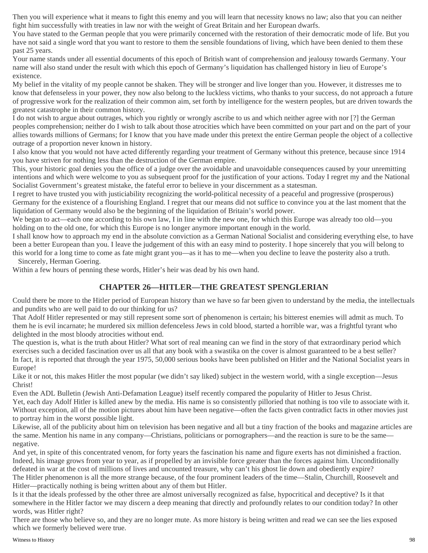Then you will experience what it means to fight this enemy and you will learn that necessity knows no law; also that you can neither fight him successfully with treaties in law nor with the weight of Great Britain and her European dwarfs.

You have stated to the German people that you were primarily concerned with the restoration of their democratic mode of life. But you have not said a single word that you want to restore to them the sensible foundations of living, which have been denied to them these past 25 years.

Your name stands under all essential documents of this epoch of British want of comprehension and jealousy towards Germany. Your name will also stand under the result with which this epoch of Germany's liquidation has challenged history in lieu of Europe's existence.

My belief in the vitality of my people cannot be shaken. They will be stronger and live longer than you. However, it distresses me to know that defenseless in your power, they now also belong to the luckless victims, who thanks to your success, do not approach a future of progressive work for the realization of their common aim, set forth by intelligence for the western peoples, but are driven towards the greatest catastrophe in their common history.

I do not wish to argue about outrages, which you rightly or wrongly ascribe to us and which neither agree with nor [?] the German peoples comprehension; neither do I wish to talk about those atrocities which have been committed on your part and on the part of your allies towards millions of Germans; for I know that you have made under this pretext the entire German people the object of a collective outrage of a proportion never known in history.

I also know that you would not have acted differently regarding your treatment of Germany without this pretence, because since 1914 you have striven for nothing less than the destruction of the German empire.

This, your historic goal denies you the office of a judge over the avoidable and unavoidable consequences caused by your unremitting intentions and which were welcome to you as subsequent proof for the justification of your actions. Today I regret my and the National Socialist Government's greatest mistake, the fateful error to believe in your discernment as a statesman.

I regret to have trusted you with justiciability recognizing the world-political necessity of a peaceful and progressive (prosperous) Germany for the existence of a flourishing England. I regret that our means did not suffice to convince you at the last moment that the liquidation of Germany would also be the beginning of the liquidation of Britain's world power.

We began to act—each one according to his own law, I in line with the new one, for which this Europe was already too old—you holding on to the old one, for which this Europe is no longer anymore important enough in the world.

I shall know how to approach my end in the absolute conviction as a German National Socialist and considering everything else, to have been a better European than you. I leave the judgement of this with an easy mind to posterity. I hope sincerely that you will belong to this world for a long time to come as fate might grant you—as it has to me—when you decline to leave the posterity also a truth. Sincerely, Herman Goering.

Within a few hours of penning these words, Hitler's heir was dead by his own hand.

# **CHAPTER 26—HITLER—THE GREATEST SPENGLERIAN**

Could there be more to the Hitler period of European history than we have so far been given to understand by the media, the intellectuals and pundits who are well paid to do our thinking for us?

That Adolf Hitler represented or may still represent some sort of phenomenon is certain; his bitterest enemies will admit as much. To them he is evil incarnate; he murdered six million defenceless Jews in cold blood, started a horrible war, was a frightful tyrant who delighted in the most bloody atrocities without end.

The question is, what is the truth about Hitler? What sort of real meaning can we find in the story of that extraordinary period which exercises such a decided fascination over us all that any book with a swastika on the cover is almost guaranteed to be a best seller? In fact, it is reported that through the year 1975, 50,000 serious books have been published on Hitler and the National Socialist years in Europe!

Like it or not, this makes Hitler the most popular (we didn't say liked) subject in the western world, with a single exception—Jesus Christ!

Even the ADL Bulletin (Jewish Anti-Defamation League) itself recently compared the popularity of Hitler to Jesus Christ. Yet, each day Adolf Hitler is killed anew by the media. His name is so consistently pilloried that nothing is too vile to associate with it. Without exception, all of the motion pictures about him have been negative—often the facts given contradict facts in other movies just to portray him in the worst possible light.

Likewise, all of the publicity about him on television has been negative and all but a tiny fraction of the books and magazine articles are the same. Mention his name in any company—Christians, politicians or pornographers—and the reaction is sure to be the same negative.

And yet, in spite of this concentrated venom, for forty years the fascination his name and figure exerts has not diminished a fraction. Indeed, his image grows from year to year, as if propelled by an invisible force greater than the forces against him. Unconditionally defeated in war at the cost of millions of lives and uncounted treasure, why can't his ghost lie down and obediently expire? The Hitler phenomenon is all the more strange because, of the four prominent leaders of the time—Stalin, Churchill, Roosevelt and Hitler—practically nothing is being written about any of them but Hitler.

Is it that the ideals professed by the other three are almost universally recognized as false, hypocritical and deceptive? Is it that somewhere in the Hitler factor we may discern a deep meaning that directly and profoundly relates to our condition today? In other words, was Hitler right?

There are those who believe so, and they are no longer mute. As more history is being written and read we can see the lies exposed which we formerly believed were true.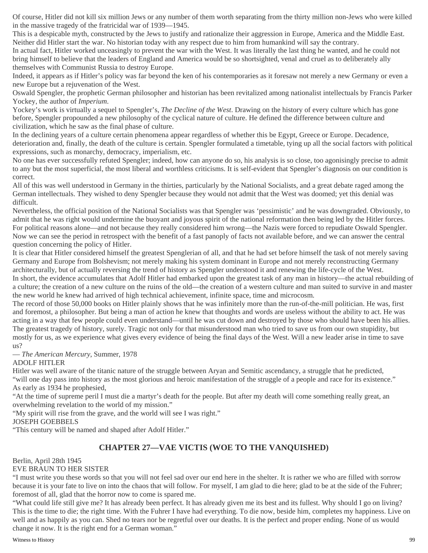Of course, Hitler did not kill six million Jews or any number of them worth separating from the thirty million non-Jews who were killed in the massive tragedy of the fratricidal war of 1939—1945.

This is a despicable myth, constructed by the Jews to justify and rationalize their aggression in Europe, America and the Middle East. Neither did Hitler start the war. No historian today with any respect due to him from humankind will say the contrary.

In actual fact, Hitler worked unceasingly to prevent the war with the West. It was literally the last thing he wanted, and he could not bring himself to believe that the leaders of England and America would be so shortsighted, venal and cruel as to deliberately ally themselves with Communist Russia to destroy Europe.

Indeed, it appears as if Hitler's policy was far beyond the ken of his contemporaries as it foresaw not merely a new Germany or even a new Europe but a rejuvenation of the West.

Oswald Spengler, the prophetic German philosopher and historian has been revitalized among nationalist intellectuals by Francis Parker Yockey, the author of *Imperium*.

Yockey's work is virtually a sequel to Spengler's, *The Decline of the West*. Drawing on the history of every culture which has gone before, Spengler propounded a new philosophy of the cyclical nature of culture. He defined the difference between culture and civilization, which he saw as the final phase of culture.

In the declining years of a culture certain phenomena appear regardless of whether this be Egypt, Greece or Europe. Decadence, deterioration and, finally, the death of the culture is certain. Spengler formulated a timetable, tying up all the social factors with political expressions, such as monarchy, democracy, imperialism, etc.

No one has ever successfully refuted Spengler; indeed, how can anyone do so, his analysis is so close, too agonisingly precise to admit to any but the most superficial, the most liberal and worthless criticisms. It is self-evident that Spengler's diagnosis on our condition is correct.

All of this was well understood in Germany in the thirties, particularly by the National Socialists, and a great debate raged among the German intellectuals. They wished to deny Spengler because they would not admit that the West was doomed; yet this denial was difficult.

Nevertheless, the official position of the National Socialists was that Spengler was 'pessimistic' and he was downgraded. Obviously, to admit that he was right would undermine the buoyant and joyous spirit of the national reformation then being led by the Hitler forces. For political reasons alone—and not because they really considered him wrong—the Nazis were forced to repudiate Oswald Spengler. Now we can see the period in retrospect with the benefit of a fast panoply of facts not available before, and we can answer the central question concerning the policy of Hitler.

It is clear that Hitler considered himself the greatest Spenglerian of all, and that he had set before himself the task of not merely saving Germany and Europe from Bolshevism; not merely making his system dominant in Europe and not merely reconstructing Germany architecturally, but of actually reversing the trend of history as Spengler understood it and renewing the life-cycle of the West.

In short, the evidence accumulates that Adolf Hitler had embarked upon the greatest task of any man in history—the actual rebuilding of a culture; the creation of a new culture on the ruins of the old—the creation of a western culture and man suited to survive in and master the new world he knew had arrived of high technical achievement, infinite space, time and microcosm.

The record of those 50,000 books on Hitler plainly shows that he was infinitely more than the run-of-the-mill politician. He was, first and foremost, a philosopher. But being a man of action he knew that thoughts and words are useless without the ability to act. He was acting in a way that few people could even understand—until he was cut down and destroyed by those who should have been his allies. The greatest tragedy of history, surely. Tragic not only for that misunderstood man who tried to save us from our own stupidity, but mostly for us, as we experience what gives every evidence of being the final days of the West. Will a new leader arise in time to save us?

— *The American Mercury*, Summer, 1978

## ADOLF HITLER

Hitler was well aware of the titanic nature of the struggle between Aryan and Semitic ascendancy, a struggle that he predicted, "will one day pass into history as the most glorious and heroic manifestation of the struggle of a people and race for its existence." As early as 1934 he prophesied,

"At the time of supreme peril I must die a martyr's death for the people. But after my death will come something really great, an overwhelming revelation to the world of my mission."

"My spirit will rise from the grave, and the world will see I was right."

## JOSEPH GOEBBELS

"This century will be named and shaped after Adolf Hitler."

# **CHAPTER 27—VAE VICTIS (WOE TO THE VANQUISHED)**

## Berlin, April 28th 1945

## EVE BRAUN TO HER SISTER

"I must write you these words so that you will not feel sad over our end here in the shelter. It is rather we who are filled with sorrow because it is your fate to live on into the chaos that will follow. For myself, I am glad to die here; glad to be at the side of the Fuhrer; foremost of all, glad that the horror now to come is spared me.

"What could life still give me? It has already been perfect. It has already given me its best and its fullest. Why should I go on living? This is the time to die; the right time. With the Fuhrer I have had everything. To die now, beside him, completes my happiness. Live on well and as happily as you can. Shed no tears nor be regretful over our deaths. It is the perfect and proper ending. None of us would change it now. It is the right end for a German woman."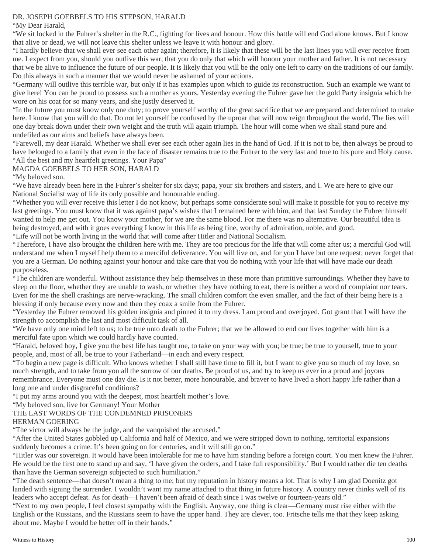## DR. JOSEPH GOEBBELS TO HIS STEPSON, HARALD

## "My Dear Harald,

"We sit locked in the Fuhrer's shelter in the R.C., fighting for lives and honour. How this battle will end God alone knows. But I know that alive or dead, we will not leave this shelter unless we leave it with honour and glory.

"I hardly believe that we shall ever see each other again; therefore, it is likely that these will be the last lines you will ever receive from me. I expect from you, should you outlive this war, that you do only that which will honour your mother and father. It is not necessary that we be alive to influence the future of our people. It is likely that you will be the only one left to carry on the traditions of our family. Do this always in such a manner that we would never be ashamed of your actions.

"Germany will outlive this terrible war, but only if it has examples upon which to guide its reconstruction. Such an example we want to give here! You can be proud to possess such a mother as yours. Yesterday evening the Fuhrer gave her the gold Party insignia which he wore on his coat for so many years, and she justly deserved it.

"In the future you must know only one duty; to prove yourself worthy of the great sacrifice that we are prepared and determined to make here. I know that you will do that. Do not let yourself be confused by the uproar that will now reign throughout the world. The lies will one day break down under their own weight and the truth will again triumph. The hour will come when we shall stand pure and undefiled as our aims and beliefs have always been.

"Farewell, my dear Harald. Whether we shall ever see each other again lies in the hand of God. If it is not to be, then always be proud to have belonged to a family that even in the face of disaster remains true to the Fuhrer to the very last and true to his pure and Holy cause. "All the best and my heartfelt greetings. Your Papa"

#### MAGDA GOEBBELS TO HER SON, HARALD

"My beloved son.

"We have already been here in the Fuhrer's shelter for six days; papa, your six brothers and sisters, and I. We are here to give our National Socialist way of life its only possible and honourable ending.

"Whether you will ever receive this letter I do not know, but perhaps some considerate soul will make it possible for you to receive my last greetings. You must know that it was against papa's wishes that I remained here with him, and that last Sunday the Fuhrer himself wanted to help me get out. You know your mother, for we are the same blood. For me there was no alternative. Our beautiful idea is being destroyed, and with it goes everything I know in this life as being fine, worthy of admiration, noble, and good.

"Life will not be worth living in the world that will come after Hitler and National Socialism.

"Therefore, I have also brought the children here with me. They are too precious for the life that will come after us; a merciful God will understand me when I myself help them to a merciful deliverance. You will live on, and for you I have but one request; never forget that you are a German. Do nothing against your honour and take care that you do nothing with your life that will have made our death purposeless.

"The children are wonderful. Without assistance they help themselves in these more than primitive surroundings. Whether they have to sleep on the floor, whether they are unable to wash, or whether they have nothing to eat, there is neither a word of complaint nor tears. Even for me the shell crashings are nerve-wracking. The small children comfort the even smaller, and the fact of their being here is a blessing if only because every now and then they coax a smile from the Fuhrer.

"Yesterday the Fuhrer removed his golden insignia and pinned it to my dress. I am proud and overjoyed. Got grant that I will have the strength to accomplish the last and most difficult task of all.

"We have only one mind left to us; to be true unto death to the Fuhrer; that we be allowed to end our lives together with him is a merciful fate upon which we could hardly have counted.

"Harald, beloved boy, I give you the best life has taught me, to take on your way with you; be true; be true to yourself, true to your people, and, most of all, be true to your Fatherland—in each and every respect.

"To begin a new page is difficult. Who knows whether I shall still have time to fill it, but I want to give you so much of my love, so much strength, and to take from you all the sorrow of our deaths. Be proud of us, and try to keep us ever in a proud and joyous remembrance. Everyone must one day die. Is it not better, more honourable, and braver to have lived a short happy life rather than a long one and under disgraceful conditions?

"I put my arms around you with the deepest, most heartfelt mother's love.

"My beloved son, live for Germany! Your Mother

## THE LAST WORDS OF THE CONDEMNED PRISONERS

## HERMAN GOERING

"The victor will always be the judge, and the vanquished the accused."

"After the United States gobbled up California and half of Mexico, and we were stripped down to nothing, territorial expansions suddenly becomes a crime. It's been going on for centuries, and it will still go on."

"Hitler was our sovereign. It would have been intolerable for me to have him standing before a foreign court. You men knew the Fuhrer. He would be the first one to stand up and say, 'I have given the orders, and I take full responsibility.' But I would rather die ten deaths than have the German sovereign subjected to such humiliation."

"The death sentence—that doesn't mean a thing to me; but my reputation in history means a lot. That is why I am glad Doenitz got landed with signing the surrender. I wouldn't want my name attached to that thing in future history. A country never thinks well of its leaders who accept defeat. As for death—I haven't been afraid of death since I was twelve or fourteen-years old."

"Next to my own people, I feel closest sympathy with the English. Anyway, one thing is clear—Germany must rise either with the English or the Russians, and the Russians seem to have the upper hand. They are clever, too. Fritsche tells me that they keep asking about me. Maybe I would be better off in their hands."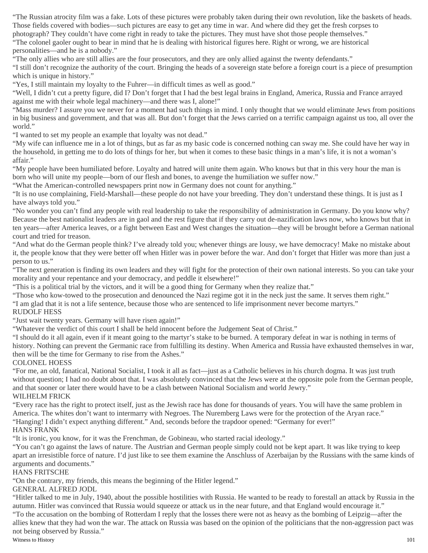"The Russian atrocity film was a fake. Lots of these pictures were probably taken during their own revolution, like the baskets of heads. Those fields covered with bodies—such pictures are easy to get any time in war. And where did they get the fresh corpses to

photograph? They couldn't have come right in ready to take the pictures. They must have shot those people themselves."

"The colonel gaoler ought to bear in mind that he is dealing with historical figures here. Right or wrong, we are historical personalities—and he is a nobody."

"The only allies who are still allies are the four prosecutors, and they are only allied against the twenty defendants."

"I still don't recognize the authority of the court. Bringing the heads of a sovereign state before a foreign court is a piece of presumption which is unique in history."

"Yes, I still maintain my loyalty to the Fuhrer—in difficult times as well as good."

"Well, I didn't cut a pretty figure, did I? Don't forget that I had the best legal brains in England, America, Russia and France arrayed against me with their whole legal machinery—and there was I, alone!"

"Mass murder? I assure you we never for a moment had such things in mind. I only thought that we would eliminate Jews from positions in big business and government, and that was all. But don't forget that the Jews carried on a terrific campaign against us too, all over the world."

"I wanted to set my people an example that loyalty was not dead."

"My wife can influence me in a lot of things, but as far as my basic code is concerned nothing can sway me. She could have her way in the household, in getting me to do lots of things for her, but when it comes to these basic things in a man's life, it is not a woman's affair."

"My people have been humiliated before. Loyalty and hatred will unite them again. Who knows but that in this very hour the man is born who will unite my people—born of our flesh and bones, to avenge the humiliation we suffer now."

"What the American-controlled newspapers print now in Germany does not count for anything."

"It is no use complaining, Field-Marshall—these people do not have your breeding. They don't understand these things. It is just as I have always told you."

"No wonder you can't find any people with real leadership to take the responsibility of administration in Germany. Do you know why? Because the best nationalist leaders are in gaol and the rest figure that if they carry out de-nazification laws now, who knows but that in ten years—after America leaves, or a fight between East and West changes the situation—they will be brought before a German national court and tried for treason.

"And what do the German people think? I've already told you; whenever things are lousy, we have democracy! Make no mistake about it, the people know that they were better off when Hitler was in power before the war. And don't forget that Hitler was more than just a person to us."

"The next generation is finding its own leaders and they will fight for the protection of their own national interests. So you can take your morality and your repentance and your democracy, and peddle it elsewhere!"

"This is a political trial by the victors, and it will be a good thing for Germany when they realize that."

"Those who kow-towed to the prosecution and denounced the Nazi regime got it in the neck just the same. It serves them right."

"I am glad that it is not a life sentence, because those who are sentenced to life imprisonment never become martyrs."

## RUDOLF HESS

"Just wait twenty years. Germany will have risen again!"

"Whatever the verdict of this court I shall be held innocent before the Judgement Seat of Christ."

"I should do it all again, even if it meant going to the martyr's stake to be burned. A temporary defeat in war is nothing in terms of history. Nothing can prevent the Germanic race from fulfilling its destiny. When America and Russia have exhausted themselves in war, then will be the time for Germany to rise from the Ashes."

## COLONEL HOESS

"For me, an old, fanatical, National Socialist, I took it all as fact—just as a Catholic believes in his church dogma. It was just truth without question; I had no doubt about that. I was absolutely convinced that the Jews were at the opposite pole from the German people, and that sooner or later there would have to be a clash between National Socialism and world Jewry."

WILHELM FRICK

"Every race has the right to protect itself, just as the Jewish race has done for thousands of years. You will have the same problem in America. The whites don't want to intermarry with Negroes. The Nuremberg Laws were for the protection of the Aryan race." "Hanging! I didn't expect anything different." And, seconds before the trapdoor opened: "Germany for ever!"

## HANS FRANK

"It is ironic, you know, for it was the Frenchman, de Gobineau, who started racial ideology."

"You can't go against the laws of nature. The Austrian and German people simply could not be kept apart. It was like trying to keep apart an irresistible force of nature. I'd just like to see them examine the Anschluss of Azerbaijan by the Russians with the same kinds of arguments and documents."

## HANS FRITSCHE

"On the contrary, my friends, this means the beginning of the Hitler legend."

## GENERAL ALFRED JODL

Witness to History **101** "Hitler talked to me in July, 1940, about the possible hostilities with Russia. He wanted to be ready to forestall an attack by Russia in the autumn. Hitler was convinced that Russia would squeeze or attack us in the near future, and that England would encourage it." "To the accusation on the bombing of Rotterdam I reply that the losses there were not as heavy as the bombing of Leipzig—after the allies knew that they had won the war. The attack on Russia was based on the opinion of the politicians that the non-aggression pact was not being observed by Russia."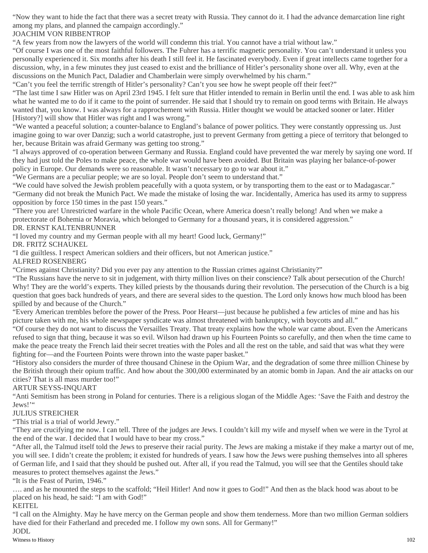"Now they want to hide the fact that there was a secret treaty with Russia. They cannot do it. I had the advance demarcation line right among my plans, and planned the campaign accordingly."

## JOACHIM VON RIBBENTROP

"A few years from now the lawyers of the world will condemn this trial. You cannot have a trial without law."

"Of course I was one of the most faithful followers. The Fuhrer has a terrific magnetic personality. You can't understand it unless you personally experienced it. Six months after his death I still feel it. He fascinated everybody. Even if great intellects came together for a discussion, why, in a few minutes they just ceased to exist and the brilliance of Hitler's personality shone over all. Why, even at the discussions on the Munich Pact, Daladier and Chamberlain were simply overwhelmed by his charm."

"Can't you feel the terrific strength of Hitler's personality? Can't you see how he swept people off their feet?"

"The last time I saw Hitler was on April 23rd 1945. I felt sure that Hitler intended to remain in Berlin until the end. I was able to ask him what he wanted me to do if it came to the point of surrender. He said that I should try to remain on good terms with Britain. He always wanted that, you know. I was always for a rapprochement with Russia. Hitler thought we would be attacked sooner or later. Hitler [History?] will show that Hitler was right and I was wrong."

"We wanted a peaceful solution; a counter-balance to England's balance of power politics. They were constantly oppressing us. Just imagine going to war over Danzig; such a world catastrophe, just to prevent Germany from getting a piece of territory that belonged to her, because Britain was afraid Germany was getting too strong."

"I always approved of co-operation between Germany and Russia. England could have prevented the war merely by saying one word. If they had just told the Poles to make peace, the whole war would have been avoided. But Britain was playing her balance-of-power policy in Europe. Our demands were so reasonable. It wasn't necessary to go to war about it."

"We Germans are a peculiar people; we are so loyal. People don't seem to understand that."

"We could have solved the Jewish problem peacefully with a quota system, or by transporting them to the east or to Madagascar." "Germany did not break the Munich Pact. We made the mistake of losing the war. Incidentally, America has used its army to suppress opposition by force 150 times in the past 150 years."

"There you are! Unrestricted warfare in the whole Pacific Ocean, where America doesn't really belong! And when we make a protectorate of Bohemia or Moravia, which belonged to Germany for a thousand years, it is considered aggression." DR. ERNST KALTENBRUNNER

"I loved my country and my German people with all my heart! Good luck, Germany!"

DR. FRITZ SCHAUKEL

"I die guiltless. I respect American soldiers and their officers, but not American justice."

ALFRED ROSENBERG

"Crimes against Christianity? Did you ever pay any attention to the Russian crimes against Christianity?"

"The Russians have the nerve to sit in judgement, with thirty million lives on their conscience? Talk about persecution of the Church! Why! They are the world's experts. They killed priests by the thousands during their revolution. The persecution of the Church is a big question that goes back hundreds of years, and there are several sides to the question. The Lord only knows how much blood has been spilled by and because of the Church."

"Every American trembles before the power of the Press. Poor Hearst—just because he published a few articles of mine and has his picture taken with me, his whole newspaper syndicate was almost threatened with bankruptcy, with boycotts and all."

"Of course they do not want to discuss the Versailles Treaty. That treaty explains how the whole war came about. Even the Americans refused to sign that thing, because it was so evil. Wilson had drawn up his Fourteen Points so carefully, and then when the time came to make the peace treaty the French laid their secret treaties with the Poles and all the rest on the table, and said that was what they were fighting for—and the Fourteen Points were thrown into the waste paper basket."

"History also considers the murder of three thousand Chinese in the Opium War, and the degradation of some three million Chinese by the British through their opium traffic. And how about the 300,000 exterminated by an atomic bomb in Japan. And the air attacks on our cities? That is all mass murder too!"

#### ARTUR SEYSS-INQUART

"Anti Semitism has been strong in Poland for centuries. There is a religious slogan of the Middle Ages: 'Save the Faith and destroy the Jews!"

## JULIUS STREICHER

"This trial is a trial of world Jewry."

"They are crucifying me now. I can tell. Three of the judges are Jews. I couldn't kill my wife and myself when we were in the Tyrol at the end of the war. I decided that I would have to bear my cross."

"After all, the Talmud itself told the Jews to preserve their racial purity. The Jews are making a mistake if they make a martyr out of me, you will see. I didn't create the problem; it existed for hundreds of years. I saw how the Jews were pushing themselves into all spheres of German life, and I said that they should be pushed out. After all, if you read the Talmud, you will see that the Gentiles should take measures to protect themselves against the Jews."

"It is the Feast of Purim, 1946."

…. and as he mounted the steps to the scaffold; "Heil Hitler! And now it goes to God!" And then as the black hood was about to be placed on his head, he said: "I am with God!"

#### KEITEL

"I call on the Almighty. May he have mercy on the German people and show them tenderness. More than two million German soldiers have died for their Fatherland and preceded me. I follow my own sons. All for Germany!"

#### Witness to History **102** JODL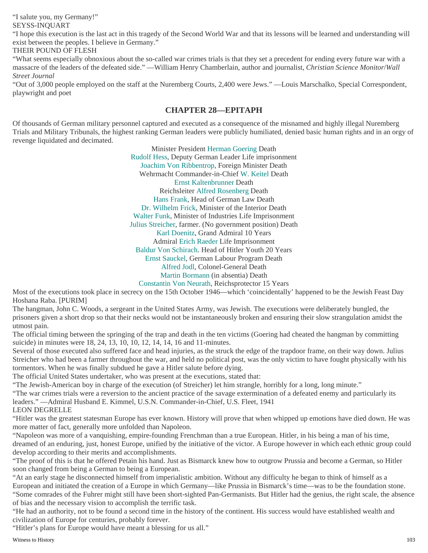"I salute you, my Germany!" SEYSS-INQUART

"I hope this execution is the last act in this tragedy of the Second World War and that its lessons will be learned and understanding will exist between the peoples. I believe in Germany."

THEIR POUND OF FLESH

"What seems especially obnoxious about the so-called war crimes trials is that they set a precedent for ending every future war with a massacre of the leaders of the defeated side." —William Henry Chamberlain, author and journalist, *Christian Science Monitor*/*Wall Street Journal*

"Out of 3,000 people employed on the staff at the Nuremberg Courts, 2,400 were Jews." —Louis Marschalko, Special Correspondent, playwright and poet

## **CHAPTER 28—EPITAPH**

Of thousands of German military personnel captured and executed as a consequence of the misnamed and highly illegal Nuremberg Trials and Military Tribunals, the highest ranking German leaders were publicly humiliated, denied basic human rights and in an orgy of revenge liquidated and decimated.

> Minister President Herman Goering Death Rudolf Hess, Deputy German Leader Life imprisonment Joachim Von Ribbentrop, Foreign Minister Death Wehrmacht Commander-in-Chief W. Keitel Death Ernst Kaltenbrunner Death Reichsleiter Alfred Rosenberg Death Hans Frank, Head of German Law Death Dr. Wilhelm Frick, Minister of the Interior Death Walter Funk, Minister of Industries Life Imprisonment Julius Streicher, farmer. (No government position) Death Karl Doenitz, Grand Admiral 10 Years Admiral Erich Raeder Life Imprisonment Baldur Von Schirach. Head of Hitler Youth 20 Years Ernst Sauckel, German Labour Program Death Alfred Jodl, Colonel-General Death Martin Bormann (in absentia) Death Constantin Von Neurath, Reichsprotector 15 Years

Most of the executions took place in secrecy on the 15th October 1946—which 'coincidentally' happened to be the Jewish Feast Day Hoshana Raba. [PURIM]

The hangman, John C. Woods, a sergeant in the United States Army, was Jewish. The executions were deliberately bungled, the prisoners given a short drop so that their necks would not be instantaneously broken and ensuring their slow strangulation amidst the utmost pain.

The official timing between the springing of the trap and death in the ten victims (Goering had cheated the hangman by committing suicide) in minutes were 18, 24, 13, 10, 10, 12, 14, 14, 16 and 11-minutes.

Several of those executed also suffered face and head injuries, as the struck the edge of the trapdoor frame, on their way down. Julius Streicher who had been a farmer throughout the war, and held no political post, was the only victim to have fought physically with his tormentors. When he was finally subdued he gave a Hitler salute before dying.

The official United States undertaker, who was present at the executions, stated that:

"The Jewish-American boy in charge of the execution (of Streicher) let him strangle, horribly for a long, long minute."

"The war crimes trials were a reversion to the ancient practice of the savage extermination of a defeated enemy and particularly its leaders." —Admiral Husband E. Kimmel, U.S.N. Commander-in-Chief, U.S. Fleet, 1941 LEON DEGRELLE

"Hitler was the greatest statesman Europe has ever known. History will prove that when whipped up emotions have died down. He was more matter of fact, generally more unfolded than Napoleon.

"Napoleon was more of a vanquishing, empire-founding Frenchman than a true European. Hitler, in his being a man of his time, dreamed of an enduring, just, honest Europe, unified by the initiative of the victor. A Europe however in which each ethnic group could develop according to their merits and accomplishments.

"The proof of this is that he offered Petain his hand. Just as Bismarck knew how to outgrow Prussia and become a German, so Hitler soon changed from being a German to being a European.

"At an early stage he disconnected himself from imperialistic ambition. Without any difficulty he began to think of himself as a European and initiated the creation of a Europe in which Germany—like Prussia in Bismarck's time—was to be the foundation stone. "Some comrades of the Fuhrer might still have been short-sighted Pan-Germanists. But Hitler had the genius, the right scale, the absence of bias and the necessary vision to accomplish the terrific task.

"He had an authority, not to be found a second time in the history of the continent. His success would have established wealth and civilization of Europe for centuries, probably forever.

"Hitler's plans for Europe would have meant a blessing for us all."